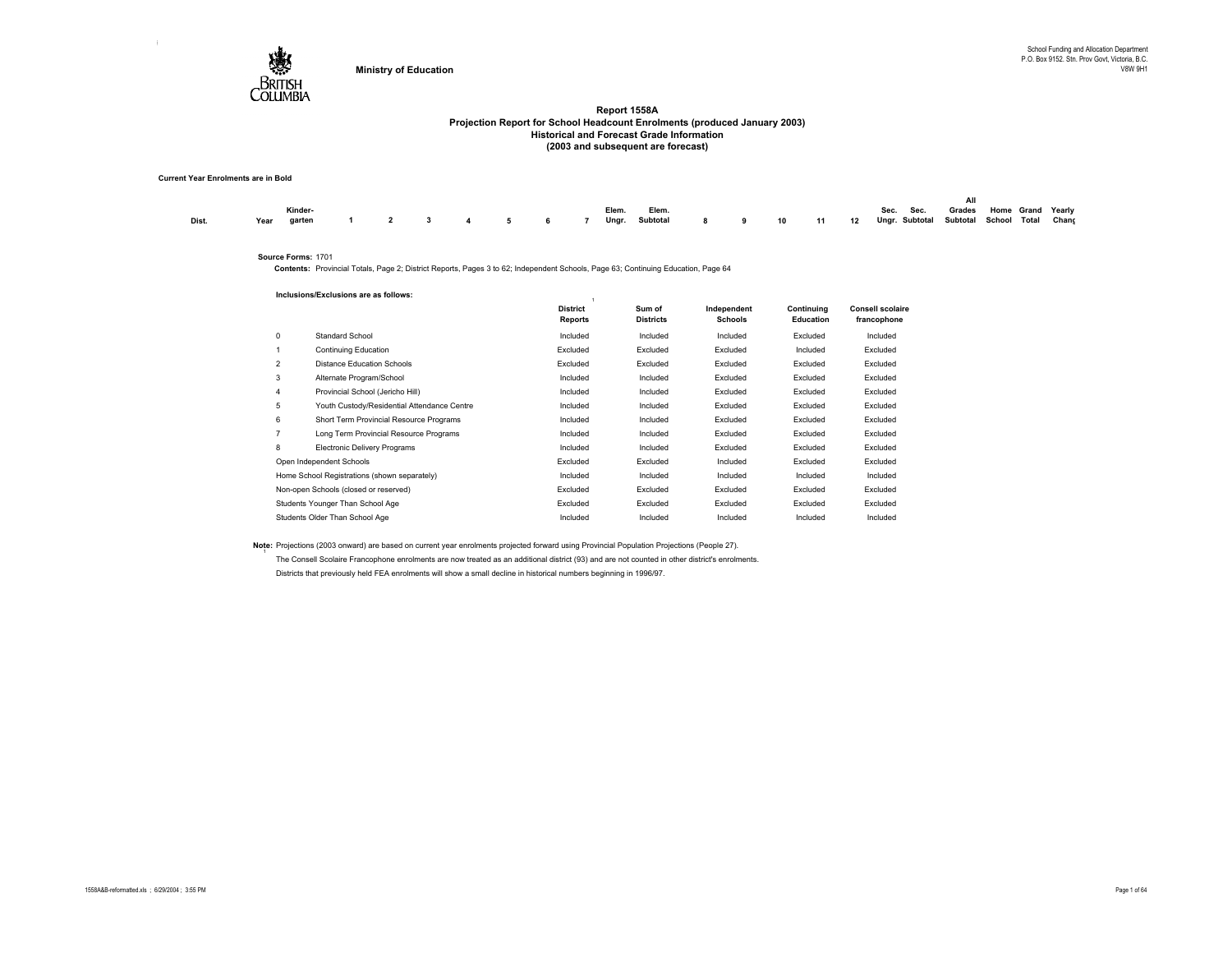

#### **Current Year Enrolments are in Bold**

|       | Kinder-     |  |  |  | Elem. | Elem. |  |  | Sec. Sec.                                                                   | Grades Home Grand Yearly |  |  |
|-------|-------------|--|--|--|-------|-------|--|--|-----------------------------------------------------------------------------|--------------------------|--|--|
| Dist. | Year garten |  |  |  |       |       |  |  | 1 2 3 4 5 6 7 Ungr. Subtotal 8 9 10 11 12 Ungr. Subtotal School Total Chang |                          |  |  |

#### **Source Forms:** 1701

**Contents:** Provincial Totals, Page 2; District Reports, Pages 3 to 62; Independent Schools, Page 63; Continuing Education, Page 64

|                | Inclusions/Exclusions are as follows:        |                                   |                            |                               |                                |                                        |
|----------------|----------------------------------------------|-----------------------------------|----------------------------|-------------------------------|--------------------------------|----------------------------------------|
|                |                                              | <b>District</b><br><b>Reports</b> | Sum of<br><b>Districts</b> | Independent<br><b>Schools</b> | Continuina<br><b>Education</b> | <b>Consell scolaire</b><br>francophone |
| 0              | Standard School                              | Included                          | Included                   | Included                      | Excluded                       | Included                               |
|                | Continuing Education                         | Excluded                          | Excluded                   | Excluded                      | Included                       | Excluded                               |
| $\overline{2}$ | <b>Distance Education Schools</b>            | Excluded                          | Excluded                   | Excluded                      | Excluded                       | Excluded                               |
| 3              | Alternate Program/School                     | Included                          | Included                   | Excluded                      | Excluded                       | Excluded                               |
| 4              | Provincial School (Jericho Hill)             | Included                          | Included                   | Excluded                      | Excluded                       | Excluded                               |
| 5              | Youth Custody/Residential Attendance Centre  | Included                          | Included                   | Excluded                      | Excluded                       | Excluded                               |
| 6              | Short Term Provincial Resource Programs      | Included                          | Included                   | Excluded                      | Excluded                       | Excluded                               |
| $\overline{7}$ | Long Term Provincial Resource Programs       | Included                          | Included                   | Excluded                      | Excluded                       | Excluded                               |
| 8              | <b>Electronic Delivery Programs</b>          | Included                          | Included                   | Excluded                      | Excluded                       | Excluded                               |
|                | Open Independent Schools                     | Excluded                          | Excluded                   | Included                      | Excluded                       | Excluded                               |
|                | Home School Registrations (shown separately) | Included                          | Included                   | Included                      | Included                       | Included                               |
|                | Non-open Schools (closed or reserved)        | Excluded                          | Excluded                   | Excluded                      | Excluded                       | Excluded                               |
|                | Students Younger Than School Age             | Excluded                          | Excluded                   | Excluded                      | Excluded                       | Excluded                               |
|                | Students Older Than School Age               | Included                          | Included                   | Included                      | Included                       | Included                               |

**Note:** Projections (2003 onward) are based on current year enrolments projected forward using Provincial Population Projections (People 27). The Consell Scolaire Francophone enrolments are now treated as an additional district (93) and are not counted in other district's enrolments. Districts that previously held FEA enrolments will show a small decline in historical numbers beginning in 1996/97.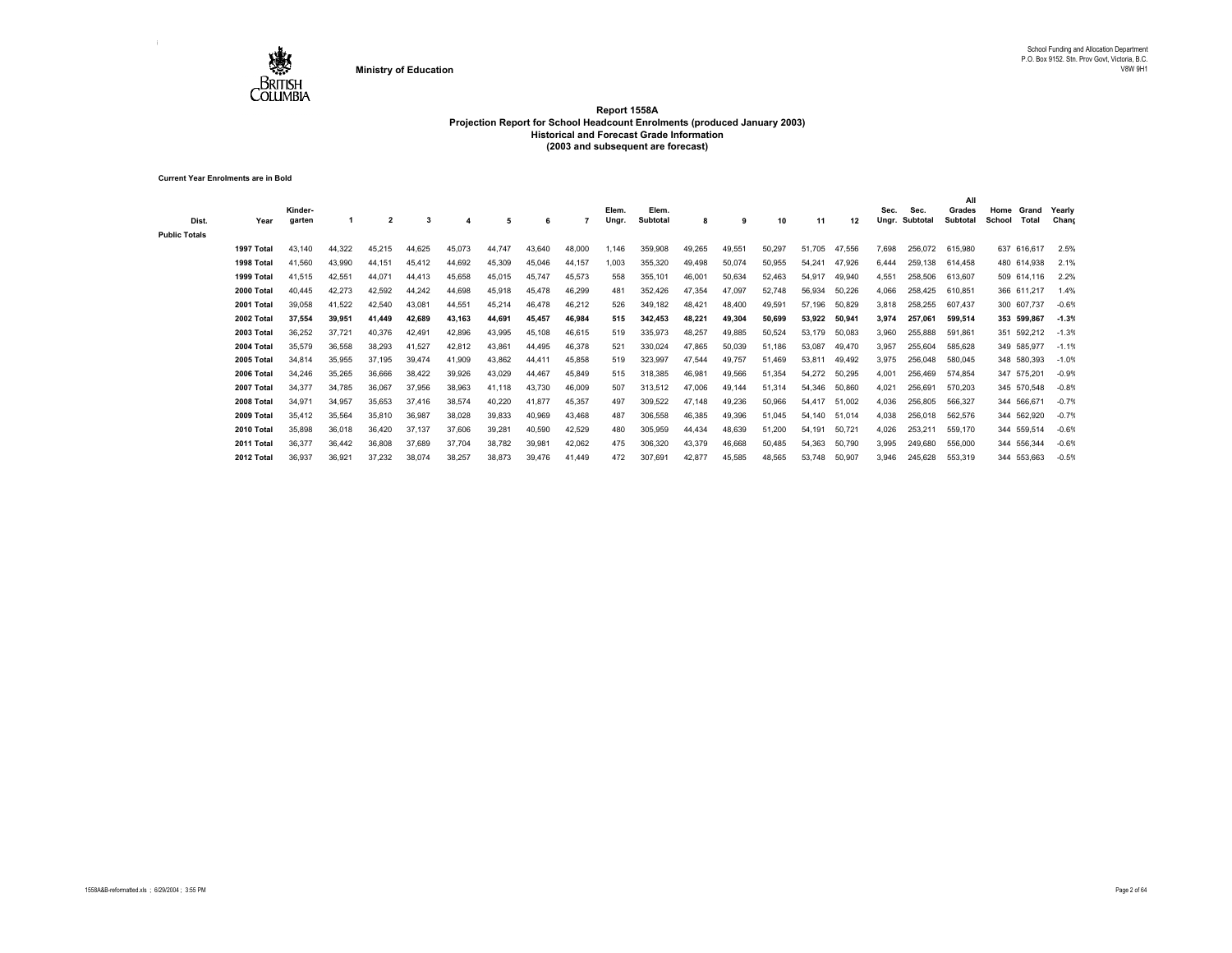

**Current Year Enrolments are in Bold**

| Dist.                | Year       | Kinder-<br>garten |        | $\overline{\mathbf{2}}$ |        |        | 5      | 6      |        | Elem.<br>Ungr. | Elem.<br>Subtotal | 8      | 9      | 10     | 11     | 12     | Sec.<br>Ungr. | Sec.<br>Subtotal | All<br>Grades<br><b>Subtotal</b> | Home<br>School | Grand<br>Total | Yearly<br>Chand |
|----------------------|------------|-------------------|--------|-------------------------|--------|--------|--------|--------|--------|----------------|-------------------|--------|--------|--------|--------|--------|---------------|------------------|----------------------------------|----------------|----------------|-----------------|
| <b>Public Totals</b> |            |                   |        |                         |        |        |        |        |        |                |                   |        |        |        |        |        |               |                  |                                  |                |                |                 |
|                      | 1997 Total | 43.140            | 44.322 | 45.215                  | 44.625 | 45,073 | 44.747 | 43,640 | 48,000 | 1,146          | 359,908           | 49,265 | 49,551 | 50,297 | 51,705 | 47,556 | 7.698         | 256,072          | 615,980                          |                | 637 616,617    | 2.5%            |
|                      | 1998 Total | 41,560            | 43,990 | 44,151                  | 45,412 | 44,692 | 45,309 | 45,046 | 44,157 | 1.003          | 355,320           | 49,498 | 50,074 | 50,955 | 54.241 | 47.926 | 6.444         | 259.138          | 614.458                          |                | 480 614,938    | 2.1%            |
|                      | 1999 Total | 41.515            | 42,551 | 44.071                  | 44,413 | 45,658 | 45,015 | 45,747 | 45,573 | 558            | 355,101           | 46,001 | 50,634 | 52,463 | 54.917 | 49.940 | 4.551         | 258,506          | 613,607                          |                | 509 614.116    | 2.2%            |
|                      | 2000 Total | 40.445            | 42,273 | 42,592                  | 44.242 | 44,698 | 45,918 | 45,478 | 46.299 | 481            | 352,426           | 47,354 | 47,097 | 52,748 | 56,934 | 50,226 | 4.066         | 258,425          | 610.851                          |                | 366 611.217    | 1.4%            |
|                      | 2001 Total | 39.058            | 41,522 | 42,540                  | 43.081 | 44,551 | 45,214 | 46,478 | 46.212 | 526            | 349.182           | 48.421 | 48,400 | 49,591 | 57.196 | 50,829 | 3.818         | 258,255          | 607.437                          |                | 300 607.737    | $-0.6%$         |
|                      | 2002 Total | 37.554            | 39.951 | 41.449                  | 42,689 | 43.163 | 44.691 | 45,457 | 46.984 | 515            | 342.453           | 48,221 | 49.304 | 50,699 | 53,922 | 50,941 | 3.974         | 257.061          | 599.514                          |                | 353 599,867    | $-1.3%$         |
|                      | 2003 Total | 36.252            | 37,721 | 40,376                  | 42.491 | 42,896 | 43,995 | 45,108 | 46.615 | 519            | 335,973           | 48,257 | 49,885 | 50,524 | 53.179 | 50,083 | 3.960         | 255,888          | 591.861                          |                | 351 592,212    | $-1.3%$         |
|                      | 2004 Total | 35.579            | 36,558 | 38,293                  | 41,527 | 42,812 | 43,861 | 44,495 | 46,378 | 521            | 330,024           | 47,865 | 50,039 | 51,186 | 53.087 | 49.470 | 3.957         | 255,604          | 585.628                          |                | 349 585.977    | $-1.1%$         |
|                      | 2005 Total | 34.814            | 35,955 | 37,195                  | 39,474 | 41,909 | 43,862 | 44,411 | 45,858 | 519            | 323,997           | 47,544 | 49,757 | 51,469 | 53.811 | 49.492 | 3.975         | 256,048          | 580.045                          |                | 348 580,393    | $-1.0%$         |
|                      | 2006 Total | 34.246            | 35,265 | 36,666                  | 38,422 | 39,926 | 43,029 | 44,467 | 45,849 | 515            | 318,385           | 46,981 | 49,566 | 51,354 | 54,272 | 50,295 | 4.001         | 256,469          | 574.854                          |                | 347 575,201    | $-0.9%$         |
|                      | 2007 Total | 34.377            | 34,785 | 36,067                  | 37,956 | 38,963 | 41.118 | 43,730 | 46,009 | 507            | 313,512           | 47,006 | 49.144 | 51,314 | 54.346 | 50.860 | 4.021         | 256,691          | 570,203                          |                | 345 570.548    | $-0.8%$         |
|                      | 2008 Total | 34.971            | 34,957 | 35,653                  | 37.416 | 38,574 | 40,220 | 41,877 | 45,357 | 497            | 309,522           | 47,148 | 49,236 | 50,966 | 54.417 | 51,002 | 4.036         | 256,805          | 566,327                          |                | 344 566,671    | $-0.7%$         |
|                      | 2009 Total | 35.412            | 35,564 | 35,810                  | 36,987 | 38,028 | 39,833 | 40,969 | 43,468 | 487            | 306,558           | 46,385 | 49,396 | 51,045 | 54.140 | 51.014 | 4,038         | 256,018          | 562,576                          |                | 344 562,920    | $-0.7%$         |
|                      | 2010 Total | 35,898            | 36,018 | 36,420                  | 37,137 | 37,606 | 39,281 | 40,590 | 42,529 | 480            | 305,959           | 44,434 | 48,639 | 51,200 | 54.191 | 50,721 | 4,026         | 253,211          | 559,170                          |                | 344 559,514    | $-0.6%$         |
|                      | 2011 Total | 36.377            | 36.442 | 36,808                  | 37.689 | 37,704 | 38,782 | 39,981 | 42,062 | 475            | 306,320           | 43,379 | 46,668 | 50,485 | 54,363 | 50,790 | 3.995         | 249.680          | 556,000                          |                | 344 556,344    | $-0.6%$         |
|                      | 2012 Total | 36,937            | 36,921 | 37,232                  | 38,074 | 38,257 | 38,873 | 39,476 | 41.449 | 472            | 307,691           | 42,877 | 45,585 | 48,565 | 53,748 | 50,907 | 3.946         | 245.628          | 553.319                          |                | 344 553,663    | $-0.5%$         |
|                      |            |                   |        |                         |        |        |        |        |        |                |                   |        |        |        |        |        |               |                  |                                  |                |                |                 |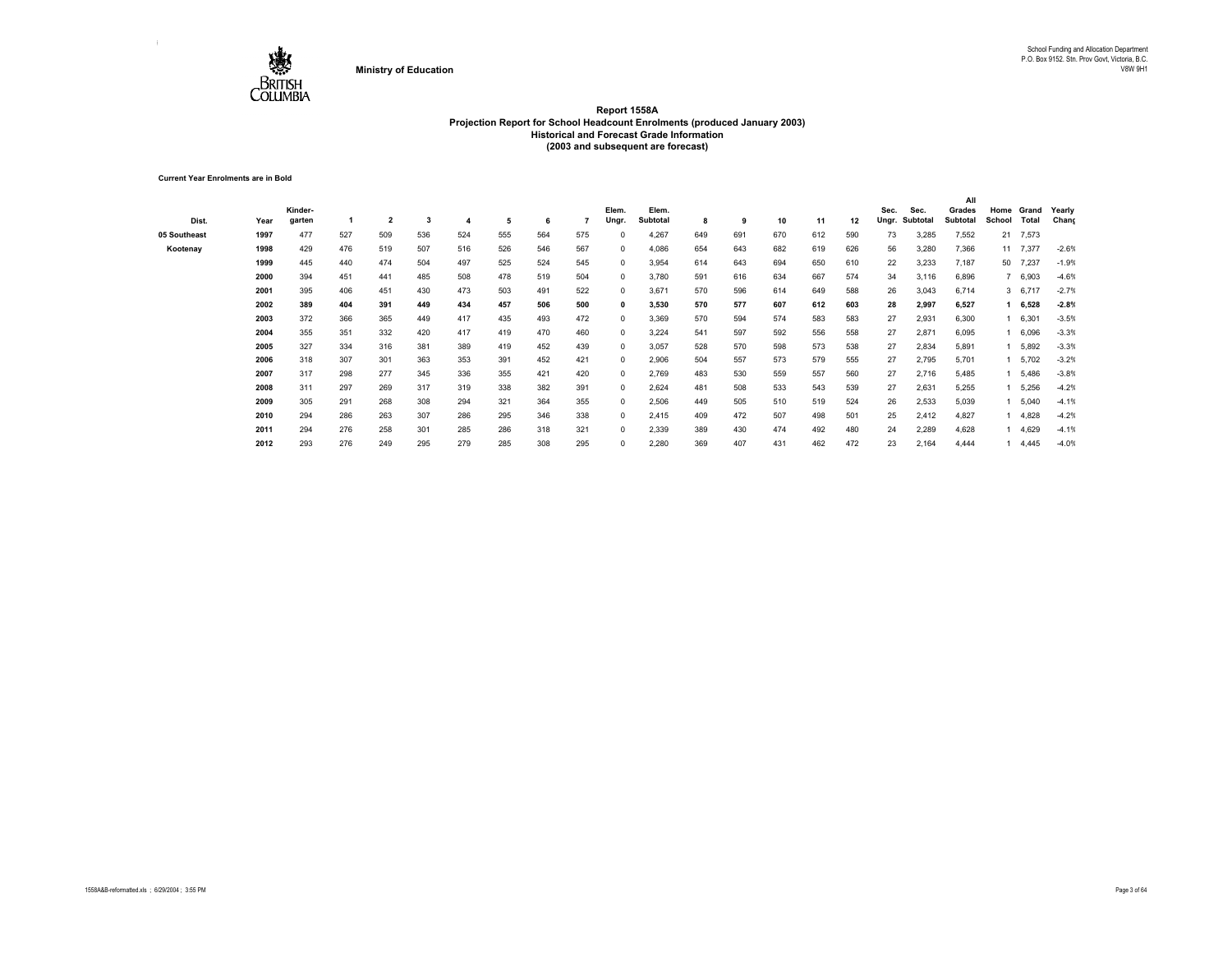

**Current Year Enrolments are in Bold**

|              |      |         |     |     |     |     |     |     |     |              |          |     |     |     |     |     |       |          | All             |        |          |         |
|--------------|------|---------|-----|-----|-----|-----|-----|-----|-----|--------------|----------|-----|-----|-----|-----|-----|-------|----------|-----------------|--------|----------|---------|
|              |      | Kinder- |     |     |     |     |     |     |     | Elem.        | Elem.    |     |     |     |     |     | Sec.  | Sec.     | Grades          | Home   | Grand    | Yearly  |
| Dist.        | Year | garten  |     | 2   | 3   |     | 5   | 6   |     | Ungr.        | Subtotal | 8   | 9   | 10  | 11  | 12  | Ungr. | Subtotal | <b>Subtotal</b> | School | Total    | Chang   |
| 05 Southeast | 1997 | 477     | 527 | 509 | 536 | 524 | 555 | 564 | 575 | $\Omega$     | 4,267    | 649 | 691 | 670 | 612 | 590 | 73    | 3,285    | 7,552           |        | 21 7,573 |         |
| Kootenay     | 1998 | 429     | 476 | 519 | 507 | 516 | 526 | 546 | 567 | $^{\circ}$   | 4,086    | 654 | 643 | 682 | 619 | 626 | 56    | 3,280    | 7,366           |        | 11 7,377 | $-2.6%$ |
|              | 1999 | 445     | 440 | 474 | 504 | 497 | 525 | 524 | 545 | $\mathbf{0}$ | 3,954    | 614 | 643 | 694 | 650 | 610 | 22    | 3,233    | 7,187           | 50     | 7,237    | $-1.9%$ |
|              | 2000 | 394     | 451 | 441 | 485 | 508 | 478 | 519 | 504 | $^{\circ}$   | 3,780    | 591 | 616 | 634 | 667 | 574 | 34    | 3,116    | 6,896           |        | 7 6,903  | $-4.6%$ |
|              | 2001 | 395     | 406 | 451 | 430 | 473 | 503 | 491 | 522 | 0            | 3,671    | 570 | 596 | 614 | 649 | 588 | 26    | 3,043    | 6,714           |        | 3, 6,717 | $-2.7%$ |
|              | 2002 | 389     | 404 | 391 | 449 | 434 | 457 | 506 | 500 | 0            | 3,530    | 570 | 577 | 607 | 612 | 603 | 28    | 2,997    | 6,527           |        | 6,528    | $-2.8%$ |
|              | 2003 | 372     | 366 | 365 | 449 | 417 | 435 | 493 | 472 | $\mathbf{0}$ | 3,369    | 570 | 594 | 574 | 583 | 583 | 27    | 2,931    | 6,300           |        | 6,301    | $-3.5%$ |
|              | 2004 | 355     | 351 | 332 | 420 | 417 | 419 | 470 | 460 | $^{\circ}$   | 3,224    | 541 | 597 | 592 | 556 | 558 | 27    | 2,871    | 6,095           |        | 6,096    | $-3.3%$ |
|              | 2005 | 327     | 334 | 316 | 381 | 389 | 419 | 452 | 439 | $^{\circ}$   | 3,057    | 528 | 570 | 598 | 573 | 538 | 27    | 2,834    | 5,891           |        | 5,892    | $-3.3%$ |
|              | 2006 | 318     | 307 | 301 | 363 | 353 | 391 | 452 | 421 | $\mathbf{0}$ | 2,906    | 504 | 557 | 573 | 579 | 555 | 27    | 2,795    | 5,701           |        | 5,702    | $-3.2%$ |
|              | 2007 | 317     | 298 | 277 | 345 | 336 | 355 | 421 | 420 | $^{\circ}$   | 2,769    | 483 | 530 | 559 | 557 | 560 | 27    | 2,716    | 5,485           |        | 5,486    | $-3.8%$ |
|              | 2008 | 311     | 297 | 269 | 317 | 319 | 338 | 382 | 391 | $\mathbf{0}$ | 2,624    | 481 | 508 | 533 | 543 | 539 | 27    | 2,631    | 5,255           |        | 5,256    | $-4.2%$ |
|              | 2009 | 305     | 291 | 268 | 308 | 294 | 321 | 364 | 355 | 0            | 2,506    | 449 | 505 | 510 | 519 | 524 | 26    | 2,533    | 5,039           |        | 5,040    | $-4.1%$ |
|              | 2010 | 294     | 286 | 263 | 307 | 286 | 295 | 346 | 338 | $\Omega$     | 2,415    | 409 | 472 | 507 | 498 | 501 | 25    | 2,412    | 4,827           |        | 4,828    | $-4.2%$ |
|              | 2011 | 294     | 276 | 258 | 301 | 285 | 286 | 318 | 321 | $^{\circ}$   | 2,339    | 389 | 430 | 474 | 492 | 480 | 24    | 2,289    | 4,628           |        | 4,629    | $-4.1%$ |
|              | 2012 | 293     | 276 | 249 | 295 | 279 | 285 | 308 | 295 | $\Omega$     | 2,280    | 369 | 407 | 431 | 462 | 472 | 23    | 2,164    | 4,444           |        | 4,445    | $-4.0%$ |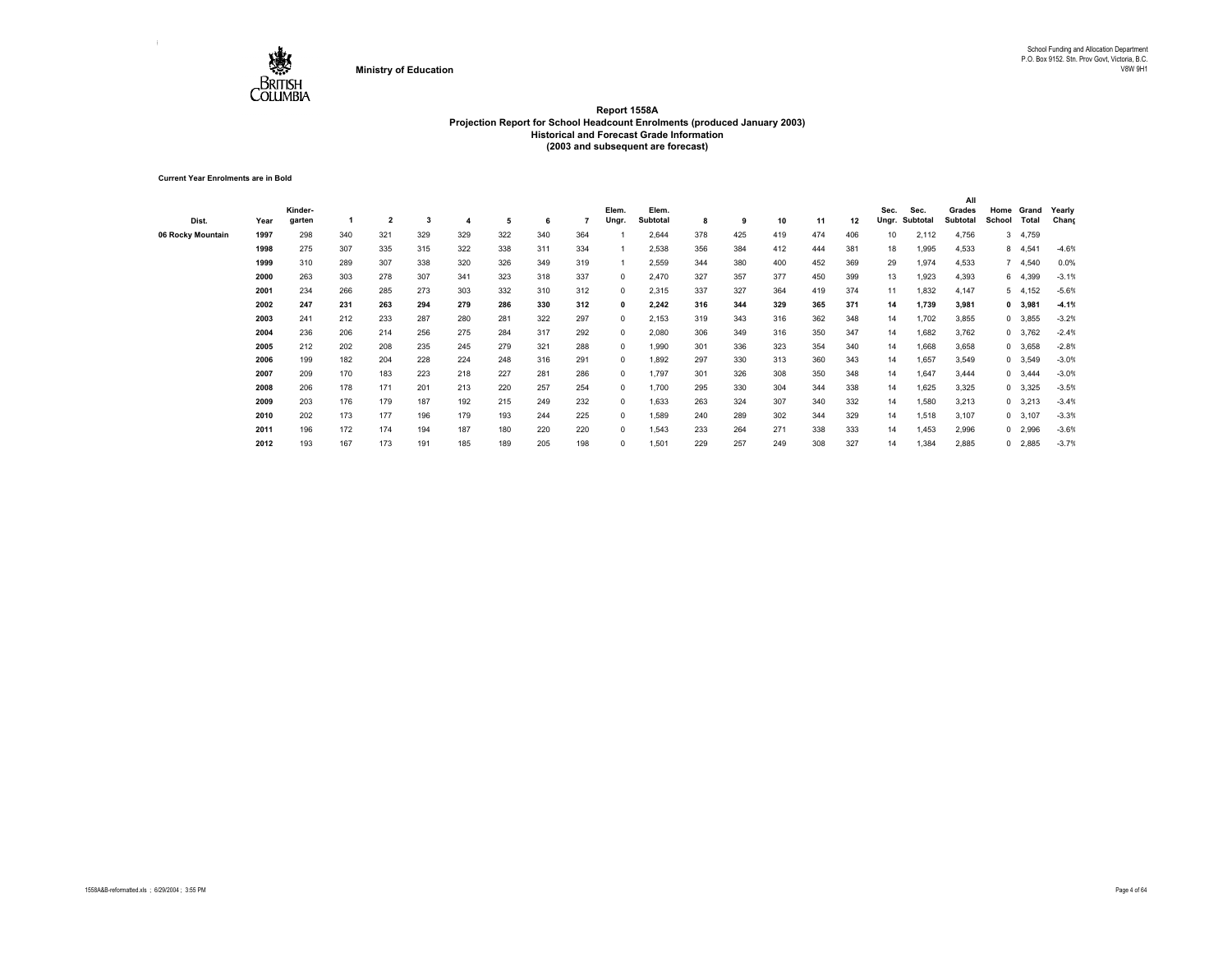

**Current Year Enrolments are in Bold**

|                   |      |         |     |                |     |     |     |     |     |            |          |     |     |     |     |     |       |          | All             |            |                |         |
|-------------------|------|---------|-----|----------------|-----|-----|-----|-----|-----|------------|----------|-----|-----|-----|-----|-----|-------|----------|-----------------|------------|----------------|---------|
|                   |      | Kinder- |     |                |     |     |     |     |     | Elem.      | Elem.    |     |     |     |     |     | Sec.  | Sec.     | Grades          | Home       | Grand          | Yearly  |
| Dist.             | Year | garten  |     | $\overline{2}$ | 3   |     | 5   | 6   |     | Ungr.      | Subtotal | 8   | 9   | 10  | 11  | 12  | Ungr. | Subtotal | <b>Subtotal</b> | School     | Total          | Chang   |
| 06 Rocky Mountain | 1997 | 298     | 340 | 321            | 329 | 329 | 322 | 340 | 364 |            | 2,644    | 378 | 425 | 419 | 474 | 406 | 10    | 2,112    | 4,756           | 3          | 4,759          |         |
|                   | 1998 | 275     | 307 | 335            | 315 | 322 | 338 | 311 | 334 |            | 2,538    | 356 | 384 | 412 | 444 | 381 | 18    | 1,995    | 4,533           | 8          | 4,541          | $-4.6%$ |
|                   | 1999 | 310     | 289 | 307            | 338 | 320 | 326 | 349 | 319 |            | 2,559    | 344 | 380 | 400 | 452 | 369 | 29    | 1,974    | 4,533           |            | 7 4,540        | 0.0%    |
|                   | 2000 | 263     | 303 | 278            | 307 | 341 | 323 | 318 | 337 | $\Omega$   | 2,470    | 327 | 357 | 377 | 450 | 399 | 13    | 1,923    | 4,393           |            | 6 4,399        | $-3.1%$ |
|                   | 2001 | 234     | 266 | 285            | 273 | 303 | 332 | 310 | 312 | 0          | 2,315    | 337 | 327 | 364 | 419 | 374 | 11    | 1,832    | 4,147           |            | 5, 4, 152      | $-5.6%$ |
|                   | 2002 | 247     | 231 | 263            | 294 | 279 | 286 | 330 | 312 | 0          | 2,242    | 316 | 344 | 329 | 365 | 371 | 14    | 1,739    | 3,981           |            | 0 3,981        | $-4.1%$ |
|                   | 2003 | 241     | 212 | 233            | 287 | 280 | 281 | 322 | 297 | 0          | 2,153    | 319 | 343 | 316 | 362 | 348 | 14    | 1,702    | 3,855           |            | 0 3,855        | $-3.2%$ |
|                   | 2004 | 236     | 206 | 214            | 256 | 275 | 284 | 317 | 292 | $^{\circ}$ | 2,080    | 306 | 349 | 316 | 350 | 347 | 14    | 1,682    | 3,762           |            | 0 3,762        | $-2.4%$ |
|                   | 2005 | 212     | 202 | 208            | 235 | 245 | 279 | 321 | 288 | $^{\circ}$ | 1.990    | 301 | 336 | 323 | 354 | 340 | 14    | 1,668    | 3,658           |            | 0 3,658        | $-2.8%$ |
|                   | 2006 | 199     | 182 | 204            | 228 | 224 | 248 | 316 | 291 | $^{\circ}$ | 1,892    | 297 | 330 | 313 | 360 | 343 | 14    | 1,657    | 3,549           |            | $0$ 3,549      | $-3.0%$ |
|                   | 2007 | 209     | 170 | 183            | 223 | 218 | 227 | 281 | 286 | 0          | 1.797    | 301 | 326 | 308 | 350 | 348 | 14    | 1,647    | 3,444           | $^{\circ}$ | 3,444          | $-3.0%$ |
|                   | 2008 | 206     | 178 | 171            | 201 | 213 | 220 | 257 | 254 | 0          | 1.700    | 295 | 330 | 304 | 344 | 338 | 14    | 1,625    | 3,325           |            | $0$ 3,325      | $-3.5%$ |
|                   | 2009 | 203     | 176 | 179            | 187 | 192 | 215 | 249 | 232 | 0          | 1,633    | 263 | 324 | 307 | 340 | 332 | 14    | 1,580    | 3,213           |            | $0\quad 3,213$ | $-3.4%$ |
|                   | 2010 | 202     | 173 | 177            | 196 | 179 | 193 | 244 | 225 | $\Omega$   | 1.589    | 240 | 289 | 302 | 344 | 329 | 14    | 1,518    | 3,107           |            | $0$ 3,107      | $-3.3%$ |
|                   | 2011 | 196     | 172 | 174            | 194 | 187 | 180 | 220 | 220 | 0          | 1,543    | 233 | 264 | 271 | 338 | 333 | 14    | 1,453    | 2,996           |            | $0$ 2,996      | $-3.6%$ |
|                   | 2012 | 193     | 167 | 173            | 191 | 185 | 189 | 205 | 198 | 0          | 1,501    | 229 | 257 | 249 | 308 | 327 | 14    | 1,384    | 2,885           |            | $0$ 2,885      | $-3.7%$ |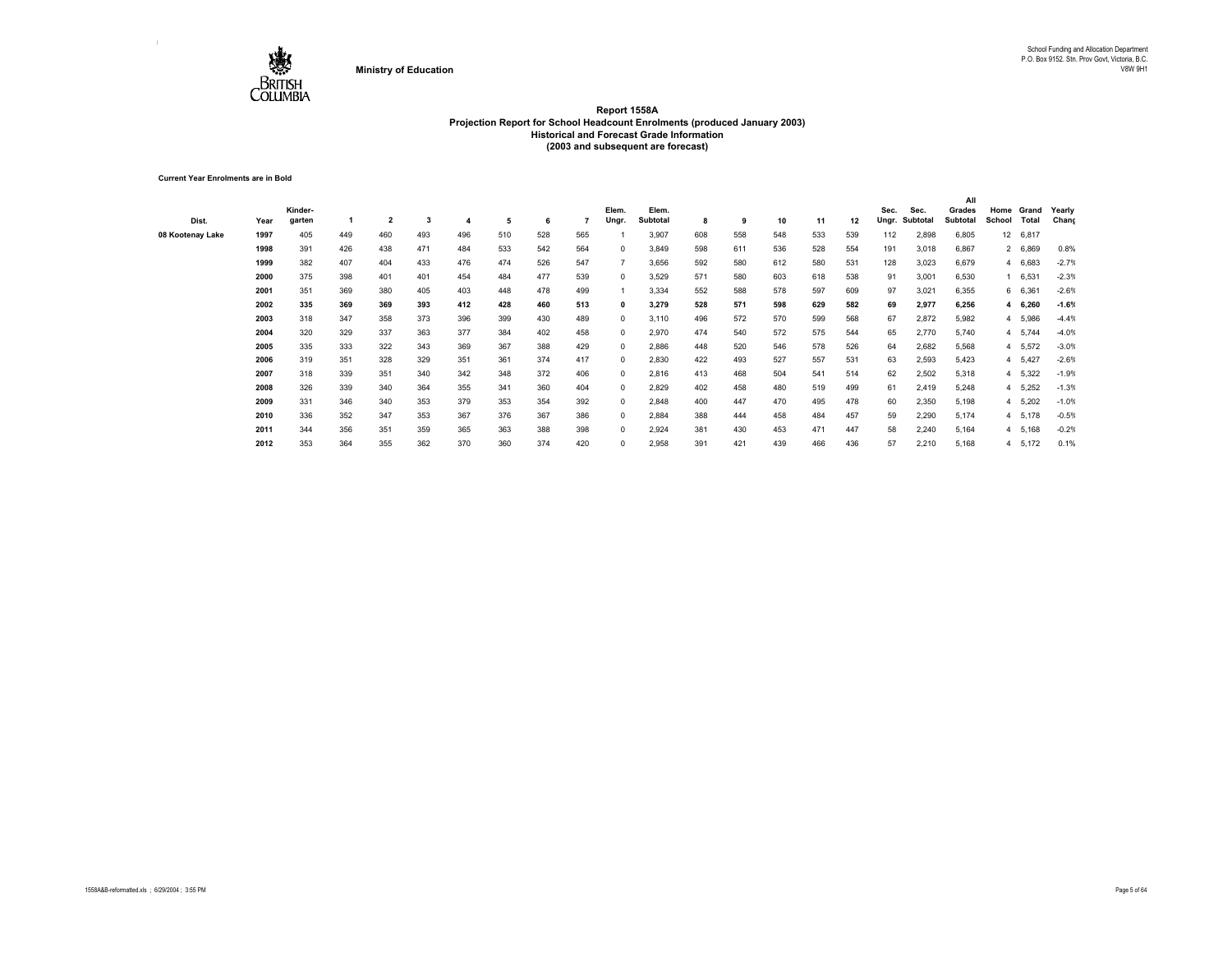

**Current Year Enrolments are in Bold**

| Dist.            | Year | Kinder-<br>garten |     | $\overline{\mathbf{2}}$ | 3   |     | 5   |     |     | Elem.<br>Ungr. | Elem.<br>Subtotal | 8   | 9   | 10  | 11  | 12  | Sec.<br>Ungr. | Sec.<br>Subtotal | All<br>Grades<br>Subtotal | Home<br>School | Grand<br>Total | Yearly<br>Chang |
|------------------|------|-------------------|-----|-------------------------|-----|-----|-----|-----|-----|----------------|-------------------|-----|-----|-----|-----|-----|---------------|------------------|---------------------------|----------------|----------------|-----------------|
| 08 Kootenay Lake | 1997 | 405               | 449 | 460                     | 493 | 496 | 510 | 528 | 565 |                | 3,907             | 608 | 558 | 548 | 533 | 539 | 112           | 2,898            | 6,805                     | 12             | 6,817          |                 |
|                  | 1998 | 391               | 426 | 438                     | 471 | 484 | 533 | 542 | 564 | $\Omega$       | 3,849             | 598 | 611 | 536 | 528 | 554 | 191           | 3,018            | 6,867                     |                | 2 6,869        | 0.8%            |
|                  | 1999 | 382               | 407 | 404                     | 433 | 476 | 474 | 526 | 547 |                | 3,656             | 592 | 580 | 612 | 580 | 531 | 128           | 3,023            | 6,679                     |                | 4 6,683        | $-2.7%$         |
|                  | 2000 | 375               | 398 | 401                     | 401 | 454 | 484 | 477 | 539 | 0              | 3,529             | 571 | 580 | 603 | 618 | 538 | 91            | 3,001            | 6,530                     |                | 6,531          | $-2.3%$         |
|                  | 2001 | 351               | 369 | 380                     | 405 | 403 | 448 | 478 | 499 |                | 3,334             | 552 | 588 | 578 | 597 | 609 | 97            | 3,021            | 6,355                     |                | 6 6,361        | $-2.6%$         |
|                  | 2002 | 335               | 369 | 369                     | 393 | 412 | 428 | 460 | 513 | 0              | 3,279             | 528 | 571 | 598 | 629 | 582 | 69            | 2,977            | 6,256                     |                | 4 6,260        | $-1.6%$         |
|                  | 2003 | 318               | 347 | 358                     | 373 | 396 | 399 | 430 | 489 | 0              | 3,110             | 496 | 572 | 570 | 599 | 568 | 67            | 2,872            | 5,982                     | 4              | 5,986          | $-4.4%$         |
|                  | 2004 | 320               | 329 | 337                     | 363 | 377 | 384 | 402 | 458 | 0              | 2,970             | 474 | 540 | 572 | 575 | 544 | 65            | 2,770            | 5,740                     |                | 4 5,744        | $-4.0%$         |
|                  | 2005 | 335               | 333 | 322                     | 343 | 369 | 367 | 388 | 429 | $\Omega$       | 2,886             | 448 | 520 | 546 | 578 | 526 | 64            | 2,682            | 5,568                     | 4              | 5,572          | $-3.0%$         |
|                  | 2006 | 319               | 351 | 328                     | 329 | 351 | 361 | 374 | 417 | 0              | 2,830             | 422 | 493 | 527 | 557 | 531 | 63            | 2,593            | 5,423                     |                | 4 5,427        | $-2.6%$         |
|                  | 2007 | 318               | 339 | 351                     | 340 | 342 | 348 | 372 | 406 | 0              | 2,816             | 413 | 468 | 504 | 541 | 514 | 62            | 2,502            | 5,318                     |                | 4 5,322        | $-1.9%$         |
|                  | 2008 | 326               | 339 | 340                     | 364 | 355 | 341 | 360 | 404 | 0              | 2,829             | 402 | 458 | 480 | 519 | 499 | 61            | 2,419            | 5,248                     |                | 4 5,252        | $-1.3%$         |
|                  | 2009 | 331               | 346 | 340                     | 353 | 379 | 353 | 354 | 392 | $^{\circ}$     | 2,848             | 400 | 447 | 470 | 495 | 478 | 60            | 2,350            | 5,198                     |                | 4 5,202        | $-1.0%$         |
|                  | 2010 | 336               | 352 | 347                     | 353 | 367 | 376 | 367 | 386 | 0              | 2,884             | 388 | 444 | 458 | 484 | 457 | 59            | 2,290            | 5,174                     |                | 4 5,178        | $-0.5%$         |
|                  | 2011 | 344               | 356 | 351                     | 359 | 365 | 363 | 388 | 398 | 0              | 2,924             | 381 | 430 | 453 | 471 | 447 | 58            | 2,240            | 5,164                     |                | 4 5,168        | $-0.2%$         |
|                  | 2012 | 353               | 364 | 355                     | 362 | 370 | 360 | 374 | 420 | 0              | 2,958             | 391 | 421 | 439 | 466 | 436 | 57            | 2,210            | 5,168                     |                | 4 5,172        | 0.1%            |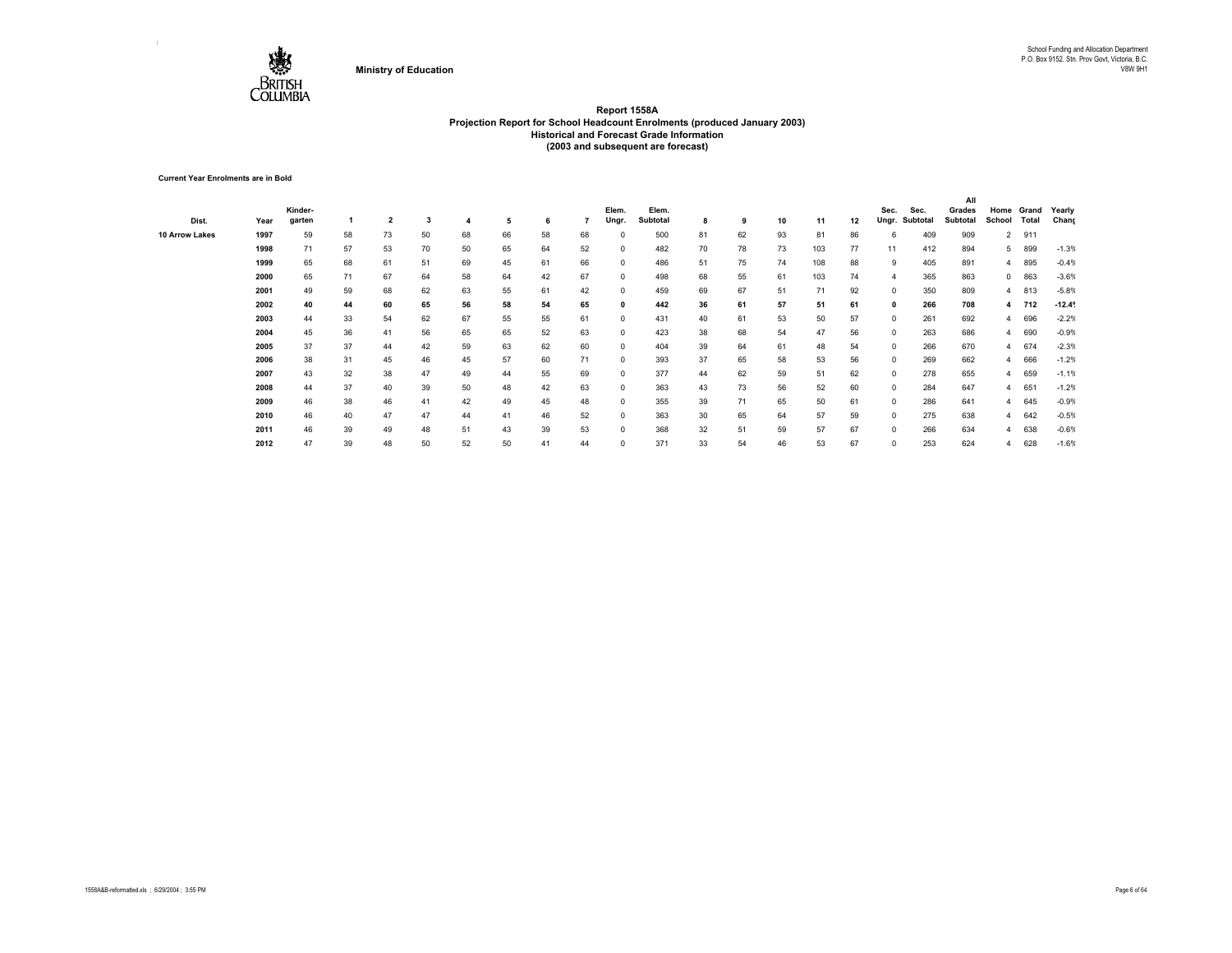

**Current Year Enrolments are in Bold**

|                |      |         |    |                |    |    |    |    |    |            |          |    |    |    |     |    |              |          | All      |                |       |                 |
|----------------|------|---------|----|----------------|----|----|----|----|----|------------|----------|----|----|----|-----|----|--------------|----------|----------|----------------|-------|-----------------|
|                |      | Kinder- |    |                |    |    |    |    |    | Elem.      | Elem.    |    |    |    |     |    | Sec.         | Sec.     | Grades   | Home           | Grand | Yearly          |
| Dist.          | Year | garten  |    | $\overline{2}$ | 3  |    | 5  | 6  |    | Ungr.      | Subtotal | 8  | 9  | 10 | 11  | 12 | Ungr.        | Subtotal | Subtotal | School         | Total | Chang           |
| 10 Arrow Lakes | 1997 | 59      | 58 | 73             | 50 | 68 | 66 | 58 | 68 | $\Omega$   | 500      | 81 | 62 | 93 | 81  | 86 | 6            | 409      | 909      | $\overline{2}$ | 911   |                 |
|                | 1998 | 71      | 57 | 53             | 70 | 50 | 65 | 64 | 52 | $^{\circ}$ | 482      | 70 | 78 | 73 | 103 | 77 | 11           | 412      | 894      | 5              | 899   | $-1.3%$         |
|                | 1999 | 65      | 68 | 61             | 51 | 69 | 45 | 61 | 66 | $\Omega$   | 486      | 51 | 75 | 74 | 108 | 88 | 9            | 405      | 891      | $\overline{4}$ | 895   | $-0.4%$         |
|                | 2000 | 65      | 71 | 67             | 64 | 58 | 64 | 42 | 67 | $\Omega$   | 498      | 68 | 55 | 61 | 103 | 74 |              | 365      | 863      | $^{\circ}$     | 863   | $-3.6%$         |
|                | 2001 | 49      | 59 | 68             | 62 | 63 | 55 | 61 | 42 | 0          | 459      | 69 | 67 | 51 | 71  | 92 | 0            | 350      | 809      | $\overline{4}$ | 813   | $-5.8%$         |
|                | 2002 | 40      | 44 | 60             | 65 | 56 | 58 | 54 | 65 | 0          | 442      | 36 | 61 | 57 | 51  | 61 | $\mathbf{0}$ | 266      | 708      | 4              | 712   | $-12.4^{\circ}$ |
|                | 2003 | 44      | 33 | 54             | 62 | 67 | 55 | 55 | 61 | $^{\circ}$ | 431      | 40 | 61 | 53 | 50  | 57 | $^{\circ}$   | 261      | 692      | $\overline{4}$ | 696   | $-2.2%$         |
|                | 2004 | 45      | 36 | 41             | 56 | 65 | 65 | 52 | 63 | $^{\circ}$ | 423      | 38 | 68 | 54 | 47  | 56 | $^{\circ}$   | 263      | 686      | $\overline{4}$ | 690   | $-0.9%$         |
|                | 2005 | 37      | 37 | 44             | 42 | 59 | 63 | 62 | 60 | $^{\circ}$ | 404      | 39 | 64 | 61 | 48  | 54 | $^{\circ}$   | 266      | 670      | $\overline{4}$ | 674   | $-2.3%$         |
|                | 2006 | 38      | 31 | 45             | 46 | 45 | 57 | 60 | 71 | $^{\circ}$ | 393      | 37 | 65 | 58 | 53  | 56 | $^{\circ}$   | 269      | 662      | $\overline{4}$ | 666   | $-1.2%$         |
|                | 2007 | 43      | 32 | 38             | 47 | 49 | 44 | 55 | 69 | $^{\circ}$ | 377      | 44 | 62 | 59 | 51  | 62 | $^{\circ}$   | 278      | 655      | $\overline{4}$ | 659   | $-1.1%$         |
|                | 2008 | 44      | 37 | 40             | 39 | 50 | 48 | 42 | 63 | $\Omega$   | 363      | 43 | 73 | 56 | 52  | 60 | $\Omega$     | 284      | 647      | $\overline{4}$ | 651   | $-1.2%$         |
|                | 2009 | 46      | 38 | 46             | 41 | 42 | 49 | 45 | 48 | $\Omega$   | 355      | 39 | 71 | 65 | 50  | 61 | 0            | 286      | 641      | $\overline{4}$ | 645   | $-0.9%$         |
|                | 2010 | 46      | 40 | 47             | 47 | 44 | 41 | 46 | 52 | $\Omega$   | 363      | 30 | 65 | 64 | 57  | 59 | $\Omega$     | 275      | 638      | $\overline{4}$ | 642   | $-0.5%$         |
|                | 2011 | 46      | 39 | 49             | 48 | 51 | 43 | 39 | 53 | $\Omega$   | 368      | 32 | 51 | 59 | 57  | 67 | $\Omega$     | 266      | 634      | $\overline{4}$ | 638   | $-0.6%$         |
|                | 2012 | 47      | 39 | 48             | 50 | 52 | 50 | 41 | 44 | 0          | 371      | 33 | 54 | 46 | 53  | 67 | $\Omega$     | 253      | 624      | 4              | 628   | $-1.6%$         |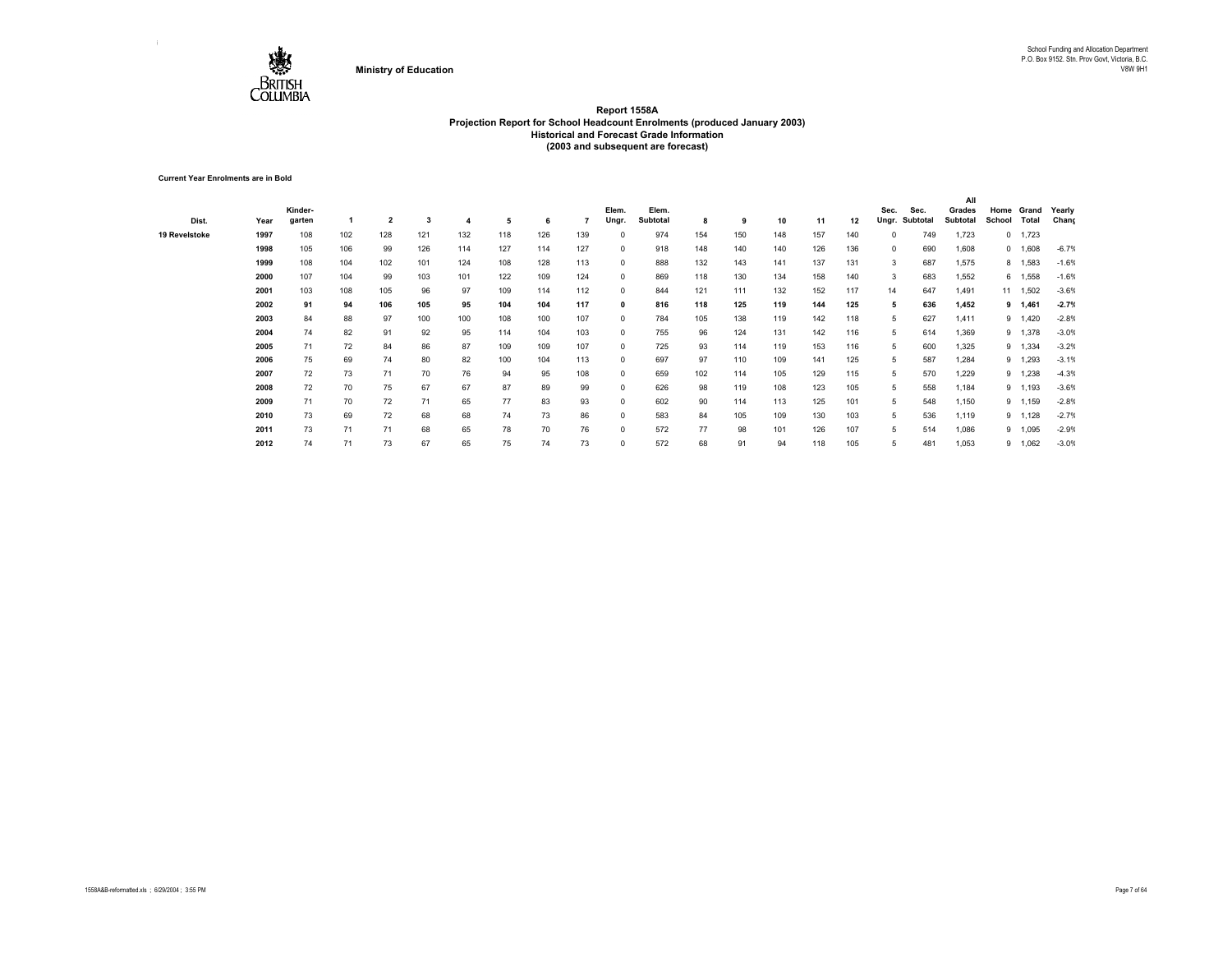

**Current Year Enrolments are in Bold**

|               |      |         |     |                |     |     |     |     |     |              |          |     |     |     |     |     |            |          | All      |             |          |         |
|---------------|------|---------|-----|----------------|-----|-----|-----|-----|-----|--------------|----------|-----|-----|-----|-----|-----|------------|----------|----------|-------------|----------|---------|
|               |      | Kinder- |     |                |     |     |     |     |     | Elem.        | Elem.    |     |     |     |     |     | Sec.       | Sec.     | Grades   | Home        | Grand    | Yearly  |
| Dist.         | Year | garten  |     | $\overline{2}$ | 3   |     | 5   | 6   |     | Ungr.        | Subtotal | 8   | 9   | 10  | 11  | 12  | Ungr.      | Subtotal | Subtotal | School      | Total    | Chang   |
| 19 Revelstoke | 1997 | 108     | 102 | 128            | 121 | 132 | 118 | 126 | 139 |              | 974      | 154 | 150 | 148 | 157 | 140 | $^{\circ}$ | 749      | 1,723    | $^{\circ}$  | 1,723    |         |
|               | 1998 | 105     | 106 | 99             | 126 | 114 | 127 | 114 | 127 | $^{\circ}$   | 918      | 148 | 140 | 140 | 126 | 136 | $^{\circ}$ | 690      | 1,608    |             | 0 1,608  | $-6.7%$ |
|               | 1999 | 108     | 104 | 102            | 101 | 124 | 108 | 128 | 113 | $^{\circ}$   | 888      | 132 | 143 | 141 | 137 | 131 | 3          | 687      | 1,575    |             | 8 1,583  | $-1.6%$ |
|               | 2000 | 107     | 104 | 99             | 103 | 101 | 122 | 109 | 124 | 0            | 869      | 118 | 130 | 134 | 158 | 140 | 3          | 683      | 1,552    |             | 6 1,558  | $-1.6%$ |
|               | 2001 | 103     | 108 | 105            | 96  | 97  | 109 | 114 | 112 | $^{\circ}$   | 844      | 121 | 111 | 132 | 152 | 117 | 14         | 647      | 1,491    |             | 11 1,502 | $-3.6%$ |
|               | 2002 | 91      | 94  | 106            | 105 | 95  | 104 | 104 | 117 | $\mathbf{0}$ | 816      | 118 | 125 | 119 | 144 | 125 | 5          | 636      | 1,452    |             | 9 1,461  | $-2.7%$ |
|               | 2003 | 84      | 88  | 97             | 100 | 100 | 108 | 100 | 107 | $^{\circ}$   | 784      | 105 | 138 | 119 | 142 | 118 | 5          | 627      | 1,411    | $9^{\circ}$ | 1,420    | $-2.8%$ |
|               | 2004 | 74      | 82  | 91             | 92  | 95  | 114 | 104 | 103 | $^{\circ}$   | 755      | 96  | 124 | 131 | 142 | 116 | 5          | 614      | 1,369    | 9           | 1,378    | $-3.0%$ |
|               | 2005 | 71      | 72  | 84             | 86  | 87  | 109 | 109 | 107 | $^{\circ}$   | 725      | 93  | 114 | 119 | 153 | 116 | 5          | 600      | 1,325    | 9           | 1,334    | $-3.2%$ |
|               | 2006 | 75      | 69  | 74             | 80  | 82  | 100 | 104 | 113 | $^{\circ}$   | 697      | 97  | 110 | 109 | 141 | 125 | 5          | 587      | 1,284    | 9           | 1,293    | $-3.1%$ |
|               | 2007 | 72      | 73  | 71             | 70  | 76  | 94  | 95  | 108 | $^{\circ}$   | 659      | 102 | 114 | 105 | 129 | 115 | 5          | 570      | 1,229    | 9           | 1,238    | $-4.3%$ |
|               | 2008 | 72      | 70  | 75             | 67  | 67  | 87  | 89  | 99  | $^{\circ}$   | 626      | 98  | 119 | 108 | 123 | 105 | 5          | 558      | 1,184    | 9           | 1,193    | $-3.6%$ |
|               | 2009 | 71      | 70  | 72             | 71  | 65  | 77  | 83  | 93  | $^{\circ}$   | 602      | 90  | 114 | 113 | 125 | 101 | 5          | 548      | 1,150    | 9           | 1,159    | $-2.8%$ |
|               | 2010 | 73      | 69  | 72             | 68  | 68  | 74  | 73  | 86  | $\Omega$     | 583      | 84  | 105 | 109 | 130 | 103 | 5          | 536      | 1,119    | 9           | ,128     | $-2.7%$ |
|               | 2011 | 73      | 71  | 71             | 68  | 65  | 78  | 70  | 76  | $\Omega$     | 572      | 77  | 98  | 101 | 126 | 107 | 5          | 514      | 1,086    | 9           | 1,095    | $-2.9%$ |
|               | 2012 | 74      | 71  | 73             | 67  | 65  | 75  | 74  | 73  | $\Omega$     | 572      | 68  | 91  | 94  | 118 | 105 |            | 481      | 1,053    |             | 9 1,062  | $-3.0%$ |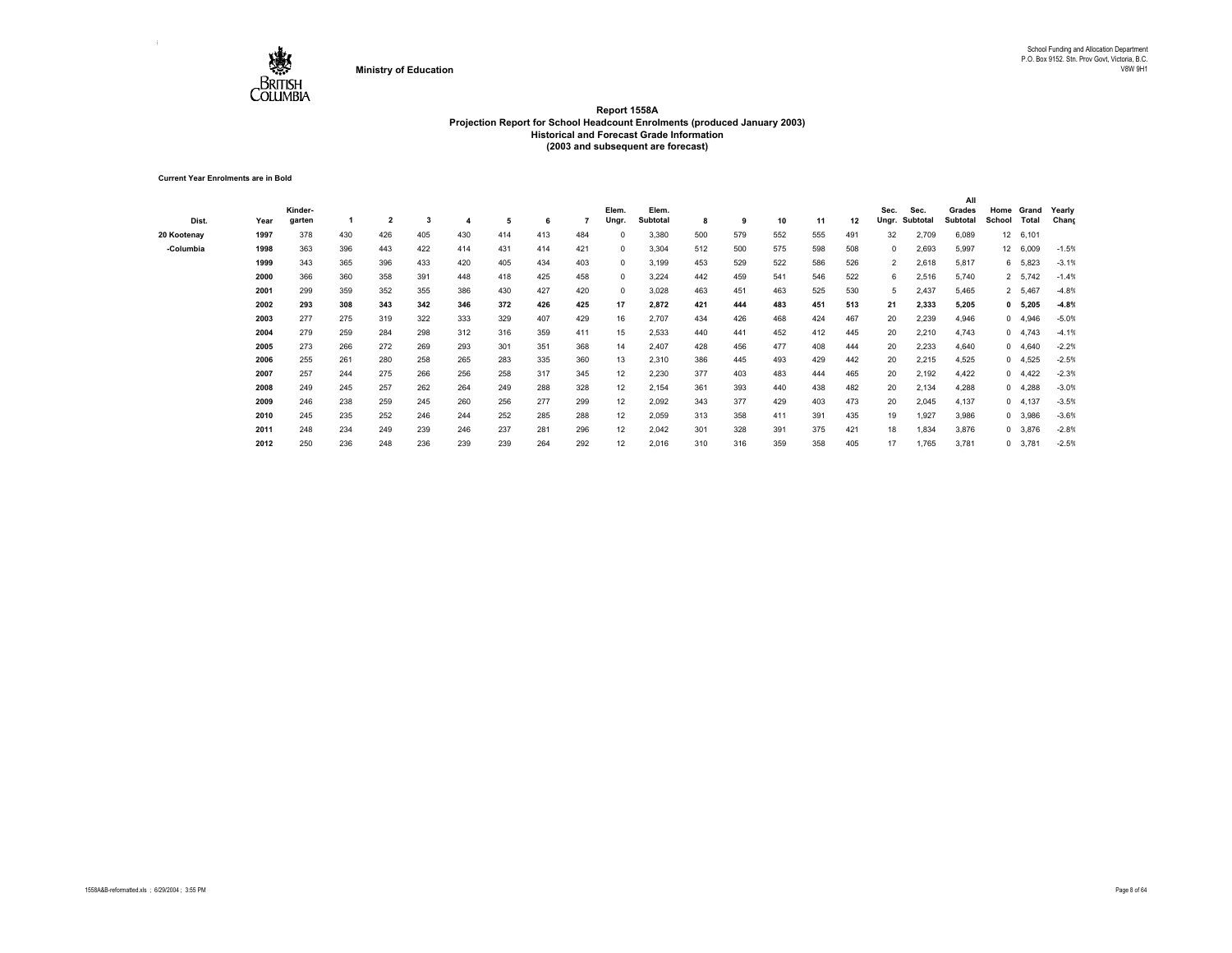

**Current Year Enrolments are in Bold**

|             |      |         |     |                |     |     |     |     |     |            |          |     |     |     |     |     |                |          | All      |                  |                 |         |
|-------------|------|---------|-----|----------------|-----|-----|-----|-----|-----|------------|----------|-----|-----|-----|-----|-----|----------------|----------|----------|------------------|-----------------|---------|
|             |      | Kinder- |     |                |     |     |     |     |     | Elem.      | Elem.    |     |     |     |     |     | Sec.           | Sec.     | Grades   | Home             | Grand           | Yearly  |
| Dist.       | Year | garten  |     | $\overline{2}$ | 3   |     | 5   | 6   |     | Ungr.      | Subtotal | 8   | 9   | 10  | 11  | 12  | Ungr.          | Subtotal | Subtotal | School           | Total           | Chang   |
| 20 Kootenay | 1997 | 378     | 430 | 426            | 405 | 430 | 414 | 413 | 484 |            | 3,380    | 500 | 579 | 552 | 555 | 491 | 32             | 2,709    | 6,089    | 12 <sup>12</sup> | 6,101           |         |
| -Columbia   | 1998 | 363     | 396 | 443            | 422 | 414 | 431 | 414 | 421 | $\Omega$   | 3,304    | 512 | 500 | 575 | 598 | 508 | 0              | 2,693    | 5,997    |                  | 12 6,009        | $-1.5%$ |
|             | 1999 | 343     | 365 | 396            | 433 | 420 | 405 | 434 | 403 | $^{\circ}$ | 3,199    | 453 | 529 | 522 | 586 | 526 | $\overline{2}$ | 2,618    | 5,817    |                  | 6 5,823         | $-3.1%$ |
|             | 2000 | 366     | 360 | 358            | 391 | 448 | 418 | 425 | 458 | 0          | 3,224    | 442 | 459 | 541 | 546 | 522 | 6              | 2,516    | 5,740    |                  | 2 5,742         | $-1.4%$ |
|             | 2001 | 299     | 359 | 352            | 355 | 386 | 430 | 427 | 420 | $^{\circ}$ | 3,028    | 463 | 451 | 463 | 525 | 530 | 5              | 2,437    | 5,465    |                  | 2 5,467         | $-4.8%$ |
|             | 2002 | 293     | 308 | 343            | 342 | 346 | 372 | 426 | 425 | 17         | 2,872    | 421 | 444 | 483 | 451 | 513 | 21             | 2,333    | 5,205    |                  | 0 5,205         | $-4.8%$ |
|             | 2003 | 277     | 275 | 319            | 322 | 333 | 329 | 407 | 429 | 16         | 2,707    | 434 | 426 | 468 | 424 | 467 | 20             | 2,239    | 4,946    |                  | 0, 4,946        | $-5.0%$ |
|             | 2004 | 279     | 259 | 284            | 298 | 312 | 316 | 359 | 411 | 15         | 2,533    | 440 | 441 | 452 | 412 | 445 | 20             | 2,210    | 4,743    |                  | 0, 4,743        | $-4.1%$ |
|             | 2005 | 273     | 266 | 272            | 269 | 293 | 301 | 351 | 368 | 14         | 2,407    | 428 | 456 | 477 | 408 | 444 | 20             | 2,233    | 4,640    |                  | 0 4,640         | $-2.2%$ |
|             | 2006 | 255     | 261 | 280            | 258 | 265 | 283 | 335 | 360 | 13         | 2,310    | 386 | 445 | 493 | 429 | 442 | 20             | 2,215    | 4,525    |                  | 0, 4,525        | $-2.5%$ |
|             | 2007 | 257     | 244 | 275            | 266 | 256 | 258 | 317 | 345 | 12         | 2,230    | 377 | 403 | 483 | 444 | 465 | 20             | 2,192    | 4,422    |                  | $0 \quad 4.422$ | $-2.3%$ |
|             | 2008 | 249     | 245 | 257            | 262 | 264 | 249 | 288 | 328 | 12         | 2,154    | 361 | 393 | 440 | 438 | 482 | 20             | 2,134    | 4,288    | $^{\circ}$       | 4,288           | $-3.0%$ |
|             | 2009 | 246     | 238 | 259            | 245 | 260 | 256 | 277 | 299 | 12         | 2,092    | 343 | 377 | 429 | 403 | 473 | 20             | 2,045    | 4,137    |                  | 0, 4, 137       | $-3.5%$ |
|             | 2010 | 245     | 235 | 252            | 246 | 244 | 252 | 285 | 288 | 12         | 2,059    | 313 | 358 | 411 | 391 | 435 | 19             | 1,927    | 3,986    |                  | 0 3,986         | $-3.6%$ |
|             | 2011 | 248     | 234 | 249            | 239 | 246 | 237 | 281 | 296 | 12         | 2,042    | 301 | 328 | 391 | 375 | 421 | 18             | 1,834    | 3,876    |                  | 0 3,876         | $-2.8%$ |
|             | 2012 | 250     | 236 | 248            | 236 | 239 | 239 | 264 | 292 | 12         | 2,016    | 310 | 316 | 359 | 358 | 405 | 17             | 1,765    | 3,781    |                  | $0$ 3,781       | $-2.5%$ |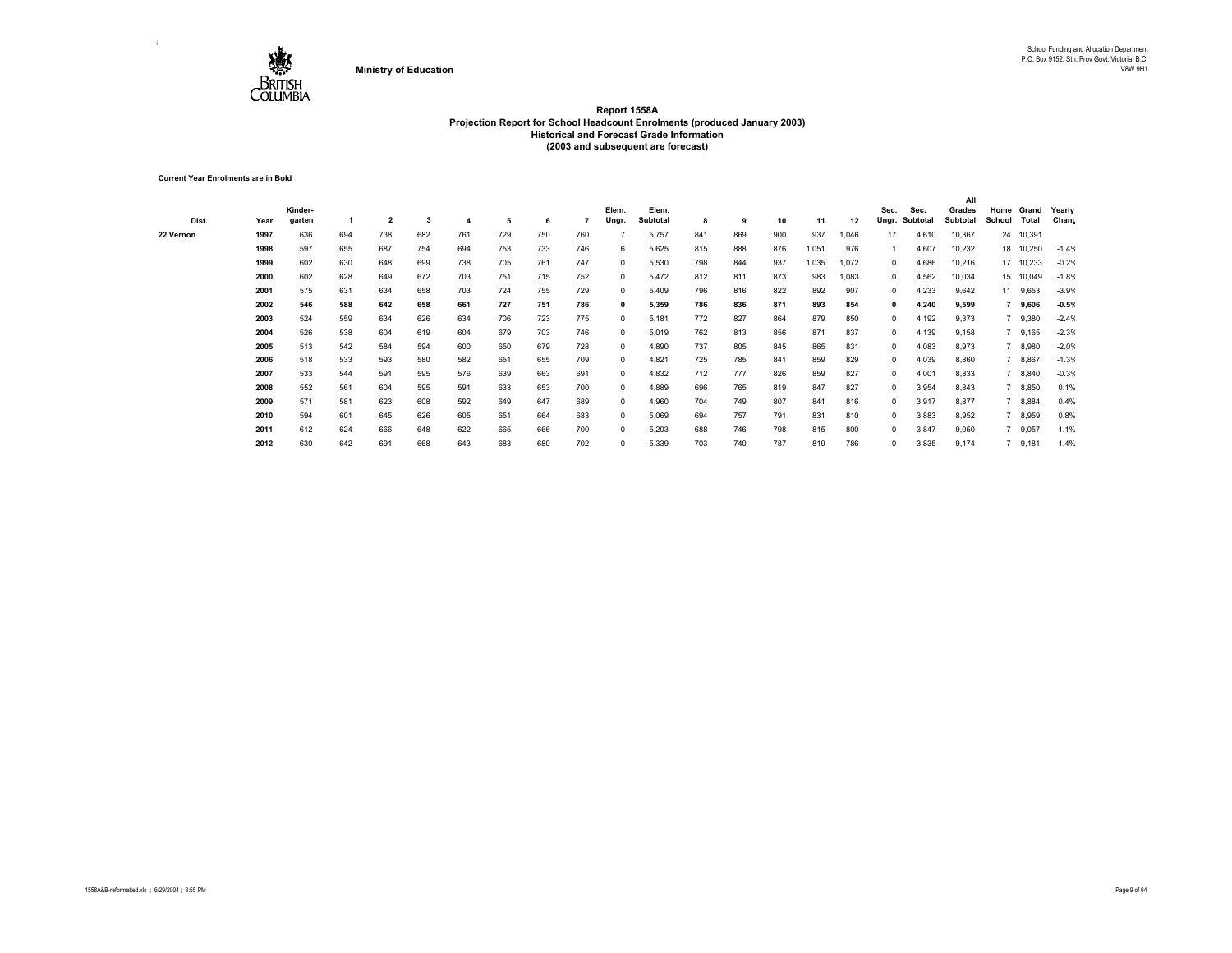

**Current Year Enrolments are in Bold**

| Dist.     | Year | Kinder-<br>garten |     | $\overline{\mathbf{2}}$ | 3   |     | 5   | 6   |     | Elem.<br>Ungr. | Elem.<br>Subtotal | 8   | 9   | 10  | 11    | 12    | Sec.<br>Ungr. | Sec.<br>Subtotal | All<br>Grades<br><b>Subtotal</b> | Home<br>School | Grand<br>Total | Yearly<br>Chang |
|-----------|------|-------------------|-----|-------------------------|-----|-----|-----|-----|-----|----------------|-------------------|-----|-----|-----|-------|-------|---------------|------------------|----------------------------------|----------------|----------------|-----------------|
| 22 Vernon | 1997 | 636               | 694 | 738                     | 682 | 761 | 729 | 750 | 760 |                | 5,757             | 841 | 869 | 900 | 937   | 1,046 | 17            | 4,610            | 10,367                           |                | 24 10,391      |                 |
|           | 1998 | 597               | 655 | 687                     | 754 | 694 | 753 | 733 | 746 | 6              | 5,625             | 815 | 888 | 876 | 1,051 | 976   |               | 4,607            | 10,232                           |                | 18 10,250      | $-1.4%$         |
|           | 1999 | 602               | 630 | 648                     | 699 | 738 | 705 | 761 | 747 | $^{\circ}$     | 5,530             | 798 | 844 | 937 | 1,035 | 1,072 | 0             | 4,686            | 10,216                           |                | 17 10,233      | $-0.2%$         |
|           | 2000 | 602               | 628 | 649                     | 672 | 703 | 751 | 715 | 752 | $^{\circ}$     | 5,472             | 812 | 811 | 873 | 983   | 1,083 | 0             | 4,562            | 10,034                           |                | 15 10,049      | $-1.8%$         |
|           | 2001 | 575               | 631 | 634                     | 658 | 703 | 724 | 755 | 729 | $^{\circ}$     | 5,409             | 796 | 816 | 822 | 892   | 907   | 0             | 4,233            | 9,642                            |                | 11 9,653       | $-3.9%$         |
|           | 2002 | 546               | 588 | 642                     | 658 | 661 | 727 | 751 | 786 | 0              | 5,359             | 786 | 836 | 871 | 893   | 854   | 0             | 4,240            | 9,599                            |                | 9,606          | $-0.5%$         |
|           | 2003 | 524               | 559 | 634                     | 626 | 634 | 706 | 723 | 775 | $^{\circ}$     | 5,181             | 772 | 827 | 864 | 879   | 850   | 0             | 4,192            | 9,373                            |                | 9,380          | $-2.4%$         |
|           | 2004 | 526               | 538 | 604                     | 619 | 604 | 679 | 703 | 746 | 0              | 5,019             | 762 | 813 | 856 | 871   | 837   | 0             | 4,139            | 9,158                            |                | 9,165          | $-2.3%$         |
|           | 2005 | 513               | 542 | 584                     | 594 | 600 | 650 | 679 | 728 | 0              | 4,890             | 737 | 805 | 845 | 865   | 831   | 0             | 4,083            | 8,973                            |                | 8,980          | $-2.0%$         |
|           | 2006 | 518               | 533 | 593                     | 580 | 582 | 651 | 655 | 709 | 0              | 4,821             | 725 | 785 | 841 | 859   | 829   | 0             | 4,039            | 8,860                            |                | 8,867          | $-1.3%$         |
|           | 2007 | 533               | 544 | 591                     | 595 | 576 | 639 | 663 | 691 | $^{\circ}$     | 4,832             | 712 | 777 | 826 | 859   | 827   | 0             | 4,001            | 8,833                            |                | 8,840          | $-0.3%$         |
|           | 2008 | 552               | 561 | 604                     | 595 | 591 | 633 | 653 | 700 | $^{\circ}$     | 4,889             | 696 | 765 | 819 | 847   | 827   | 0             | 3,954            | 8,843                            |                | 8,850          | 0.1%            |
|           | 2009 | 571               | 581 | 623                     | 608 | 592 | 649 | 647 | 689 | 0              | 4,960             | 704 | 749 | 807 | 841   | 816   | 0             | 3,917            | 8,877                            |                | 7 8,884        | 0.4%            |
|           | 2010 | 594               | 601 | 645                     | 626 | 605 | 651 | 664 | 683 | $^{\circ}$     | 5,069             | 694 | 757 | 791 | 831   | 810   | 0             | 3,883            | 8,952                            |                | 7 8,959        | 0.8%            |
|           | 2011 | 612               | 624 | 666                     | 648 | 622 | 665 | 666 | 700 | 0              | 5,203             | 688 | 746 | 798 | 815   | 800   | 0             | 3,847            | 9,050                            |                | 9,057          | 1.1%            |
|           | 2012 | 630               | 642 | 691                     | 668 | 643 | 683 | 680 | 702 | $\Omega$       | 5,339             | 703 | 740 | 787 | 819   | 786   | 0             | 3,835            | 9,174                            |                | 9,181          | 1.4%            |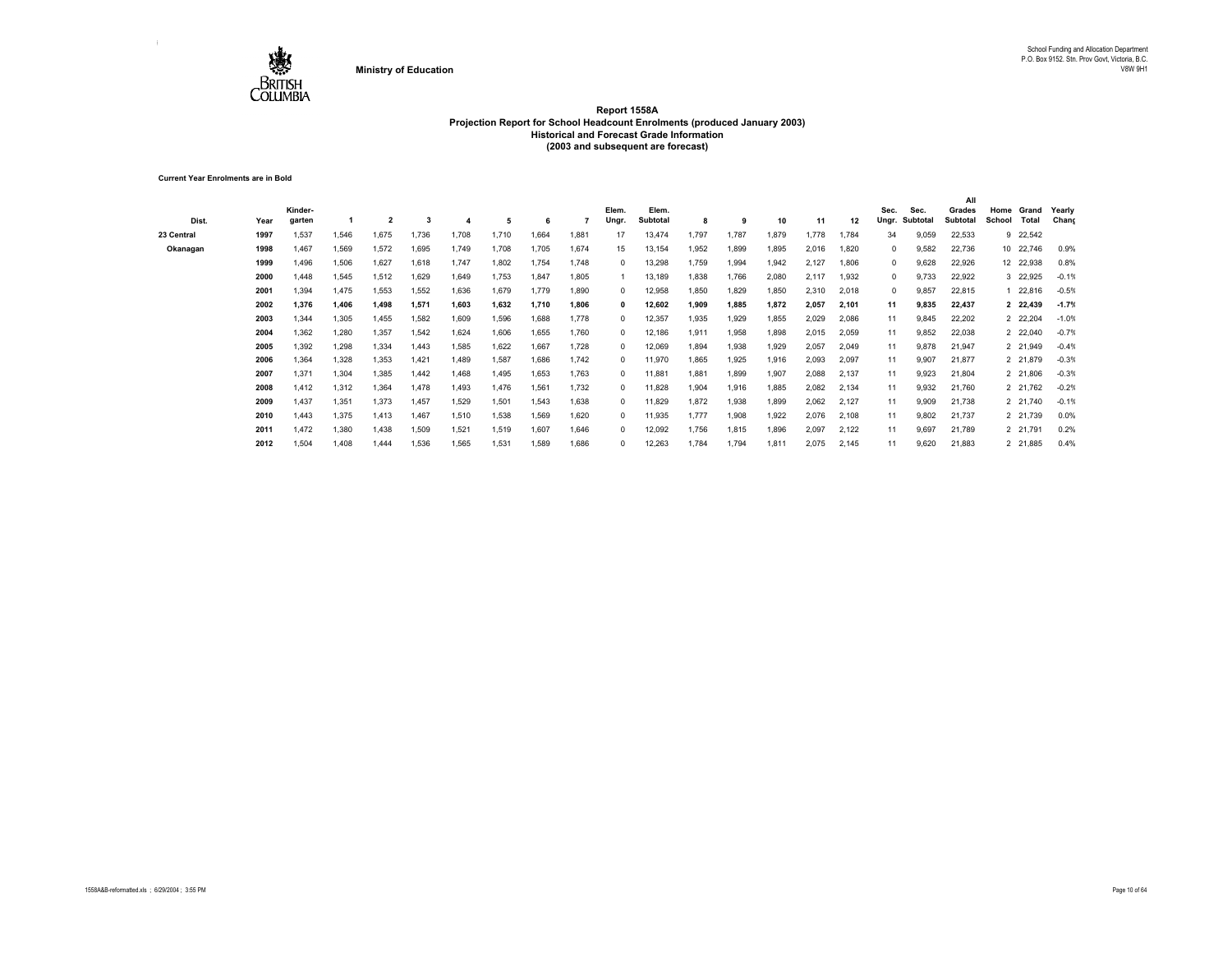

**Current Year Enrolments are in Bold**

| Dist.      | Year | Kinder-<br>garten |       | $\overline{2}$ |       |       | 5     | 6     |       | Elem.<br>Ungr. | Elem.<br>Subtotal | 8     | 9     | 10    | 11    | 12    | Sec.<br>Ungr. | Sec.<br>Subtotal | All<br>Grades<br>Subtotal | Home<br>School | Grand<br>Total | Yearly<br>Chang |
|------------|------|-------------------|-------|----------------|-------|-------|-------|-------|-------|----------------|-------------------|-------|-------|-------|-------|-------|---------------|------------------|---------------------------|----------------|----------------|-----------------|
| 23 Central | 1997 | 1,537             | 1,546 | 1,675          | 1,736 | 1,708 | 1.710 | 1.664 | 1,881 | 17             | 13,474            | 1,797 | 1.787 | 1,879 | .778  | 1.784 | 34            | 9,059            | 22,533                    |                | 9 22,542       |                 |
| Okanagan   | 1998 | 1,467             | 1,569 | 1,572          | 1,695 | 1,749 | 1,708 | 1,705 | 1,674 | 15             | 13,154            | 1,952 | 1,899 | 1,895 | 2,016 | 1,820 | 0             | 9,582            | 22,736                    |                | 10 22,746      | 0.9%            |
|            | 1999 | 1,496             | 1,506 | 1,627          | 1,618 | 1,747 | 1,802 | 1,754 | 1,748 | $^{\circ}$     | 13,298            | 1,759 | 1,994 | 1,942 | 2,127 | 1,806 | 0             | 9,628            | 22,926                    |                | 12 22,938      | 0.8%            |
|            | 2000 | .448              | 1,545 | 1,512          | 1,629 | 1,649 | 1,753 | 1,847 | 1.805 |                | 13,189            | 1,838 | 1.766 | 2,080 | 2,117 | 1,932 | 0             | 9,733            | 22,922                    |                | 3 22,925       | $-0.19$         |
|            | 2001 | .394              | 1,475 | 1,553          | 1,552 | 1,636 | 1,679 | 1,779 | 1.890 | $^{\circ}$     | 12,958            | 1,850 | 1.829 | 1,850 | 2,310 | 2,018 | $\Omega$      | 9,857            | 22,815                    |                | 1 22,816       | $-0.5%$         |
|            | 2002 | 1.376             | 1,406 | 1,498          | 1,571 | 1,603 | 1.632 | 1,710 | 1.806 | $\mathbf{0}$   | 12,602            | 1,909 | 1.885 | 1.872 | 2.057 | 2,101 | 11            | 9,835            | 22,437                    |                | 2 22,439       | $-1.7%$         |
|            | 2003 | 1,344             | 1,305 | 1,455          | 1,582 | 1,609 | 1,596 | 1,688 | 1.778 | $\Omega$       | 12,357            | 1,935 | 1.929 | 1,855 | 2,029 | 2,086 | 11            | 9,845            | 22,202                    |                | 2 22,204       | $-1.0%$         |
|            | 2004 | 1,362             | 1,280 | 1,357          | 1,542 | 1,624 | 1,606 | 1,655 | 1.760 | $^{\circ}$     | 12,186            | 1,911 | 1,958 | 1,898 | 2,015 | 2,059 | 11            | 9,852            | 22,038                    |                | 2 22,040       | $-0.7%$         |
|            | 2005 | .392              | 1,298 | 1,334          | 1,443 | 1,585 | 1,622 | 1,667 | 1,728 | $^{\circ}$     | 12,069            | 1,894 | 1,938 | 1,929 | 2,057 | 2,049 | 11            | 9,878            | 21,947                    |                | 2 21,949       | $-0.4%$         |
|            | 2006 | .364              | 1,328 | 1,353          | 1,421 | 1.489 | 1,587 | 1.686 | 1.742 | $^{\circ}$     | 11,970            | 1.865 | 1.925 | 1,916 | 2,093 | 2,097 | 11            | 9,907            | 21,877                    |                | 2 21,879       | $-0.3%$         |
|            | 2007 | 1,371             | 1,304 | 1,385          | 1.442 | 1.468 | 1,495 | 1,653 | 1.763 | $\Omega$       | 11,881            | 1,881 | 1.899 | 1,907 | 2,088 | 2,137 | 11            | 9,923            | 21,804                    |                | 2 21,806       | $-0.3%$         |
|            | 2008 | 1.412             | 1,312 | 1,364          | 1.478 | 1.493 | 1,476 | 1,561 | 1.732 | $^{\circ}$     | 11,828            | 1,904 | 1.916 | 1,885 | 2,082 | 2,134 | 11            | 9,932            | 21,760                    |                | 2 21,762       | $-0.29$         |
|            | 2009 | 1,437             | 1,351 | 1,373          | 1,457 | 1,529 | 1,501 | 1,543 | 1,638 | $^{\circ}$     | 11,829            | 1,872 | 1,938 | 1,899 | 2,062 | 2,127 | 11            | 9,909            | 21,738                    |                | 2 21,740       | $-0.19$         |
|            | 2010 | 1.443             | 1,375 | 1,413          | 1,467 | 1,510 | 1,538 | 1,569 | 1.620 | $^{\circ}$     | 11,935            | 1,777 | 1,908 | 1,922 | 2,076 | 2,108 | 11            | 9,802            | 21,737                    |                | 2 21,739       | 0.0%            |
|            | 2011 | 1.472             | 1,380 | 1,438          | 1,509 | 1,521 | 1,519 | 1,607 | 1.646 | $^{\circ}$     | 12,092            | 1,756 | 1,815 | 1,896 | 2,097 | 2,122 | 11            | 9,697            | 21,789                    |                | 2 21,791       | 0.2%            |
|            | 2012 | 1,504             | 1,408 | 1,444          | 1,536 | 1,565 | 1,531 | 1,589 | 1,686 | $\Omega$       | 12,263            | 1,784 | 1,794 | 1,811 | 2,075 | 2,145 | 11            | 9,620            | 21,883                    |                | 2 21,885       | 0.4%            |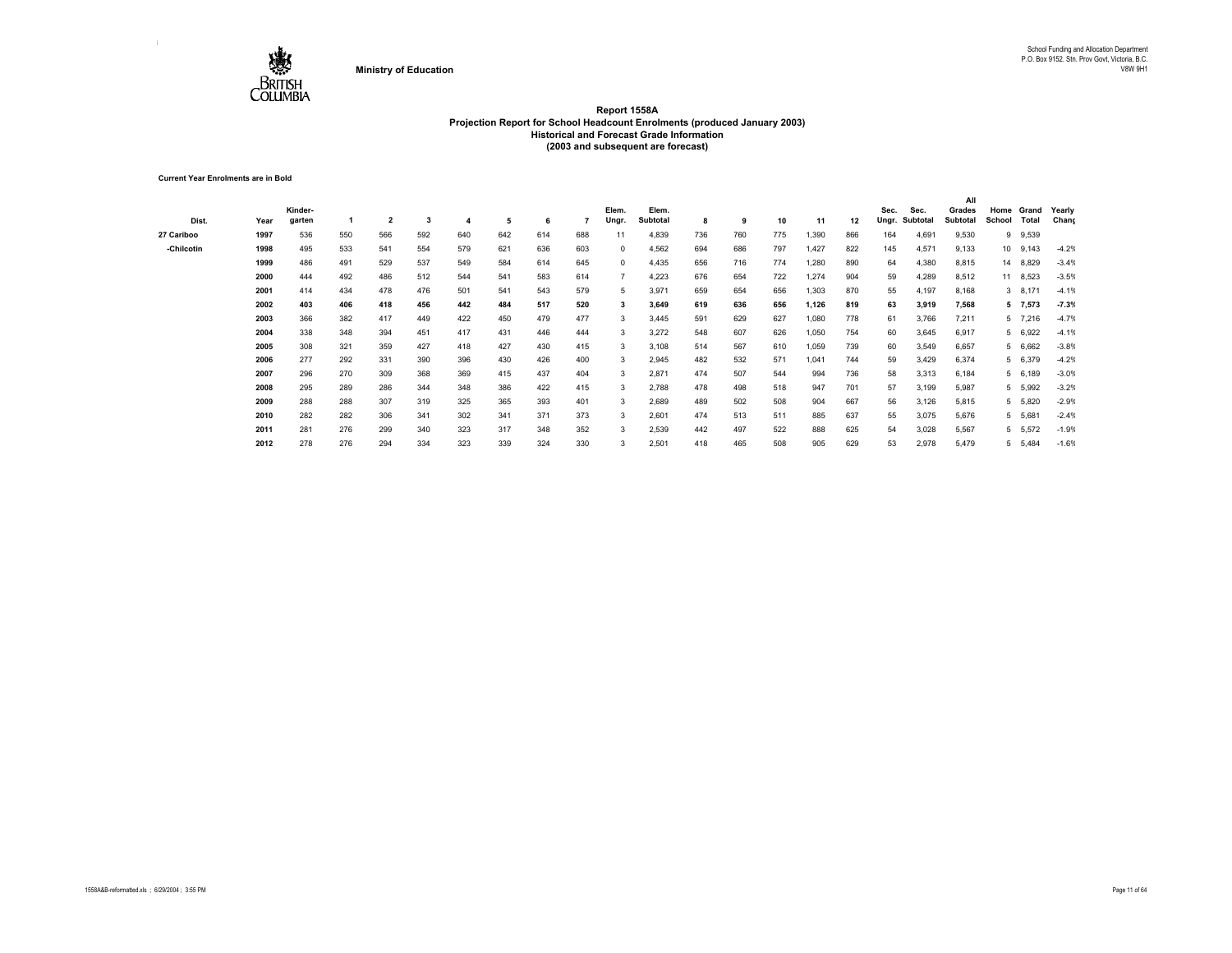

**Current Year Enrolments are in Bold**

|            |      |         |     |                         |     |     |     |     |     |            |                 |     |     |     |       |     |       |          | All      |        |           |         |
|------------|------|---------|-----|-------------------------|-----|-----|-----|-----|-----|------------|-----------------|-----|-----|-----|-------|-----|-------|----------|----------|--------|-----------|---------|
|            |      | Kinder- |     |                         |     |     |     |     |     | Elem.      | Elem.           |     |     |     |       |     | Sec.  | Sec.     | Grades   | Home   | Grand     | Yearly  |
| Dist.      | Year | garten  |     | $\overline{\mathbf{2}}$ | 3   | 4   | 5   | 6   |     | Ungr.      | <b>Subtotal</b> | 8   | 9   | 10  | 11    | 12  | Ungr. | Subtotal | Subtotal | School | Total     | Chang   |
| 27 Cariboo | 1997 | 536     | 550 | 566                     | 592 | 640 | 642 | 614 | 688 | 11         | 4,839           | 736 | 760 | 775 | 1,390 | 866 | 164   | 4,691    | 9,530    |        | 9 9,539   |         |
| -Chilcotin | 1998 | 495     | 533 | 541                     | 554 | 579 | 621 | 636 | 603 | 0          | 4,562           | 694 | 686 | 797 | 1,427 | 822 | 145   | 4,571    | 9,133    |        | 10 9,143  | $-4.2%$ |
|            | 1999 | 486     | 491 | 529                     | 537 | 549 | 584 | 614 | 645 | $^{\circ}$ | 4,435           | 656 | 716 | 774 | 1,280 | 890 | 64    | 4,380    | 8,815    |        | 14 8,829  | $-3.4%$ |
|            | 2000 | 444     | 492 | 486                     | 512 | 544 | 541 | 583 | 614 |            | 4,223           | 676 | 654 | 722 | 1,274 | 904 | 59    | 4,289    | 8,512    |        | 11 8,523  | $-3.5%$ |
|            | 2001 | 414     | 434 | 478                     | 476 | 501 | 541 | 543 | 579 | 5          | 3,971           | 659 | 654 | 656 | 1,303 | 870 | 55    | 4,197    | 8,168    |        | $3$ 8,171 | $-4.1%$ |
|            | 2002 | 403     | 406 | 418                     | 456 | 442 | 484 | 517 | 520 | 3          | 3,649           | 619 | 636 | 656 | 1,126 | 819 | 63    | 3,919    | 7,568    |        | 5 7,573   | $-7.3%$ |
|            | 2003 | 366     | 382 | 417                     | 449 | 422 | 450 | 479 | 477 | 3          | 3,445           | 591 | 629 | 627 | 1,080 | 778 | 61    | 3,766    | 7,211    |        | 5 7,216   | $-4.7%$ |
|            | 2004 | 338     | 348 | 394                     | 451 | 417 | 431 | 446 | 444 | 3          | 3,272           | 548 | 607 | 626 | 1,050 | 754 | 60    | 3,645    | 6,917    |        | 5 6,922   | $-4.1%$ |
|            | 2005 | 308     | 321 | 359                     | 427 | 418 | 427 | 430 | 415 | 3          | 3,108           | 514 | 567 | 610 | 1,059 | 739 | 60    | 3,549    | 6,657    |        | 5 6,662   | $-3.8%$ |
|            | 2006 | 277     | 292 | 331                     | 390 | 396 | 430 | 426 | 400 | 3          | 2,945           | 482 | 532 | 571 | 1,041 | 744 | 59    | 3,429    | 6,374    |        | 5 6,379   | $-4.2%$ |
|            | 2007 | 296     | 270 | 309                     | 368 | 369 | 415 | 437 | 404 | 3          | 2,871           | 474 | 507 | 544 | 994   | 736 | 58    | 3,313    | 6,184    |        | 5 6,189   | $-3.0%$ |
|            | 2008 | 295     | 289 | 286                     | 344 | 348 | 386 | 422 | 415 | 3          | 2,788           | 478 | 498 | 518 | 947   | 701 | 57    | 3,199    | 5,987    |        | 5 5,992   | $-3.2%$ |
|            | 2009 | 288     | 288 | 307                     | 319 | 325 | 365 | 393 | 401 | 3          | 2,689           | 489 | 502 | 508 | 904   | 667 | 56    | 3,126    | 5,815    |        | 5 5,820   | $-2.9%$ |
|            | 2010 | 282     | 282 | 306                     | 341 | 302 | 341 | 371 | 373 | 3          | 2,601           | 474 | 513 | 511 | 885   | 637 | 55    | 3,075    | 5,676    |        | 5 5,681   | $-2.4%$ |
|            | 2011 | 281     | 276 | 299                     | 340 | 323 | 317 | 348 | 352 | 3          | 2,539           | 442 | 497 | 522 | 888   | 625 | 54    | 3,028    | 5,567    |        | 5 5,572   | $-1.9%$ |
|            | 2012 | 278     | 276 | 294                     | 334 | 323 | 339 | 324 | 330 |            | 2,501           | 418 | 465 | 508 | 905   | 629 | 53    | 2,978    | 5,479    |        | 5 5,484   | $-1.6%$ |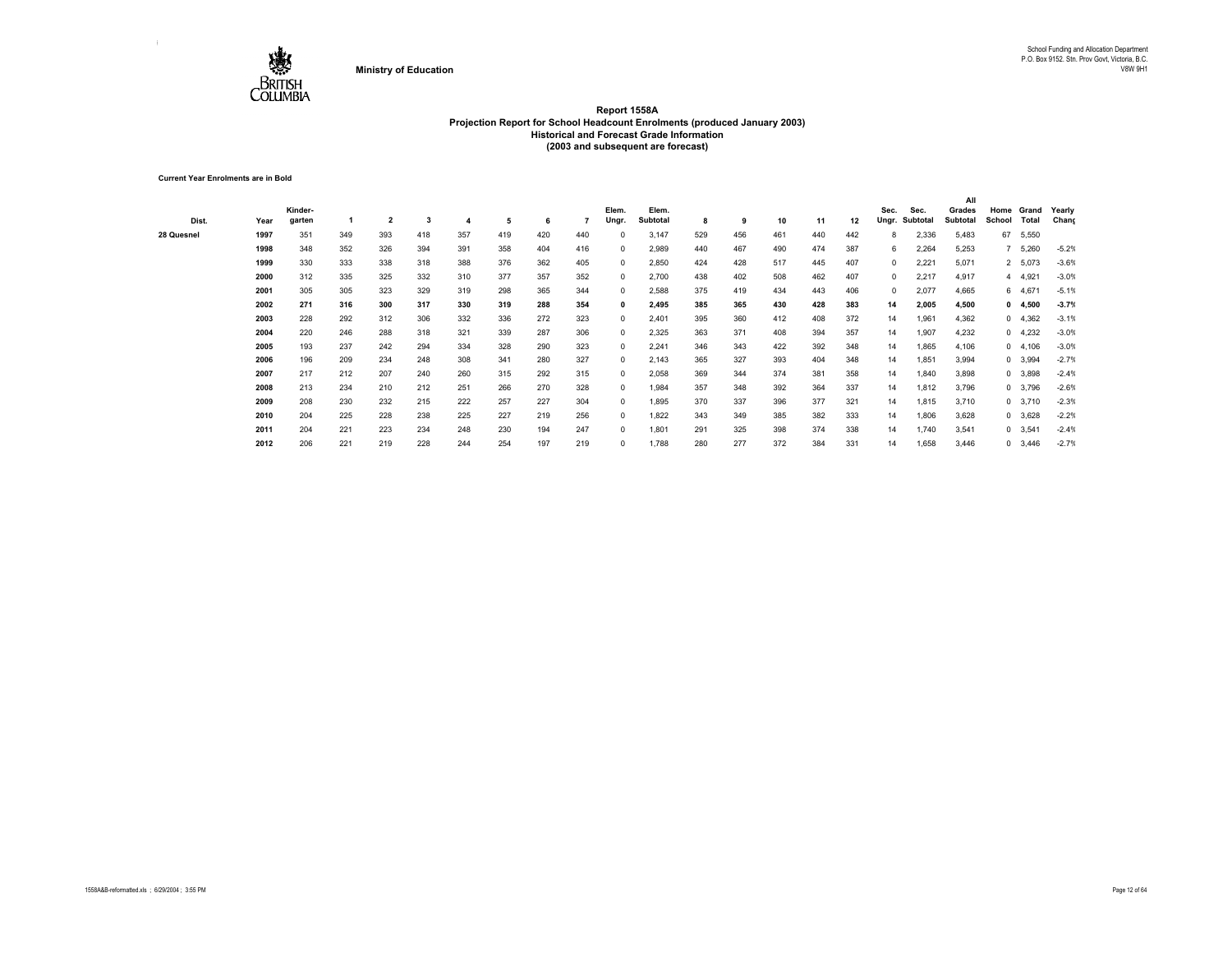

**Current Year Enrolments are in Bold**

|            |      |         |     |                         |     |     |     |     |     |              |          |     |     |     |     |     |       |          | All      |        |                |         |
|------------|------|---------|-----|-------------------------|-----|-----|-----|-----|-----|--------------|----------|-----|-----|-----|-----|-----|-------|----------|----------|--------|----------------|---------|
|            |      | Kinder- |     |                         |     |     |     |     |     | Elem.        | Elem.    |     |     |     |     |     | Sec.  | Sec.     | Grades   | Home   | Grand          | Yearly  |
| Dist.      | Year | garten  |     | $\overline{\mathbf{2}}$ | 3   |     | 5   | 6   |     | Ungr.        | Subtotal | 8   | 9   | 10  | 11  | 12  | Ungr. | Subtotal | Subtotal | School | Total          | Chang   |
| 28 Quesnel | 1997 | 351     | 349 | 393                     | 418 | 357 | 419 | 420 | 440 | $^{\circ}$   | 3,147    | 529 | 456 | 461 | 440 | 442 | 8     | 2,336    | 5,483    | 67     | 5,550          |         |
|            | 1998 | 348     | 352 | 326                     | 394 | 391 | 358 | 404 | 416 | $^{\circ}$   | 2,989    | 440 | 467 | 490 | 474 | 387 | 6     | 2,264    | 5,253    |        | 5,260          | $-5.2%$ |
|            | 1999 | 330     | 333 | 338                     | 318 | 388 | 376 | 362 | 405 | $^{\circ}$   | 2,850    | 424 | 428 | 517 | 445 | 407 | 0     | 2,221    | 5,071    |        | 2 5,073        | $-3.6%$ |
|            | 2000 | 312     | 335 | 325                     | 332 | 310 | 377 | 357 | 352 | $^{\circ}$   | 2,700    | 438 | 402 | 508 | 462 | 407 | 0     | 2,217    | 4,917    |        | 4 4,921        | $-3.0%$ |
|            | 2001 | 305     | 305 | 323                     | 329 | 319 | 298 | 365 | 344 | $^{\circ}$   | 2,588    | 375 | 419 | 434 | 443 | 406 | 0     | 2,077    | 4,665    |        | 6 4,671        | $-5.1%$ |
|            | 2002 | 271     | 316 | 300                     | 317 | 330 | 319 | 288 | 354 | $\mathbf{0}$ | 2,495    | 385 | 365 | 430 | 428 | 383 | 14    | 2,005    | 4,500    |        | 0, 4,500       | $-3.7%$ |
|            | 2003 | 228     | 292 | 312                     | 306 | 332 | 336 | 272 | 323 | $^{\circ}$   | 2,401    | 395 | 360 | 412 | 408 | 372 | 14    | 1,961    | 4,362    |        | 04,362         | $-3.1%$ |
|            | 2004 | 220     | 246 | 288                     | 318 | 321 | 339 | 287 | 306 | $^{\circ}$   | 2,325    | 363 | 371 | 408 | 394 | 357 | 14    | 1,907    | 4,232    |        | $0$ 4,232      | $-3.0%$ |
|            | 2005 | 193     | 237 | 242                     | 294 | 334 | 328 | 290 | 323 | $^{\circ}$   | 2,241    | 346 | 343 | 422 | 392 | 348 | 14    | 1,865    | 4,106    |        | 0, 4, 106      | $-3.0%$ |
|            | 2006 | 196     | 209 | 234                     | 248 | 308 | 341 | 280 | 327 | $^{\circ}$   | 2,143    | 365 | 327 | 393 | 404 | 348 | 14    | 1,851    | 3,994    |        | 0 3,994        | $-2.7%$ |
|            | 2007 | 217     | 212 | 207                     | 240 | 260 | 315 | 292 | 315 | $^{\circ}$   | 2,058    | 369 | 344 | 374 | 381 | 358 | 14    | 1,840    | 3,898    |        | 0 3,898        | $-2.4%$ |
|            | 2008 | 213     | 234 | 210                     | 212 | 251 | 266 | 270 | 328 | $^{\circ}$   | 1.984    | 357 | 348 | 392 | 364 | 337 | 14    | 1,812    | 3,796    |        | 0 3,796        | $-2.6%$ |
|            | 2009 | 208     | 230 | 232                     | 215 | 222 | 257 | 227 | 304 | $^{\circ}$   | 1,895    | 370 | 337 | 396 | 377 | 321 | 14    | 1,815    | 3,710    |        | 0 3,710        | $-2.3%$ |
|            | 2010 | 204     | 225 | 228                     | 238 | 225 | 227 | 219 | 256 | $^{\circ}$   | 1,822    | 343 | 349 | 385 | 382 | 333 | 14    | 1,806    | 3,628    |        | 0 3,628        | $-2.2%$ |
|            | 2011 | 204     | 221 | 223                     | 234 | 248 | 230 | 194 | 247 | $^{\circ}$   | 1,801    | 291 | 325 | 398 | 374 | 338 | 14    | 1,740    | 3,541    |        | $0$ 3,541      | $-2.4%$ |
|            | 2012 | 206     | 221 | 219                     | 228 | 244 | 254 | 197 | 219 | $^{\circ}$   | 1,788    | 280 | 277 | 372 | 384 | 331 | 14    | 1,658    | 3,446    |        | $0\quad 3,446$ | $-2.7%$ |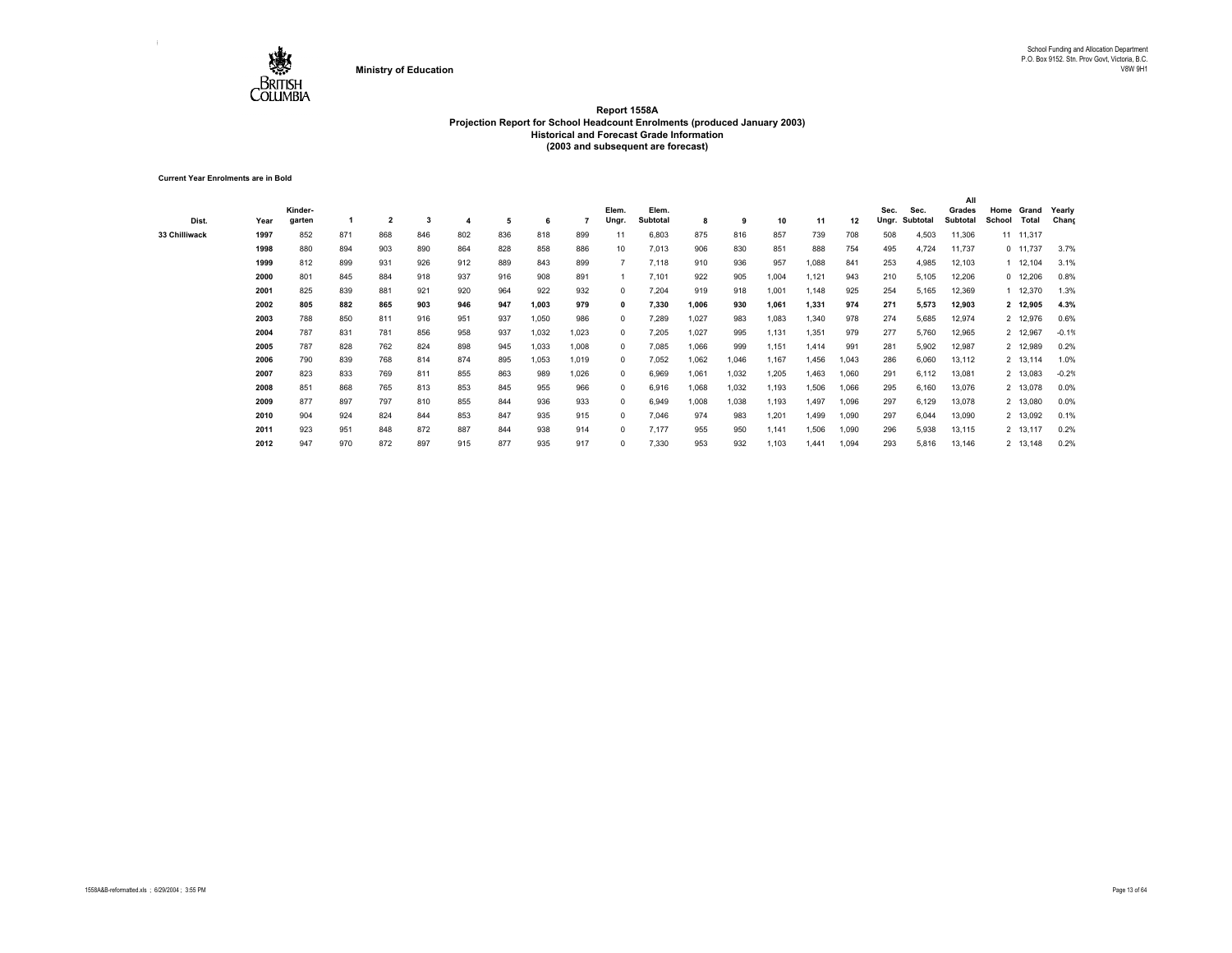

**Current Year Enrolments are in Bold**

|               |      |         |     |                |     |     |     |       |       |              |          |       |       |       |       |       |       |          | All      |        |            |         |
|---------------|------|---------|-----|----------------|-----|-----|-----|-------|-------|--------------|----------|-------|-------|-------|-------|-------|-------|----------|----------|--------|------------|---------|
|               |      | Kinder- |     |                |     |     |     |       |       | Elem.        | Elem.    |       |       |       |       |       | Sec.  | Sec.     | Grades   | Home   | Grand      | Yearly  |
| Dist.         | Year | garten  |     | $\overline{2}$ | 3   |     | 5   | 6     |       | Ungr.        | Subtotal | 8     | 9     | 10    | 11    | 12    | Ungr. | Subtotal | Subtotal | School | Total      | Chang   |
| 33 Chilliwack | 1997 | 852     | 871 | 868            | 846 | 802 | 836 | 818   | 899   | 11           | 6,803    | 875   | 816   | 857   | 739   | 708   | 508   | 4,503    | 11,306   |        | 11 11,317  |         |
|               | 1998 | 880     | 894 | 903            | 890 | 864 | 828 | 858   | 886   | 10           | 7,013    | 906   | 830   | 851   | 888   | 754   | 495   | 4,724    | 11,737   |        | $0$ 11,737 | 3.7%    |
|               | 1999 | 812     | 899 | 931            | 926 | 912 | 889 | 843   | 899   |              | 7,118    | 910   | 936   | 957   | 1,088 | 841   | 253   | 4,985    | 12,103   |        | 1 12,104   | 3.1%    |
|               | 2000 | 801     | 845 | 884            | 918 | 937 | 916 | 908   | 891   |              | 7,101    | 922   | 905   | 1,004 | 1,121 | 943   | 210   | 5,105    | 12,206   |        | $0$ 12,206 | 0.8%    |
|               | 2001 | 825     | 839 | 881            | 921 | 920 | 964 | 922   | 932   | $^{\circ}$   | 7,204    | 919   | 918   | 1,001 | 1,148 | 925   | 254   | 5,165    | 12,369   |        | 1 12,370   | 1.3%    |
|               | 2002 | 805     | 882 | 865            | 903 | 946 | 947 | 1,003 | 979   | $\mathbf{0}$ | 7,330    | 1,006 | 930   | 1,061 | 1,331 | 974   | 271   | 5,573    | 12,903   |        | 2 12,905   | 4.3%    |
|               | 2003 | 788     | 850 | 811            | 916 | 951 | 937 | 1,050 | 986   | $^{\circ}$   | 7,289    | 1,027 | 983   | 1,083 | 1,340 | 978   | 274   | 5,685    | 12,974   |        | 2 12,976   | 0.6%    |
|               | 2004 | 787     | 831 | 781            | 856 | 958 | 937 | 1,032 | 1,023 | $^{\circ}$   | 7,205    | 1,027 | 995   | 1,131 | 1,351 | 979   | 277   | 5,760    | 12,965   |        | 2 12,967   | $-0.1%$ |
|               | 2005 | 787     | 828 | 762            | 824 | 898 | 945 | 1,033 | 1,008 | $^{\circ}$   | 7,085    | 1,066 | 999   | 1,151 | 1,414 | 991   | 281   | 5,902    | 12,987   |        | 2 12,989   | 0.2%    |
|               | 2006 | 790     | 839 | 768            | 814 | 874 | 895 | 1,053 | 1,019 | $^{\circ}$   | 7,052    | 1,062 | 1,046 | 1,167 | 1,456 | 1,043 | 286   | 6,060    | 13,112   |        | 2 13,114   | 1.0%    |
|               | 2007 | 823     | 833 | 769            | 811 | 855 | 863 | 989   | 1,026 | $^{\circ}$   | 6,969    | 1,061 | 1,032 | 1,205 | 1,463 | 1,060 | 291   | 6,112    | 13,081   |        | 2 13,083   | $-0.2%$ |
|               | 2008 | 851     | 868 | 765            | 813 | 853 | 845 | 955   | 966   | $^{\circ}$   | 6,916    | 1,068 | 1.032 | 1,193 | 1,506 | 1,066 | 295   | 6,160    | 13,076   |        | 2 13,078   | 0.0%    |
|               | 2009 | 877     | 897 | 797            | 810 | 855 | 844 | 936   | 933   | $^{\circ}$   | 6,949    | 1,008 | 1.038 | 1,193 | 1,497 | 1,096 | 297   | 6,129    | 13,078   |        | 2 13,080   | 0.0%    |
|               | 2010 | 904     | 924 | 824            | 844 | 853 | 847 | 935   | 915   | $^{\circ}$   | 7,046    | 974   | 983   | 1,201 | 1.499 | 1,090 | 297   | 6,044    | 13,090   |        | 2 13,092   | 0.1%    |
|               | 2011 | 923     | 951 | 848            | 872 | 887 | 844 | 938   | 914   | $^{\circ}$   | 7,177    | 955   | 950   | 1,141 | 1,506 | 1,090 | 296   | 5,938    | 13,115   |        | 2 13,117   | 0.2%    |
|               | 2012 | 947     | 970 | 872            | 897 | 915 | 877 | 935   | 917   | $^{\circ}$   | 7,330    | 953   | 932   | 1,103 | 1.441 | 1,094 | 293   | 5,816    | 13,146   |        | 2 13,148   | 0.2%    |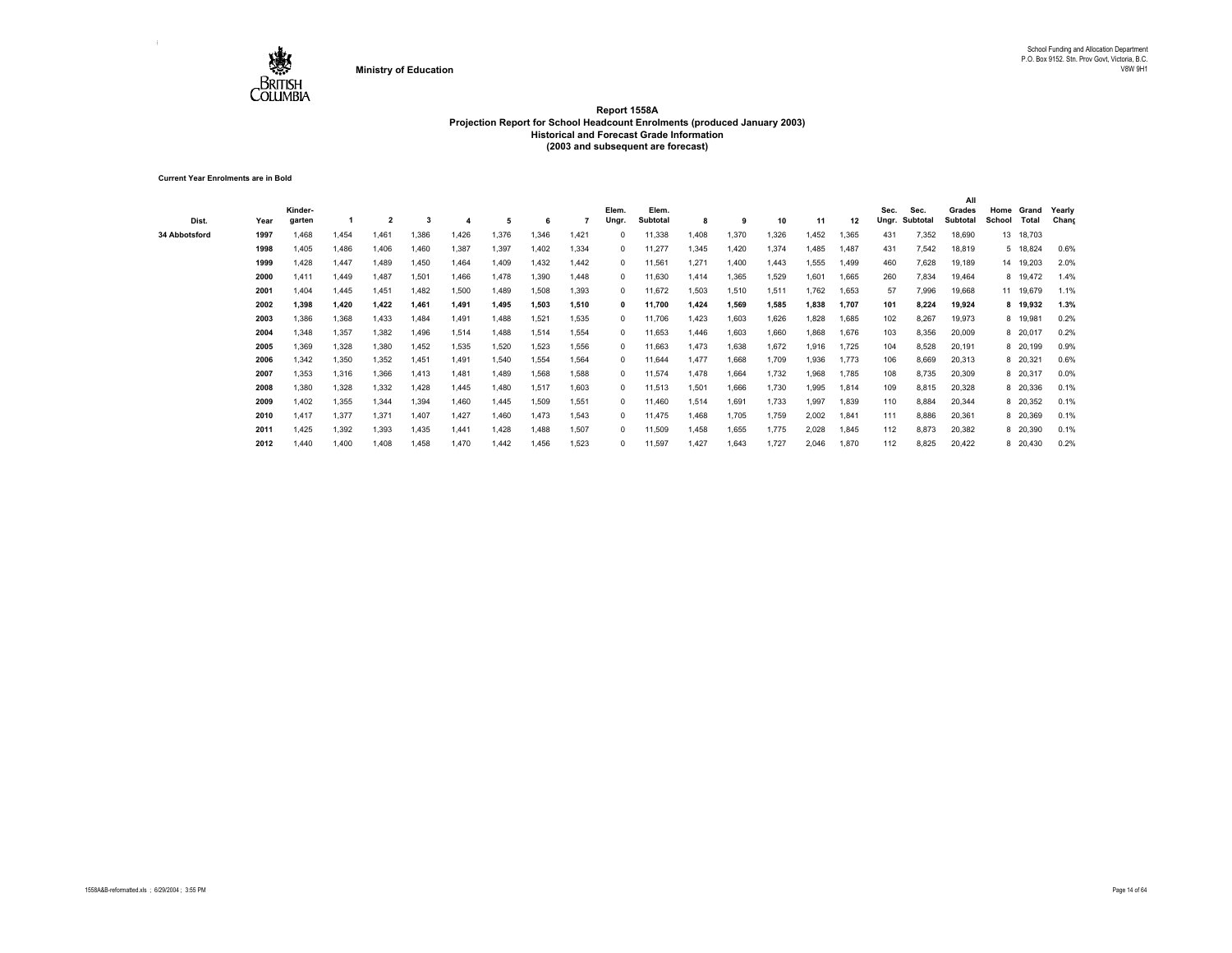

**Current Year Enrolments are in Bold**

| Dist.         | Year | Kinder-<br>garten |       |       | 3     |       | 5     | 6     |       | Elem.<br>Ungr. | Elem.<br>Subtotal | 8     | 9     | 10    | 11    | 12    | Sec.<br>Ungr. | Sec.<br>Subtotal | All<br>Grades<br>Subtotal | Home<br>School | Grand<br><b>Total</b> | Yearly<br>Chang |
|---------------|------|-------------------|-------|-------|-------|-------|-------|-------|-------|----------------|-------------------|-------|-------|-------|-------|-------|---------------|------------------|---------------------------|----------------|-----------------------|-----------------|
| 34 Abbotsford | 1997 | 1.468             | 1.454 | 1.461 | 1.386 | 1.426 | 1,376 | .346  | 1.421 |                | 11,338            | 1,408 | 1.370 | 1,326 | 1.452 | 1,365 | 431           | 7,352            | 18,690                    |                | 13 18,703             |                 |
|               | 1998 | 1,405             | 1,486 | 1,406 | 1,460 | 1,387 | 1,397 | 1,402 | 1.334 | $^{\circ}$     | 11,277            | 1,345 | 1.420 | 1,374 | 1.485 | 1,487 | 431           | 7,542            | 18,819                    |                | 5 18,824              | 0.6%            |
|               | 1999 | 1,428             | 1,447 | 1,489 | 1,450 | 1,464 | 1,409 | 1,432 | 1.442 | $^{\circ}$     | 11,561            | 1,271 | 1,400 | 1,443 | 1,555 | 1,499 | 460           | 7,628            | 19,189                    |                | 14 19,203             | 2.0%            |
|               | 2000 | 1.411             | 1.449 | 1,487 | 1,501 | 1,466 | 1,478 | 1,390 | 1.448 | $^{\circ}$     | 11,630            | 1,414 | 1,365 | 1,529 | 1,601 | 1,665 | 260           | 7,834            | 19,464                    |                | 8 19,472              | 1.4%            |
|               | 2001 | 1,404             | 1,445 | 1,451 | 1,482 | 1,500 | 1,489 | 1,508 | 1,393 | $^{\circ}$     | 11,672            | 1,503 | 1,510 | 1,511 | 1,762 | 1,653 | 57            | 7,996            | 19,668                    |                | 11 19,679             | 1.1%            |
|               | 2002 | 1,398             | 1,420 | 1,422 | 1,461 | 1,491 | 1,495 | 1,503 | 1,510 |                | 11,700            | 1,424 | 1.569 | 1,585 | 1,838 | 1,707 | 101           | 8,224            | 19,924                    |                | 8 19,932              | 1.3%            |
|               | 2003 | 1,386             | 1,368 | 1,433 | 1,484 | 1,491 | 1,488 | 1,521 | 1.535 | $^{\circ}$     | 11,706            | 1,423 | 1,603 | 1,626 | 1,828 | 1,685 | 102           | 8,267            | 19,973                    |                | 8 19,981              | 0.2%            |
|               | 2004 | 1.348             | 1,357 | 1,382 | 1,496 | 1,514 | 1,488 | 1,514 | 1.554 | $^{\circ}$     | 11,653            | 1,446 | 1,603 | 1,660 | 1,868 | 1,676 | 103           | 8,356            | 20,009                    |                | 8 20,017              | 0.2%            |
|               | 2005 | 1,369             | 1,328 | 1,380 | 1,452 | 1,535 | 1,520 | 1,523 | 1,556 | $^{\circ}$     | 11,663            | 1,473 | 1,638 | 1,672 | 1,916 | 1,725 | 104           | 8,528            | 20,191                    |                | 8 20,199              | 0.9%            |
|               | 2006 | 1.342             | 1,350 | 1,352 | 1,451 | 1,491 | 1,540 | 1,554 | 1.564 | $^{\circ}$     | 11,644            | 1.477 | 1.668 | 1,709 | 1,936 | 1.773 | 106           | 8,669            | 20,313                    |                | 8 20,321              | 0.6%            |
|               | 2007 | 1,353             | 1,316 | 1,366 | 1,413 | 1,481 | 1,489 | 1,568 | 1.588 | $^{\circ}$     | 11,574            | 1,478 | 1,664 | 1,732 | 1,968 | 1,785 | 108           | 8,735            | 20,309                    |                | 8 20,317              | 0.0%            |
|               | 2008 | 1,380             | 1,328 | 1,332 | 1,428 | 1,445 | 1,480 | 1,517 | 1.603 | $^{\circ}$     | 11,513            | 1,501 | 1,666 | 1,730 | 1,995 | 1,814 | 109           | 8,815            | 20,328                    |                | 8 20,336              | 0.1%            |
|               | 2009 | 1,402             | 1,355 | 1,344 | 1,394 | 1,460 | 1,445 | 1,509 | 1.551 | $^{\circ}$     | 11,460            | 1,514 | 1,691 | 1,733 | 1,997 | 1,839 | 110           | 8,884            | 20,344                    |                | 8 20,352              | 0.1%            |
|               | 2010 | 1.417             | 1,377 | 1,371 | 1,407 | 1,427 | 1,460 | 1.473 | 1.543 | $^{\circ}$     | 11,475            | 1.468 | 1.705 | 1,759 | 2,002 | 1,841 | 111           | 8,886            | 20,361                    |                | 8 20,369              | 0.1%            |
|               | 2011 | 1,425             | 1,392 | 1,393 | 1,435 | 1,441 | 1,428 | 1.488 | 1.507 | $^{\circ}$     | 11,509            | 1,458 | 1,655 | 1,775 | 2,028 | 1,845 | 112           | 8,873            | 20,382                    |                | 8 20,390              | 0.1%            |
|               | 2012 | 1,440             | 1,400 | 1,408 | 1,458 | 1,470 | 1,442 | 1,456 | 1,523 | 0              | 11,597            | 1,427 | 1,643 | 1,727 | 2,046 | 1,870 | 112           | 8,825            | 20,422                    |                | 8 20,430              | 0.2%            |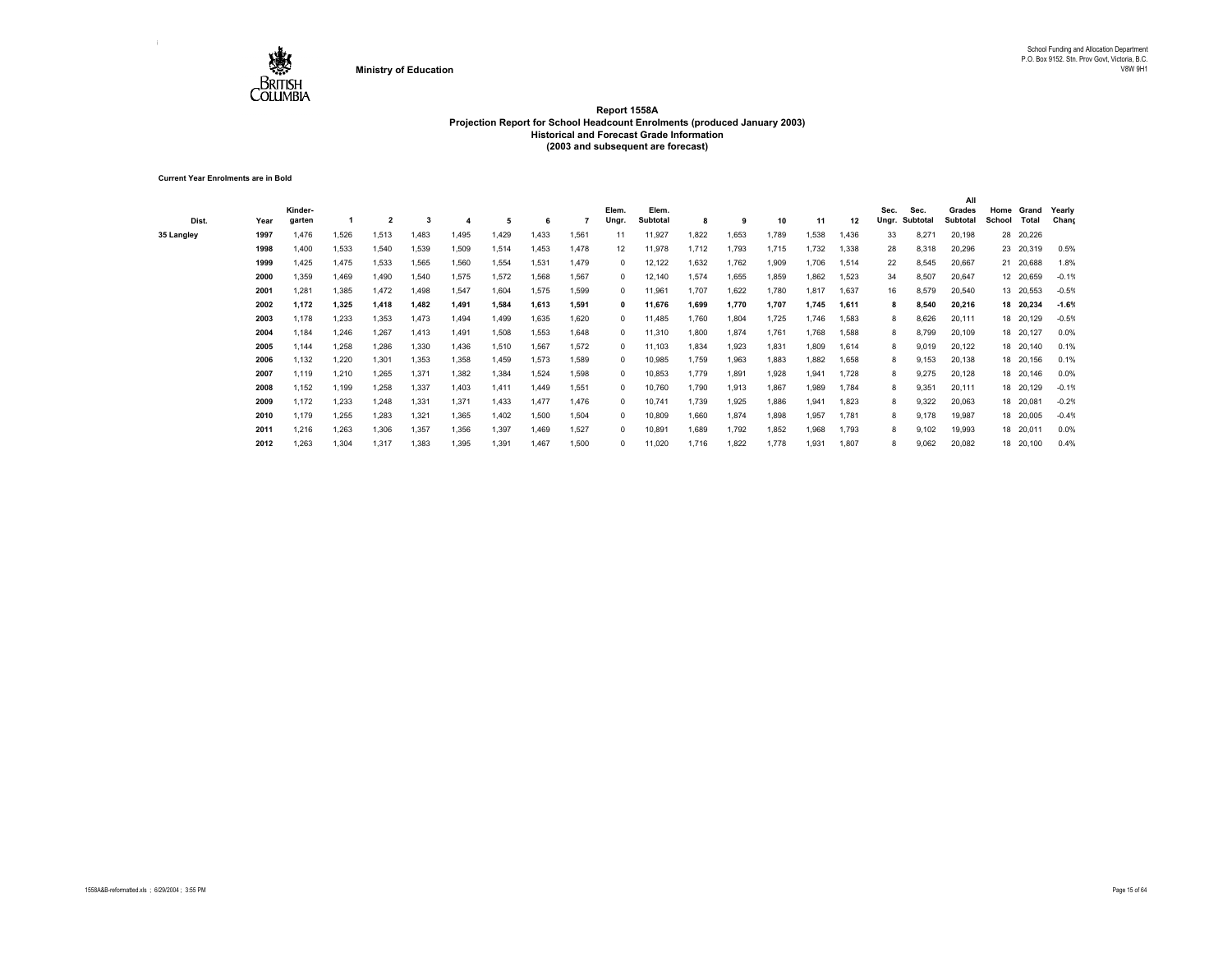

**Current Year Enrolments are in Bold**

| Dist.      | Year | Kinder-<br>garten |       |       | 3     |       | 5     | 6     |       | Elem.<br>Ungr. | Elem.<br>Subtotal | 8     | 9     | 10    | 11    | 12    | Sec.<br>Ungr. | Sec.<br>Subtotal | All<br>Grades<br>Subtotal | Home<br>School | Grand<br>Total | Yearly<br>Chang |
|------------|------|-------------------|-------|-------|-------|-------|-------|-------|-------|----------------|-------------------|-------|-------|-------|-------|-------|---------------|------------------|---------------------------|----------------|----------------|-----------------|
| 35 Langley | 1997 | 1.476             | 1,526 | 1,513 | 1.483 | 1.495 | 1,429 | .433  | 1.561 | 11             | 11,927            | 1,822 | 1.653 | 1.789 | 1,538 | 1.436 | 33            | 8,271            | 20,198                    |                | 28 20,226      |                 |
|            | 1998 | 1,400             | 1,533 | 1,540 | 1,539 | 1,509 | 1,514 | 1,453 | 1.478 | 12             | 11,978            | 1,712 | 1,793 | 1,715 | 1,732 | 1,338 | 28            | 8,318            | 20,296                    |                | 23 20,319      | 0.5%            |
|            | 1999 | 1,425             | 1,475 | 1,533 | 1,565 | 1,560 | 1,554 | 1,531 | 1.479 | $^{\circ}$     | 12,122            | 1,632 | 1,762 | 1,909 | 1,706 | 1,514 | 22            | 8,545            | 20,667                    |                | 21 20,688      | 1.8%            |
|            | 2000 | 1,359             | 1,469 | 1,490 | 1,540 | 1,575 | 1,572 | 1,568 | 1.567 | $^{\circ}$     | 12,140            | 1,574 | 1,655 | 1,859 | 1,862 | 1,523 | 34            | 8,507            | 20,647                    |                | 12 20,659      | $-0.1%$         |
|            | 2001 | 1,281             | 1,385 | 1,472 | 1,498 | 1,547 | 1,604 | 1,575 | 1,599 | $^{\circ}$     | 11,961            | 1,707 | 1,622 | 1,780 | 1,817 | 1,637 | 16            | 8,579            | 20,540                    |                | 13 20,553      | $-0.5%$         |
|            | 2002 | 1,172             | 1,325 | 1,418 | 1,482 | 1,491 | 1,584 | 1,613 | 1.591 |                | 11,676            | 1,699 | 1,770 | 1,707 | 1,745 | 1,611 | 8             | 8,540            | 20,216                    |                | 18 20,234      | $-1.6%$         |
|            | 2003 | 1,178             | 1,233 | 1,353 | 1,473 | 1,494 | 1,499 | 1,635 | 1.620 | $^{\circ}$     | 11,485            | 1,760 | 1,804 | 1,725 | 1,746 | 1,583 | 8             | 8,626            | 20,111                    |                | 18 20,129      | $-0.5%$         |
|            | 2004 | 1,184             | 1,246 | 1,267 | 1,413 | 1,491 | 1,508 | 1.553 | 1.648 | $^{\circ}$     | 11,310            | 1,800 | 1,874 | 1,761 | 1.768 | 1.588 | 8             | 8,799            | 20,109                    |                | 18 20,127      | 0.0%            |
|            | 2005 | 1.144             | 1,258 | 1,286 | 1,330 | 1,436 | 1,510 | 1,567 | 1,572 | $^{\circ}$     | 11,103            | 1,834 | 1,923 | 1,831 | 1,809 | 1,614 | 8             | 9,019            | 20,122                    |                | 18 20,140      | 0.1%            |
|            | 2006 | 1,132             | 1.220 | 1,301 | 1,353 | 1,358 | 1,459 | 1,573 | 1.589 | $^{\circ}$     | 10,985            | 1,759 | 1,963 | 1,883 | 1,882 | 1,658 | 8             | 9.153            | 20,138                    |                | 18 20,156      | 0.1%            |
|            | 2007 | 1,119             | 1,210 | 1,265 | 1,371 | 1,382 | 1,384 | 1,524 | 1,598 | $^{\circ}$     | 10,853            | 1,779 | 1,891 | 1,928 | 1,941 | 1,728 | 8             | 9,275            | 20,128                    |                | 18 20,146      | 0.0%            |
|            | 2008 | 1,152             | 1,199 | 1,258 | 1,337 | 1,403 | 1,411 | 1.449 | 1.551 | $^{\circ}$     | 10,760            | 1,790 | 1,913 | 1,867 | 1,989 | 1.784 | 8             | 9,351            | 20,111                    |                | 18 20,129      | $-0.1%$         |
|            | 2009 | 1,172             | 1,233 | 1,248 | 1,331 | 1,371 | 1,433 | 1.477 | 1.476 | $^{\circ}$     | 10,741            | 1,739 | 1,925 | 1,886 | 1,941 | 1,823 | 8             | 9,322            | 20,063                    |                | 18 20,081      | $-0.2%$         |
|            | 2010 | 1,179             | 1,255 | 1,283 | 1,321 | 1,365 | 1,402 | 1,500 | 1.504 | $^{\circ}$     | 10,809            | 1,660 | 1,874 | 1,898 | 1,957 | 1.781 | 8             | 9,178            | 19,987                    |                | 18 20,005      | $-0.4%$         |
|            | 2011 | 1,216             | 1,263 | 1,306 | 1,357 | 1,356 | 1,397 | 1,469 | 1,527 | $^{\circ}$     | 10,891            | 1,689 | 1,792 | 1,852 | 1,968 | 1,793 | 8             | 9,102            | 19,993                    |                | 18 20,011      | 0.0%            |
|            | 2012 | 1,263             | 1,304 | 1,317 | 1,383 | 1,395 | 1,391 | 1,467 | 1,500 |                | 11,020            | 1,716 | 1,822 | 1,778 | 1,931 | 1,807 | 8             | 9,062            | 20,082                    |                | 18 20,100      | 0.4%            |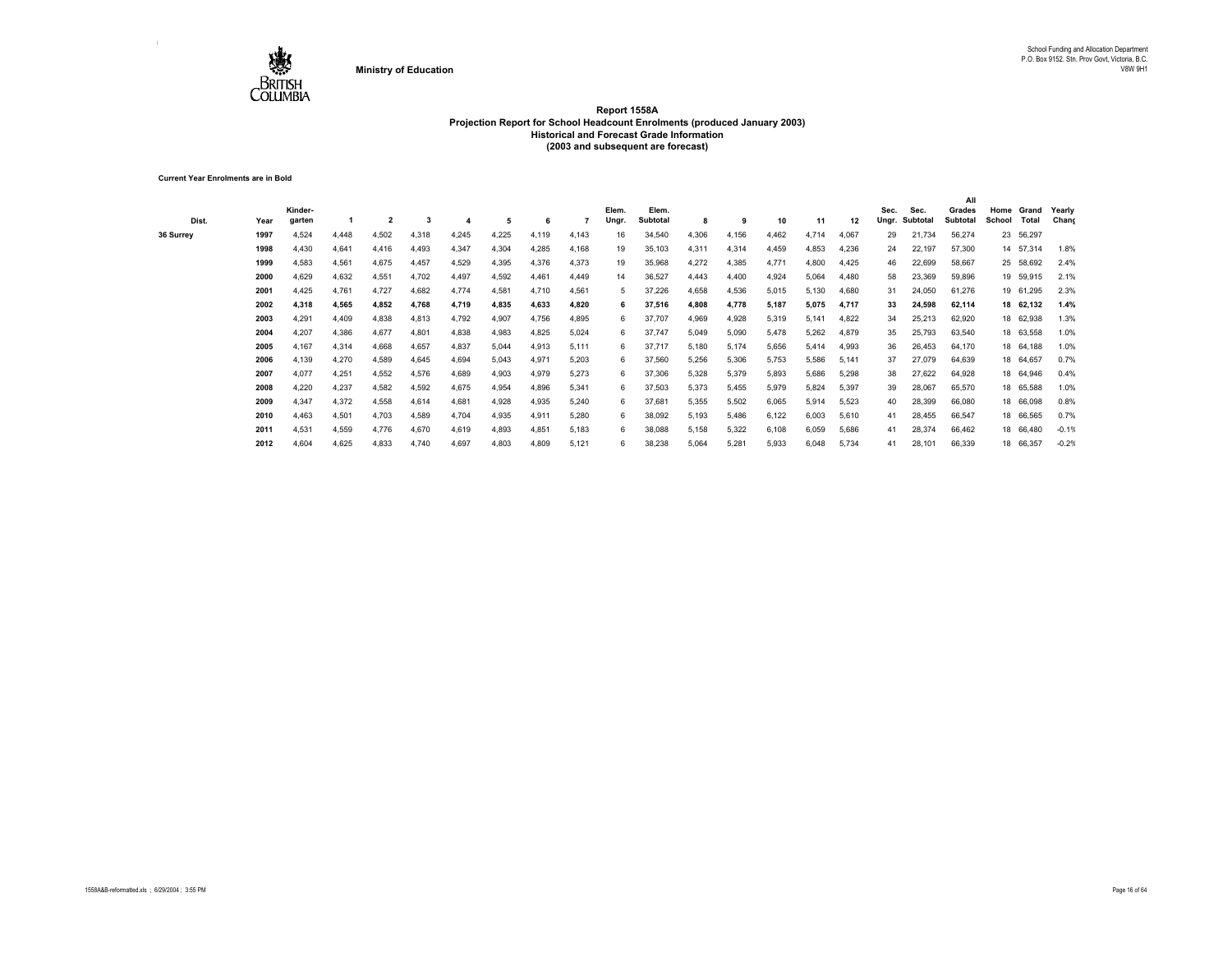

**Current Year Enrolments are in Bold**

| Dist.     | Year | Kinder-<br>garten |       | 2     |       |       | 5     | 6     |       | Elem.<br>Ungr. | Elem.<br><b>Subtotal</b> | 8     | 9     | 10    | 11    | 12    | Sec.<br>Ungr. | Sec.<br>Subtotal | All<br>Grades<br>Subtotal | Home<br>School | Grand<br>Total | Yearly<br>Chang |
|-----------|------|-------------------|-------|-------|-------|-------|-------|-------|-------|----------------|--------------------------|-------|-------|-------|-------|-------|---------------|------------------|---------------------------|----------------|----------------|-----------------|
| 36 Surrey | 1997 | 4,524             | 4.448 | 4,502 | 4,318 | 4,245 | 4,225 | 4,119 | 4,143 | 16             | 34,540                   | 4,306 | 4,156 | 4,462 | 4,714 | 4,067 | 29            | 21,734           | 56,274                    |                | 23 56,297      |                 |
|           | 1998 | 4,430             | 4,641 | 4,416 | 4,493 | 4,347 | 4,304 | 4,285 | 4,168 | 19             | 35,103                   | 4,311 | 4,314 | 4,459 | 4,853 | 4,236 | 24            | 22,197           | 57,300                    |                | 14 57,314      | 1.8%            |
|           | 1999 | 4,583             | 4,561 | 4,675 | 4,457 | 4,529 | 4,395 | 4,376 | 4,373 | 19             | 35,968                   | 4,272 | 4,385 | 4,771 | 4,800 | 4,425 | 46            | 22,699           | 58,667                    |                | 25 58,692      | 2.4%            |
|           | 2000 | 4,629             | 4,632 | 4,551 | 4,702 | 4,497 | 4,592 | 4,461 | 4,449 | 14             | 36,527                   | 4,443 | 4,400 | 4,924 | 5,064 | 4,480 | 58            | 23,369           | 59,896                    |                | 19 59,915      | 2.1%            |
|           | 2001 | 4,425             | 4,761 | 4,727 | 4,682 | 4,774 | 4,581 | 4,710 | 4,561 | 5              | 37,226                   | 4,658 | 4,536 | 5,015 | 5,130 | 4,680 | 31            | 24,050           | 61,276                    |                | 19 61,295      | 2.3%            |
|           | 2002 | 4,318             | 4,565 | 4,852 | 4,768 | 4,719 | 4,835 | 4,633 | 4,820 |                | 37,516                   | 4,808 | 4,778 | 5.187 | 5,075 | 4,717 | 33            | 24,598           | 62,114                    |                | 18 62.132      | 1.4%            |
|           | 2003 | 4,291             | 4,409 | 4,838 | 4,813 | 4,792 | 4,907 | 4,756 | 4,895 | 6              | 37,707                   | 4,969 | 4,928 | 5,319 | 5.141 | 4,822 | 34            | 25,213           | 62,920                    |                | 18 62,938      | 1.3%            |
|           | 2004 | 4,207             | 4,386 | 4,677 | 4,801 | 4,838 | 4,983 | 4,825 | 5,024 | 6              | 37,747                   | 5,049 | 5,090 | 5,478 | 5,262 | 4,879 | 35            | 25,793           | 63,540                    |                | 18 63,558      | 1.0%            |
|           | 2005 | 4,167             | 4.314 | 4.668 | 4,657 | 4,837 | 5,044 | 4,913 | 5.111 | 6              | 37,717                   | 5,180 | 5,174 | 5,656 | 5,414 | 4,993 | 36            | 26,453           | 64,170                    |                | 18 64,188      | 1.0%            |
|           | 2006 | 4,139             | 4,270 | 4,589 | 4,645 | 4,694 | 5,043 | 4,971 | 5,203 | 6              | 37,560                   | 5,256 | 5,306 | 5,753 | 5,586 | 5.141 | 37            | 27,079           | 64,639                    |                | 18 64,657      | 0.7%            |
|           | 2007 | 4,077             | 4,251 | 4,552 | 4,576 | 4,689 | 4,903 | 4,979 | 5,273 | 6              | 37,306                   | 5,328 | 5,379 | 5,893 | 5,686 | 5,298 | 38            | 27,622           | 64,928                    |                | 18 64,946      | 0.4%            |
|           | 2008 | 4,220             | 4,237 | 4,582 | 4,592 | 4,675 | 4,954 | 4,896 | 5,341 | 6              | 37,503                   | 5,373 | 5,455 | 5,979 | 5,824 | 5,397 | 39            | 28,067           | 65,570                    |                | 18 65,588      | 1.0%            |
|           | 2009 | 4,347             | 4,372 | 4,558 | 4,614 | 4,681 | 4,928 | 4,935 | 5,240 | 6              | 37,681                   | 5,355 | 5,502 | 6,065 | 5,914 | 5,523 | 40            | 28,399           | 66,080                    |                | 18 66,098      | 0.8%            |
|           | 2010 | 4,463             | 4,501 | 4,703 | 4,589 | 4,704 | 4,935 | 4,911 | 5,280 | 6              | 38,092                   | 5,193 | 5,486 | 6,122 | 6,003 | 5,610 | 41            | 28,455           | 66,547                    |                | 18 66,565      | 0.7%            |
|           | 2011 | 4,531             | 4,559 | 4,776 | 4,670 | 4,619 | 4,893 | 4,851 | 5,183 | 6              | 38,088                   | 5,158 | 5,322 | 6,108 | 6,059 | 5,686 | 41            | 28,374           | 66,462                    |                | 18 66,480      | $-0.1%$         |
|           | 2012 | 4,604             | 4.625 | 4.833 | 4,740 | 4,697 | 4,803 | 4,809 | 5.121 | 6              | 38,238                   | 5,064 | 5.281 | 5,933 | 6,048 | 5,734 | 41            | 28,101           | 66,339                    |                | 18 66,357      | $-0.2%$         |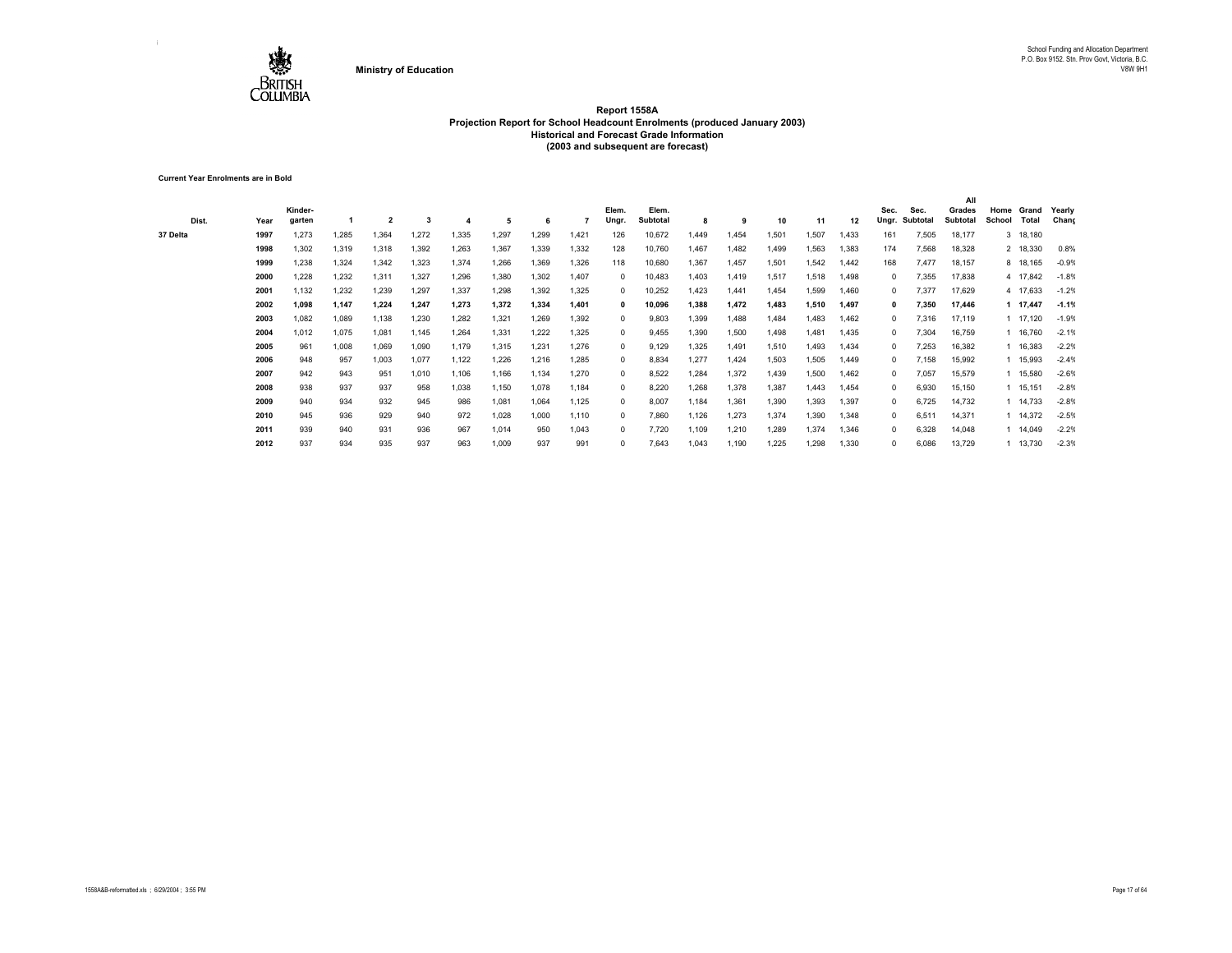

**Current Year Enrolments are in Bold**

| Dist.    | Year | Kinder-<br>garten |       | $\overline{2}$ | 3     |       | -5    | 6           |       | Elem.<br>Ungr | Elem.<br><b>Subtotal</b> | 8     | 9     | 10    | 11    | 12    | Sec.<br>Ungr. | Sec.<br>Subtotal | All<br>Grades<br><b>Subtotal</b> | Home<br>School | Grand<br>Total | Yearly<br>Chang |
|----------|------|-------------------|-------|----------------|-------|-------|-------|-------------|-------|---------------|--------------------------|-------|-------|-------|-------|-------|---------------|------------------|----------------------------------|----------------|----------------|-----------------|
| 37 Delta | 1997 | 1,273             | 1,285 | 1,364          | 1,272 | 1,335 | 1,297 | 1,299       | 1.421 | 126           | 10,672                   | 1.449 | 1.454 | 1,501 | 1,507 | 1,433 | 161           | 7,505            | 18,177                           |                | 3 18,180       |                 |
|          | 1998 | 1,302             | 1,319 | 1,318          | 1,392 | 1,263 | 1,367 | 1,339       | 1,332 | 128           | 10,760                   | 1,467 | 1,482 | 1,499 | 1,563 | 1,383 | 174           | 7,568            | 18,328                           |                | 2 18,330       | 0.8%            |
|          | 1999 | 1,238             | 1,324 | 1,342          | 1,323 | 1,374 | 1,266 | 1,369       | 1,326 | 118           | 10,680                   | 1,367 | 1,457 | 1,501 | 1,542 | 1,442 | 168           | 7,477            | 18,157                           |                | 8 18,165       | $-0.9%$         |
|          | 2000 | .228              | 1,232 | 1,311          | 1,327 | 1,296 | 1,380 | 1,302       | 1.407 | 0             | 10,483                   | 1,403 | 1,419 | 1,517 | 1,518 | 1.498 | $\Omega$      | 7,355            | 17,838                           |                | 4 17,842       | $-1.8%$         |
|          | 2001 | 1,132             | 1,232 | 1,239          | 1,297 | 1,337 | 1,298 | 1,392       | 1,325 | $\Omega$      | 10,252                   | 1,423 | 1,441 | 1,454 | 1,599 | 1,460 | $^{\circ}$    | 7,377            | 17,629                           |                | 4 17,633       | $-1.2%$         |
|          | 2002 | 1.098             | 1,147 | 1,224          | 1,247 | 1,273 | 1,372 | 1.334       | 1.401 | 0             | 10,096                   | 1,388 | 1.472 | 1.483 | 1,510 | 1,497 |               | 7,350            | 17,446                           |                | 1 17,447       | $-1.1%$         |
|          | 2003 | 1,082             | 1,089 | 1,138          | 1,230 | 1,282 | 1,321 | <b>269.</b> | 1,392 | $^{\circ}$    | 9,803                    | 1,399 | 1,488 | 1,484 | 1,483 | 1,462 | $\Omega$      | 7,316            | 17,119                           |                | 1 17,120       | $-1.9%$         |
|          | 2004 | 1,012             | 1,075 | 1,081          | 1,145 | 1,264 | 1,331 | 1,222       | 1.325 | $\Omega$      | 9,455                    | 1,390 | 1,500 | 1,498 | 1.481 | 1,435 | $\Omega$      | 7,304            | 16,759                           |                | 1 16,760       | $-2.1%$         |
|          | 2005 | 961               | 1,008 | 1,069          | 1,090 | 1,179 | 1,315 | 1,231       | 1,276 | $^{\circ}$    | 9,129                    | 1,325 | 1,491 | 1,510 | 1,493 | 1,434 | $^{\circ}$    | 7,253            | 16,382                           |                | 1 16,383       | $-2.2%$         |
|          | 2006 | 948               | 957   | 1,003          | 1,077 | 1,122 | 1,226 | 1,216       | 1.285 | $^{\circ}$    | 8,834                    | 1,277 | 1.424 | 1,503 | 1,505 | 1.449 | $^{\circ}$    | 7.158            | 15,992                           |                | 1 15,993       | $-2.4%$         |
|          | 2007 | 942               | 943   | 951            | 1,010 | 1,106 | 1,166 | 1.134       | 1,270 | $\Omega$      | 8,522                    | 1,284 | 1,372 | 1,439 | 1,500 | 1,462 | $\Omega$      | 7,057            | 15,579                           |                | 1 15,580       | $-2.6%$         |
|          | 2008 | 938               | 937   | 937            | 958   | 1,038 | 1,150 | 1.078       | 1.184 | $\Omega$      | 8.220                    | .268  | 1,378 | 1,387 | 1.443 | 1,454 | $^{\circ}$    | 6,930            | 15,150                           |                | 1 15,151       | $-2.8%$         |
|          | 2009 | 940               | 934   | 932            | 945   | 986   | 1,081 | 1,064       | 1,125 | 0             | 8,007                    | 1,184 | 1,361 | 1,390 | 1,393 | 1,397 | $^{\circ}$    | 6,725            | 14,732                           |                | 1 14,733       | $-2.8%$         |
|          | 2010 | 945               | 936   | 929            | 940   | 972   | 1,028 | 1.000       | 1,110 | $\Omega$      | 7,860                    | 1,126 | 1,273 | 1,374 | 1,390 | 1,348 | $^{\circ}$    | 6,511            | 14,371                           |                | 1 14,372       | $-2.5%$         |
|          | 2011 | 939               | 940   | 931            | 936   | 967   | 1,014 | 950         | 1,043 | 0             | 7,720                    | 1,109 | 1,210 | 1,289 | 1,374 | 1,346 | $^{\circ}$    | 6,328            | 14,048                           |                | 1 14,049       | $-2.2%$         |
|          | 2012 | 937               | 934   | 935            | 937   | 963   | 1,009 | 937         | 991   |               | 7,643                    | 1,043 | 1,190 | 1,225 | 1,298 | 1,330 | $^{\circ}$    | 6,086            | 13,729                           |                | 1 13,730       | $-2.3%$         |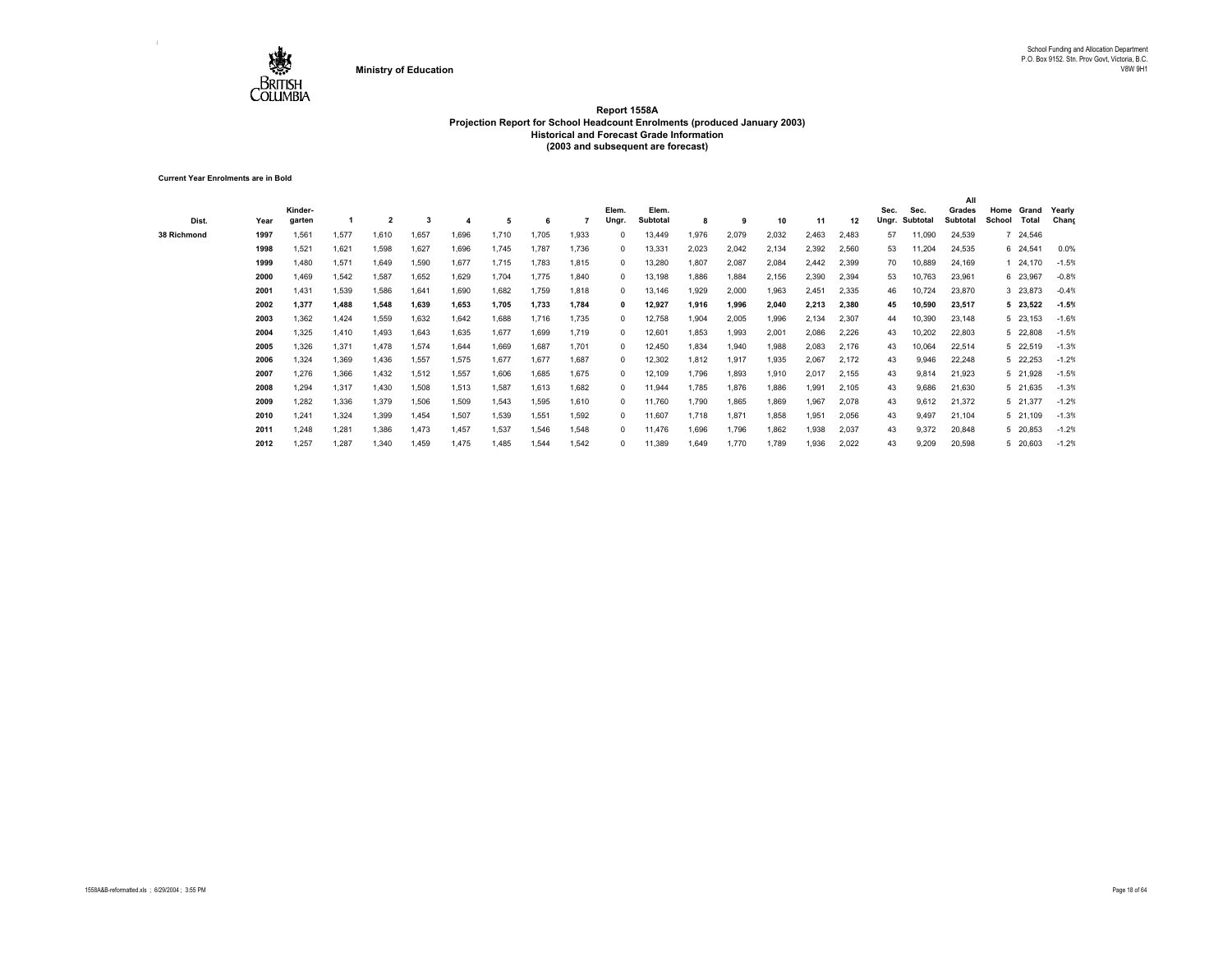

**Current Year Enrolments are in Bold**

| Dist.       | Year | Kinder-<br>aarten |       | $\overline{2}$ | 3     |       | 5     | 6     |       | Elem.<br>Ungr | Elem.<br>Subtotal | 8     | 9     | 10    | 11    | 12    | Sec.<br>Unar. | Sec.<br>Subtotal | All<br>Grades<br><b>Subtotal</b> | Home<br>School | Grand<br>Total | Yearly<br>Chang |
|-------------|------|-------------------|-------|----------------|-------|-------|-------|-------|-------|---------------|-------------------|-------|-------|-------|-------|-------|---------------|------------------|----------------------------------|----------------|----------------|-----------------|
| 38 Richmond | 1997 | 1,561             | 1,577 | 1,610          | 1,657 | 1,696 | 1,710 | 1.705 | 1,933 |               | 13,449            | 1,976 | 2,079 | 2,032 | 2,463 | 2,483 | 57            | 11,090           | 24,539                           |                | 7 24,546       |                 |
|             | 1998 | 1,521             | 1,621 | 1,598          | 1,627 | 1,696 | 1,745 | 1.787 | 1,736 | $\Omega$      | 13,331            | 2,023 | 2,042 | 2,134 | 2,392 | 2,560 | 53            | 11,204           | 24,535                           |                | 6 24,541       | 0.0%            |
|             | 1999 | 1,480             | 1,571 | 1,649          | 1,590 | 1,677 | 1,715 | 1,783 | 1,815 | $\Omega$      | 13,280            | 1,807 | 2,087 | 2,084 | 2,442 | 2,399 | 70            | 10,889           | 24,169                           |                | 24,170         | $-1.5%$         |
|             | 2000 | 1.469             | 1,542 | 1,587          | 1,652 | 1,629 | 1,704 | 1.775 | 1,840 | 0             | 13,198            | 886.  | 1.884 | 2,156 | 2,390 | 2,394 | 53            | 10,763           | 23,961                           |                | 6 23,967       | $-0.8%$         |
|             | 2001 | 1,431             | 1,539 | 1,586          | 1,641 | 1,690 | 1,682 | 1.759 | 1,818 | $\Omega$      | 13,146            | 1,929 | 2,000 | 1,963 | 2,451 | 2,335 | 46            | 10,724           | 23,870                           |                | 3 23,873       | $-0.4%$         |
|             | 2002 | 1.377             | 1,488 | 1,548          | 1.639 | 1.653 | 1.705 | 1.733 | 1,784 |               | 12,927            | 1.916 | 1.996 | 2.040 | 2,213 | 2,380 | 45            | 10,590           | 23,517                           |                | 5 23,522       | $-1.5%$         |
|             | 2003 | 1,362             | 1,424 | 1,559          | 1,632 | 1,642 | 1,688 | 1,716 | 1,735 |               | 12,758            | 1,904 | 2,005 | 1.996 | 2,134 | 2,307 | 44            | 10,390           | 23,148                           |                | 5 23,153       | $-1.6%$         |
|             | 2004 | 1,325             | 1.410 | 1,493          | 1,643 | 1,635 | 1,677 | 1,699 | 1,719 |               | 12,601            | 1,853 | 1,993 | 2,001 | 2,086 | 2,226 | 43            | 10,202           | 22,803                           |                | 5 22,808       | $-1.5%$         |
|             | 2005 | 1,326             | 1,371 | 1,478          | 1,574 | 1,644 | 1,669 | 1,687 | 1,701 | $\Omega$      | 12,450            | 1,834 | 1,940 | 1,988 | 2,083 | 2,176 | 43            | 10,064           | 22,514                           |                | 5 22,519       | $-1.3%$         |
|             | 2006 | 1.324             | 1.369 | 1,436          | 1,557 | 1,575 | 1,677 | 1.677 | 1.687 | $\Omega$      | 12,302            | 1,812 | 1.917 | 1.935 | 2,067 | 2,172 | 43            | 9,946            | 22,248                           |                | 5 22,253       | $-1.2%$         |
|             | 2007 | 1,276             | 1,366 | 1,432          | 1,512 | 1,557 | 1,606 | 1.685 | 1,675 | $\Omega$      | 12,109            | 1,796 | 1,893 | 1,910 | 2,017 | 2,155 | 43            | 9,814            | 21,923                           |                | 5 21,928       | $-1.5%$         |
|             | 2008 | 1.294             | 1,317 | 1.430          | 1,508 | 1,513 | 1,587 | 1.613 | 1,682 |               | 11,944            | 1,785 | 1.876 | 1.886 | 1,991 | 2,105 | 43            | 9,686            | 21,630                           |                | 5 21,635       | $-1.3%$         |
|             | 2009 | 1,282             | 1,336 | 1,379          | 1,506 | 1,509 | 1,543 | 1,595 | 1,610 |               | 11,760            | 1,790 | 1,865 | 1.869 | 1,967 | 2,078 | 43            | 9,612            | 21,372                           |                | 5 21,377       | $-1.2%$         |
|             | 2010 | 1.241             | 1,324 | 1,399          | 1,454 | 1,507 | 1,539 | 1,551 | 1,592 |               | 11,607            | 1,718 | 1,871 | 1.858 | 1,951 | 2,056 | 43            | 9,497            | 21,104                           |                | 5 21,109       | $-1.3%$         |
|             | 2011 | 1,248             | 1,281 | 1,386          | 1,473 | 1,457 | 1,537 | 1,546 | 1,548 |               | 11,476            | 1,696 | 1,796 | 1,862 | 1,938 | 2,037 | 43            | 9,372            | 20,848                           |                | 5 20,853       | $-1.2%$         |
|             | 2012 | 1,257             | 1,287 | 1,340          | 1,459 | 1,475 | 1,485 | 1,544 | 1,542 |               | 11,389            | 1,649 | 1,770 | 1,789 | 1,936 | 2,022 | 43            | 9,209            | 20,598                           |                | 5 20,603       | $-1.2%$         |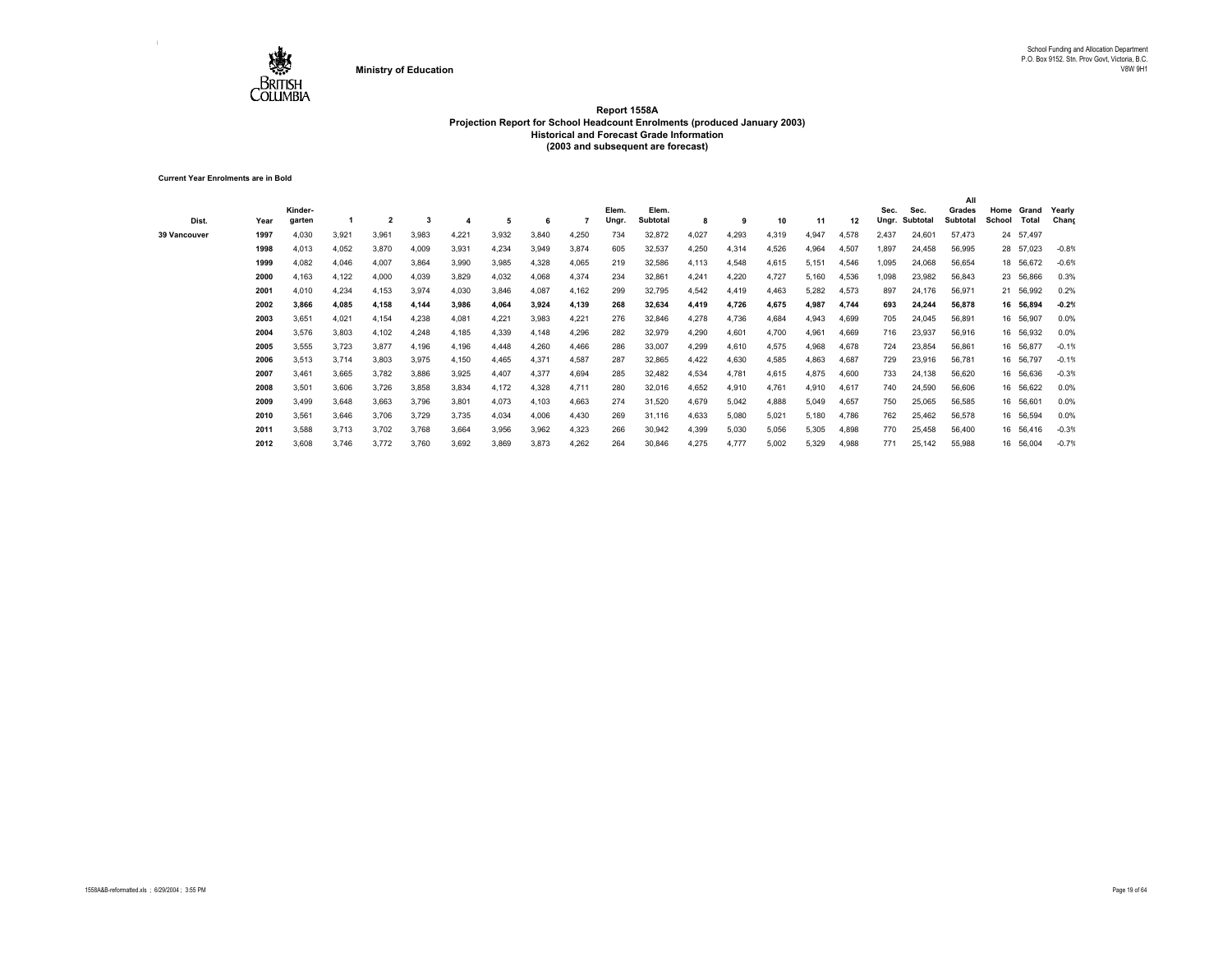

**Current Year Enrolments are in Bold**

| Dist.        | Year | Kinder-<br>garten |       | $\overline{2}$ |       |       | 5     |       |       | Elem.<br>Ungr. | Elem.<br><b>Subtotal</b> | 8     | 9     | 10    | 11    | 12    | Sec.<br>Ungr. | Sec.<br>Subtota | All<br>Grades<br>Subtotal | Home<br>School | Grand<br>Total | Yearly<br>Chang |
|--------------|------|-------------------|-------|----------------|-------|-------|-------|-------|-------|----------------|--------------------------|-------|-------|-------|-------|-------|---------------|-----------------|---------------------------|----------------|----------------|-----------------|
| 39 Vancouver | 1997 | 4,030             | 3,921 | 3,961          | 3,983 | 4,221 | 3,932 | 3,840 | 4,250 | 734            | 32,872                   | 4,027 | 4,293 | 4,319 | 4,947 | 4,578 | 2,437         | 24,601          | 57,473                    |                | 24 57,497      |                 |
|              | 1998 | 4,013             | 4,052 | 3,870          | 4,009 | 3,931 | 4,234 | 3,949 | 3,874 | 605            | 32,537                   | 4,250 | 4,314 | 4,526 | 4,964 | 4,507 | 1,897         | 24,458          | 56,995                    |                | 28 57,023      | $-0.8%$         |
|              | 1999 | 4,082             | 4,046 | 4,007          | 3,864 | 3,990 | 3,985 | 4,328 | 4,065 | 219            | 32,586                   | 4,113 | 4,548 | 4,615 | 5,151 | 4,546 | 1,095         | 24,068          | 56,654                    |                | 18 56,672      | $-0.6%$         |
|              | 2000 | 4,163             | 4,122 | 4,000          | 4,039 | 3,829 | 4,032 | 4,068 | 4,374 | 234            | 32,861                   | 4,241 | 4,220 | 4,727 | 5,160 | 4,536 | 1,098         | 23,982          | 56,843                    |                | 23 56,866      | 0.3%            |
|              | 2001 | 4,010             | 4,234 | 4,153          | 3,974 | 4,030 | 3,846 | 4,087 | 4,162 | 299            | 32,795                   | 4,542 | 4,419 | 4,463 | 5,282 | 4,573 | 897           | 24,176          | 56,971                    |                | 21 56,992      | 0.2%            |
|              | 2002 | 3,866             | 4,085 | 4,158          | 4,144 | 3,986 | 4,064 | 3,924 | 4,139 | 268            | 32,634                   | 4,419 | 4,726 | 4,675 | 4,987 | 4,744 | 693           | 24,244          | 56,878                    |                | 16 56,894      | $-0.2%$         |
|              | 2003 | 3,651             | 4,021 | 4,154          | 4,238 | 4,081 | 4,221 | 3,983 | 4,221 | 276            | 32,846                   | 4,278 | 4,736 | 4,684 | 4,943 | 4,699 | 705           | 24,045          | 56,891                    |                | 16 56,907      | 0.0%            |
|              | 2004 | 3,576             | 3,803 | 4,102          | 4,248 | 4,185 | 4,339 | 4,148 | 4,296 | 282            | 32,979                   | 4,290 | 4,601 | 4,700 | 4,961 | 4,669 | 716           | 23,937          | 56,916                    |                | 16 56,932      | 0.0%            |
|              | 2005 | 3,555             | 3,723 | 3,877          | 4,196 | 4,196 | 4,448 | 4,260 | 4,466 | 286            | 33,007                   | 4,299 | 4,610 | 4,575 | 4,968 | 4,678 | 724           | 23,854          | 56,861                    |                | 16 56,877      | $-0.1%$         |
|              | 2006 | 3,513             | 3,714 | 3,803          | 3,975 | 4,150 | 4,465 | 4,371 | 4,587 | 287            | 32,865                   | 4,422 | 4,630 | 4,585 | 4,863 | 4,687 | 729           | 23,916          | 56,781                    |                | 16 56,797      | $-0.1%$         |
|              | 2007 | 3,461             | 3,665 | 3,782          | 3,886 | 3,925 | 4,407 | 4,377 | 4,694 | 285            | 32,482                   | 4,534 | 4,781 | 4,615 | 4,875 | 4,600 | 733           | 24,138          | 56,620                    |                | 16 56,636      | $-0.3%$         |
|              | 2008 | 3,501             | 3,606 | 3,726          | 3,858 | 3,834 | 4,172 | 4,328 | 4,711 | 280            | 32,016                   | 4,652 | 4,910 | 4,761 | 4,910 | 4,617 | 740           | 24,590          | 56,606                    |                | 16 56,622      | 0.0%            |
|              | 2009 | 3,499             | 3,648 | 3,663          | 3,796 | 3,801 | 4,073 | 4,103 | 4,663 | 274            | 31,520                   | 4,679 | 5,042 | 4,888 | 5,049 | 4,657 | 750           | 25,065          | 56,585                    |                | 16 56,601      | 0.0%            |
|              | 2010 | 3,561             | 3,646 | 3,706          | 3,729 | 3,735 | 4,034 | 4,006 | 4,430 | 269            | 31,116                   | 4,633 | 5.080 | 5,021 | 5,180 | 4,786 | 762           | 25,462          | 56,578                    |                | 16 56,594      | 0.0%            |
|              | 2011 | 3,588             | 3,713 | 3,702          | 3,768 | 3,664 | 3,956 | 3,962 | 4,323 | 266            | 30,942                   | 4,399 | 5.030 | 5,056 | 5,305 | 4,898 | 770           | 25,458          | 56,400                    |                | 16 56,416      | $-0.3%$         |
|              | 2012 | 3,608             | 3,746 | 3,772          | 3,760 | 3,692 | 3,869 | 3,873 | 4,262 | 264            | 30,846                   | 4,275 | 4.777 | 5,002 | 5,329 | 4,988 | 771           | 25,142          | 55,988                    |                | 16 56,004      | $-0.7%$         |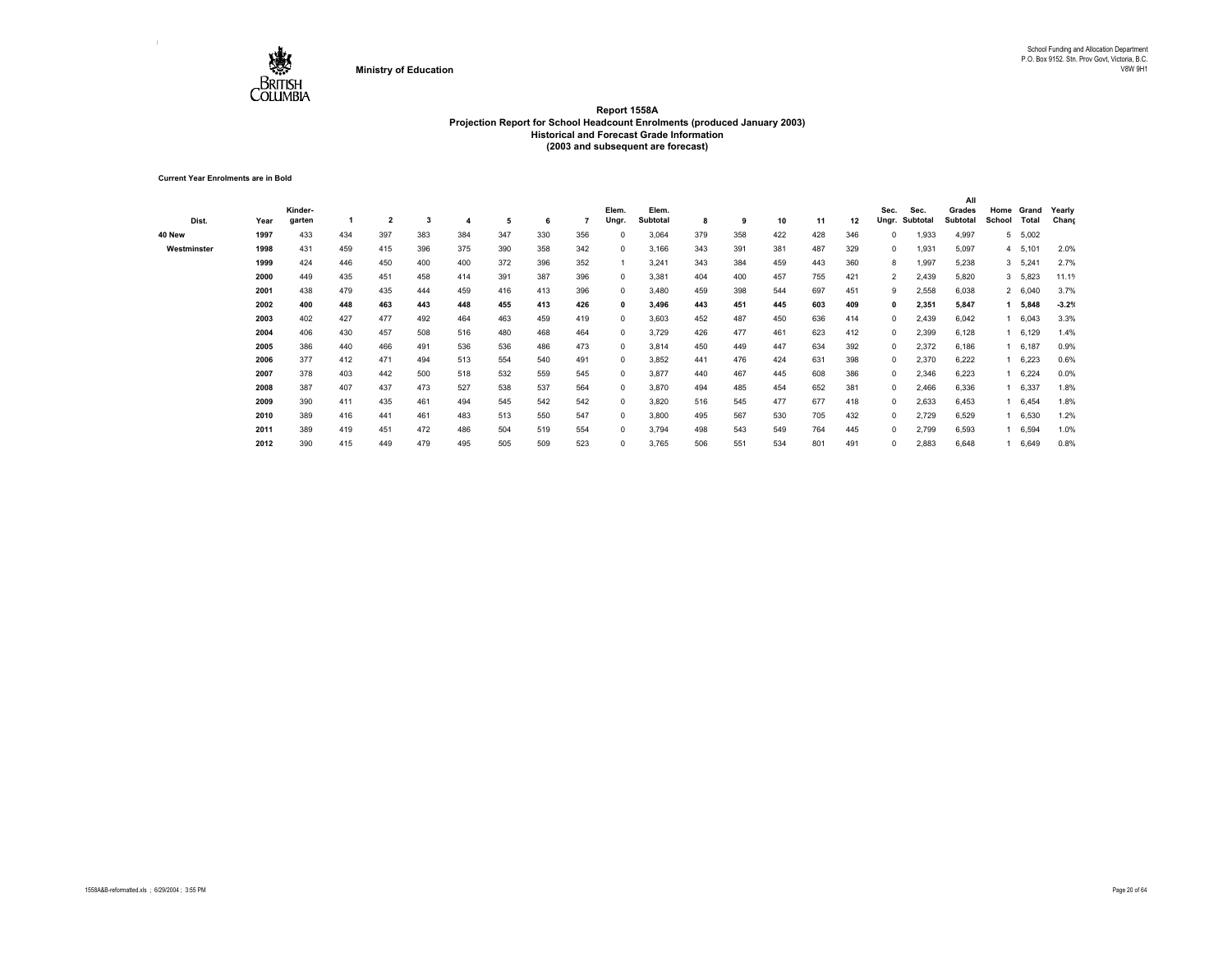

**Current Year Enrolments are in Bold**

|             |      |         |     |                |     |     |     |     |     |            |          |     |     |     |     |     |                |          | All      |        |              |         |
|-------------|------|---------|-----|----------------|-----|-----|-----|-----|-----|------------|----------|-----|-----|-----|-----|-----|----------------|----------|----------|--------|--------------|---------|
|             |      | Kinder- |     |                |     |     |     |     |     | Elem.      | Elem.    |     |     |     |     |     | Sec.           | Sec.     | Grades   | Home   | Grand        | Yearly  |
| Dist.       | Year | garten  |     | $\overline{2}$ | 3   |     | 5   | 6   |     | Ungr       | Subtotal | 8   | 9   | 10  | 11  | 12  | Ungr.          | Subtotal | Subtotal | School | <b>Total</b> | Chang   |
| 40 New      | 1997 | 433     | 434 | 397            | 383 | 384 | 347 | 330 | 356 |            | 3,064    | 379 | 358 | 422 | 428 | 346 | 0              | 1,933    | 4,997    | 5      | 5,002        |         |
| Westminster | 1998 | 431     | 459 | 415            | 396 | 375 | 390 | 358 | 342 | $\Omega$   | 3,166    | 343 | 391 | 381 | 487 | 329 | 0              | 1,931    | 5,097    |        | 4 5,101      | 2.0%    |
|             | 1999 | 424     | 446 | 450            | 400 | 400 | 372 | 396 | 352 |            | 3,241    | 343 | 384 | 459 | 443 | 360 | 8              | 1,997    | 5,238    |        | 3, 5, 241    | 2.7%    |
|             | 2000 | 449     | 435 | 451            | 458 | 414 | 391 | 387 | 396 | 0          | 3,381    | 404 | 400 | 457 | 755 | 421 | $\overline{2}$ | 2,439    | 5,820    |        | 3 5,823      | 11.19   |
|             | 2001 | 438     | 479 | 435            | 444 | 459 | 416 | 413 | 396 | $^{\circ}$ | 3,480    | 459 | 398 | 544 | 697 | 451 | 9              | 2,558    | 6,038    |        | 2 6,040      | 3.7%    |
|             | 2002 | 400     | 448 | 463            | 443 | 448 | 455 | 413 | 426 | 0          | 3,496    | 443 | 451 | 445 | 603 | 409 | 0              | 2,351    | 5,847    |        | 5,848        | $-3.2%$ |
|             | 2003 | 402     | 427 | 477            | 492 | 464 | 463 | 459 | 419 | $^{\circ}$ | 3,603    | 452 | 487 | 450 | 636 | 414 | 0              | 2,439    | 6,042    |        | 6,043        | 3.3%    |
|             | 2004 | 406     | 430 | 457            | 508 | 516 | 480 | 468 | 464 | $\Omega$   | 3,729    | 426 | 477 | 461 | 623 | 412 | $^{\circ}$     | 2,399    | 6,128    |        | 6,129        | 1.4%    |
|             | 2005 | 386     | 440 | 466            | 491 | 536 | 536 | 486 | 473 | $^{\circ}$ | 3,814    | 450 | 449 | 447 | 634 | 392 | $^{\circ}$     | 2,372    | 6,186    |        | 6,187        | 0.9%    |
|             | 2006 | 377     | 412 | 471            | 494 | 513 | 554 | 540 | 491 | $^{\circ}$ | 3,852    | 441 | 476 | 424 | 631 | 398 | $^{\circ}$     | 2,370    | 6,222    |        | 6,223        | 0.6%    |
|             | 2007 | 378     | 403 | 442            | 500 | 518 | 532 | 559 | 545 | $^{\circ}$ | 3,877    | 440 | 467 | 445 | 608 | 386 | 0              | 2,346    | 6,223    |        | 6,224        | 0.0%    |
|             | 2008 | 387     | 407 | 437            | 473 | 527 | 538 | 537 | 564 | $^{\circ}$ | 3,870    | 494 | 485 | 454 | 652 | 381 | 0              | 2,466    | 6,336    |        | 6,337        | 1.8%    |
|             | 2009 | 390     | 411 | 435            | 461 | 494 | 545 | 542 | 542 | $\Omega$   | 3,820    | 516 | 545 | 477 | 677 | 418 | 0              | 2,633    | 6,453    |        | 6,454        | 1.8%    |
|             | 2010 | 389     | 416 | 441            | 461 | 483 | 513 | 550 | 547 | $\Omega$   | 3,800    | 495 | 567 | 530 | 705 | 432 | 0              | 2,729    | 6,529    |        | 6,530        | 1.2%    |
|             | 2011 | 389     | 419 | 451            | 472 | 486 | 504 | 519 | 554 | $\Omega$   | 3,794    | 498 | 543 | 549 | 764 | 445 | 0              | 2,799    | 6,593    |        | 6,594        | 1.0%    |
|             | 2012 | 390     | 415 | 449            | 479 | 495 | 505 | 509 | 523 | $\Omega$   | 3,765    | 506 | 551 | 534 | 801 | 491 | 0              | 2,883    | 6,648    |        | 6,649        | 0.8%    |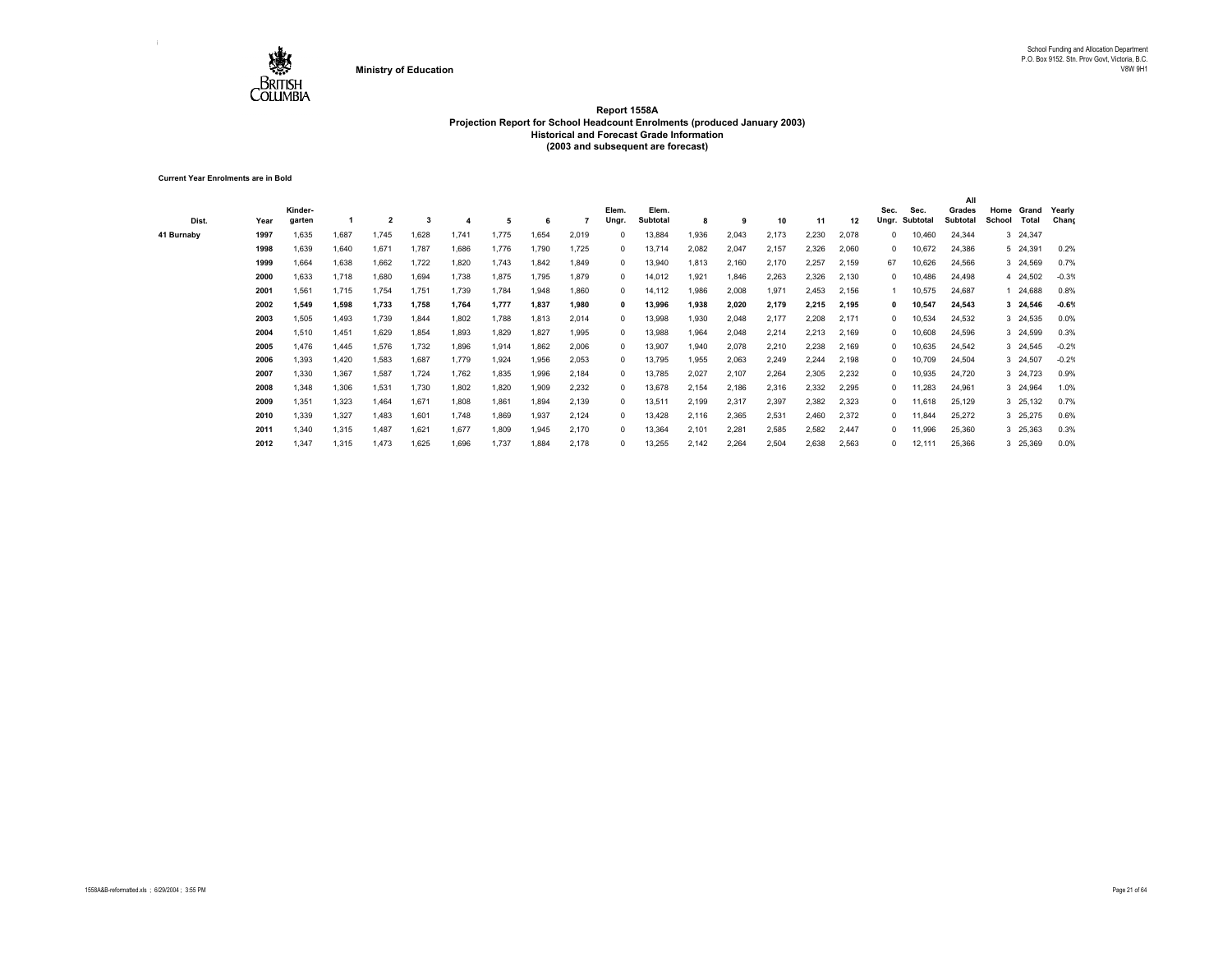

**Current Year Enrolments are in Bold**

| Dist.      | Year | Kinder-<br>aarten |       | $\overline{2}$ | 3     |       | 5     |       |       | Elem.<br>Ungr | Elem.<br>Subtotal | 8     | 9     | 10    | 11    | 12    | Sec.<br>Unar. | Sec.<br>Subtotal | All<br>Grades<br><b>Subtotal</b> | Home<br>School | Grand<br>Total | Yearly<br>Chang |
|------------|------|-------------------|-------|----------------|-------|-------|-------|-------|-------|---------------|-------------------|-------|-------|-------|-------|-------|---------------|------------------|----------------------------------|----------------|----------------|-----------------|
| 41 Burnaby | 1997 | 1,635             | 1.687 | 1,745          | 1,628 | 1.741 | 1.775 | 1.654 | 2,019 |               | 13,884            | 1,936 | 2,043 | 2,173 | 2,230 | 2,078 | 0             | 10,460           | 24,344                           |                | 3 24,347       |                 |
|            | 1998 | 1,639             | 1,640 | 1,671          | 1,787 | 1,686 | 1,776 | 1,790 | 1,725 | 0             | 13,714            | 2,082 | 2,047 | 2,157 | 2,326 | 2,060 | 0             | 10,672           | 24,386                           |                | 5 24,391       | 0.2%            |
|            | 1999 | 1,664             | 1,638 | 1,662          | 1,722 | 1,820 | 1,743 | 1,842 | 1,849 | $\Omega$      | 13,940            | 1,813 | 2,160 | 2,170 | 2,257 | 2,159 | 67            | 10,626           | 24,566                           |                | 3 24,569       | 0.7%            |
|            | 2000 | 1,633             | 1,718 | 1,680          | 1,694 | 1,738 | 1,875 | 1.795 | 1,879 | 0             | 14,012            | 1,921 | 1,846 | 2,263 | 2,326 | 2,130 | 0             | 10,486           | 24,498                           |                | 4 24,502       | $-0.3%$         |
|            | 2001 | 1,561             | 1,715 | 1,754          | 1,751 | 1,739 | 1,784 | 1,948 | 1,860 | $\Omega$      | 14,112            | ,986  | 2,008 | 1,971 | 2,453 | 2,156 |               | 10,575           | 24,687                           |                | 24,688         | 0.8%            |
|            | 2002 | 1.549             | 1,598 | 1,733          | 1,758 | 1,764 | 1,777 | 1.837 | 1,980 | 0             | 13,996            | 1,938 | 2.020 | 2.179 | 2,215 | 2,195 |               | 10,547           | 24,543                           |                | 3 24,546       | $-0.6%$         |
|            | 2003 | 1,505             | 1,493 | 1,739          | 1,844 | 1,802 | 1,788 | 1,813 | 2,014 |               | 13,998            | 1,930 | 2,048 | 2,177 | 2,208 | 2,171 | 0             | 10,534           | 24,532                           |                | 3 24,535       | 0.0%            |
|            | 2004 | 1,510             | 1,451 | 1,629          | 1,854 | 1,893 | 1,829 | 1.827 | 1,995 |               | 13,988            | 1,964 | 2,048 | 2,214 | 2,213 | 2,169 | $\Omega$      | 10,608           | 24,596                           |                | 3 24,599       | 0.3%            |
|            | 2005 | 1,476             | 1,445 | 1,576          | 1,732 | 1,896 | 1,914 | 1,862 | 2,006 | $\Omega$      | 13,907            | 1,940 | 2,078 | 2,210 | 2,238 | 2,169 | $\Omega$      | 10,635           | 24,542                           |                | 3 24,545       | $-0.2%$         |
|            | 2006 | 1.393             | 1.420 | 1,583          | 1,687 | 1.779 | 1,924 | 1.956 | 2,053 | $\Omega$      | 13,795            | 1,955 | 2,063 | 2,249 | 2,244 | 2,198 | $\Omega$      | 10,709           | 24,504                           |                | 3 24,507       | $-0.2%$         |
|            | 2007 | 1,330             | 1,367 | 1,587          | 1,724 | 1,762 | 1,835 | 1.996 | 2,184 | $\Omega$      | 13,785            | 2,027 | 2,107 | 2,264 | 2,305 | 2,232 | 0             | 10,935           | 24,720                           |                | 3 24,723       | 0.9%            |
|            | 2008 | 1.348             | 1,306 | 1,531          | 1,730 | 1,802 | 1,820 | 1.909 | 2,232 | $\Omega$      | 13,678            | 2,154 | 2,186 | 2,316 | 2,332 | 2,295 | $\Omega$      | 11,283           | 24,961                           |                | 3 24,964       | 1.0%            |
|            | 2009 | 1,351             | 1,323 | 1,464          | 1,671 | 1,808 | 1,861 | 1,894 | 2,139 |               | 13,511            | 2,199 | 2,317 | 2,397 | 2,382 | 2,323 | 0             | 11,618           | 25,129                           |                | 3 25,132       | 0.7%            |
|            | 2010 | 1,339             | 1,327 | 1,483          | 1,601 | 1,748 | 1,869 | 1,937 | 2,124 |               | 13,428            | 2,116 | 2,365 | 2,531 | 2,460 | 2,372 | $\Omega$      | 11,844           | 25,272                           |                | 3 25,275       | 0.6%            |
|            | 2011 | 1,340             | 1,315 | 1,487          | 1,621 | 1,677 | 1,809 | 1,945 | 2,170 |               | 13,364            | 2,101 | 2,281 | 2,585 | 2,582 | 2,447 | $\Omega$      | 11,996           | 25,360                           |                | 3 25,363       | 0.3%            |
|            | 2012 | 1,347             | 1,315 | 1,473          | 1,625 | 1,696 | 1,737 | 1,884 | 2,178 |               | 13,255            | 2,142 | 2,264 | 2,504 | 2,638 | 2,563 | $\Omega$      | 12,111           | 25,366                           |                | 3 25,369       | 0.0%            |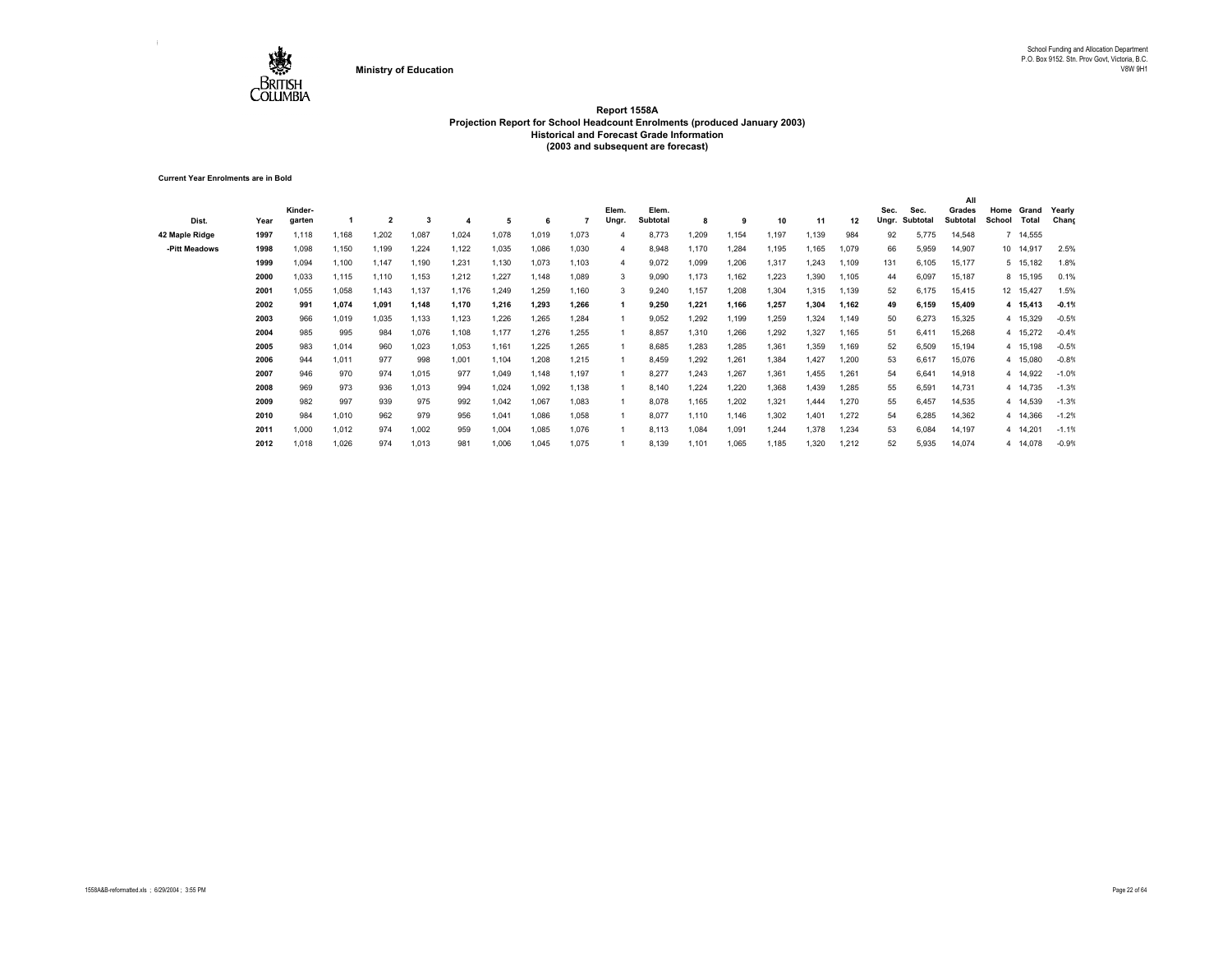

**Current Year Enrolments are in Bold**

| Dist.          | Year | Kinder-<br>garten |       | $\overline{2}$ | 3     |       | 5     | -6    |       | Elem.<br>Ungr. | Elem.<br><b>Subtotal</b> | 8     | -9    | 10    | 11    | 12    | Sec.<br>Unar. | Sec.<br>Subtotal | All<br>Grades<br>Subtotal | Home<br>School | Grand<br>Total | Yearly<br>Chang |
|----------------|------|-------------------|-------|----------------|-------|-------|-------|-------|-------|----------------|--------------------------|-------|-------|-------|-------|-------|---------------|------------------|---------------------------|----------------|----------------|-----------------|
| 42 Maple Ridge | 1997 | 1,118             | 1.168 | 1,202          | 1,087 | 1,024 | 1,078 | 1.019 | 1,073 |                | 8,773                    | 1,209 | 1.154 | 1,197 | 1.139 | 984   | 92            | 5,775            | 14,548                    |                | 7 14,555       |                 |
| -Pitt Meadows  | 1998 | 1,098             | 1,150 | 1,199          | 1,224 | 1,122 | 1,035 | 1,086 | 1,030 | 4              | 8,948                    | 1.170 | 1,284 | 1,195 | 1,165 | 1,079 | 66            | 5,959            | 14,907                    |                | 10 14,917      | 2.5%            |
|                | 1999 | 1,094             | 1,100 | 1,147          | 1,190 | 1,231 | 1,130 | 1,073 | 1,103 | 4              | 9,072                    | 1,099 | 1,206 | 1,317 | 1,243 | 1,109 | 131           | 6,105            | 15,177                    |                | 5 15,182       | 1.8%            |
|                | 2000 | 1.033             | 1,115 | 1,110          | 1,153 | 1,212 | 1,227 | 1.148 | 1,089 | 3              | 9,090                    | 1.173 | 1,162 | 1,223 | 1,390 | 1,105 | 44            | 6,097            | 15,187                    |                | 8 15,195       | 0.1%            |
|                | 2001 | .055              | 1,058 | 1,143          | 1,137 | 1,176 | 1,249 | 1.259 | 1,160 | 3              | 9,240                    | 1,157 | 1,208 | 1,304 | 1,315 | 1,139 | 52            | 6,175            | 15,415                    |                | 12 15,427      | 1.5%            |
|                | 2002 | 991               | 1.074 | 1.091          | 1,148 | 1,170 | 1,216 | 1.293 | 1,266 |                | 9,250                    | 1.221 | 1.166 | 1.257 | 1,304 | 1,162 | 49            | 6.159            | 15,409                    |                | 4 15,413       | $-0.1%$         |
|                | 2003 | 966               | 1,019 | 1,035          | 1,133 | 1,123 | 1,226 | 1,265 | 1,284 |                | 9,052                    | 1,292 | 1,199 | 1,259 | 1,324 | 1,149 | 50            | 6,273            | 15,325                    |                | 4 15,329       | $-0.5%$         |
|                | 2004 | 985               | 995   | 984            | 1,076 | 1,108 | 1,177 | 1.276 | 1.255 |                | 8,857                    | 1,310 | 1,266 | 1,292 | 1,327 | 1.165 | 51            | 6.411            | 15,268                    |                | 4 15,272       | $-0.4%$         |
|                | 2005 | 983               | 1,014 | 960            | 1,023 | 1,053 | 1,161 | 1,225 | 1,265 |                | 8,685                    | 1,283 | 1,285 | 1,361 | 1,359 | 1,169 | 52            | 6,509            | 15,194                    |                | 4 15,198       | $-0.5%$         |
|                | 2006 | 944               | 1.011 | 977            | 998   | 1,001 | 1.104 | 1.208 | 1,215 |                | 8,459                    | 1.292 | 1,261 | 1,384 | 1.427 | 1.200 | 53            | 6.617            | 15,076                    |                | 4 15,080       | $-0.8%$         |
|                | 2007 | 946               | 970   | 974            | 1,015 | 977   | 1,049 | 1.148 | 1,197 |                | 8,277                    | 1.243 | 1,267 | 1,361 | 1.455 | 1.261 | 54            | 6.641            | 14,918                    |                | 4 14,922       | $-1.0%$         |
|                | 2008 | 969               | 973   | 936            | 1,013 | 994   | 1,024 | 1.092 | 1.138 |                | 8,140                    | 1.224 | 1.220 | 1,368 | 1.439 | 1.285 | 55            | 6.591            | 14,731                    |                | 4 14,735       | $-1.3%$         |
|                | 2009 | 982               | 997   | 939            | 975   | 992   | 1,042 | 1,067 | 1,083 |                | 8,078                    | 1,165 | 1,202 | 1,321 | 1.444 | 1,270 | 55            | 6,457            | 14,535                    |                | 4 14,539       | $-1.3%$         |
|                | 2010 | 984               | 1,010 | 962            | 979   | 956   | 1,041 | 1.086 | 1,058 |                | 8,077                    | 1.110 | 1,146 | 1,302 | 1.401 | 1,272 | 54            | 6,285            | 14,362                    |                | 4 14,366       | $-1.2%$         |
|                | 2011 | 1,000             | 1,012 | 974            | 1,002 | 959   | 1,004 | 1,085 | 1,076 |                | 8,113                    | 1,084 | 1,091 | 1,244 | 1,378 | 1,234 | 53            | 6,084            | 14,197                    |                | 4 14,201       | $-1.1%$         |
|                | 2012 | 1,018             | 1,026 | 974            | 1,013 | 981   | 1,006 | 1,045 | 1,075 |                | 8,139                    | 1,101 | 1,065 | 1,185 | 1,320 | 1,212 | 52            | 5,935            | 14,074                    |                | 4 14,078       | $-0.9%$         |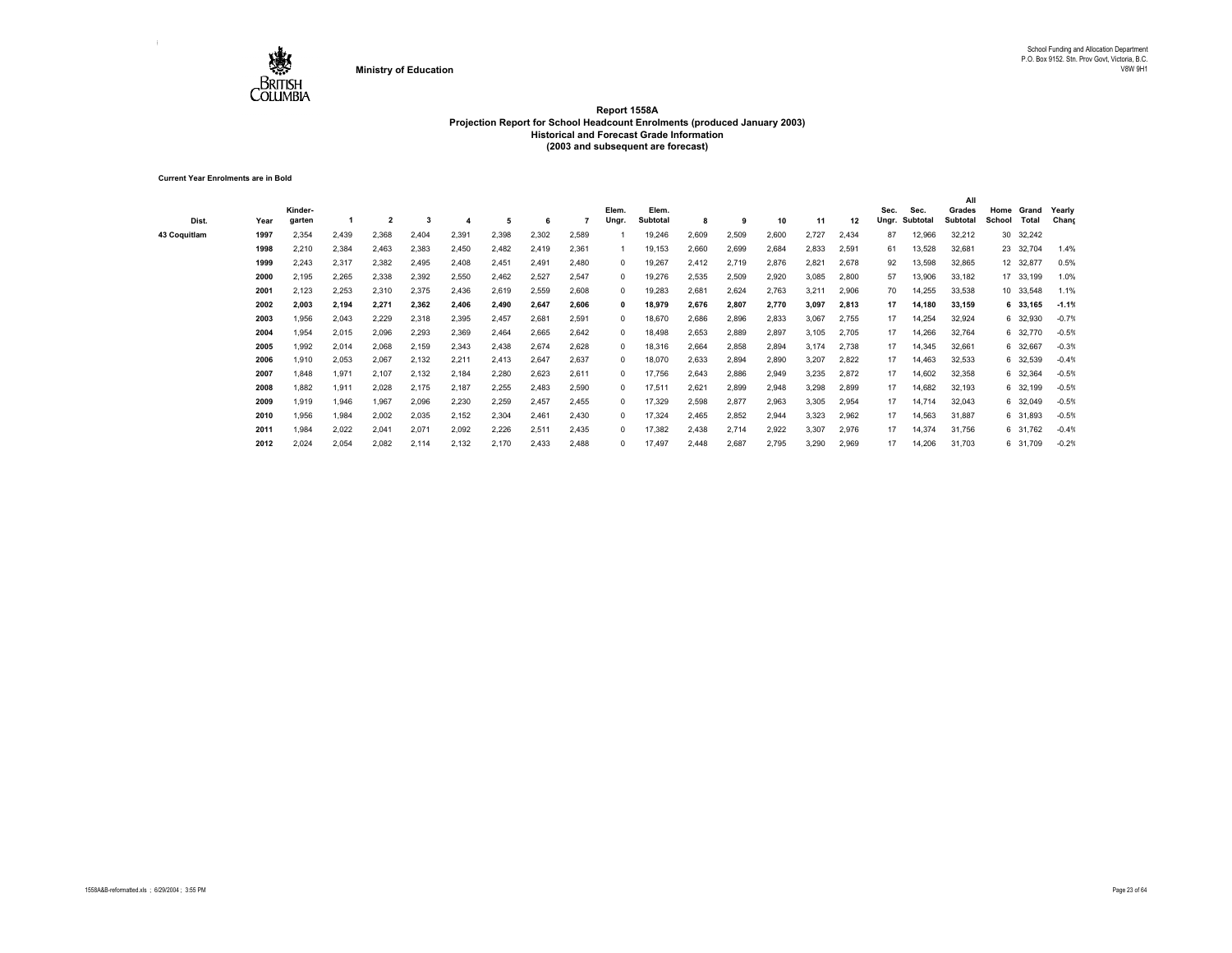

**Current Year Enrolments are in Bold**

| Dist.        | Year | Kinder-<br>garten |       | 2     |       |       | 5     | 6     |       | Elem.<br>Ungr. | Elem.<br>Subtotal | 8     | 9     | 10    | 11    | 12    | Sec.<br>Ungr. | Sec.<br>Subtotal | All<br>Grades<br>Subtotal | Home<br>School | Grand<br>Total | Yearly<br>Chang |
|--------------|------|-------------------|-------|-------|-------|-------|-------|-------|-------|----------------|-------------------|-------|-------|-------|-------|-------|---------------|------------------|---------------------------|----------------|----------------|-----------------|
| 43 Coquitlam | 1997 | 2,354             | 2,439 | 2,368 | 2,404 | 2,391 | 2,398 | 2,302 | 2,589 |                | 19,246            | 2,609 | 2,509 | 2,600 | 2,727 | 2,434 | 87            | 12,966           | 32,212                    |                | 30 32,242      |                 |
|              | 1998 | 2,210             | 2,384 | 2,463 | 2,383 | 2,450 | 2,482 | 2,419 | 2,361 |                | 19,153            | 2,660 | 2,699 | 2,684 | 2,833 | 2,591 | 61            | 13,528           | 32,681                    |                | 23 32,704      | 1.4%            |
|              | 1999 | 2,243             | 2,317 | 2,382 | 2,495 | 2,408 | 2,451 | 2.491 | 2.480 | $^{\circ}$     | 19,267            | 2,412 | 2,719 | 2,876 | 2,821 | 2,678 | 92            | 13,598           | 32,865                    |                | 12 32,877      | 0.5%            |
|              | 2000 | 2,195             | 2,265 | 2,338 | 2,392 | 2,550 | 2,462 | 2,527 | 2,547 | $^{\circ}$     | 19,276            | 2,535 | 2,509 | 2,920 | 3,085 | 2,800 | 57            | 13,906           | 33,182                    |                | 17 33,199      | 1.0%            |
|              | 2001 | 2,123             | 2,253 | 2,310 | 2,375 | 2,436 | 2,619 | 2,559 | 2,608 | $\Omega$       | 19,283            | 2,681 | 2,624 | 2,763 | 3,211 | 2,906 | 70            | 14,255           | 33,538                    |                | 10 33,548      | 1.1%            |
|              | 2002 | 2,003             | 2,194 | 2,271 | 2,362 | 2,406 | 2,490 | 2,647 | 2,606 | $\mathbf{0}$   | 18,979            | 2,676 | 2.807 | 2,770 | 3.097 | 2,813 | 17            | 14.180           | 33.159                    |                | 6 33.165       | $-1.1%$         |
|              | 2003 | 1,956             | 2,043 | 2,229 | 2,318 | 2,395 | 2,457 | 2,681 | 2,591 | $^{\circ}$     | 18,670            | 2,686 | 2,896 | 2,833 | 3,067 | 2,755 | 17            | 14,254           | 32,924                    |                | 6 32,930       | $-0.79$         |
|              | 2004 | .954              | 2,015 | 2,096 | 2,293 | 2,369 | 2,464 | 2,665 | 2,642 | $^{\circ}$     | 18,498            | 2,653 | 2,889 | 2,897 | 3,105 | 2,705 | 17            | 14,266           | 32,764                    |                | 6 32,770       | $-0.5%$         |
|              | 2005 | .992              | 2,014 | 2,068 | 2,159 | 2,343 | 2,438 | 2,674 | 2.628 | $\Omega$       | 18,316            | 2,664 | 2.858 | 2,894 | 3,174 | 2,738 | 17            | 14,345           | 32,661                    |                | 6 32,667       | $-0.3%$         |
|              | 2006 | .910              | 2,053 | 2,067 | 2,132 | 2,211 | 2,413 | 2,647 | 2,637 | $\Omega$       | 18,070            | 2,633 | 2.894 | 2,890 | 3,207 | 2,822 | 17            | 14.463           | 32,533                    |                | 6 32,539       | $-0.49$         |
|              | 2007 | .848              | 1,971 | 2,107 | 2,132 | 2,184 | 2,280 | 2,623 | 2,611 | $\Omega$       | 17,756            | 2,643 | 2,886 | 2,949 | 3,235 | 2,872 | 17            | 14,602           | 32,358                    |                | 6 32,364       | $-0.5%$         |
|              | 2008 | .882              | 1,911 | 2,028 | 2,175 | 2,187 | 2,255 | 2,483 | 2,590 | $\Omega$       | 17,511            | 2,621 | 2,899 | 2,948 | 3,298 | 2,899 | 17            | 14,682           | 32,193                    |                | 6 32,199       | $-0.5%$         |
|              | 2009 | 919.              | 1,946 | 1,967 | 2,096 | 2,230 | 2,259 | 2,457 | 2,455 | $^{\circ}$     | 17,329            | 2,598 | 2,877 | 2,963 | 3,305 | 2,954 | 17            | 14,714           | 32,043                    |                | 6 32,049       | $-0.5%$         |
|              | 2010 | .956              | 1,984 | 2,002 | 2,035 | 2,152 | 2,304 | 2,461 | 2.430 | $^{\circ}$     | 17,324            | 2,465 | 2,852 | 2,944 | 3,323 | 2,962 | 17            | 14,563           | 31,887                    |                | 6 31,893       | $-0.5%$         |
|              | 2011 | .984              | 2,022 | 2,041 | 2,071 | 2,092 | 2,226 | 2,511 | 2,435 | $\Omega$       | 17,382            | 2,438 | 2,714 | 2,922 | 3,307 | 2,976 | 17            | 14,374           | 31,756                    |                | 6 31,762       | $-0.4%$         |
|              | 2012 | 2,024             | 2,054 | 2,082 | 2,114 | 2,132 | 2,170 | 2,433 | 2.488 | $\Omega$       | 17,497            | 2,448 | 2.687 | 2,795 | 3,290 | 2,969 | 17            | 14,206           | 31,703                    |                | 6 31,709       | $-0.2%$         |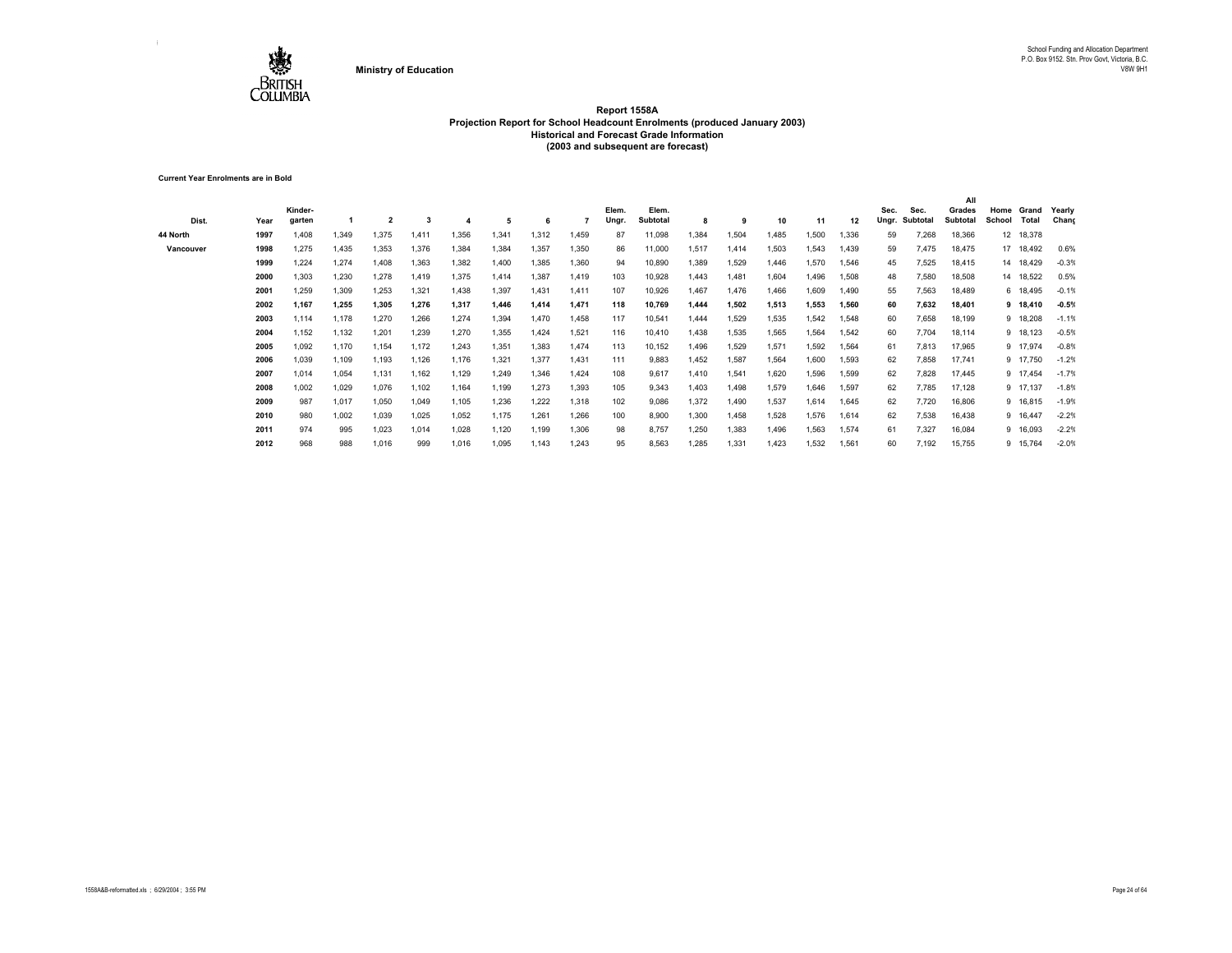

**Current Year Enrolments are in Bold**

| Dist.     | Year | Kinder-<br>garten |       | 2     |       |       | 5     |       |       | Elem.<br>Ungr. | Elem.<br>Subtotal | 8     | 9     | 10    | 11    | 12    | Sec.<br>Ungr. | Sec.<br>Subtotal | All<br>Grades<br>Subtotal | Home<br>School | Grand<br>Total | Yearly<br>Chang |
|-----------|------|-------------------|-------|-------|-------|-------|-------|-------|-------|----------------|-------------------|-------|-------|-------|-------|-------|---------------|------------------|---------------------------|----------------|----------------|-----------------|
| 44 North  | 1997 | 1,408             | 1,349 | 1,375 | 1,411 | 1,356 | 1,341 | 1,312 | 1,459 | 87             | 11,098            | 1,384 | 1,504 | 1,485 | 1,500 | 1,336 | 59            | 7,268            | 18,366                    |                | 12 18,378      |                 |
| Vancouver | 1998 | 1,275             | 1,435 | 1,353 | 1,376 | 1,384 | 1,384 | 1,357 | 1,350 | 86             | 11,000            | 1,517 | 1,414 | 1,503 | 1,543 | 1,439 | 59            | 7,475            | 18,475                    |                | 17 18,492      | 0.6%            |
|           | 1999 | 1,224             | 1,274 | 1,408 | 1,363 | 1,382 | 1,400 | 1,385 | 1,360 | 94             | 10,890            | 1,389 | 1,529 | 1,446 | 1,570 | 1,546 | 45            | 7,525            | 18,415                    |                | 14 18,429      | $-0.3%$         |
|           | 2000 | 1,303             | 1,230 | 1,278 | 1,419 | 1,375 | 1,414 | 1,387 | 1,419 | 103            | 10,928            | 1,443 | 1,481 | 1,604 | 1,496 | 1,508 | 48            | 7,580            | 18,508                    |                | 14 18,522      | 0.5%            |
|           | 2001 | 1,259             | 1,309 | 1,253 | 1,321 | 1,438 | 1,397 | 1.431 | 1,411 | 107            | 10,926            | 1,467 | 1.476 | 1,466 | 1,609 | 1,490 | 55            | 7,563            | 18,489                    |                | 6 18,495       | $-0.1%$         |
|           | 2002 | 1,167             | 1,255 | 1,305 | 1,276 | 1,317 | 1,446 | 1,414 | 1,471 | 118            | 10,769            | 1,444 | 1,502 | 1,513 | 1,553 | 1,560 | 60            | 7,632            | 18,401                    |                | 9 18,410       | $-0.5%$         |
|           | 2003 | 1,114             | 1,178 | 1,270 | 1,266 | 1,274 | 1,394 | 1,470 | 1,458 | 117            | 10,541            | 1,444 | 1,529 | 1,535 | 1,542 | 1,548 | 60            | 7,658            | 18,199                    |                | 9 18,208       | $-1.1%$         |
|           | 2004 | 1,152             | 1,132 | 1,201 | 1,239 | 1,270 | 1,355 | 1,424 | 1,521 | 116            | 10,410            | 1,438 | 1,535 | 1,565 | 1,564 | 1,542 | 60            | 7,704            | 18,114                    |                | 9 18,123       | $-0.5%$         |
|           | 2005 | 1,092             | 1,170 | 1,154 | 1,172 | 1,243 | 1,351 | 1,383 | 1,474 | 113            | 10,152            | 1,496 | 1,529 | 1,571 | 1,592 | 1,564 | 61            | 7,813            | 17,965                    |                | 9 17,974       | $-0.8%$         |
|           | 2006 | 1,039             | 1,109 | 1,193 | 1,126 | 1,176 | 1,321 | 1,377 | 1.431 | 111            | 9,883             | 1,452 | 1,587 | 1,564 | 1,600 | 1,593 | 62            | 7,858            | 17,741                    |                | 9 17,750       | $-1.2%$         |
|           | 2007 | 1,014             | 1,054 | 1,131 | 1,162 | 1,129 | 1,249 | 1,346 | 1,424 | 108            | 9,617             | 1,410 | 1,541 | 1,620 | 1,596 | 1,599 | 62            | 7,828            | 17,445                    |                | 9 17,454       | $-1.7%$         |
|           | 2008 | 1,002             | 1,029 | 1,076 | 1,102 | 1,164 | 1,199 | 1,273 | 1,393 | 105            | 9,343             | 1,403 | 1,498 | 1,579 | 1,646 | 1,597 | 62            | 7,785            | 17,128                    |                | 9 17,137       | $-1.8%$         |
|           | 2009 | 987               | 1,017 | 1,050 | 1,049 | 1,105 | 1,236 | 1,222 | 1,318 | 102            | 9,086             | 1,372 | 1,490 | 1,537 | 1,614 | 1,645 | 62            | 7,720            | 16,806                    |                | 9 16,815       | $-1.9%$         |
|           | 2010 | 980               | 1,002 | 1,039 | 1,025 | 1,052 | 1,175 | 1,261 | 1,266 | 100            | 8,900             | 1,300 | 1,458 | 1,528 | 1,576 | 1,614 | 62            | 7,538            | 16,438                    |                | 9 16,447       | $-2.2%$         |
|           | 2011 | 974               | 995   | 1,023 | 1,014 | 1,028 | 1,120 | 1,199 | 1,306 | 98             | 8,757             | 1,250 | 1,383 | 1,496 | 1,563 | 1,574 | 61            | 7,327            | 16,084                    |                | 9 16,093       | $-2.2%$         |
|           | 2012 | 968               | 988   | 1,016 | 999   | 1,016 | 1,095 | 1,143 | 1,243 | 95             | 8,563             | 1,285 | 1,331 | 1,423 | 1,532 | 1,561 | 60            | 7,192            | 15,755                    |                | 9 15,764       | $-2.0%$         |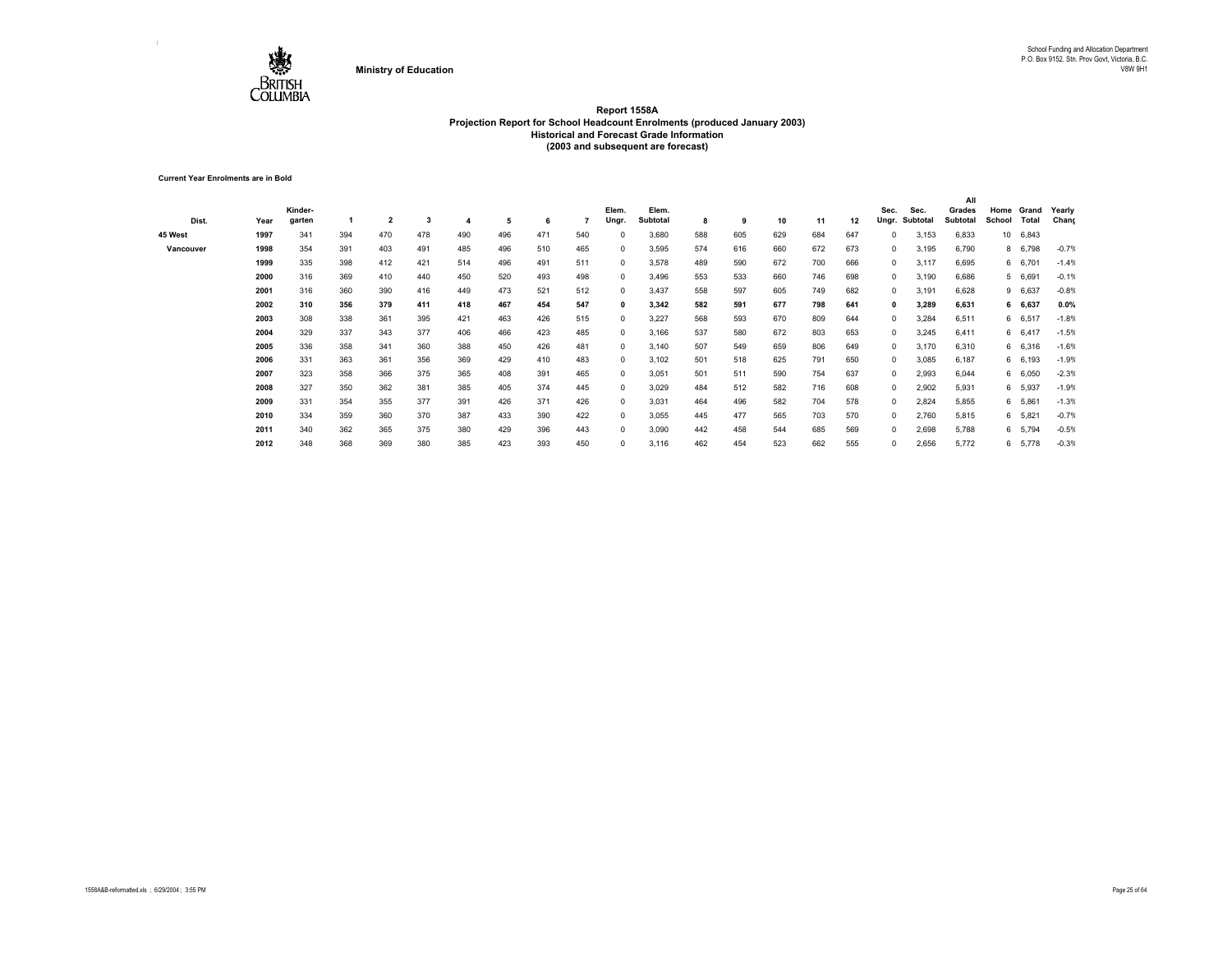

**Current Year Enrolments are in Bold**

|           |      |         |     |                         |     |     |     |     |     |              |          |     |     |     |     |     |             |          | All      |        |         |         |
|-----------|------|---------|-----|-------------------------|-----|-----|-----|-----|-----|--------------|----------|-----|-----|-----|-----|-----|-------------|----------|----------|--------|---------|---------|
|           |      | Kinder- |     |                         |     |     |     |     |     | Elem.        | Elem.    |     |     |     |     |     | Sec.        | Sec.     | Grades   | Home   | Grand   | Yearly  |
| Dist.     | Year | garten  |     | $\overline{\mathbf{2}}$ | 3   |     | 5   | 6   |     | Ungr.        | Subtotal | 8   | 9   | 10  | 11  | 12  | Ungr.       | Subtotal | Subtotal | School | Total   | Chang   |
| 45 West   | 1997 | 341     | 394 | 470                     | 478 | 490 | 496 | 471 | 540 | $\Omega$     | 3,680    | 588 | 605 | 629 | 684 | 647 | 0           | 3,153    | 6,833    | 10     | 6,843   |         |
| Vancouver | 1998 | 354     | 391 | 403                     | 491 | 485 | 496 | 510 | 465 | $^{\circ}$   | 3,595    | 574 | 616 | 660 | 672 | 673 | $\mathbf 0$ | 3,195    | 6,790    |        | 8 6,798 | $-0.7%$ |
|           | 1999 | 335     | 398 | 412                     | 421 | 514 | 496 | 491 | 511 | $^{\circ}$   | 3,578    | 489 | 590 | 672 | 700 | 666 | $^{\circ}$  | 3,117    | 6,695    |        | 6 6,701 | $-1.4%$ |
|           | 2000 | 316     | 369 | 410                     | 440 | 450 | 520 | 493 | 498 | $^{\circ}$   | 3,496    | 553 | 533 | 660 | 746 | 698 | 0           | 3,190    | 6,686    |        | 5 6,691 | $-0.1%$ |
|           | 2001 | 316     | 360 | 390                     | 416 | 449 | 473 | 521 | 512 | $^{\circ}$   | 3,437    | 558 | 597 | 605 | 749 | 682 | $\mathbf 0$ | 3,191    | 6,628    |        | 9 6,637 | $-0.8%$ |
|           | 2002 | 310     | 356 | 379                     | 411 | 418 | 467 | 454 | 547 | $\mathbf{0}$ | 3,342    | 582 | 591 | 677 | 798 | 641 | 0           | 3,289    | 6,631    |        | 6 6,637 | 0.0%    |
|           | 2003 | 308     | 338 | 361                     | 395 | 421 | 463 | 426 | 515 | $^{\circ}$   | 3,227    | 568 | 593 | 670 | 809 | 644 | $\mathbf 0$ | 3,284    | 6,511    |        | 6 6,517 | $-1.8%$ |
|           | 2004 | 329     | 337 | 343                     | 377 | 406 | 466 | 423 | 485 | $^{\circ}$   | 3,166    | 537 | 580 | 672 | 803 | 653 | $\mathbf 0$ | 3,245    | 6,411    |        | 6 6,417 | $-1.5%$ |
|           | 2005 | 336     | 358 | 341                     | 360 | 388 | 450 | 426 | 481 | $^{\circ}$   | 3,140    | 507 | 549 | 659 | 806 | 649 | $\mathbf 0$ | 3,170    | 6,310    |        | 6 6,316 | $-1.6%$ |
|           | 2006 | 331     | 363 | 361                     | 356 | 369 | 429 | 410 | 483 | $^{\circ}$   | 3,102    | 501 | 518 | 625 | 791 | 650 | $^{\circ}$  | 3,085    | 6,187    |        | 6 6,193 | $-1.9%$ |
|           | 2007 | 323     | 358 | 366                     | 375 | 365 | 408 | 391 | 465 | $^{\circ}$   | 3,051    | 501 | 511 | 590 | 754 | 637 | $\mathbf 0$ | 2,993    | 6,044    |        | 6 6,050 | $-2.3%$ |
|           | 2008 | 327     | 350 | 362                     | 381 | 385 | 405 | 374 | 445 | $^{\circ}$   | 3,029    | 484 | 512 | 582 | 716 | 608 | 0           | 2,902    | 5,931    |        | 6 5,937 | $-1.9%$ |
|           | 2009 | 331     | 354 | 355                     | 377 | 391 | 426 | 371 | 426 | $^{\circ}$   | 3,031    | 464 | 496 | 582 | 704 | 578 | 0           | 2,824    | 5,855    |        | 6 5,861 | $-1.3%$ |
|           | 2010 | 334     | 359 | 360                     | 370 | 387 | 433 | 390 | 422 | $^{\circ}$   | 3,055    | 445 | 477 | 565 | 703 | 570 | $\mathbf 0$ | 2,760    | 5,815    |        | 6 5,821 | $-0.7%$ |
|           | 2011 | 340     | 362 | 365                     | 375 | 380 | 429 | 396 | 443 | $^{\circ}$   | 3,090    | 442 | 458 | 544 | 685 | 569 | $^{\circ}$  | 2,698    | 5,788    |        | 6 5,794 | $-0.5%$ |
|           | 2012 | 348     | 368 | 369                     | 380 | 385 | 423 | 393 | 450 | $^{\circ}$   | 3,116    | 462 | 454 | 523 | 662 | 555 | 0           | 2,656    | 5,772    |        | 6 5,778 | $-0.3%$ |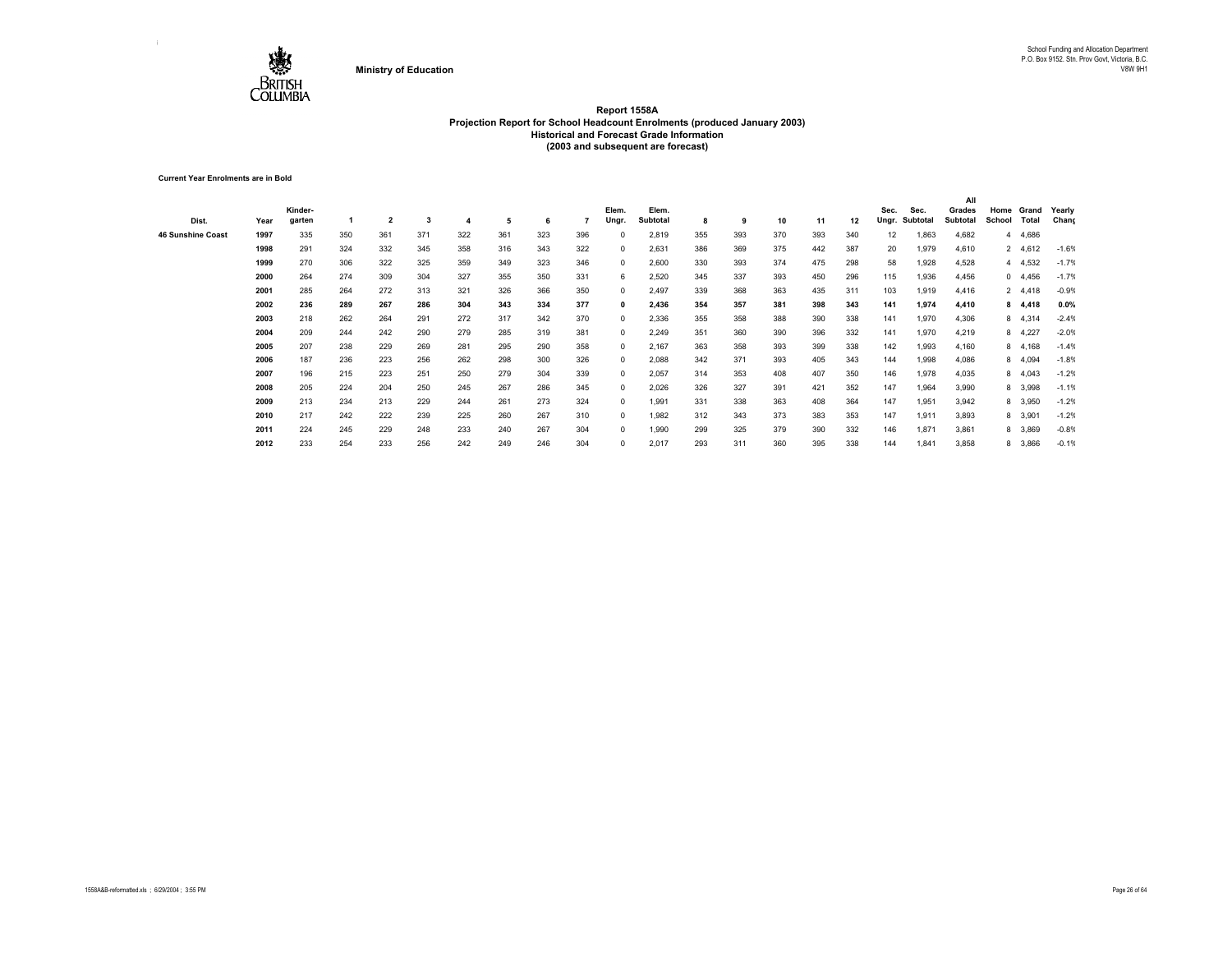

**Current Year Enrolments are in Bold**

|                          |      |         |     |                |     |     |     |     |     |            |          |     |     |     |     |     |       |          | All      |        |          |         |
|--------------------------|------|---------|-----|----------------|-----|-----|-----|-----|-----|------------|----------|-----|-----|-----|-----|-----|-------|----------|----------|--------|----------|---------|
|                          |      | Kinder- |     |                |     |     |     |     |     | Elem.      | Elem.    |     |     |     |     |     | Sec.  | Sec.     | Grades   | Home   | Grand    | Yearly  |
| Dist.                    | Year | garten  |     | $\overline{2}$ | 3   | 4   | 5   | 6   |     | Ungr.      | Subtotal | 8   | 9   | 10  | 11  | 12  | Ungr. | Subtotal | Subtotal | School | Total    | Chang   |
| <b>46 Sunshine Coast</b> | 1997 | 335     | 350 | 361            | 371 | 322 | 361 | 323 | 396 |            | 2,819    | 355 | 393 | 370 | 393 | 340 | 12    | 1,863    | 4,682    | 4      | 4,686    |         |
|                          | 1998 | 291     | 324 | 332            | 345 | 358 | 316 | 343 | 322 | $^{\circ}$ | 2,631    | 386 | 369 | 375 | 442 | 387 | 20    | 1,979    | 4,610    |        | 2 4,612  | $-1.6%$ |
|                          | 1999 | 270     | 306 | 322            | 325 | 359 | 349 | 323 | 346 | 0          | 2,600    | 330 | 393 | 374 | 475 | 298 | 58    | 1,928    | 4,528    |        | 4 4,532  | $-1.7%$ |
|                          | 2000 | 264     | 274 | 309            | 304 | 327 | 355 | 350 | 331 | 6          | 2,520    | 345 | 337 | 393 | 450 | 296 | 115   | 1,936    | 4,456    |        | 0, 4,456 | $-1.7%$ |
|                          | 2001 | 285     | 264 | 272            | 313 | 321 | 326 | 366 | 350 | 0          | 2,497    | 339 | 368 | 363 | 435 | 311 | 103   | 1,919    | 4,416    |        | 2 4,418  | $-0.9%$ |
|                          | 2002 | 236     | 289 | 267            | 286 | 304 | 343 | 334 | 377 | 0          | 2,436    | 354 | 357 | 381 | 398 | 343 | 141   | 1,974    | 4,410    |        | 8 4,418  | 0.0%    |
|                          | 2003 | 218     | 262 | 264            | 291 | 272 | 317 | 342 | 370 | $^{\circ}$ | 2,336    | 355 | 358 | 388 | 390 | 338 | 141   | 1,970    | 4,306    |        | 8 4,314  | $-2.4%$ |
|                          | 2004 | 209     | 244 | 242            | 290 | 279 | 285 | 319 | 381 | $^{\circ}$ | 2,249    | 351 | 360 | 390 | 396 | 332 | 141   | 1,970    | 4,219    |        | 8 4,227  | $-2.0%$ |
|                          | 2005 | 207     | 238 | 229            | 269 | 281 | 295 | 290 | 358 | $^{\circ}$ | 2,167    | 363 | 358 | 393 | 399 | 338 | 142   | 1,993    | 4,160    |        | 8 4,168  | $-1.4%$ |
|                          | 2006 | 187     | 236 | 223            | 256 | 262 | 298 | 300 | 326 | $^{\circ}$ | 2,088    | 342 | 371 | 393 | 405 | 343 | 144   | 1,998    | 4,086    |        | 8 4,094  | $-1.8%$ |
|                          | 2007 | 196     | 215 | 223            | 251 | 250 | 279 | 304 | 339 | $^{\circ}$ | 2,057    | 314 | 353 | 408 | 407 | 350 | 146   | 1,978    | 4,035    |        | 8 4,043  | $-1.2%$ |
|                          | 2008 | 205     | 224 | 204            | 250 | 245 | 267 | 286 | 345 | 0          | 2,026    | 326 | 327 | 391 | 421 | 352 | 147   | 1,964    | 3,990    |        | 8 3,998  | $-1.1%$ |
|                          | 2009 | 213     | 234 | 213            | 229 | 244 | 261 | 273 | 324 | 0          | 1.991    | 331 | 338 | 363 | 408 | 364 | 147   | 1,951    | 3,942    |        | 8 3,950  | $-1.2%$ |
|                          | 2010 | 217     | 242 | 222            | 239 | 225 | 260 | 267 | 310 | $\Omega$   | 1.982    | 312 | 343 | 373 | 383 | 353 | 147   | 1,911    | 3,893    |        | 8 3,901  | $-1.2%$ |
|                          | 2011 | 224     | 245 | 229            | 248 | 233 | 240 | 267 | 304 | $^{\circ}$ | 1,990    | 299 | 325 | 379 | 390 | 332 | 146   | 1,871    | 3,861    |        | 8 3,869  | $-0.8%$ |
|                          | 2012 | 233     | 254 | 233            | 256 | 242 | 249 | 246 | 304 | 0          | 2,017    | 293 | 311 | 360 | 395 | 338 | 144   | 1,841    | 3,858    |        | 8 3,866  | $-0.1%$ |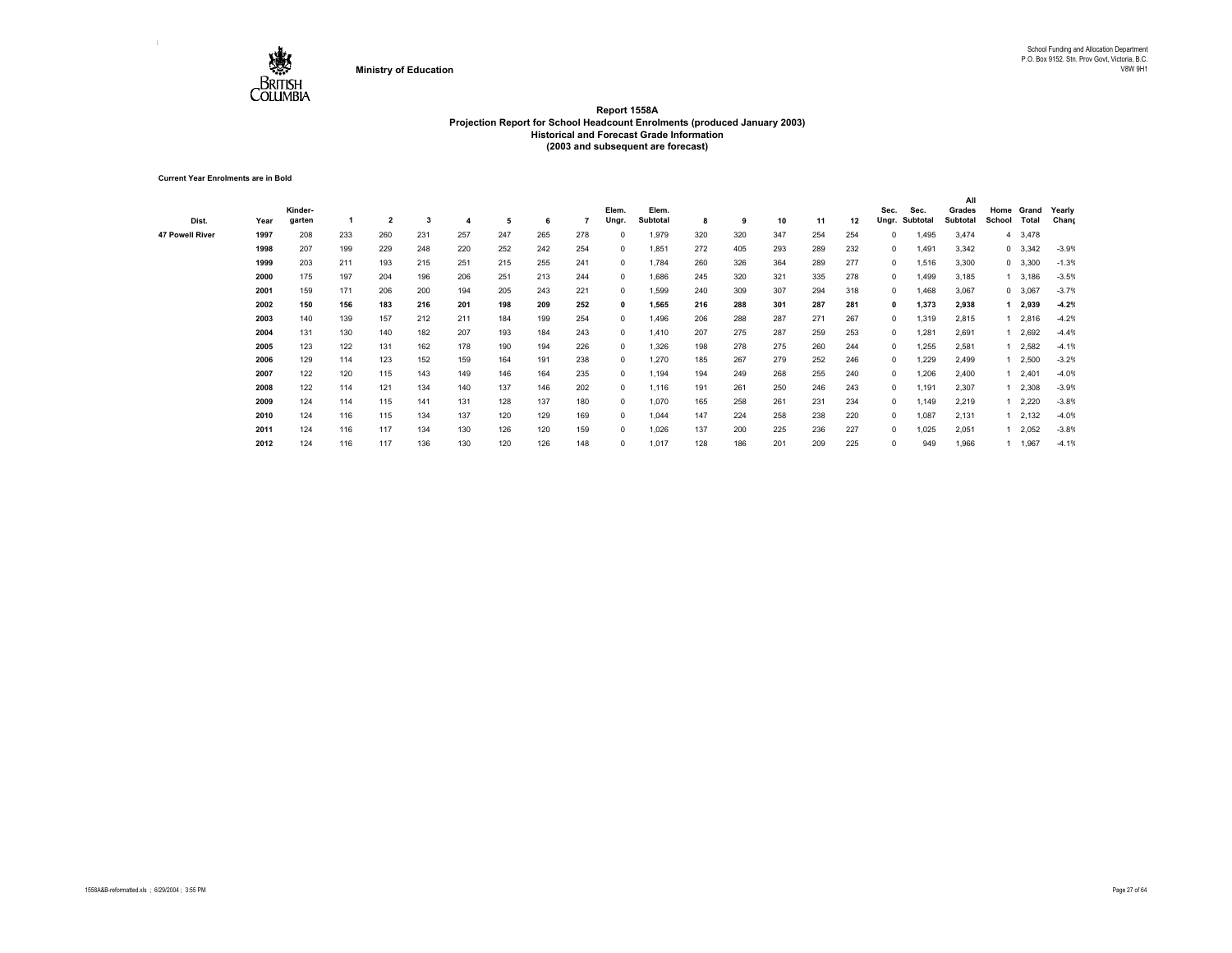

**Current Year Enrolments are in Bold**

| Dist.                  | Year | Kinder-<br>garten |     | $\overline{\mathbf{2}}$ | 3   |     | 5   | 6   |     | Elem.<br>Ungr. | Elem.<br>Subtotal | 8   | 9   | 10  | 11  | 12  | Sec.<br>Ungr. | Sec.<br>Subtotal | All<br>Grades<br>Subtotal | Home<br>School | Grand<br>Total | Yearly<br>Chang |
|------------------------|------|-------------------|-----|-------------------------|-----|-----|-----|-----|-----|----------------|-------------------|-----|-----|-----|-----|-----|---------------|------------------|---------------------------|----------------|----------------|-----------------|
| <b>47 Powell River</b> | 1997 | 208               | 233 | 260                     | 231 | 257 | 247 | 265 | 278 | 0              | 1,979             | 320 | 320 | 347 | 254 | 254 | $\Omega$      | 1,495            | 3,474                     |                | 4 3,478        |                 |
|                        | 1998 | 207               | 199 | 229                     | 248 | 220 | 252 | 242 | 254 | $^{\circ}$     | 1,851             | 272 | 405 | 293 | 289 | 232 | $\Omega$      | 1,491            | 3,342                     |                | $0\quad 3,342$ | $-3.9%$         |
|                        | 1999 | 203               | 211 | 193                     | 215 | 251 | 215 | 255 | 241 | $^{\circ}$     | 1,784             | 260 | 326 | 364 | 289 | 277 | $\Omega$      | 1,516            | 3,300                     |                | 0 3,300        | $-1.3%$         |
|                        | 2000 | 175               | 197 | 204                     | 196 | 206 | 251 | 213 | 244 | $^{\circ}$     | 1,686             | 245 | 320 | 321 | 335 | 278 | $\Omega$      | 1,499            | 3,185                     |                | 1 3,186        | $-3.5%$         |
|                        | 2001 | 159               | 171 | 206                     | 200 | 194 | 205 | 243 | 221 | $^{\circ}$     | 1,599             | 240 | 309 | 307 | 294 | 318 | $\Omega$      | 1,468            | 3,067                     |                | 0 3,067        | $-3.7%$         |
|                        | 2002 | 150               | 156 | 183                     | 216 | 201 | 198 | 209 | 252 | $\mathbf{0}$   | 1,565             | 216 | 288 | 301 | 287 | 281 | $\mathbf{0}$  | 1,373            | 2,938                     |                | 2,939          | $-4.2%$         |
|                        | 2003 | 140               | 139 | 157                     | 212 | 211 | 184 | 199 | 254 | $^{\circ}$     | 1,496             | 206 | 288 | 287 | 271 | 267 | $\Omega$      | 1,319            | 2,815                     |                | 1 2,816        | $-4.2%$         |
|                        | 2004 | 131               | 130 | 140                     | 182 | 207 | 193 | 184 | 243 | $^{\circ}$     | 1,410             | 207 | 275 | 287 | 259 | 253 | 0             | 1,281            | 2,691                     |                | 2,692          | $-4.4%$         |
|                        | 2005 | 123               | 122 | 131                     | 162 | 178 | 190 | 194 | 226 | $^{\circ}$     | 1,326             | 198 | 278 | 275 | 260 | 244 | 0             | 1,255            | 2,581                     |                | 2,582          | $-4.1%$         |
|                        | 2006 | 129               | 114 | 123                     | 152 | 159 | 164 | 191 | 238 | $^{\circ}$     | 1,270             | 185 | 267 | 279 | 252 | 246 | 0             | 1,229            | 2,499                     |                | 1 2,500        | $-3.2%$         |
|                        | 2007 | 122               | 120 | 115                     | 143 | 149 | 146 | 164 | 235 | $^{\circ}$     | 1,194             | 194 | 249 | 268 | 255 | 240 | $\Omega$      | 1,206            | 2,400                     |                | 1 2,401        | $-4.0%$         |
|                        | 2008 | 122               | 114 | 121                     | 134 | 140 | 137 | 146 | 202 | $^{\circ}$     | 1,116             | 191 | 261 | 250 | 246 | 243 | 0             | 1,191            | 2,307                     |                | 1 2,308        | $-3.9%$         |
|                        | 2009 | 124               | 114 | 115                     | 141 | 131 | 128 | 137 | 180 | $^{\circ}$     | 1,070             | 165 | 258 | 261 | 231 | 234 | $\Omega$      | 1,149            | 2,219                     |                | 1 2,220        | $-3.8%$         |
|                        | 2010 | 124               | 116 | 115                     | 134 | 137 | 120 | 129 | 169 | $^{\circ}$     | 1,044             | 147 | 224 | 258 | 238 | 220 | 0             | 1,087            | 2,131                     |                | 1 2,132        | $-4.0%$         |
|                        | 2011 | 124               | 116 | 117                     | 134 | 130 | 126 | 120 | 159 | $\Omega$       | 1,026             | 137 | 200 | 225 | 236 | 227 | $\Omega$      | 1,025            | 2,051                     |                | 12,052         | $-3.8%$         |
|                        | 2012 | 124               | 116 | 117                     | 136 | 130 | 120 | 126 | 148 | 0              | 1,017             | 128 | 186 | 201 | 209 | 225 | $\Omega$      | 949              | 1,966                     |                | 1 1,967        | $-4.1%$         |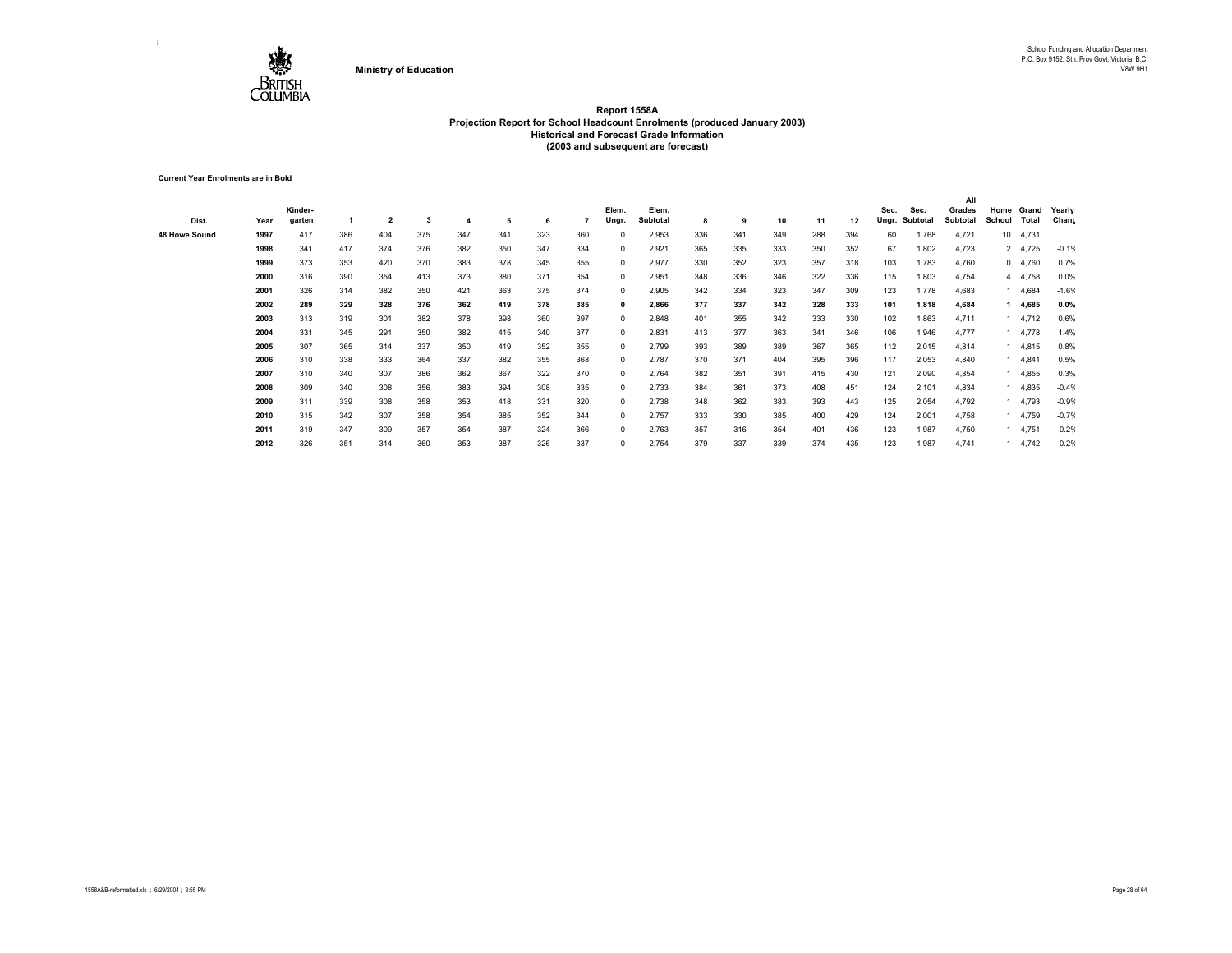

**Current Year Enrolments are in Bold**

|               |      |         |     |                |     |     |     |     |     |              |          |     |     |     |     |     |       |          | All      |         |          |         |
|---------------|------|---------|-----|----------------|-----|-----|-----|-----|-----|--------------|----------|-----|-----|-----|-----|-----|-------|----------|----------|---------|----------|---------|
|               |      | Kinder- |     |                |     |     |     |     |     | Elem.        | Elem.    |     |     |     |     |     | Sec.  | Sec.     | Grades   | Home    | Grand    | Yearly  |
| Dist.         | Year | garten  |     | $\overline{2}$ | 3   |     | 5   | 6   |     | Ungr.        | Subtotal | 8   | 9   | 10  | 11  | 12  | Ungr. | Subtotal | Subtotal | School  | Total    | Chang   |
| 48 Howe Sound | 1997 | 417     | 386 | 404            | 375 | 347 | 341 | 323 | 360 |              | 2,953    | 336 | 341 | 349 | 288 | 394 | 60    | 1,768    | 4,721    | $10-10$ | 4,731    |         |
|               | 1998 | 341     | 417 | 374            | 376 | 382 | 350 | 347 | 334 | $\Omega$     | 2,921    | 365 | 335 | 333 | 350 | 352 | 67    | 1,802    | 4,723    |         | 2 4,725  | $-0.1%$ |
|               | 1999 | 373     | 353 | 420            | 370 | 383 | 378 | 345 | 355 | 0            | 2,977    | 330 | 352 | 323 | 357 | 318 | 103   | 1,783    | 4,760    |         | 0, 4,760 | 0.7%    |
|               | 2000 | 316     | 390 | 354            | 413 | 373 | 380 | 371 | 354 | 0            | 2,951    | 348 | 336 | 346 | 322 | 336 | 115   | 1,803    | 4,754    |         | 4 4,758  | 0.0%    |
|               | 2001 | 326     | 314 | 382            | 350 | 421 | 363 | 375 | 374 | $\Omega$     | 2,905    | 342 | 334 | 323 | 347 | 309 | 123   | 1,778    | 4,683    |         | 4,684    | $-1.6%$ |
|               | 2002 | 289     | 329 | 328            | 376 | 362 | 419 | 378 | 385 | 0            | 2,866    | 377 | 337 | 342 | 328 | 333 | 101   | 1,818    | 4,684    |         | 4,685    | 0.0%    |
|               | 2003 | 313     | 319 | 301            | 382 | 378 | 398 | 360 | 397 | 0            | 2,848    | 401 | 355 | 342 | 333 | 330 | 102   | 1,863    | 4,711    |         | 4,712    | 0.6%    |
|               | 2004 | 331     | 345 | 291            | 350 | 382 | 415 | 340 | 377 | $^{\circ}$   | 2,831    | 413 | 377 | 363 | 341 | 346 | 106   | 1,946    | 4,777    |         | 4,778    | 1.4%    |
|               | 2005 | 307     | 365 | 314            | 337 | 350 | 419 | 352 | 355 | $^{\circ}$   | 2,799    | 393 | 389 | 389 | 367 | 365 | 112   | 2,015    | 4,814    |         | 4,815    | 0.8%    |
|               | 2006 | 310     | 338 | 333            | 364 | 337 | 382 | 355 | 368 | $\mathbf{0}$ | 2,787    | 370 | 371 | 404 | 395 | 396 | 117   | 2,053    | 4,840    |         | 4,841    | 0.5%    |
|               | 2007 | 310     | 340 | 307            | 386 | 362 | 367 | 322 | 370 | $^{\circ}$   | 2,764    | 382 | 351 | 391 | 415 | 430 | 121   | 2,090    | 4,854    |         | 4,855    | 0.3%    |
|               | 2008 | 309     | 340 | 308            | 356 | 383 | 394 | 308 | 335 | $^{\circ}$   | 2,733    | 384 | 361 | 373 | 408 | 451 | 124   | 2,101    | 4,834    |         | 4,835    | $-0.4%$ |
|               | 2009 | 311     | 339 | 308            | 358 | 353 | 418 | 331 | 320 | $\Omega$     | 2,738    | 348 | 362 | 383 | 393 | 443 | 125   | 2,054    | 4,792    |         | 4,793    | $-0.9%$ |
|               | 2010 | 315     | 342 | 307            | 358 | 354 | 385 | 352 | 344 | $\Omega$     | 2,757    | 333 | 330 | 385 | 400 | 429 | 124   | 2,001    | 4,758    |         | 4,759    | $-0.7%$ |
|               | 2011 | 319     | 347 | 309            | 357 | 354 | 387 | 324 | 366 | 0            | 2,763    | 357 | 316 | 354 | 401 | 436 | 123   | 1,987    | 4,750    |         | 4,751    | $-0.2%$ |
|               | 2012 | 326     | 351 | 314            | 360 | 353 | 387 | 326 | 337 | 0            | 2,754    | 379 | 337 | 339 | 374 | 435 | 123   | 1,987    | 4,741    |         | 14,742   | $-0.2%$ |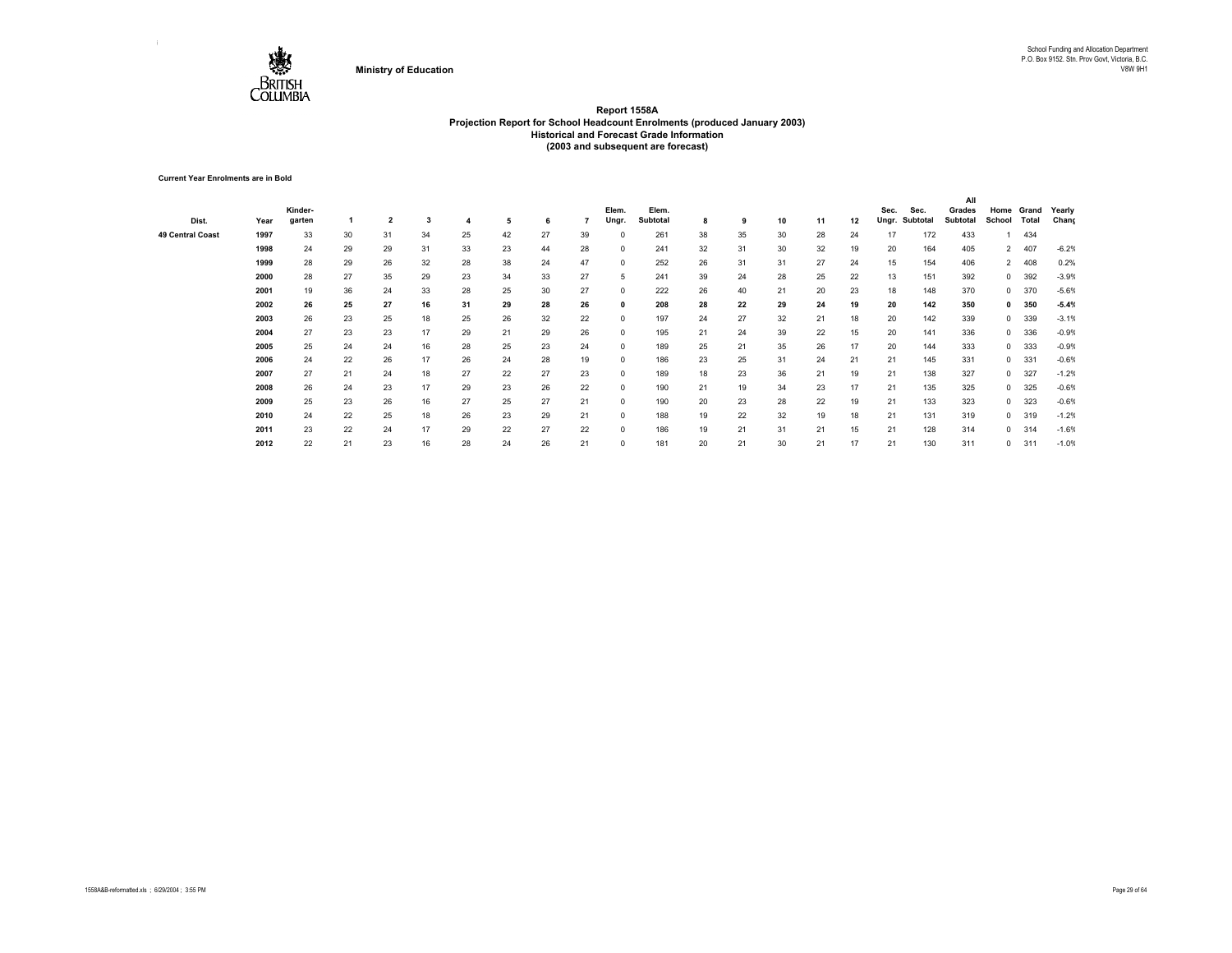

**Current Year Enrolments are in Bold**

|                         |      |         |    |                |    |    |    |    |    |          |                 |    |    |    |    |    |       |          | All      |                |            |         |
|-------------------------|------|---------|----|----------------|----|----|----|----|----|----------|-----------------|----|----|----|----|----|-------|----------|----------|----------------|------------|---------|
|                         |      | Kinder- |    |                |    |    |    |    |    | Elem.    | Elem.           |    |    |    |    |    | Sec.  | Sec.     | Grades   |                | Home Grand | Yearly  |
| Dist.                   | Year | garten  |    | $\overline{2}$ | 3  |    | 5  | 6  |    | Ungr.    | <b>Subtotal</b> | 8  | 9  | 10 | 11 | 12 | Ungr. | Subtotal | Subtotal | School         | Total      | Chang   |
| <b>49 Central Coast</b> | 1997 | 33      | 30 | 31             | 34 | 25 | 42 | 27 | 39 | 0        | 261             | 38 | 35 | 30 | 28 | 24 | 17    | 172      | 433      |                | 434        |         |
|                         | 1998 | 24      | 29 | 29             | 31 | 33 | 23 | 44 | 28 | 0        | 241             | 32 | 31 | 30 | 32 | 19 | 20    | 164      | 405      | $\overline{2}$ | 407        | $-6.2%$ |
|                         | 1999 | 28      | 29 | 26             | 32 | 28 | 38 | 24 | 47 | $\Omega$ | 252             | 26 | 31 | 31 | 27 | 24 | 15    | 154      | 406      | $\overline{2}$ | 408        | 0.2%    |
|                         | 2000 | 28      | 27 | 35             | 29 | 23 | 34 | 33 | 27 | 5        | 241             | 39 | 24 | 28 | 25 | 22 | 13    | 151      | 392      | $\mathbf{0}$   | 392        | $-3.9%$ |
|                         | 2001 | 19      | 36 | 24             | 33 | 28 | 25 | 30 | 27 | 0        | 222             | 26 | 40 | 21 | 20 | 23 | 18    | 148      | 370      | $^{\circ}$     | 370        | $-5.6%$ |
|                         | 2002 | 26      | 25 | 27             | 16 | 31 | 29 | 28 | 26 | 0        | 208             | 28 | 22 | 29 | 24 | 19 | 20    | 142      | 350      | $\mathbf{0}$   | 350        | $-5.4%$ |
|                         | 2003 | 26      | 23 | 25             | 18 | 25 | 26 | 32 | 22 | 0        | 197             | 24 | 27 | 32 | 21 | 18 | 20    | 142      | 339      | $\mathbf{0}$   | 339        | $-3.1%$ |
|                         | 2004 | 27      | 23 | 23             | 17 | 29 | 21 | 29 | 26 | 0        | 195             | 21 | 24 | 39 | 22 | 15 | 20    | 141      | 336      | $\mathbf{0}$   | 336        | $-0.9%$ |
|                         | 2005 | 25      | 24 | 24             | 16 | 28 | 25 | 23 | 24 | 0        | 189             | 25 | 21 | 35 | 26 | 17 | 20    | 144      | 333      | $\mathbf{0}$   | 333        | $-0.9%$ |
|                         | 2006 | 24      | 22 | 26             | 17 | 26 | 24 | 28 | 19 | $\Omega$ | 186             | 23 | 25 | 31 | 24 | 21 | 21    | 145      | 331      | $\mathbf{0}$   | 331        | $-0.6%$ |
|                         | 2007 | 27      | 21 | 24             | 18 | 27 | 22 | 27 | 23 | $\Omega$ | 189             | 18 | 23 | 36 | 21 | 19 | 21    | 138      | 327      | $\mathbf{0}$   | 327        | $-1.2%$ |
|                         | 2008 | 26      | 24 | 23             | 17 | 29 | 23 | 26 | 22 | 0        | 190             | 21 | 19 | 34 | 23 | 17 | 21    | 135      | 325      | $\mathbf{0}$   | 325        | $-0.6%$ |
|                         | 2009 | 25      | 23 | 26             | 16 | 27 | 25 | 27 | 21 | $\Omega$ | 190             | 20 | 23 | 28 | 22 | 19 | 21    | 133      | 323      | $\mathbf{0}$   | 323        | $-0.6%$ |
|                         | 2010 | 24      | 22 | 25             | 18 | 26 | 23 | 29 | 21 | $\Omega$ | 188             | 19 | 22 | 32 | 19 | 18 | 21    | 131      | 319      | $^{\circ}$     | 319        | $-1.2%$ |
|                         | 2011 | 23      | 22 | 24             | 17 | 29 | 22 | 27 | 22 | $\Omega$ | 186             | 19 | 21 | 31 | 21 | 15 | 21    | 128      | 314      | $^{\circ}$     | 314        | $-1.6%$ |
|                         | 2012 | 22      | 21 | 23             | 16 | 28 | 24 | 26 | 21 | 0        | 181             | 20 | 21 | 30 | 21 | 17 | 21    | 130      | 311      | 0              | 311        | $-1.0%$ |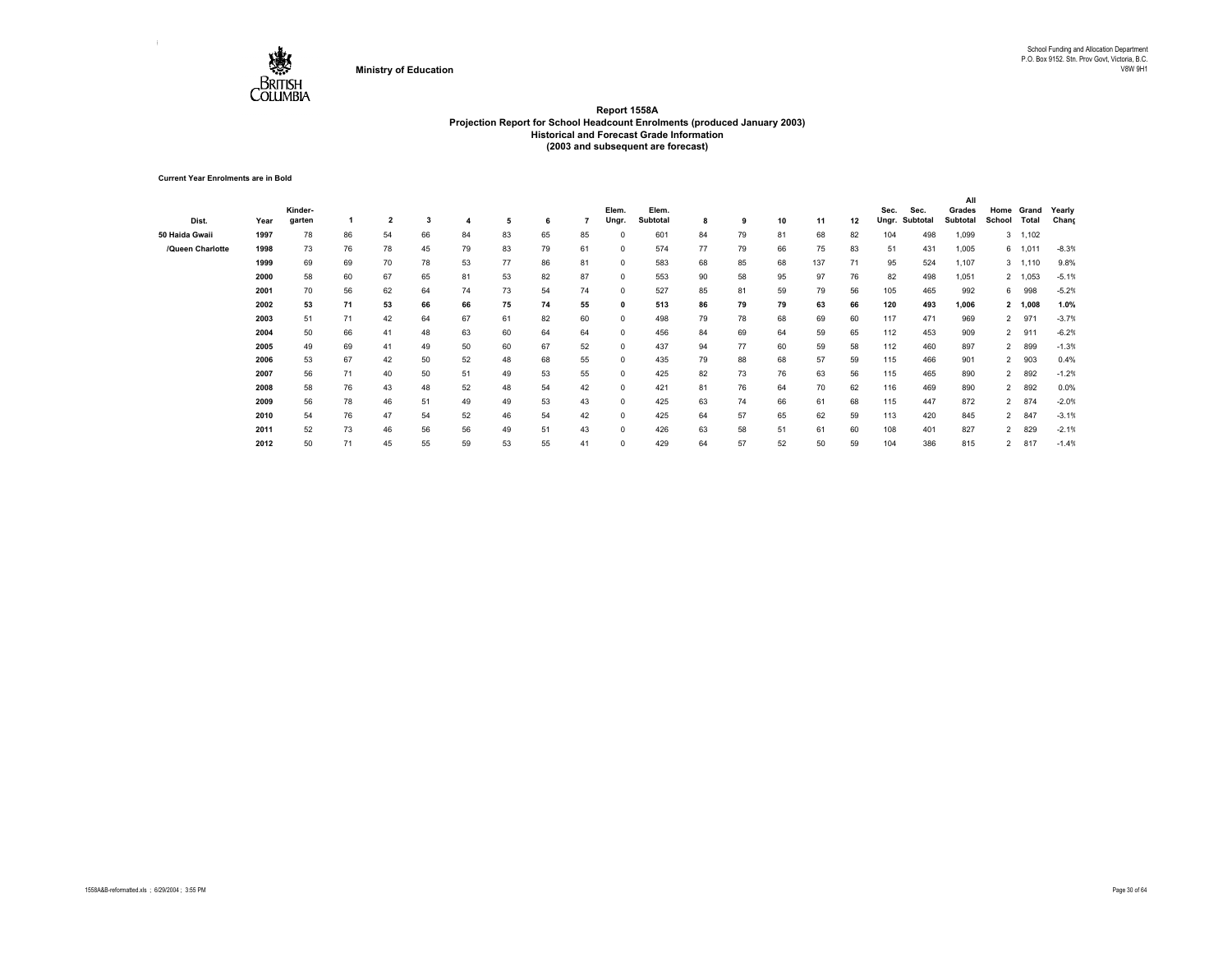

**Current Year Enrolments are in Bold**

|                  |      |         |    |                         |    |    |    |    |    |              |                 |    |    |    |     |    |       |          | All      |                |              |         |
|------------------|------|---------|----|-------------------------|----|----|----|----|----|--------------|-----------------|----|----|----|-----|----|-------|----------|----------|----------------|--------------|---------|
|                  |      | Kinder- |    |                         |    |    |    |    |    | Elem.        | Elem.           |    |    |    |     |    | Sec.  | Sec.     | Grades   | Home           | Grand        | Yearly  |
| Dist.            | Year | garten  |    | $\overline{\mathbf{2}}$ | 3  |    | 5  | 6  |    | Ungr.        | <b>Subtotal</b> | 8  | 9  | 10 | 11  | 12 | Ungr. | Subtotal | Subtotal | School         | <b>Total</b> | Chang   |
| 50 Haida Gwaii   | 1997 | 78      | 86 | 54                      | 66 | 84 | 83 | 65 | 85 | $^{\circ}$   | 601             | 84 | 79 | 81 | 68  | 82 | 104   | 498      | 1,099    |                | 3, 1,102     |         |
| /Queen Charlotte | 1998 | 73      | 76 | 78                      | 45 | 79 | 83 | 79 | 61 | $^{\circ}$   | 574             | 77 | 79 | 66 | 75  | 83 | 51    | 431      | 1,005    |                | 6 1,011      | $-8.3%$ |
|                  | 1999 | 69      | 69 | 70                      | 78 | 53 | 77 | 86 | 81 | $\Omega$     | 583             | 68 | 85 | 68 | 137 | 71 | 95    | 524      | 1,107    |                | 3, 1,110     | 9.8%    |
|                  | 2000 | 58      | 60 | 67                      | 65 | 81 | 53 | 82 | 87 | $^{\circ}$   | 553             | 90 | 58 | 95 | 97  | 76 | 82    | 498      | 1,051    |                | 2 1,053      | $-5.1%$ |
|                  | 2001 | 70      | 56 | 62                      | 64 | 74 | 73 | 54 | 74 | $^{\circ}$   | 527             | 85 | 81 | 59 | 79  | 56 | 105   | 465      | 992      | 6              | 998          | $-5.2%$ |
|                  | 2002 | 53      | 71 | 53                      | 66 | 66 | 75 | 74 | 55 | $\mathbf{0}$ | 513             | 86 | 79 | 79 | 63  | 66 | 120   | 493      | 1,006    |                | 2 1,008      | 1.0%    |
|                  | 2003 | 51      | 71 | 42                      | 64 | 67 | 61 | 82 | 60 | $^{\circ}$   | 498             | 79 | 78 | 68 | 69  | 60 | 117   | 471      | 969      | $\overline{2}$ | 971          | $-3.7%$ |
|                  | 2004 | 50      | 66 | 41                      | 48 | 63 | 60 | 64 | 64 | $^{\circ}$   | 456             | 84 | 69 | 64 | 59  | 65 | 112   | 453      | 909      | $\overline{2}$ | 911          | $-6.2%$ |
|                  | 2005 | 49      | 69 | 41                      | 49 | 50 | 60 | 67 | 52 | $^{\circ}$   | 437             | 94 | 77 | 60 | 59  | 58 | 112   | 460      | 897      | $\overline{2}$ | 899          | $-1.3%$ |
|                  | 2006 | 53      | 67 | 42                      | 50 | 52 | 48 | 68 | 55 | $^{\circ}$   | 435             | 79 | 88 | 68 | 57  | 59 | 115   | 466      | 901      | $\overline{a}$ | 903          | 0.4%    |
|                  | 2007 | 56      | 71 | 40                      | 50 | 51 | 49 | 53 | 55 | $^{\circ}$   | 425             | 82 | 73 | 76 | 63  | 56 | 115   | 465      | 890      | $\overline{2}$ | 892          | $-1.2%$ |
|                  | 2008 | 58      | 76 | 43                      | 48 | 52 | 48 | 54 | 42 | $^{\circ}$   | 421             | 81 | 76 | 64 | 70  | 62 | 116   | 469      | 890      | $\overline{2}$ | 892          | 0.0%    |
|                  | 2009 | 56      | 78 | 46                      | 51 | 49 | 49 | 53 | 43 | $^{\circ}$   | 425             | 63 | 74 | 66 | 61  | 68 | 115   | 447      | 872      | $\overline{2}$ | 874          | $-2.0%$ |
|                  | 2010 | 54      | 76 | 47                      | 54 | 52 | 46 | 54 | 42 | $\Omega$     | 425             | 64 | 57 | 65 | 62  | 59 | 113   | 420      | 845      | $\overline{2}$ | 847          | $-3.1%$ |
|                  | 2011 | 52      | 73 | 46                      | 56 | 56 | 49 | 51 | 43 | $\Omega$     | 426             | 63 | 58 | 51 | 61  | 60 | 108   | 401      | 827      | $\overline{2}$ | 829          | $-2.1%$ |
|                  | 2012 | 50      | 71 | 45                      | 55 | 59 | 53 | 55 | 41 | $\Omega$     | 429             | 64 | 57 | 52 | 50  | 59 | 104   | 386      | 815      | $\overline{2}$ | 817          | $-1.4%$ |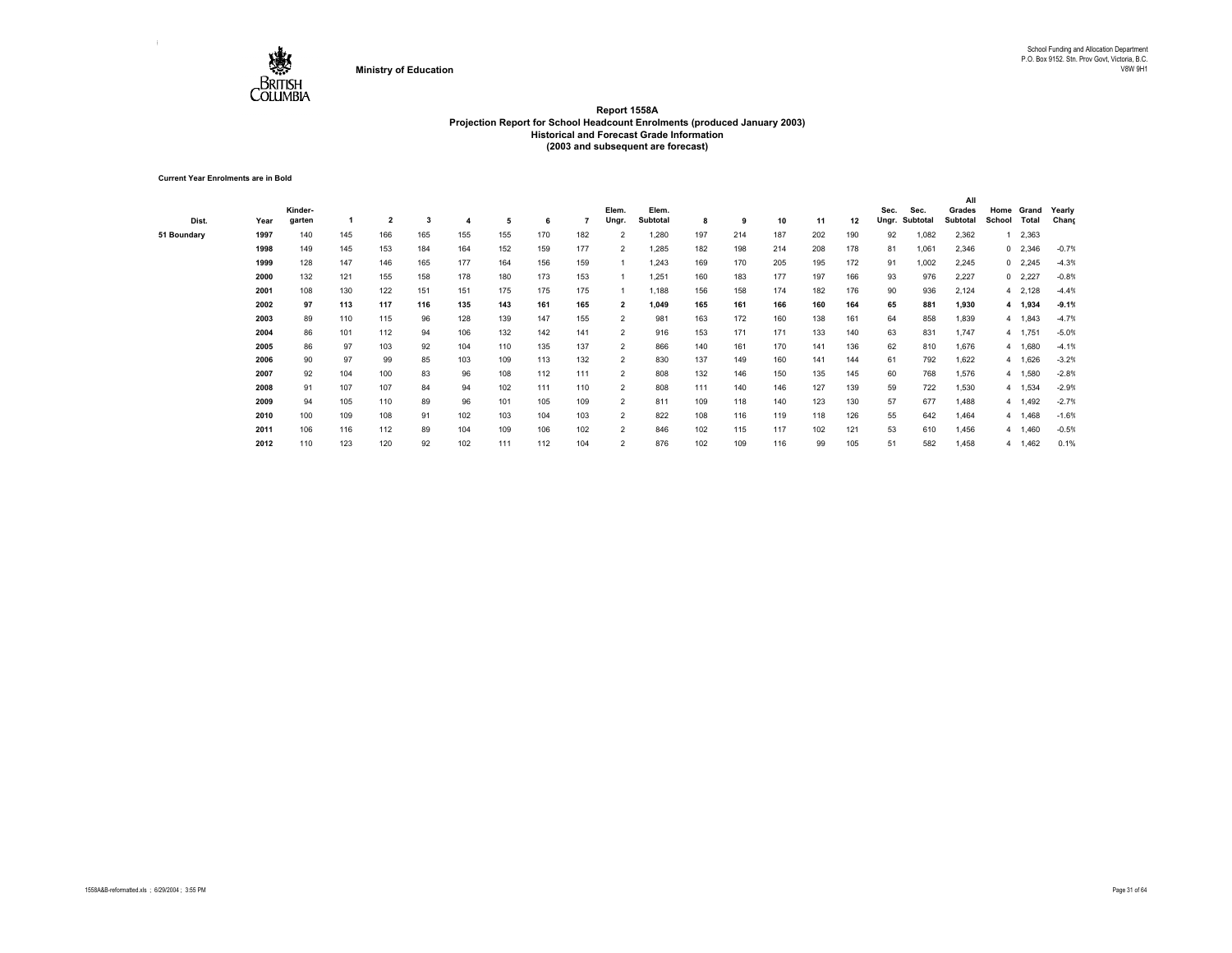

**Current Year Enrolments are in Bold**

|             |      |         |     |                |     |     |     |     |     |                |          |     |     |     |     |     |       |          | All      |             |                |         |
|-------------|------|---------|-----|----------------|-----|-----|-----|-----|-----|----------------|----------|-----|-----|-----|-----|-----|-------|----------|----------|-------------|----------------|---------|
|             |      | Kinder- |     |                |     |     |     |     |     | Elem.          | Elem.    |     |     |     |     |     | Sec.  | Sec.     | Grades   | Home        | Grand          | Yearly  |
| Dist.       | Year | garten  |     | $\overline{2}$ | 3   |     | 5   | 6   |     | Ungr.          | Subtotal | 8   | 9   | 10  | 11  | 12  | Ungr. | Subtotal | Subtotal | School      | Total          | Chang   |
| 51 Boundary | 1997 | 140     | 145 | 166            | 165 | 155 | 155 | 170 | 182 | $\overline{2}$ | 1,280    | 197 | 214 | 187 | 202 | 190 | 92    | 1,082    | 2,362    |             | 2,363          |         |
|             | 1998 | 149     | 145 | 153            | 184 | 164 | 152 | 159 | 177 | $\overline{2}$ | 1,285    | 182 | 198 | 214 | 208 | 178 | 81    | 1,061    | 2,346    |             | $0\quad 2,346$ | $-0.7%$ |
|             | 1999 | 128     | 147 | 146            | 165 | 177 | 164 | 156 | 159 |                | 1,243    | 169 | 170 | 205 | 195 | 172 | 91    | 1,002    | 2,245    |             | $0$ 2,245      | $-4.3%$ |
|             | 2000 | 132     | 121 | 155            | 158 | 178 | 180 | 173 | 153 |                | 1,251    | 160 | 183 | 177 | 197 | 166 | 93    | 976      | 2,227    |             | $0$ 2,227      | $-0.8%$ |
|             | 2001 | 108     | 130 | 122            | 151 | 151 | 175 | 175 | 175 |                | 1,188    | 156 | 158 | 174 | 182 | 176 | 90    | 936      | 2,124    |             | 4 2,128        | $-4.4%$ |
|             | 2002 | 97      | 113 | 117            | 116 | 135 | 143 | 161 | 165 | $\overline{2}$ | 1,049    | 165 | 161 | 166 | 160 | 164 | 65    | 881      | 1,930    |             | 4 1,934        | $-9.1%$ |
|             | 2003 | 89      | 110 | 115            | 96  | 128 | 139 | 147 | 155 | $\overline{2}$ | 981      | 163 | 172 | 160 | 138 | 161 | 64    | 858      | 1,839    |             | 4 1,843        | $-4.7%$ |
|             | 2004 | 86      | 101 | 112            | 94  | 106 | 132 | 142 | 141 | $\overline{2}$ | 916      | 153 | 171 | 171 | 133 | 140 | 63    | 831      | 1,747    |             | 4 1,751        | $-5.0%$ |
|             | 2005 | 86      | 97  | 103            | 92  | 104 | 110 | 135 | 137 | $\overline{2}$ | 866      | 140 | 161 | 170 | 141 | 136 | 62    | 810      | 1,676    |             | 4 1,680        | $-4.1%$ |
|             | 2006 | 90      | 97  | 99             | 85  | 103 | 109 | 113 | 132 | $\overline{2}$ | 830      | 137 | 149 | 160 | 141 | 144 | 61    | 792      | 1,622    |             | 4 1,626        | $-3.2%$ |
|             | 2007 | 92      | 104 | 100            | 83  | 96  | 108 | 112 | 111 | $\overline{2}$ | 808      | 132 | 146 | 150 | 135 | 145 | 60    | 768      | 1,576    |             | 4 1,580        | $-2.8%$ |
|             | 2008 | 91      | 107 | 107            | 84  | 94  | 102 | 111 | 110 | $\overline{2}$ | 808      | 111 | 140 | 146 | 127 | 139 | 59    | 722      | 1,530    |             | 4 1,534        | $-2.9%$ |
|             | 2009 | 94      | 105 | 110            | 89  | 96  | 101 | 105 | 109 | $\overline{2}$ | 811      | 109 | 118 | 140 | 123 | 130 | 57    | 677      | 1,488    | $4^{\circ}$ | 1,492          | $-2.7%$ |
|             | 2010 | 100     | 109 | 108            | 91  | 102 | 103 | 104 | 103 | $\overline{2}$ | 822      | 108 | 116 | 119 | 118 | 126 | 55    | 642      | 1,464    |             | 4 1,468        | $-1.6%$ |
|             | 2011 | 106     | 116 | 112            | 89  | 104 | 109 | 106 | 102 | $\overline{2}$ | 846      | 102 | 115 | 117 | 102 | 121 | 53    | 610      | 1,456    |             | 4 1,460        | $-0.5%$ |
|             | 2012 | 110     | 123 | 120            | 92  | 102 | 111 | 112 | 104 | $\overline{2}$ | 876      | 102 | 109 | 116 | 99  | 105 | 51    | 582      | 1,458    |             | 4 1,462        | 0.1%    |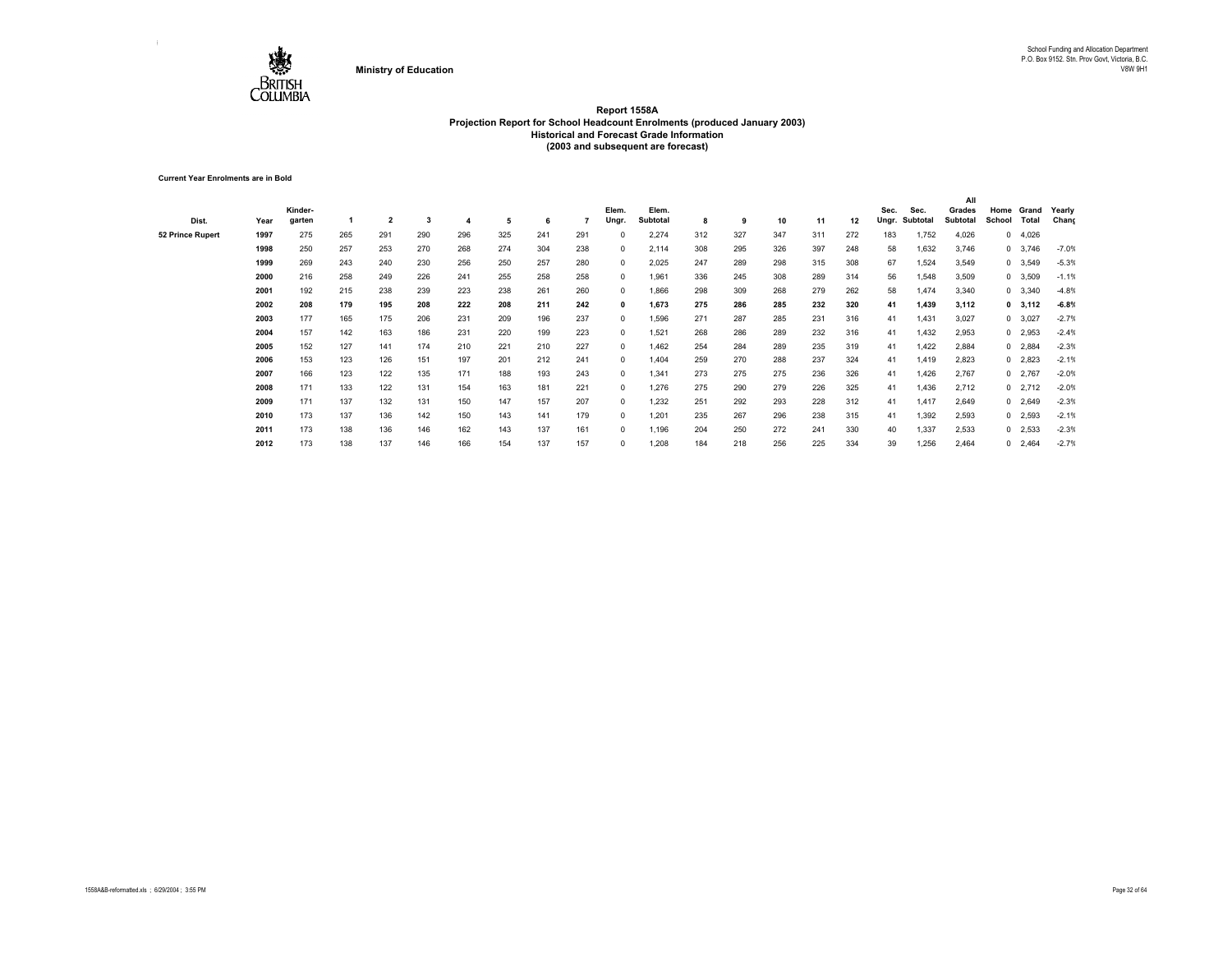

**Current Year Enrolments are in Bold**

|                  |      |         |     |                |     |     |     |     |     |            |          |     |     |     |     |     |       |          | All             |            |                |         |
|------------------|------|---------|-----|----------------|-----|-----|-----|-----|-----|------------|----------|-----|-----|-----|-----|-----|-------|----------|-----------------|------------|----------------|---------|
|                  |      | Kinder- |     |                |     |     |     |     |     | Elem.      | Elem.    |     |     |     |     |     | Sec.  | Sec.     | Grades          | Home       | Grand          | Yearly  |
| Dist.            | Year | garten  |     | $\overline{2}$ | 3   | 4   | 5   | 6   |     | Ungr.      | Subtotal | 8   | 9   | 10  | 11  | 12  | Ungr. | Subtotal | <b>Subtotal</b> | School     | Total          | Chang   |
| 52 Prince Rupert | 1997 | 275     | 265 | 291            | 290 | 296 | 325 | 241 | 291 | 0          | 2,274    | 312 | 327 | 347 | 311 | 272 | 183   | 1,752    | 4,026           | $^{\circ}$ | 4,026          |         |
|                  | 1998 | 250     | 257 | 253            | 270 | 268 | 274 | 304 | 238 | 0          | 2,114    | 308 | 295 | 326 | 397 | 248 | 58    | 1,632    | 3,746           |            | $0\quad 3,746$ | $-7.0%$ |
|                  | 1999 | 269     | 243 | 240            | 230 | 256 | 250 | 257 | 280 | 0          | 2,025    | 247 | 289 | 298 | 315 | 308 | 67    | 1,524    | 3,549           |            | 0 3,549        | $-5.3%$ |
|                  | 2000 | 216     | 258 | 249            | 226 | 241 | 255 | 258 | 258 | 0          | 1,961    | 336 | 245 | 308 | 289 | 314 | 56    | 1,548    | 3,509           |            | 0 3,509        | $-1.1%$ |
|                  | 2001 | 192     | 215 | 238            | 239 | 223 | 238 | 261 | 260 | 0          | 1,866    | 298 | 309 | 268 | 279 | 262 | 58    | 1,474    | 3,340           |            | $0\quad 3,340$ | $-4.8%$ |
|                  | 2002 | 208     | 179 | 195            | 208 | 222 | 208 | 211 | 242 | 0          | 1,673    | 275 | 286 | 285 | 232 | 320 | 41    | 1,439    | 3,112           |            | $0$ 3,112      | $-6.8%$ |
|                  | 2003 | 177     | 165 | 175            | 206 | 231 | 209 | 196 | 237 | 0          | 1,596    | 271 | 287 | 285 | 231 | 316 | 41    | 1,431    | 3,027           |            | 0 3,027        | $-2.7%$ |
|                  | 2004 | 157     | 142 | 163            | 186 | 231 | 220 | 199 | 223 | $^{\circ}$ | 1,521    | 268 | 286 | 289 | 232 | 316 | 41    | 1,432    | 2,953           |            | $0$ 2,953      | $-2.4%$ |
|                  | 2005 | 152     | 127 | 141            | 174 | 210 | 221 | 210 | 227 | $^{\circ}$ | 1,462    | 254 | 284 | 289 | 235 | 319 | 41    | 1,422    | 2,884           |            | $0$ 2,884      | $-2.3%$ |
|                  | 2006 | 153     | 123 | 126            | 151 | 197 | 201 | 212 | 241 | $^{\circ}$ | 1.404    | 259 | 270 | 288 | 237 | 324 | 41    | 1,419    | 2,823           |            | $0$ 2,823      | $-2.1%$ |
|                  | 2007 | 166     | 123 | 122            | 135 | 171 | 188 | 193 | 243 | 0          | 1.341    | 273 | 275 | 275 | 236 | 326 | 41    | 1,426    | 2,767           |            | $0$ 2,767      | $-2.0%$ |
|                  | 2008 | 171     | 133 | 122            | 131 | 154 | 163 | 181 | 221 | $\Omega$   | 1.276    | 275 | 290 | 279 | 226 | 325 | 41    | 1,436    | 2,712           |            | $0$ 2,712      | $-2.0%$ |
|                  | 2009 | 171     | 137 | 132            | 131 | 150 | 147 | 157 | 207 | 0          | 1.232    | 251 | 292 | 293 | 228 | 312 | 41    | 1,417    | 2,649           |            | $0$ 2,649      | $-2.3%$ |
|                  | 2010 | 173     | 137 | 136            | 142 | 150 | 143 | 141 | 179 | $\Omega$   | 1.201    | 235 | 267 | 296 | 238 | 315 | 41    | 1,392    | 2,593           |            | $0$ 2,593      | $-2.1%$ |
|                  | 2011 | 173     | 138 | 136            | 146 | 162 | 143 | 137 | 161 | 0          | 1,196    | 204 | 250 | 272 | 241 | 330 | 40    | 1,337    | 2,533           |            | $0$ 2,533      | $-2.3%$ |
|                  | 2012 | 173     | 138 | 137            | 146 | 166 | 154 | 137 | 157 | $\Omega$   | 1,208    | 184 | 218 | 256 | 225 | 334 | 39    | 1,256    | 2,464           |            | $0$ 2,464      | $-2.7%$ |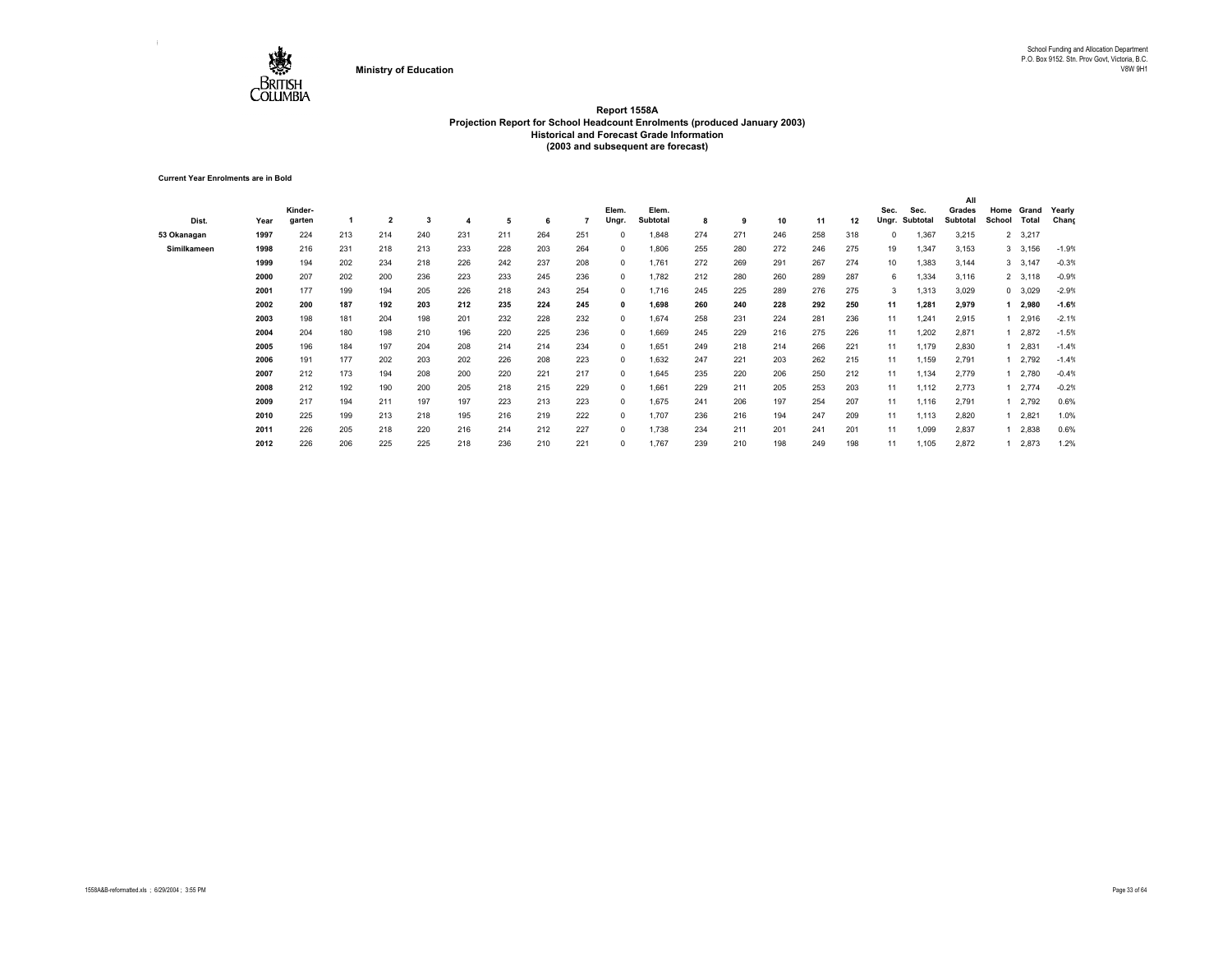

**Current Year Enrolments are in Bold**

|             |      | Kinder- |     |                |     |     |     |     |     | Elem.        | Elem.    |     |     |     |     |     | Sec.  | Sec.     | Grades   | Home   | Grand     | Yearly  |
|-------------|------|---------|-----|----------------|-----|-----|-----|-----|-----|--------------|----------|-----|-----|-----|-----|-----|-------|----------|----------|--------|-----------|---------|
| Dist.       | Year | garten  |     | $\overline{2}$ | 3   |     | 5   | 6   |     | Ungr.        | Subtotal | 8   | 9   | 10  | 11  | 12  | Ungr. | Subtotal | Subtotal | School | Total     | Chang   |
| 53 Okanagan | 1997 | 224     | 213 | 214            | 240 | 231 | 211 | 264 | 251 | $^{\circ}$   | 1,848    | 274 | 271 | 246 | 258 | 318 | 0     | 1,367    | 3,215    |        | 2 3,217   |         |
| Similkameen | 1998 | 216     | 231 | 218            | 213 | 233 | 228 | 203 | 264 | $^{\circ}$   | 1,806    | 255 | 280 | 272 | 246 | 275 | 19    | 1,347    | 3,153    |        | 3, 3, 156 | $-1.9%$ |
|             | 1999 | 194     | 202 | 234            | 218 | 226 | 242 | 237 | 208 | $^{\circ}$   | 1,761    | 272 | 269 | 291 | 267 | 274 | 10    | 1,383    | 3,144    |        | 3,147     | $-0.3%$ |
|             | 2000 | 207     | 202 | 200            | 236 | 223 | 233 | 245 | 236 | $^{\circ}$   | 1,782    | 212 | 280 | 260 | 289 | 287 | 6     | 1,334    | 3,116    |        | 2 3,118   | $-0.9%$ |
|             | 2001 | 177     | 199 | 194            | 205 | 226 | 218 | 243 | 254 | $^{\circ}$   | 1,716    | 245 | 225 | 289 | 276 | 275 | 3     | 1,313    | 3,029    |        | 0 3,029   | $-2.9%$ |
|             | 2002 | 200     | 187 | 192            | 203 | 212 | 235 | 224 | 245 | $\mathbf{0}$ | 1,698    | 260 | 240 | 228 | 292 | 250 | 11    | 1,281    | 2,979    |        | 2,980     | $-1.6%$ |
|             | 2003 | 198     | 181 | 204            | 198 | 201 | 232 | 228 | 232 | $^{\circ}$   | 1,674    | 258 | 231 | 224 | 281 | 236 | 11    | 1.241    | 2,915    |        | 2,916     | $-2.1%$ |
|             | 2004 | 204     | 180 | 198            | 210 | 196 | 220 | 225 | 236 | $^{\circ}$   | 1,669    | 245 | 229 | 216 | 275 | 226 | 11    | 1,202    | 2,871    |        | 2,872     | $-1.5%$ |
|             | 2005 | 196     | 184 | 197            | 204 | 208 | 214 | 214 | 234 | $^{\circ}$   | 1,651    | 249 | 218 | 214 | 266 | 221 | 11    | 1,179    | 2,830    |        | 2,831     | $-1.4%$ |
|             | 2006 | 191     | 177 | 202            | 203 | 202 | 226 | 208 | 223 | $^{\circ}$   | 1,632    | 247 | 221 | 203 | 262 | 215 | 11    | 1,159    | 2,791    |        | 2,792     | $-1.4%$ |
|             | 2007 | 212     | 173 | 194            | 208 | 200 | 220 | 221 | 217 | $^{\circ}$   | 1,645    | 235 | 220 | 206 | 250 | 212 | 11    | 1,134    | 2,779    |        | 2,780     | $-0.4%$ |
|             | 2008 | 212     | 192 | 190            | 200 | 205 | 218 | 215 | 229 | $^{\circ}$   | 1.661    | 229 | 211 | 205 | 253 | 203 | 11    | 1,112    | 2,773    |        | 2,774     | $-0.2%$ |
|             | 2009 | 217     | 194 | 211            | 197 | 197 | 223 | 213 | 223 | $^{\circ}$   | 1,675    | 241 | 206 | 197 | 254 | 207 | 11    | 1,116    | 2,791    |        | 2,792     | 0.6%    |
|             | 2010 | 225     | 199 | 213            | 218 | 195 | 216 | 219 | 222 | $^{\circ}$   | 1,707    | 236 | 216 | 194 | 247 | 209 | 11    | 1,113    | 2,820    |        | 2,821     | 1.0%    |
|             | 2011 | 226     | 205 | 218            | 220 | 216 | 214 | 212 | 227 | $^{\circ}$   | 1,738    | 234 | 211 | 201 | 241 | 201 | 11    | 1,099    | 2,837    |        | 2,838     | 0.6%    |
|             | 2012 | 226     | 206 | 225            | 225 | 218 | 236 | 210 | 221 | $^{\circ}$   | 1,767    | 239 | 210 | 198 | 249 | 198 | 11    | 1,105    | 2,872    |        | 2,873     | 1.2%    |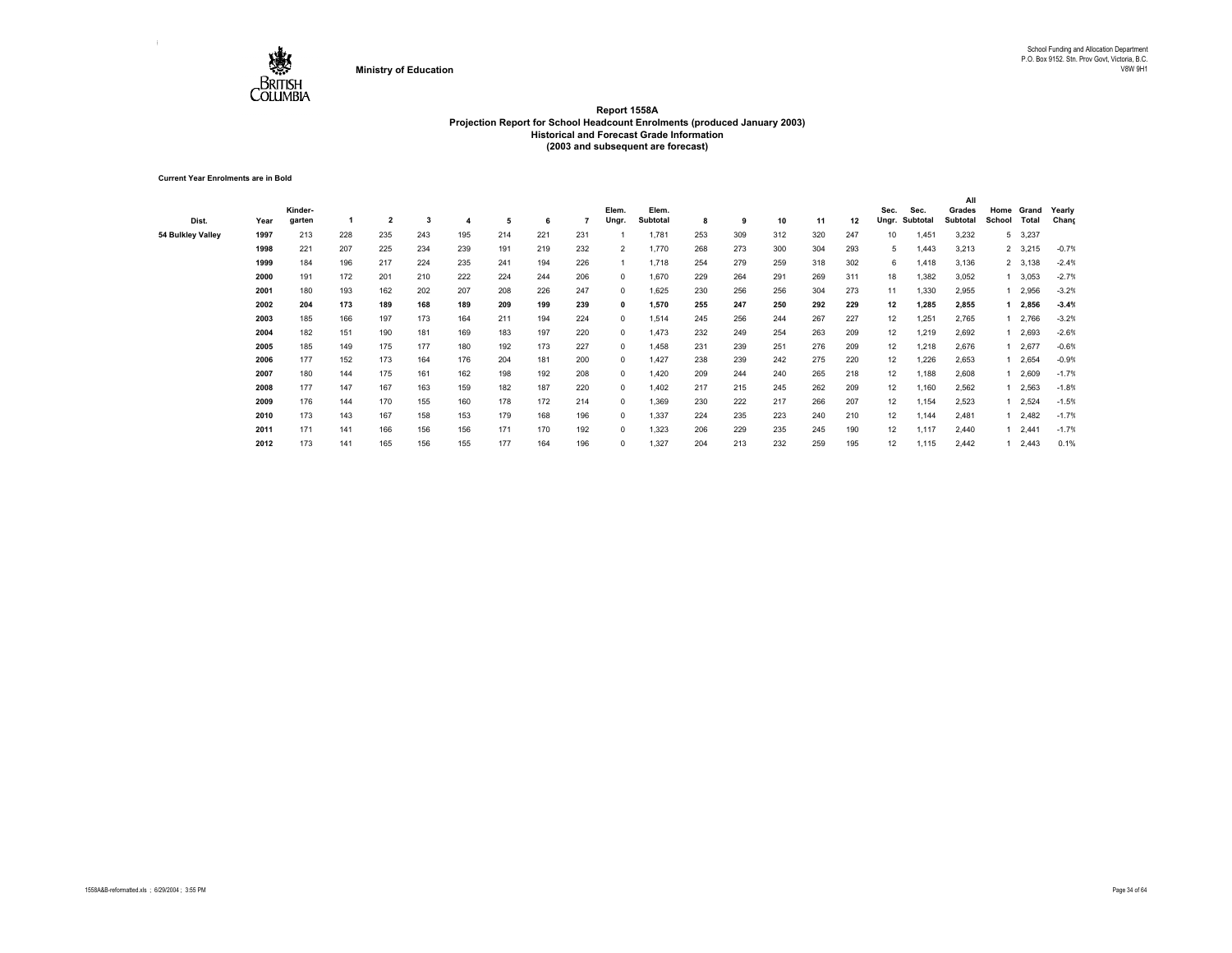

**Current Year Enrolments are in Bold**

| Dist.             | Year | Kinder-<br>garten |     | $\overline{\mathbf{2}}$ | 3   |     | 5   |     |     | Elem.<br>Ungr. | Elem.<br>Subtotal | 8   | 9   | 10  | 11  | 12  | Sec.<br>Ungr.     | Sec.<br>Subtotal | All<br>Grades<br>Subtotal | Home<br>School | Grand<br>Total  | Yearly<br>Chang |
|-------------------|------|-------------------|-----|-------------------------|-----|-----|-----|-----|-----|----------------|-------------------|-----|-----|-----|-----|-----|-------------------|------------------|---------------------------|----------------|-----------------|-----------------|
| 54 Bulkley Valley | 1997 | 213               | 228 | 235                     | 243 | 195 | 214 | 221 | 231 |                | 1,781             | 253 | 309 | 312 | 320 | 247 | 10                | 1,451            | 3,232                     | 5              | 3,237           |                 |
|                   | 1998 | 221               | 207 | 225                     | 234 | 239 | 191 | 219 | 232 | $\overline{2}$ | 1,770             | 268 | 273 | 300 | 304 | 293 | 5                 | 1,443            | 3,213                     |                | 2 3,215         | $-0.7%$         |
|                   | 1999 | 184               | 196 | 217                     | 224 | 235 | 241 | 194 | 226 |                | 1,718             | 254 | 279 | 259 | 318 | 302 | 6                 | 1,418            | 3,136                     |                | 2 3,138         | $-2.4%$         |
|                   | 2000 | 191               | 172 | 201                     | 210 | 222 | 224 | 244 | 206 | $^{\circ}$     | 1,670             | 229 | 264 | 291 | 269 | 311 | 18                | 1,382            | 3,052                     |                | 1 3,053         | $-2.7%$         |
|                   | 2001 | 180               | 193 | 162                     | 202 | 207 | 208 | 226 | 247 | $^{\circ}$     | 1.625             | 230 | 256 | 256 | 304 | 273 | 11                | 1,330            | 2,955                     |                | 2,956           | $-3.2%$         |
|                   | 2002 | 204               | 173 | 189                     | 168 | 189 | 209 | 199 | 239 | 0              | 1,570             | 255 | 247 | 250 | 292 | 229 | 12                | 1,285            | 2,855                     |                | 2,856           | $-3.4%$         |
|                   | 2003 | 185               | 166 | 197                     | 173 | 164 | 211 | 194 | 224 | 0              | 1,514             | 245 | 256 | 244 | 267 | 227 | 12                | 1,251            | 2,765                     |                | 1 2,766         | $-3.2%$         |
|                   | 2004 | 182               | 151 | 190                     | 181 | 169 | 183 | 197 | 220 | 0              | 1,473             | 232 | 249 | 254 | 263 | 209 | 12                | 1,219            | 2,692                     |                | 2,693           | $-2.6%$         |
|                   | 2005 | 185               | 149 | 175                     | 177 | 180 | 192 | 173 | 227 | 0              | 1,458             | 231 | 239 | 251 | 276 | 209 | 12                | 1,218            | 2,676                     |                | 2,677           | $-0.6%$         |
|                   | 2006 | 177               | 152 | 173                     | 164 | 176 | 204 | 181 | 200 | 0              | 1,427             | 238 | 239 | 242 | 275 | 220 | 12                | 1,226            | 2,653                     |                | 2,654           | $-0.9%$         |
|                   | 2007 | 180               | 144 | 175                     | 161 | 162 | 198 | 192 | 208 | $^{\circ}$     | 1,420             | 209 | 244 | 240 | 265 | 218 | 12                | 1,188            | 2,608                     |                | 1 2,609         | $-1.7%$         |
|                   | 2008 | 177               | 147 | 167                     | 163 | 159 | 182 | 187 | 220 | $^{\circ}$     | 1,402             | 217 | 215 | 245 | 262 | 209 | 12                | 1,160            | 2,562                     |                | 1 2,563         | $-1.8%$         |
|                   | 2009 | 176               | 144 | 170                     | 155 | 160 | 178 | 172 | 214 | $^{\circ}$     | 1,369             | 230 | 222 | 217 | 266 | 207 | 12                | 1,154            | 2,523                     |                | 1 2,524         | $-1.5%$         |
|                   | 2010 | 173               | 143 | 167                     | 158 | 153 | 179 | 168 | 196 | $^{\circ}$     | 1,337             | 224 | 235 | 223 | 240 | 210 | 12                | 1,144            | 2,481                     |                | 12,482          | $-1.7%$         |
|                   | 2011 | 171               | 141 | 166                     | 156 | 156 | 171 | 170 | 192 | 0              | 1,323             | 206 | 229 | 235 | 245 | 190 | 12                | 1,117            | 2,440                     |                | $1 \quad 2,441$ | $-1.7%$         |
|                   | 2012 | 173               | 141 | 165                     | 156 | 155 | 177 | 164 | 196 | 0              | 1,327             | 204 | 213 | 232 | 259 | 195 | $12 \overline{ }$ | 1,115            | 2,442                     |                | $1 \quad 2,443$ | 0.1%            |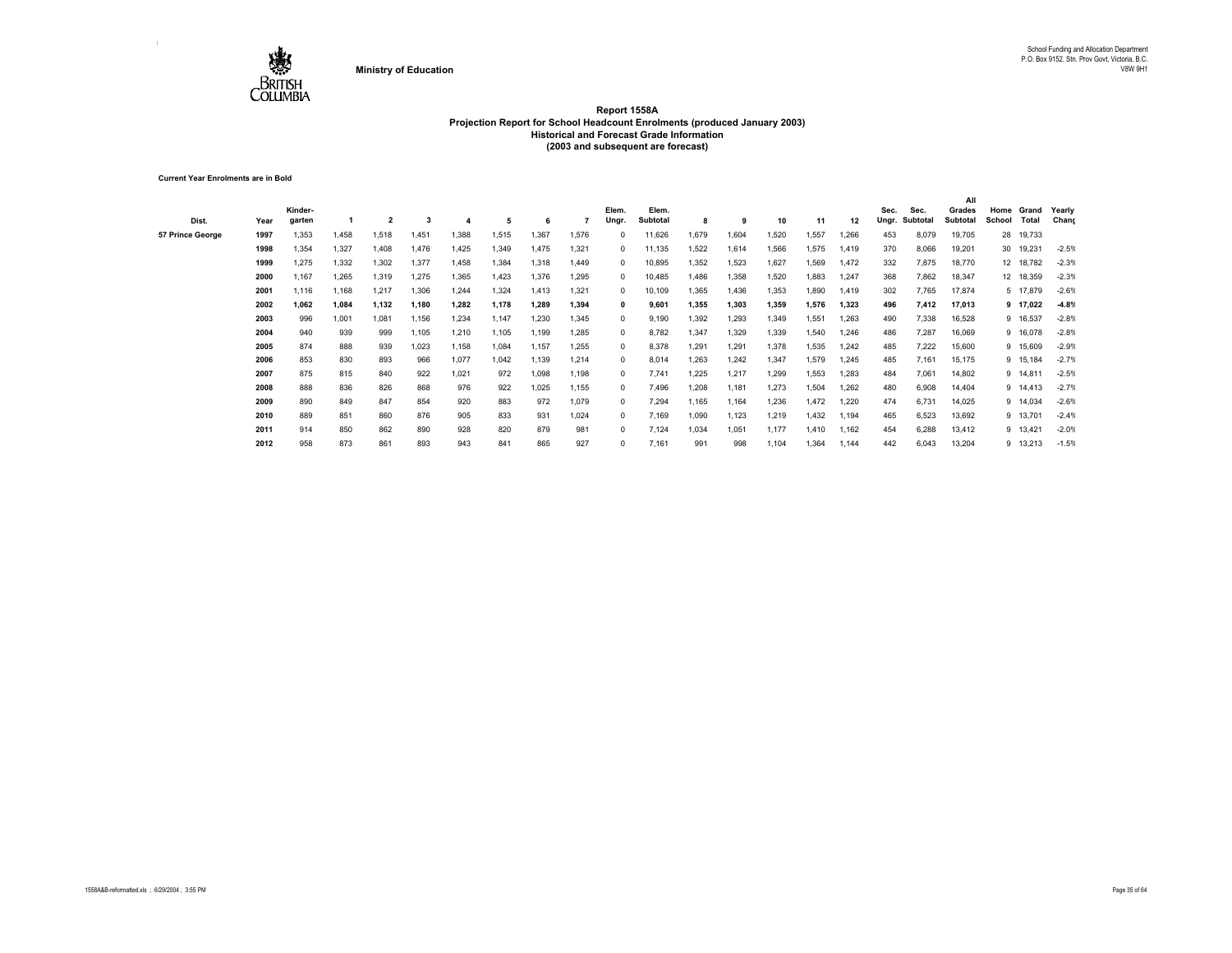

**Current Year Enrolments are in Bold**

| Dist.                   | Year | Kinder-<br>garten |       | $\overline{2}$ | з     |       | -5    |       |       | Elem.<br>Ungr | Elem.<br>Subtotal | 8     | - 9   | 10    | -11   | 12    | Sec.<br>Ungr. | Sec.<br>Subtotal | All<br>Grades<br>Subtotal | Home<br>School | Grand<br>Total | Yearly<br>Chang |
|-------------------------|------|-------------------|-------|----------------|-------|-------|-------|-------|-------|---------------|-------------------|-------|-------|-------|-------|-------|---------------|------------------|---------------------------|----------------|----------------|-----------------|
| <b>57 Prince George</b> | 1997 | 1.353             | 1.458 | 1,518          | 1.451 | 1.388 | 1.515 | 1.367 | 1,576 |               | 11,626            | 1.679 | 1.604 | 1,520 | .557  | 1,266 | 453           | 8,079            | 19,705                    |                | 28 19,733      |                 |
|                         | 1998 | 1,354             | 1,327 | 1,408          | 1,476 | 1,425 | 1,349 | 1.475 | 1,321 | 0             | 11,135            | .522  | 1.614 | 1,566 | .575  | 1,419 | 370           | 8,066            | 19,201                    |                | 30 19,231      | $-2.5%$         |
|                         | 1999 | 1,275             | 1,332 | 1,302          | 1,377 | 1,458 | 1,384 | 1,318 | 1,449 | $\Omega$      | 10,895            | 1,352 | 1,523 | 1,627 | .569  | 1,472 | 332           | 7,875            | 18,770                    |                | 12 18,782      | $-2.3%$         |
|                         | 2000 | 1,167             | 1,265 | 1,319          | 1,275 | 1,365 | 1,423 | 1,376 | 1,295 | $\Omega$      | 10,485            | 1,486 | 1,358 | 1,520 | .883  | 1,247 | 368           | 7,862            | 18,347                    |                | 12 18,359      | $-2.3%$         |
|                         | 2001 | 1,116             | 1,168 | 1,217          | 1,306 | 1,244 | 1,324 | 1,413 | 1,321 | $\Omega$      | 10,109            | .365  | 1,436 | 1,353 | .890  | 1,419 | 302           | 7,765            | 17,874                    |                | 5 17,879       | $-2.6%$         |
|                         | 2002 | 1.062             | 1,084 | 1,132          | 1,180 | 1,282 | 1,178 | 1.289 | 1,394 | 0             | 9,601             | 1,355 | 1.303 | 1,359 | 1,576 | 1,323 | 496           | 7,412            | 17,013                    |                | 9 17,022       | $-4.8%$         |
|                         | 2003 | 996               | 1,001 | 1,081          | 1,156 | 1,234 | 1,147 | 1,230 | 1,345 | $\Omega$      | 9,190             | .392  | 1,293 | 1,349 | 1,551 | 1,263 | 490           | 7,338            | 16,528                    |                | 9 16,537       | $-2.8%$         |
|                         | 2004 | 940               | 939   | 999            | 1,105 | 1,210 | 1.105 | 1.199 | 1,285 | 0             | 8,782             | 1,347 | 1.329 | 1,339 | .540  | 1,246 | 486           | 7.287            | 16,069                    |                | 9 16,078       | $-2.8%$         |
|                         | 2005 | 874               | 888   | 939            | 1,023 | 1,158 | 1,084 | 1,157 | 1,255 | $\Omega$      | 8,378             | .291  | 1,291 | 1,378 | 1,535 | 1,242 | 485           | 7,222            | 15,600                    |                | 9 15,609       | $-2.9%$         |
|                         | 2006 | 853               | 830   | 893            | 966   | 1,077 | 1.042 | 1.139 | 1,214 | $\Omega$      | 8,014             | .263  | 1.242 | 1,347 | 1,579 | 1,245 | 485           | 7.161            | 15,175                    |                | 9 15,184       | $-2.7%$         |
|                         | 2007 | 875               | 815   | 840            | 922   | 1,021 | 972   | 1,098 | 1,198 | $\Omega$      | 7,741             | .225  | 1,217 | 1,299 | 1,553 | 1,283 | 484           | 7,061            | 14,802                    |                | 9 14,811       | $-2.5%$         |
|                         | 2008 | 888               | 836   | 826            | 868   | 976   | 922   | 1,025 | 1,155 | $\Omega$      | 7,496             | .208  | 1.181 | 1,273 | 1,504 | 1,262 | 480           | 6,908            | 14,404                    |                | 9 14,413       | $-2.7%$         |
|                         | 2009 | 890               | 849   | 847            | 854   | 920   | 883   | 972   | 1,079 | 0             | 7,294             | 1,165 | 1,164 | 1,236 | 1.472 | 1,220 | 474           | 6,731            | 14,025                    |                | 9 14,034       | $-2.6%$         |
|                         | 2010 | 889               | 851   | 860            | 876   | 905   | 833   | 931   | 1.024 |               | 7.169             | 1,090 | 1.123 | 1,219 | .432  | 1,194 | 465           | 6,523            | 13,692                    |                | 9 13,701       | $-2.4%$         |
|                         | 2011 | 914               | 850   | 862            | 890   | 928   | 820   | 879   | 981   |               | 7.124             | 1,034 | 1.051 | 1,177 | 1.410 | 1,162 | 454           | 6,288            | 13,412                    |                | 9 13,421       | $-2.0%$         |
|                         | 2012 | 958               | 873   | 861            | 893   | 943   | 841   | 865   | 927   |               | 7,161             | 991   | 998   | 1,104 | 1,364 | 1,144 | 442           | 6,043            | 13,204                    |                | 9 13,213       | $-1.5%$         |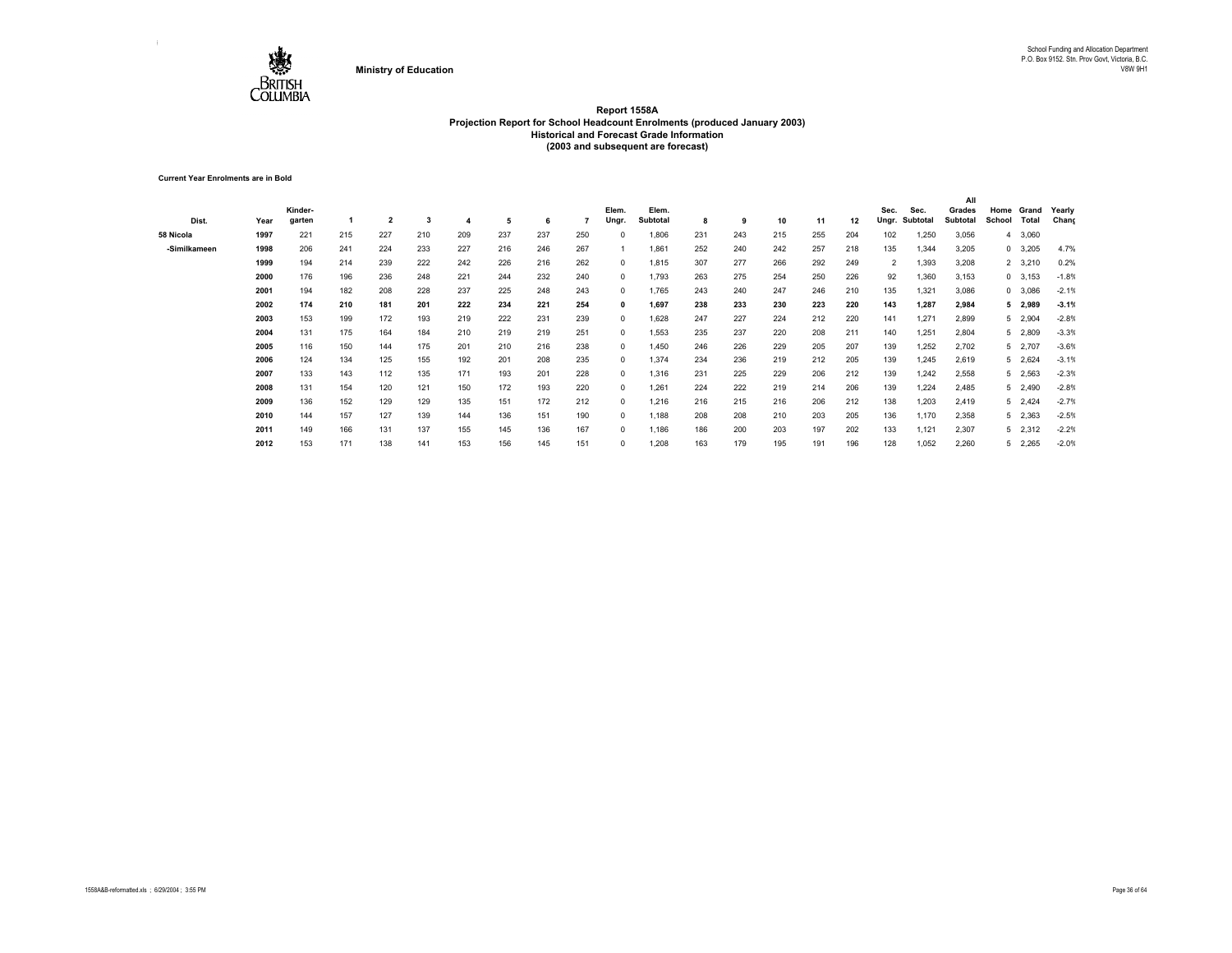

**Current Year Enrolments are in Bold**

|              |      |         |     |                |     |     |     |     |     |            |          |     |     |     |     |     |                |          | All      |        |                |         |
|--------------|------|---------|-----|----------------|-----|-----|-----|-----|-----|------------|----------|-----|-----|-----|-----|-----|----------------|----------|----------|--------|----------------|---------|
|              |      | Kinder- |     |                |     |     |     |     |     | Elem.      | Elem.    |     |     |     |     |     | Sec.           | Sec.     | Grades   | Home   | Grand          | Yearly  |
| Dist.        | Year | garten  |     | $\overline{2}$ | 3   |     | 5   | 6   |     | Ungr.      | Subtotal | 8   | 9   | 10  | 11  | 12  | Ungr.          | Subtotal | Subtotal | School | Total          | Chang   |
| 58 Nicola    | 1997 | 221     | 215 | 227            | 210 | 209 | 237 | 237 | 250 |            | 1,806    | 231 | 243 | 215 | 255 | 204 | 102            | 1,250    | 3,056    |        | 4 3,060        |         |
| -Similkameen | 1998 | 206     | 241 | 224            | 233 | 227 | 216 | 246 | 267 |            | 1,861    | 252 | 240 | 242 | 257 | 218 | 135            | 1,344    | 3,205    |        | 0 3,205        | 4.7%    |
|              | 1999 | 194     | 214 | 239            | 222 | 242 | 226 | 216 | 262 | $^{\circ}$ | 1,815    | 307 | 277 | 266 | 292 | 249 | $\overline{2}$ | 1,393    | 3,208    |        | 2 3,210        | 0.2%    |
|              | 2000 | 176     | 196 | 236            | 248 | 221 | 244 | 232 | 240 | $^{\circ}$ | 1,793    | 263 | 275 | 254 | 250 | 226 | 92             | 1,360    | 3,153    |        | $0\quad 3,153$ | $-1.8%$ |
|              | 2001 | 194     | 182 | 208            | 228 | 237 | 225 | 248 | 243 | $^{\circ}$ | 1,765    | 243 | 240 | 247 | 246 | 210 | 135            | 1,321    | 3,086    |        | 0 3,086        | $-2.1%$ |
|              | 2002 | 174     | 210 | 181            | 201 | 222 | 234 | 221 | 254 | 0          | 1,697    | 238 | 233 | 230 | 223 | 220 | 143            | 1,287    | 2,984    |        | 5 2,989        | $-3.1%$ |
|              | 2003 | 153     | 199 | 172            | 193 | 219 | 222 | 231 | 239 | $^{\circ}$ | 1,628    | 247 | 227 | 224 | 212 | 220 | 141            | 1,271    | 2,899    |        | 5 2,904        | $-2.8%$ |
|              | 2004 | 131     | 175 | 164            | 184 | 210 | 219 | 219 | 251 | $^{\circ}$ | 1,553    | 235 | 237 | 220 | 208 | 211 | 140            | 1,251    | 2,804    |        | 5 2,809        | $-3.3%$ |
|              | 2005 | 116     | 150 | 144            | 175 | 201 | 210 | 216 | 238 | $^{\circ}$ | 1,450    | 246 | 226 | 229 | 205 | 207 | 139            | 1,252    | 2,702    |        | 5 2,707        | $-3.6%$ |
|              | 2006 | 124     | 134 | 125            | 155 | 192 | 201 | 208 | 235 | $^{\circ}$ | 1,374    | 234 | 236 | 219 | 212 | 205 | 139            | 1,245    | 2,619    |        | 5 2,624        | $-3.1%$ |
|              | 2007 | 133     | 143 | 112            | 135 | 171 | 193 | 201 | 228 | $^{\circ}$ | 1,316    | 231 | 225 | 229 | 206 | 212 | 139            | 1,242    | 2,558    |        | 5 2,563        | $-2.3%$ |
|              | 2008 | 131     | 154 | 120            | 121 | 150 | 172 | 193 | 220 | $^{\circ}$ | 1.261    | 224 | 222 | 219 | 214 | 206 | 139            | 1,224    | 2,485    |        | 5 2,490        | $-2.8%$ |
|              | 2009 | 136     | 152 | 129            | 129 | 135 | 151 | 172 | 212 | $^{\circ}$ | 1,216    | 216 | 215 | 216 | 206 | 212 | 138            | 1,203    | 2,419    |        | 5 2,424        | $-2.7%$ |
|              | 2010 | 144     | 157 | 127            | 139 | 144 | 136 | 151 | 190 | $\Omega$   | 1,188    | 208 | 208 | 210 | 203 | 205 | 136            | 1,170    | 2,358    |        | 5 2,363        | $-2.5%$ |
|              | 2011 | 149     | 166 | 131            | 137 | 155 | 145 | 136 | 167 | $^{\circ}$ | 1,186    | 186 | 200 | 203 | 197 | 202 | 133            | 1,121    | 2,307    |        | 5 2,312        | $-2.2%$ |
|              | 2012 | 153     | 171 | 138            | 141 | 153 | 156 | 145 | 151 | $\Omega$   | 1,208    | 163 | 179 | 195 | 191 | 196 | 128            | 1,052    | 2,260    |        | 5 2,265        | $-2.0%$ |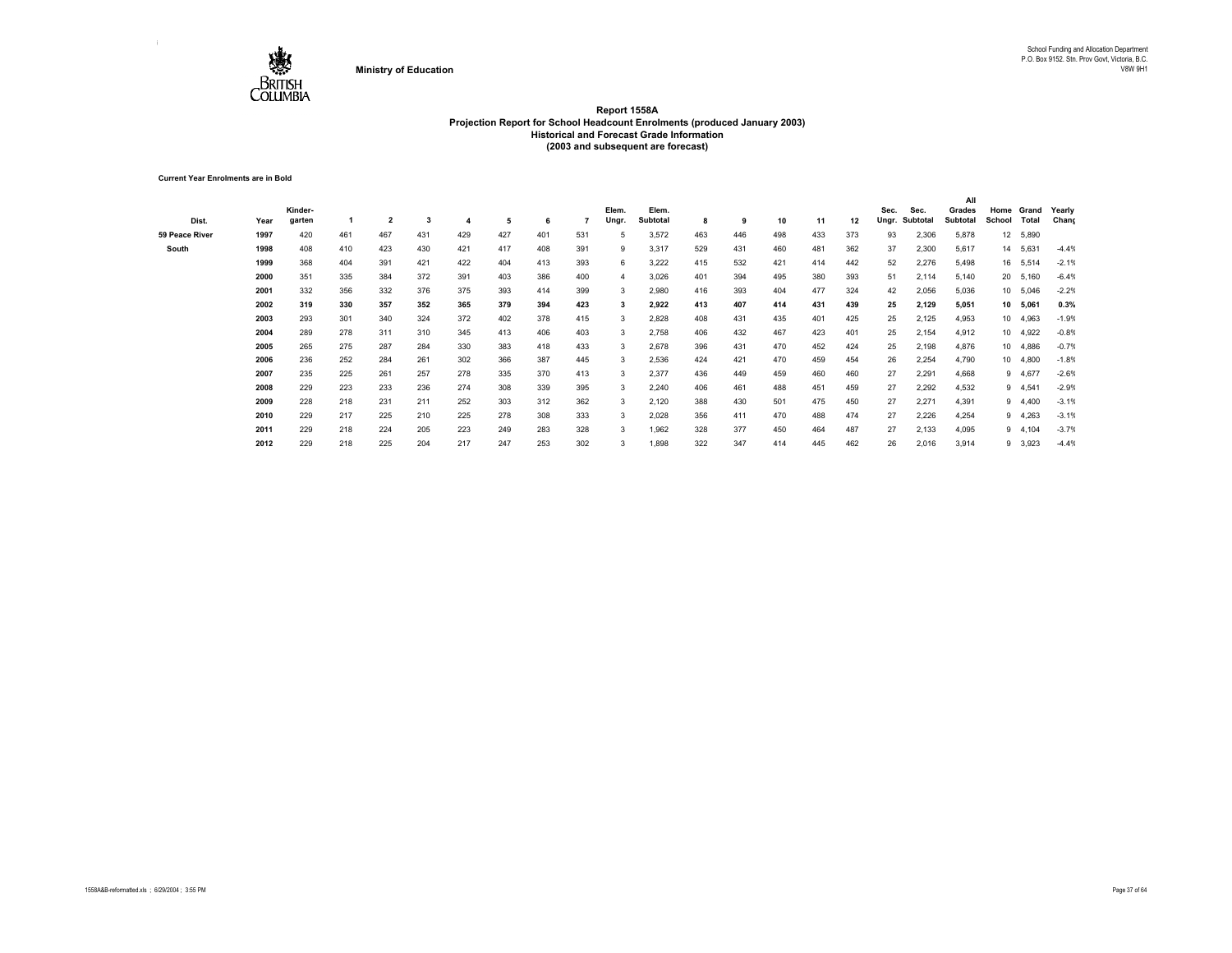

**Current Year Enrolments are in Bold**

|                |      |         |     |                |     |     |     |     |     |       |          |     |     |     |     |     |       |          | All      |                 |         |         |
|----------------|------|---------|-----|----------------|-----|-----|-----|-----|-----|-------|----------|-----|-----|-----|-----|-----|-------|----------|----------|-----------------|---------|---------|
|                |      | Kinder- |     |                |     |     |     |     |     | Elem. | Elem.    |     |     |     |     |     | Sec.  | Sec.     | Grades   | Home            | Grand   | Yearly  |
| Dist.          | Year | garten  |     | $\overline{2}$ | 3   |     | 5   | 6   |     | Ungr. | Subtotal | 8   | 9   | 10  | 11  | 12  | Ungr. | Subtotal | Subtotal | School          | Total   | Chang   |
| 59 Peace River | 1997 | 420     | 461 | 467            | 431 | 429 | 427 | 401 | 531 |       | 3,572    | 463 | 446 | 498 | 433 | 373 | 93    | 2,306    | 5,878    | 12              | 5,890   |         |
| South          | 1998 | 408     | 410 | 423            | 430 | 421 | 417 | 408 | 391 | 9     | 3,317    | 529 | 431 | 460 | 481 | 362 | 37    | 2,300    | 5,617    | 14              | 5,631   | $-4.4%$ |
|                | 1999 | 368     | 404 | 391            | 421 | 422 | 404 | 413 | 393 | 6     | 3,222    | 415 | 532 | 421 | 414 | 442 | 52    | 2,276    | 5,498    | 16              | 5,514   | $-2.1%$ |
|                | 2000 | 351     | 335 | 384            | 372 | 391 | 403 | 386 | 400 |       | 3,026    | 401 | 394 | 495 | 380 | 393 | 51    | 2,114    | 5,140    | 20              | 5,160   | $-6.4%$ |
|                | 2001 | 332     | 356 | 332            | 376 | 375 | 393 | 414 | 399 | 3     | 2,980    | 416 | 393 | 404 | 477 | 324 | 42    | 2,056    | 5,036    | 10              | 5,046   | $-2.2%$ |
|                | 2002 | 319     | 330 | 357            | 352 | 365 | 379 | 394 | 423 |       | 2,922    | 413 | 407 | 414 | 431 | 439 | 25    | 2,129    | 5,051    | 10              | 5,061   | 0.3%    |
|                | 2003 | 293     | 301 | 340            | 324 | 372 | 402 | 378 | 415 | 3     | 2,828    | 408 | 431 | 435 | 401 | 425 | 25    | 2,125    | 4,953    | $10-10$         | 4,963   | $-1.9%$ |
|                | 2004 | 289     | 278 | 311            | 310 | 345 | 413 | 406 | 403 | 3     | 2,758    | 406 | 432 | 467 | 423 | 401 | 25    | 2,154    | 4,912    | 10 <sup>1</sup> | 4,922   | $-0.8%$ |
|                | 2005 | 265     | 275 | 287            | 284 | 330 | 383 | 418 | 433 | 3     | 2,678    | 396 | 431 | 470 | 452 | 424 | 25    | 2,198    | 4,876    | 10 <sup>1</sup> | 4,886   | $-0.7%$ |
|                | 2006 | 236     | 252 | 284            | 261 | 302 | 366 | 387 | 445 | 3     | 2,536    | 424 | 421 | 470 | 459 | 454 | 26    | 2,254    | 4,790    | 10              | 4,800   | $-1.8%$ |
|                | 2007 | 235     | 225 | 261            | 257 | 278 | 335 | 370 | 413 | 3     | 2,377    | 436 | 449 | 459 | 460 | 460 | 27    | 2,291    | 4,668    | 9               | 4,677   | $-2.6%$ |
|                | 2008 | 229     | 223 | 233            | 236 | 274 | 308 | 339 | 395 | 3     | 2,240    | 406 | 461 | 488 | 451 | 459 | 27    | 2,292    | 4,532    | 9               | 4,541   | $-2.9%$ |
|                | 2009 | 228     | 218 | 231            | 211 | 252 | 303 | 312 | 362 | 3     | 2,120    | 388 | 430 | 501 | 475 | 450 | 27    | 2,271    | 4,391    | 9               | 4,400   | $-3.1%$ |
|                | 2010 | 229     | 217 | 225            | 210 | 225 | 278 | 308 | 333 | 3     | 2,028    | 356 | 411 | 470 | 488 | 474 | 27    | 2,226    | 4,254    | 9               | 4,263   | $-3.1%$ |
|                | 2011 | 229     | 218 | 224            | 205 | 223 | 249 | 283 | 328 | 3     | 1,962    | 328 | 377 | 450 | 464 | 487 | 27    | 2,133    | 4,095    | 9               | 4,104   | $-3.7%$ |
|                | 2012 | 229     | 218 | 225            | 204 | 217 | 247 | 253 | 302 |       | 1,898    | 322 | 347 | 414 | 445 | 462 | 26    | 2,016    | 3,914    |                 | 9 3,923 | $-4.4%$ |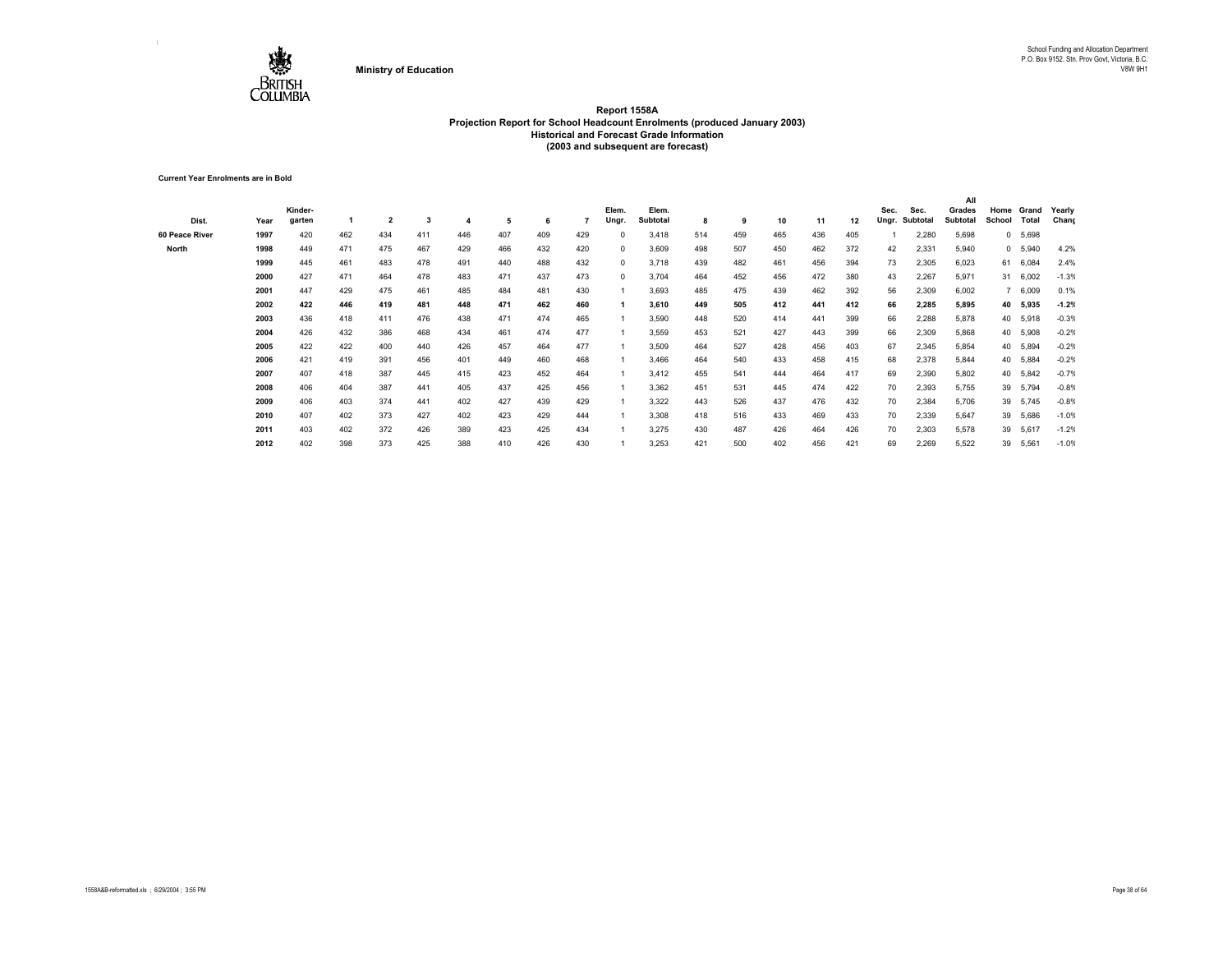

**Current Year Enrolments are in Bold**

|                |      |         |     |                |     |     |     |     |     |            |          |     |     |     |     |     |       |          | All             |              |          |         |
|----------------|------|---------|-----|----------------|-----|-----|-----|-----|-----|------------|----------|-----|-----|-----|-----|-----|-------|----------|-----------------|--------------|----------|---------|
|                |      | Kinder- |     |                |     |     |     |     |     | Elem.      | Elem.    |     |     |     |     |     | Sec.  | Sec.     | Grades          | Home         | Grand    | Yearly  |
| Dist.          | Year | garten  |     | $\overline{2}$ | 3   |     | 5   | 6   |     | Ungr.      | Subtotal | 8   | 9   | 10  | 11  | 12  | Ungr. | Subtotal | <b>Subtotal</b> | School       | Total    | Chang   |
| 60 Peace River | 1997 | 420     | 462 | 434            | 411 | 446 | 407 | 409 | 429 | $\Omega$   | 3,418    | 514 | 459 | 465 | 436 | 405 |       | 2,280    | 5,698           | $\mathbf{0}$ | 5,698    |         |
| North          | 1998 | 449     | 471 | 475            | 467 | 429 | 466 | 432 | 420 | $^{\circ}$ | 3,609    | 498 | 507 | 450 | 462 | 372 | 42    | 2,331    | 5,940           | $^{\circ}$   | 5,940    | 4.2%    |
|                | 1999 | 445     | 461 | 483            | 478 | 491 | 440 | 488 | 432 | $^{\circ}$ | 3,718    | 439 | 482 | 461 | 456 | 394 | 73    | 2,305    | 6,023           | 61           | 6,084    | 2.4%    |
|                | 2000 | 427     | 471 | 464            | 478 | 483 | 471 | 437 | 473 | $\Omega$   | 3,704    | 464 | 452 | 456 | 472 | 380 | 43    | 2,267    | 5,971           | 31           | 6,002    | $-1.3%$ |
|                | 2001 | 447     | 429 | 475            | 461 | 485 | 484 | 481 | 430 |            | 3,693    | 485 | 475 | 439 | 462 | 392 | 56    | 2,309    | 6,002           | $7^{\circ}$  | 6,009    | 0.1%    |
|                | 2002 | 422     | 446 | 419            | 481 | 448 | 471 | 462 | 460 |            | 3,610    | 449 | 505 | 412 | 441 | 412 | 66    | 2,285    | 5,895           | 40           | 5,935    | $-1.2%$ |
|                | 2003 | 436     | 418 | 411            | 476 | 438 | 471 | 474 | 465 |            | 3,590    | 448 | 520 | 414 | 441 | 399 | 66    | 2,288    | 5,878           | 40           | 5,918    | $-0.3%$ |
|                | 2004 | 426     | 432 | 386            | 468 | 434 | 461 | 474 | 477 |            | 3,559    | 453 | 521 | 427 | 443 | 399 | 66    | 2,309    | 5,868           |              | 40 5,908 | $-0.2%$ |
|                | 2005 | 422     | 422 | 400            | 440 | 426 | 457 | 464 | 477 |            | 3,509    | 464 | 527 | 428 | 456 | 403 | 67    | 2,345    | 5,854           | 40           | 5,894    | $-0.2%$ |
|                | 2006 | 421     | 419 | 391            | 456 | 401 | 449 | 460 | 468 |            | 3,466    | 464 | 540 | 433 | 458 | 415 | 68    | 2,378    | 5,844           |              | 40 5,884 | $-0.2%$ |
|                | 2007 | 407     | 418 | 387            | 445 | 415 | 423 | 452 | 464 |            | 3,412    | 455 | 541 | 444 | 464 | 417 | 69    | 2,390    | 5,802           | 40           | 5,842    | $-0.7%$ |
|                | 2008 | 406     | 404 | 387            | 441 | 405 | 437 | 425 | 456 |            | 3,362    | 451 | 531 | 445 | 474 | 422 | 70    | 2,393    | 5,755           | 39           | 5,794    | $-0.8%$ |
|                | 2009 | 406     | 403 | 374            | 441 | 402 | 427 | 439 | 429 |            | 3,322    | 443 | 526 | 437 | 476 | 432 | 70    | 2.384    | 5,706           | 39           | 5,745    | $-0.8%$ |
|                | 2010 | 407     | 402 | 373            | 427 | 402 | 423 | 429 | 444 |            | 3,308    | 418 | 516 | 433 | 469 | 433 | 70    | 2,339    | 5,647           | 39           | 5,686    | $-1.0%$ |
|                | 2011 | 403     | 402 | 372            | 426 | 389 | 423 | 425 | 434 |            | 3,275    | 430 | 487 | 426 | 464 | 426 | 70    | 2,303    | 5,578           | 39           | 5,617    | $-1.2%$ |
|                | 2012 | 402     | 398 | 373            | 425 | 388 | 410 | 426 | 430 |            | 3,253    | 421 | 500 | 402 | 456 | 421 | 69    | 2,269    | 5,522           | 39           | 5,561    | $-1.0%$ |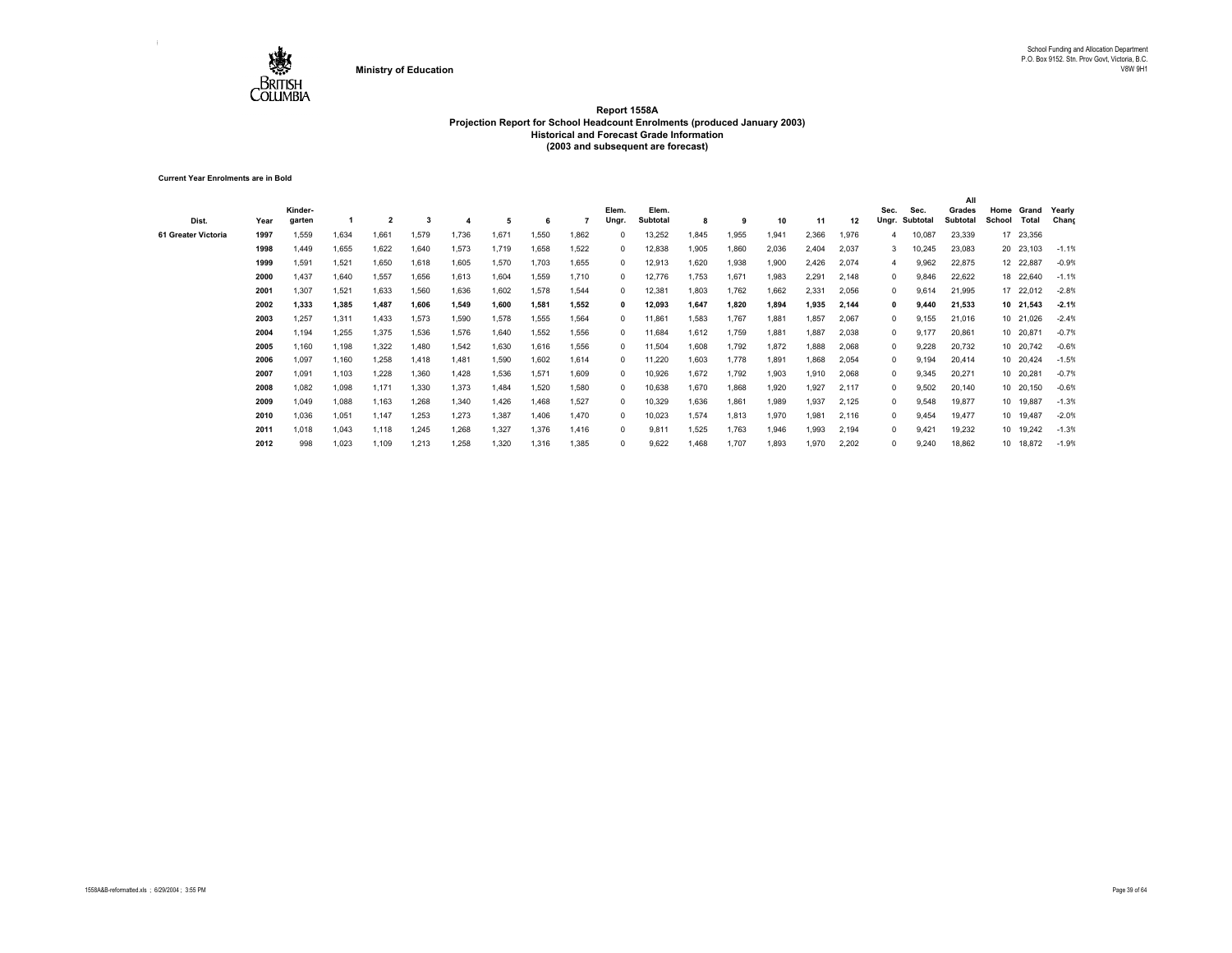

**Current Year Enrolments are in Bold**

| Dist.               | Year | Kinder-<br>garten |       | $\overline{\mathbf{2}}$ | 3     |       | -5    | 6     |       | Elem.<br>Ungr | Elem.<br>Subtotal | 8     | -9    | 10    | -11   | 12    | Sec.<br>Ungr. | Sec.<br>Subtotal | All<br>Grades<br>Subtotal | Home<br>School | Grand<br><b>Total</b> | Yearly<br>Chang |
|---------------------|------|-------------------|-------|-------------------------|-------|-------|-------|-------|-------|---------------|-------------------|-------|-------|-------|-------|-------|---------------|------------------|---------------------------|----------------|-----------------------|-----------------|
| 61 Greater Victoria | 1997 | 1,559             | 1,634 | 1,661                   | 1,579 | 1,736 | 1.671 | 1,550 | 1,862 |               | 13,252            | .845  | 1.955 | 1,941 | 2,366 | 1,976 |               | 10,087           | 23,339                    |                | 17 23,356             |                 |
|                     | 1998 | 1.449             | 1,655 | 1,622                   | 1,640 | 1,573 | 1,719 | 1,658 | 1,522 | 0             | 12,838            | 1,905 | 1,860 | 2,036 | 2,404 | 2,037 | 3             | 10,245           | 23,083                    |                | 20 23,103             | $-1.1%$         |
|                     | 1999 | 1,591             | 1,521 | 1,650                   | 1,618 | 1,605 | 1,570 | 1.703 | 1,655 | 0             | 12,913            | 1,620 | 1,938 | 1,900 | 2,426 | 2,074 | 4             | 9,962            | 22,875                    |                | 12 22,887             | $-0.9%$         |
|                     | 2000 | 1,437             | 1,640 | 1,557                   | 1,656 | 1,613 | 1,604 | 1,559 | 1,710 | 0             | 12,776            | 1,753 | 1,671 | 1,983 | 2,291 | 2,148 | 0             | 9,846            | 22,622                    |                | 18 22,640             | $-1.1%$         |
|                     | 2001 | 1,307             | 1,521 | 1,633                   | 1,560 | 1,636 | 1,602 | 1,578 | 1,544 | 0             | 12,381            | 1,803 | 1,762 | 1,662 | 2,331 | 2,056 | $\Omega$      | 9,614            | 21,995                    |                | 17 22,012             | $-2.8%$         |
|                     | 2002 | 1.333             | 1,385 | 1,487                   | 1.606 | 1.549 | 1.600 | 1.581 | 1,552 | 0             | 12,093            | 1,647 | 1.820 | 1.894 | 1,935 | 2,144 | 0             | 9,440            | 21,533                    |                | 10 21,543             | $-2.1%$         |
|                     | 2003 | 1.257             | 1,311 | 1,433                   | 1,573 | 1.590 | 1.578 | 1.555 | 1,564 | $\Omega$      | 11,861            | 1,583 | 1.767 | 1,881 | .857  | 2,067 | 0             | 9,155            | 21,016                    |                | 10 21,026             | $-2.4%$         |
|                     | 2004 | 1.194             | 1.255 | 1,375                   | 1,536 | 1,576 | 1,640 | 1,552 | 1,556 |               | 11,684            | 1,612 | 1.759 | 1,881 | 1.887 | 2,038 | 0             | 9.177            | 20,861                    |                | 10 20,871             | $-0.7%$         |
|                     | 2005 | 1.160             | 1,198 | 1,322                   | 1,480 | 1.542 | 1,630 | 1,616 | 1,556 | 0             | 11,504            | 806,1 | 1.792 | 1,872 | 888,  | 2,068 | $\Omega$      | 9,228            | 20,732                    |                | 10 20,742             | $-0.6%$         |
|                     | 2006 | 1,097             | 1,160 | 1,258                   | 1,418 | 1,481 | 1,590 | 1,602 | 1,614 | 0             | 11,220            | 1,603 | 1.778 | 1,891 | 868,  | 2,054 | 0             | 9,194            | 20,414                    |                | 10 20,424             | $-1.5%$         |
|                     | 2007 | 1,091             | 1,103 | 1,228                   | 1,360 | 1,428 | 1,536 | 1,571 | 1,609 | $\Omega$      | 10,926            | 1,672 | 1,792 | 1,903 | 1,910 | 2,068 | $\Omega$      | 9,345            | 20,271                    |                | 10 20,281             | $-0.7%$         |
|                     | 2008 | 1,082             | 1,098 | 1,171                   | 1,330 | 1.373 | 1.484 | 1.520 | 1,580 | $\Omega$      | 10,638            | 1,670 | 1.868 | 1,920 | ,927  | 2.117 | $\Omega$      | 9,502            | 20,140                    |                | 10 20,150             | $-0.6%$         |
|                     | 2009 | 1.049             | 1,088 | 1,163                   | 1,268 | 1,340 | 1,426 | 1.468 | 1,527 | $\Omega$      | 10,329            | 1,636 | 1.861 | 1,989 | 1,937 | 2,125 | 0             | 9,548            | 19,877                    |                | 10 19,887             | $-1.3%$         |
|                     | 2010 | 1,036             | 1,051 | 1,147                   | 1,253 | 1,273 | 1,387 | 1.406 | 1,470 | $\Omega$      | 10,023            | 1,574 | 1,813 | 1,970 | 1,981 | 2,116 | 0             | 9.454            | 19,477                    |                | 10 19,487             | $-2.0%$         |
|                     | 2011 | 1.018             | 1,043 | 1,118                   | 1,245 | 1,268 | 1,327 | 1,376 | 1,416 | $\Omega$      | 9,811             | 1,525 | 1.763 | 1,946 | .993  | 2,194 | $\Omega$      | 9.421            | 19,232                    |                | 10 19,242             | $-1.3%$         |
|                     | 2012 | 998               | 1.023 | 1,109                   | 1.213 | 1.258 | 1.320 | 1,316 | 1,385 |               | 9,622             | 1.468 | 1.707 | 1,893 | 1,970 | 2,202 | $\Omega$      | 9,240            | 18,862                    |                | 10 18,872             | $-1.9%$         |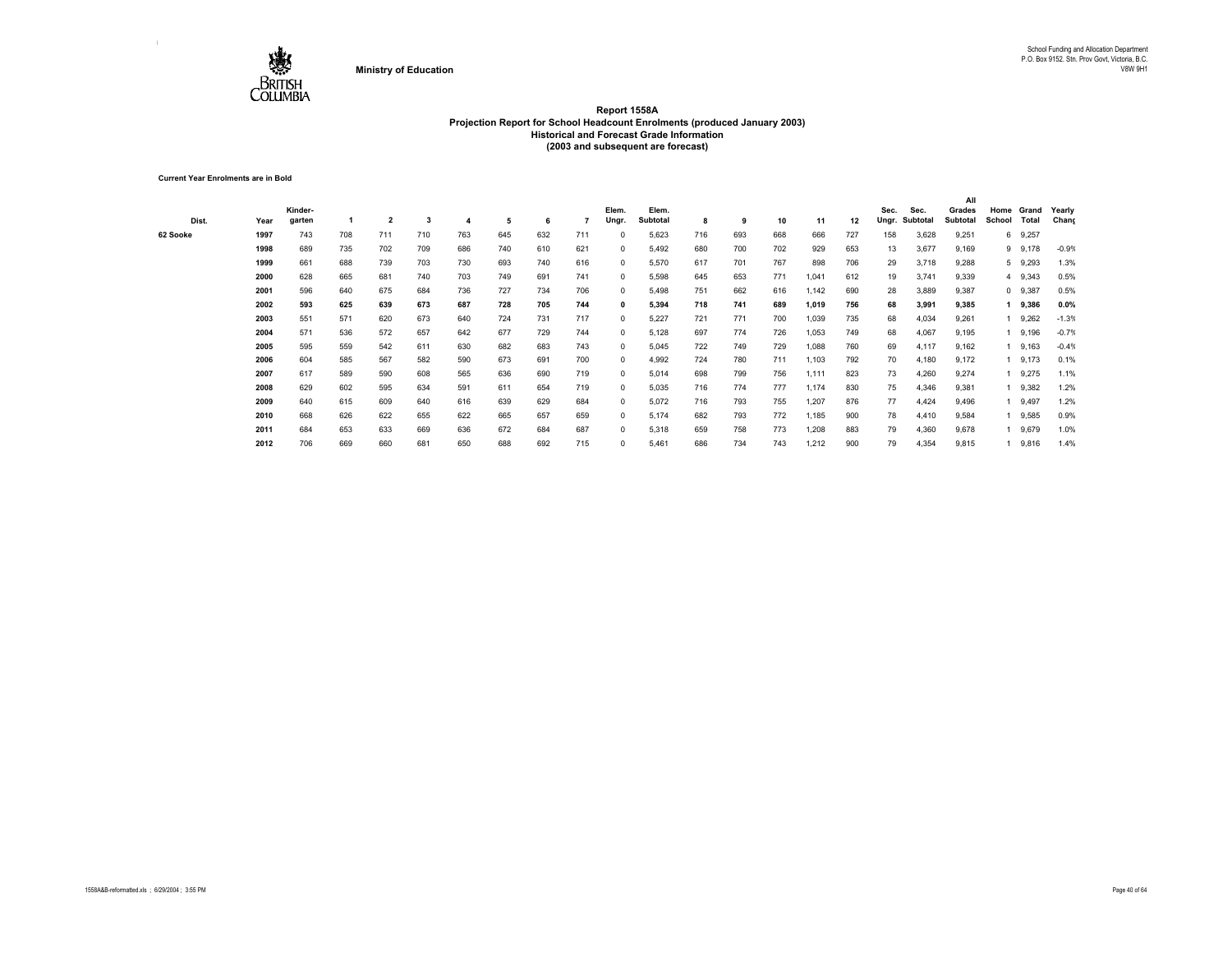

**Current Year Enrolments are in Bold**

|          |      |         |     |                         |     |     |     |     |     |            |          |     |     |     |       |     |       |          | All      |        |           |         |
|----------|------|---------|-----|-------------------------|-----|-----|-----|-----|-----|------------|----------|-----|-----|-----|-------|-----|-------|----------|----------|--------|-----------|---------|
|          |      | Kinder- |     |                         |     |     |     |     |     | Elem.      | Elem.    |     |     |     |       |     | Sec.  | Sec.     | Grades   | Home   | Grand     | Yearly  |
| Dist.    | Year | garten  |     | $\overline{\mathbf{2}}$ | 3   |     | 5   | 6   |     | Ungr.      | Subtotal | 8   | 9   | 10  | 11    | 12  | Ungr. | Subtotal | Subtotal | School | Total     | Chang   |
| 62 Sooke | 1997 | 743     | 708 | 711                     | 710 | 763 | 645 | 632 | 711 | $^{\circ}$ | 5,623    | 716 | 693 | 668 | 666   | 727 | 158   | 3,628    | 9,251    | 6      | 9,257     |         |
|          | 1998 | 689     | 735 | 702                     | 709 | 686 | 740 | 610 | 621 | $^{\circ}$ | 5,492    | 680 | 700 | 702 | 929   | 653 | 13    | 3,677    | 9,169    |        | 9 9,178   | $-0.9%$ |
|          | 1999 | 661     | 688 | 739                     | 703 | 730 | 693 | 740 | 616 | $^{\circ}$ | 5,570    | 617 | 701 | 767 | 898   | 706 | 29    | 3,718    | 9,288    |        | 5 9,293   | 1.3%    |
|          | 2000 | 628     | 665 | 681                     | 740 | 703 | 749 | 691 | 741 | $^{\circ}$ | 5,598    | 645 | 653 | 771 | 1,041 | 612 | 19    | 3,741    | 9,339    |        | 4 9,343   | 0.5%    |
|          | 2001 | 596     | 640 | 675                     | 684 | 736 | 727 | 734 | 706 | $^{\circ}$ | 5,498    | 751 | 662 | 616 | 1,142 | 690 | 28    | 3,889    | 9,387    |        | $0$ 9,387 | 0.5%    |
|          | 2002 | 593     | 625 | 639                     | 673 | 687 | 728 | 705 | 744 | 0          | 5,394    | 718 | 741 | 689 | 1,019 | 756 | 68    | 3,991    | 9,385    |        | 9,386     | 0.0%    |
|          | 2003 | 551     | 571 | 620                     | 673 | 640 | 724 | 731 | 717 | $^{\circ}$ | 5,227    | 721 | 771 | 700 | 1,039 | 735 | 68    | 4,034    | 9,261    |        | 9,262     | $-1.3%$ |
|          | 2004 | 571     | 536 | 572                     | 657 | 642 | 677 | 729 | 744 | $^{\circ}$ | 5,128    | 697 | 774 | 726 | 1,053 | 749 | 68    | 4,067    | 9,195    |        | 9,196     | $-0.7%$ |
|          | 2005 | 595     | 559 | 542                     | 611 | 630 | 682 | 683 | 743 | $^{\circ}$ | 5,045    | 722 | 749 | 729 | 1,088 | 760 | 69    | 4,117    | 9,162    |        | 9,163     | $-0.4%$ |
|          | 2006 | 604     | 585 | 567                     | 582 | 590 | 673 | 691 | 700 | $^{\circ}$ | 4,992    | 724 | 780 | 711 | 1,103 | 792 | 70    | 4,180    | 9,172    |        | 9,173     | 0.1%    |
|          | 2007 | 617     | 589 | 590                     | 608 | 565 | 636 | 690 | 719 | $^{\circ}$ | 5,014    | 698 | 799 | 756 | 1,111 | 823 | 73    | 4,260    | 9,274    |        | 9,275     | 1.1%    |
|          | 2008 | 629     | 602 | 595                     | 634 | 591 | 611 | 654 | 719 | $^{\circ}$ | 5,035    | 716 | 774 | 777 | 1,174 | 830 | 75    | 4,346    | 9,381    |        | 9,382     | 1.2%    |
|          | 2009 | 640     | 615 | 609                     | 640 | 616 | 639 | 629 | 684 | $^{\circ}$ | 5,072    | 716 | 793 | 755 | 1,207 | 876 | 77    | 4,424    | 9,496    |        | 9,497     | 1.2%    |
|          | 2010 | 668     | 626 | 622                     | 655 | 622 | 665 | 657 | 659 | $^{\circ}$ | 5,174    | 682 | 793 | 772 | 1,185 | 900 | 78    | 4,410    | 9,584    |        | 9,585     | 0.9%    |
|          | 2011 | 684     | 653 | 633                     | 669 | 636 | 672 | 684 | 687 | $^{\circ}$ | 5,318    | 659 | 758 | 773 | 1,208 | 883 | 79    | 4,360    | 9,678    |        | 9,679     | 1.0%    |
|          | 2012 | 706     | 669 | 660                     | 681 | 650 | 688 | 692 | 715 | $^{\circ}$ | 5,461    | 686 | 734 | 743 | 1,212 | 900 | 79    | 4,354    | 9,815    |        | 9,816     | 1.4%    |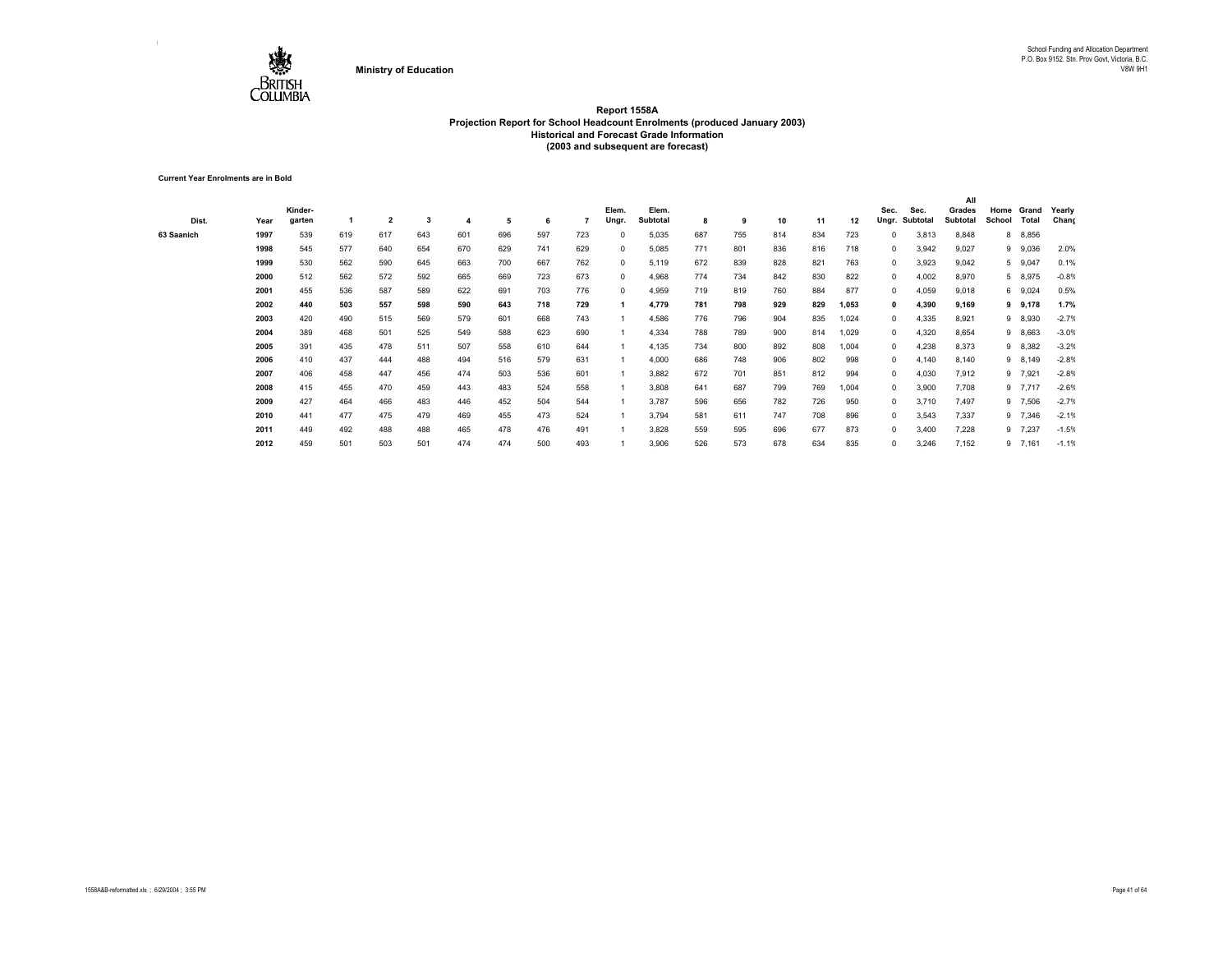

**Current Year Enrolments are in Bold**

| Dist.      | Year | Kinder-<br>garten |     | $\overline{\mathbf{2}}$ | 3   |     | 5   | 6   |     | Elem.<br>Ungr. | Elem.<br>Subtotal | 8   | 9   | 10  | 11  | 12    | Sec.<br>Ungr. | Sec.<br>Subtotal | All<br>Grades<br>Subtotal | Home<br>School | Grand<br>Total | Yearly<br>Chang |
|------------|------|-------------------|-----|-------------------------|-----|-----|-----|-----|-----|----------------|-------------------|-----|-----|-----|-----|-------|---------------|------------------|---------------------------|----------------|----------------|-----------------|
| 63 Saanich | 1997 | 539               | 619 | 617                     | 643 | 601 | 696 | 597 | 723 | $^{\circ}$     | 5,035             | 687 | 755 | 814 | 834 | 723   | 0             | 3,813            | 8,848                     |                | 8 8,856        |                 |
|            | 1998 | 545               | 577 | 640                     | 654 | 670 | 629 | 741 | 629 | $^{\circ}$     | 5,085             | 771 | 801 | 836 | 816 | 718   | $\mathbf 0$   | 3,942            | 9,027                     |                | 9 9,036        | 2.0%            |
|            | 1999 | 530               | 562 | 590                     | 645 | 663 | 700 | 667 | 762 | $^{\circ}$     | 5,119             | 672 | 839 | 828 | 821 | 763   | $\mathbf 0$   | 3,923            | 9,042                     |                | 5 9,047        | 0.1%            |
|            | 2000 | 512               | 562 | 572                     | 592 | 665 | 669 | 723 | 673 | $^{\circ}$     | 4,968             | 774 | 734 | 842 | 830 | 822   | $^{\circ}$    | 4,002            | 8,970                     |                | 5 8,975        | $-0.8%$         |
|            | 2001 | 455               | 536 | 587                     | 589 | 622 | 691 | 703 | 776 | $^{\circ}$     | 4,959             | 719 | 819 | 760 | 884 | 877   | 0             | 4,059            | 9,018                     |                | 6 9,024        | 0.5%            |
|            | 2002 | 440               | 503 | 557                     | 598 | 590 | 643 | 718 | 729 |                | 4,779             | 781 | 798 | 929 | 829 | 1,053 | 0             | 4,390            | 9,169                     |                | 9 9,178        | 1.7%            |
|            | 2003 | 420               | 490 | 515                     | 569 | 579 | 601 | 668 | 743 |                | 4,586             | 776 | 796 | 904 | 835 | 1,024 | 0             | 4,335            | 8,921                     |                | 9 8,930        | $-2.7%$         |
|            | 2004 | 389               | 468 | 501                     | 525 | 549 | 588 | 623 | 690 |                | 4,334             | 788 | 789 | 900 | 814 | 1,029 | 0             | 4,320            | 8,654                     |                | 9 8,663        | $-3.0%$         |
|            | 2005 | 391               | 435 | 478                     | 511 | 507 | 558 | 610 | 644 |                | 4,135             | 734 | 800 | 892 | 808 | 1,004 | 0             | 4,238            | 8,373                     |                | 9 8,382        | $-3.2%$         |
|            | 2006 | 410               | 437 | 444                     | 488 | 494 | 516 | 579 | 631 |                | 4,000             | 686 | 748 | 906 | 802 | 998   | 0             | 4,140            | 8,140                     |                | 9 8,149        | $-2.8%$         |
|            | 2007 | 406               | 458 | 447                     | 456 | 474 | 503 | 536 | 601 |                | 3,882             | 672 | 701 | 851 | 812 | 994   | 0             | 4,030            | 7,912                     |                | 9 7,921        | $-2.8%$         |
|            | 2008 | 415               | 455 | 470                     | 459 | 443 | 483 | 524 | 558 |                | 3,808             | 641 | 687 | 799 | 769 | 1,004 | $^{\circ}$    | 3,900            | 7,708                     |                | 9 7,717        | $-2.6%$         |
|            | 2009 | 427               | 464 | 466                     | 483 | 446 | 452 | 504 | 544 |                | 3,787             | 596 | 656 | 782 | 726 | 950   | $^{\circ}$    | 3,710            | 7,497                     |                | 9 7,506        | $-2.7%$         |
|            | 2010 | 441               | 477 | 475                     | 479 | 469 | 455 | 473 | 524 |                | 3,794             | 581 | 611 | 747 | 708 | 896   | $^{\circ}$    | 3,543            | 7,337                     |                | 9 7,346        | $-2.1%$         |
|            | 2011 | 449               | 492 | 488                     | 488 | 465 | 478 | 476 | 491 |                | 3,828             | 559 | 595 | 696 | 677 | 873   | $^{\circ}$    | 3,400            | 7,228                     |                | 9 7,237        | $-1.5%$         |
|            | 2012 | 459               | 501 | 503                     | 501 | 474 | 474 | 500 | 493 |                | 3,906             | 526 | 573 | 678 | 634 | 835   | 0             | 3,246            | 7,152                     |                | $9$ 7,161      | $-1.1%$         |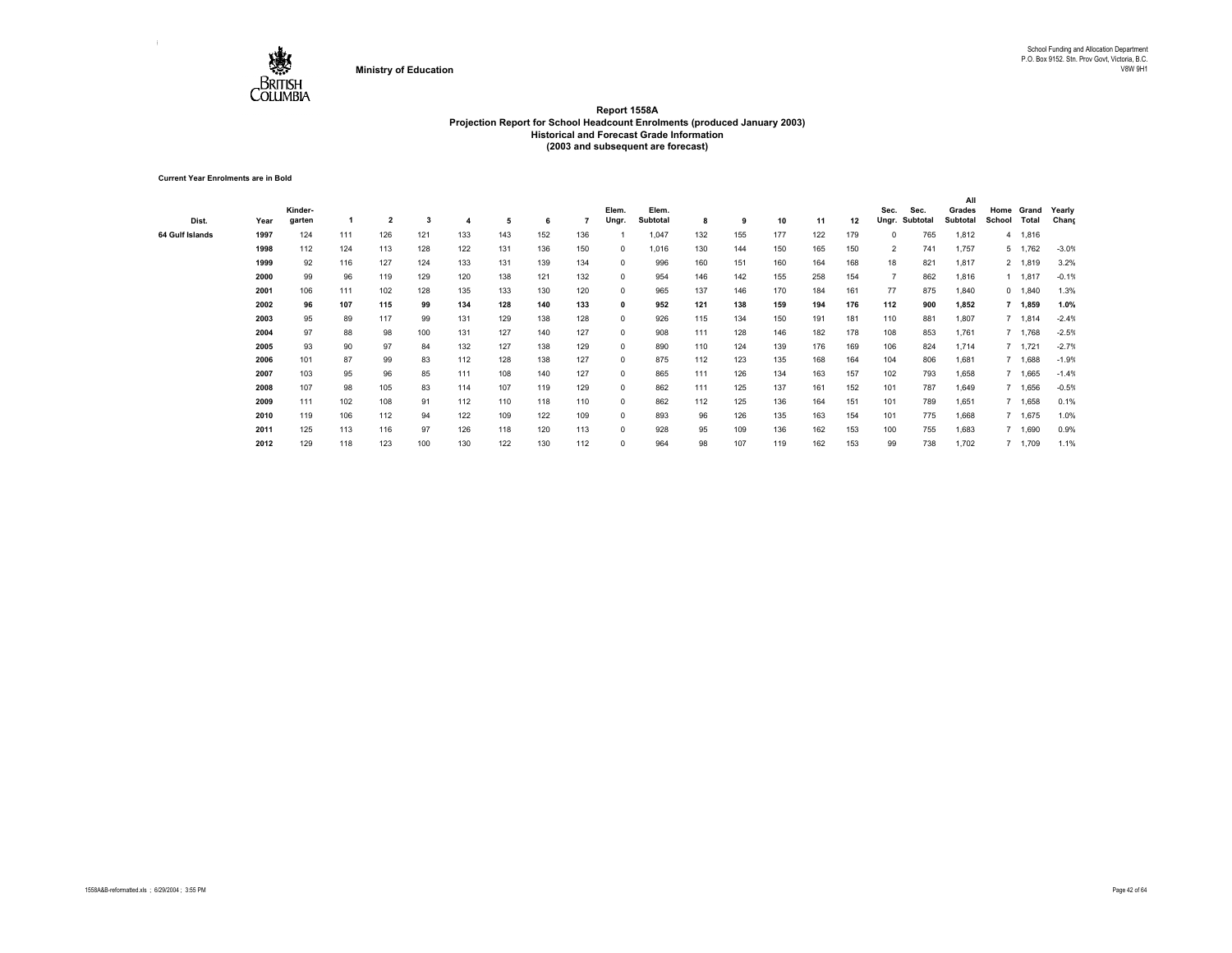

**Current Year Enrolments are in Bold**

|                 |      |         |     |                |     |     |     |     |     |            |          |     |     |     |     |     |                |          | All      |        |         |         |
|-----------------|------|---------|-----|----------------|-----|-----|-----|-----|-----|------------|----------|-----|-----|-----|-----|-----|----------------|----------|----------|--------|---------|---------|
|                 |      | Kinder- |     |                |     |     |     |     |     | Elem.      | Elem.    |     |     |     |     |     | Sec.           | Sec.     | Grades   | Home   | Grand   | Yearly  |
| Dist.           | Year | garten  |     | $\overline{2}$ | 3   | 4   | 5   | 6   |     | Ungr.      | Subtotal | 8   | 9   | 10  | 11  | 12  | Ungr.          | Subtotal | Subtotal | School | Total   | Chang   |
| 64 Gulf Islands | 1997 | 124     | 111 | 126            | 121 | 133 | 143 | 152 | 136 |            | 1.047    | 132 | 155 | 177 | 122 | 179 | $\Omega$       | 765      | 1,812    |        | 4 1,816 |         |
|                 | 1998 | 112     | 124 | 113            | 128 | 122 | 131 | 136 | 150 | 0          | 1,016    | 130 | 144 | 150 | 165 | 150 | $\overline{2}$ | 741      | 1,757    |        | 5 1,762 | $-3.0%$ |
|                 | 1999 | 92      | 116 | 127            | 124 | 133 | 131 | 139 | 134 | $^{\circ}$ | 996      | 160 | 151 | 160 | 164 | 168 | 18             | 821      | 1,817    |        | 2 1,819 | 3.2%    |
|                 | 2000 | 99      | 96  | 119            | 129 | 120 | 138 | 121 | 132 | 0          | 954      | 146 | 142 | 155 | 258 | 154 |                | 862      | 1,816    |        | 1 1,817 | $-0.1%$ |
|                 | 2001 | 106     | 111 | 102            | 128 | 135 | 133 | 130 | 120 | 0          | 965      | 137 | 146 | 170 | 184 | 161 | 77             | 875      | 1,840    |        | 0 1,840 | 1.3%    |
|                 | 2002 | 96      | 107 | 115            | 99  | 134 | 128 | 140 | 133 | 0          | 952      | 121 | 138 | 159 | 194 | 176 | 112            | 900      | 1,852    |        | 7 1,859 | 1.0%    |
|                 | 2003 | 95      | 89  | 117            | 99  | 131 | 129 | 138 | 128 | $^{\circ}$ | 926      | 115 | 134 | 150 | 191 | 181 | 110            | 881      | 1,807    |        | 7 1,814 | $-2.4%$ |
|                 | 2004 | 97      | 88  | 98             | 100 | 131 | 127 | 140 | 127 | $^{\circ}$ | 908      | 111 | 128 | 146 | 182 | 178 | 108            | 853      | 1,761    |        | 7 1,768 | $-2.5%$ |
|                 | 2005 | 93      | 90  | 97             | 84  | 132 | 127 | 138 | 129 | $^{\circ}$ | 890      | 110 | 124 | 139 | 176 | 169 | 106            | 824      | 1,714    |        | 7 1,721 | $-2.7%$ |
|                 | 2006 | 101     | 87  | 99             | 83  | 112 | 128 | 138 | 127 | $^{\circ}$ | 875      | 112 | 123 | 135 | 168 | 164 | 104            | 806      | 1,681    |        | 7 1,688 | $-1.9%$ |
|                 | 2007 | 103     | 95  | 96             | 85  | 111 | 108 | 140 | 127 | $^{\circ}$ | 865      | 111 | 126 | 134 | 163 | 157 | 102            | 793      | 1,658    |        | 7 1,665 | $-1.4%$ |
|                 | 2008 | 107     | 98  | 105            | 83  | 114 | 107 | 119 | 129 | $^{\circ}$ | 862      | 111 | 125 | 137 | 161 | 152 | 101            | 787      | 1,649    |        | 7 1,656 | $-0.5%$ |
|                 | 2009 | 111     | 102 | 108            | 91  | 112 | 110 | 118 | 110 | 0          | 862      | 112 | 125 | 136 | 164 | 151 | 101            | 789      | 1,651    |        | 7 1,658 | 0.1%    |
|                 | 2010 | 119     | 106 | 112            | 94  | 122 | 109 | 122 | 109 | 0          | 893      | 96  | 126 | 135 | 163 | 154 | 101            | 775      | 1,668    |        | 7 1,675 | 1.0%    |
|                 | 2011 | 125     | 113 | 116            | 97  | 126 | 118 | 120 | 113 | 0          | 928      | 95  | 109 | 136 | 162 | 153 | 100            | 755      | 1,683    |        | 1,690   | 0.9%    |
|                 | 2012 | 129     | 118 | 123            | 100 | 130 | 122 | 130 | 112 | 0          | 964      | 98  | 107 | 119 | 162 | 153 | 99             | 738      | 1,702    |        | 7 1,709 | 1.1%    |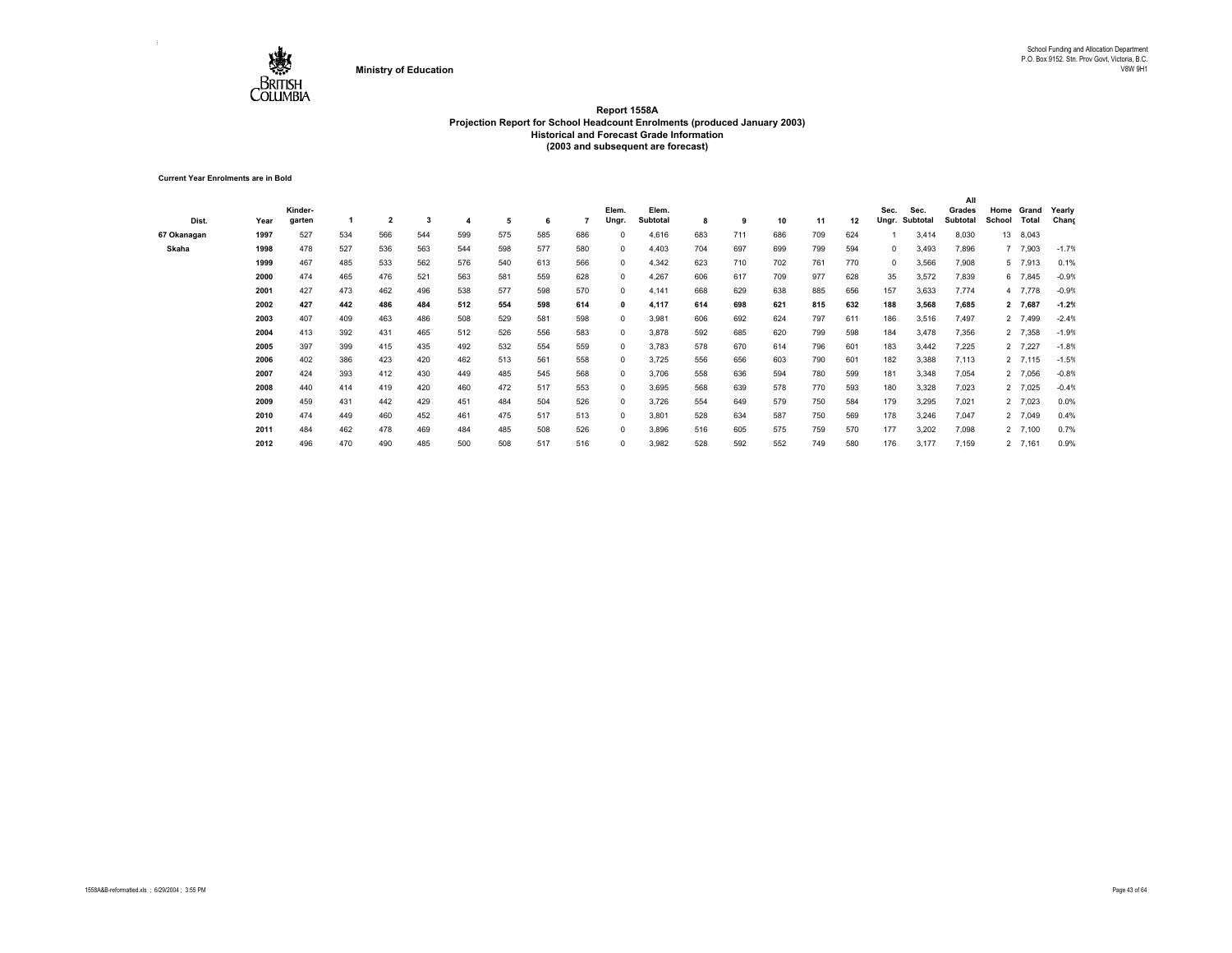

**Current Year Enrolments are in Bold**

|             |      |         |     |                         |     |     |     |     |     |              |                 |     |     |     |     |     |              |          | All      |        |         |         |
|-------------|------|---------|-----|-------------------------|-----|-----|-----|-----|-----|--------------|-----------------|-----|-----|-----|-----|-----|--------------|----------|----------|--------|---------|---------|
|             |      | Kinder- |     |                         |     |     |     |     |     | Elem.        | Elem.           |     |     |     |     |     | Sec.         | Sec.     | Grades   | Home   | Grand   | Yearly  |
| Dist.       | Year | garten  |     | $\overline{\mathbf{2}}$ | 3   | 4   | 5   | 6   |     | Ungr.        | <b>Subtotal</b> | 8   | 9   | 10  | 11  | 12  | Ungr.        | Subtotal | Subtotal | School | Total   | Chang   |
| 67 Okanagan | 1997 | 527     | 534 | 566                     | 544 | 599 | 575 | 585 | 686 | $\Omega$     | 4,616           | 683 | 711 | 686 | 709 | 624 |              | 3,414    | 8,030    | 13     | 8,043   |         |
| Skaha       | 1998 | 478     | 527 | 536                     | 563 | 544 | 598 | 577 | 580 | $^{\circ}$   | 4,403           | 704 | 697 | 699 | 799 | 594 | $\mathbf{0}$ | 3,493    | 7,896    |        | 7 7,903 | $-1.7%$ |
|             | 1999 | 467     | 485 | 533                     | 562 | 576 | 540 | 613 | 566 | $^{\circ}$   | 4,342           | 623 | 710 | 702 | 761 | 770 | $^{\circ}$   | 3,566    | 7,908    |        | 5 7,913 | 0.1%    |
|             | 2000 | 474     | 465 | 476                     | 521 | 563 | 581 | 559 | 628 | $^{\circ}$   | 4,267           | 606 | 617 | 709 | 977 | 628 | 35           | 3,572    | 7,839    |        | 6 7,845 | $-0.9%$ |
|             | 2001 | 427     | 473 | 462                     | 496 | 538 | 577 | 598 | 570 | $\Omega$     | 4,141           | 668 | 629 | 638 | 885 | 656 | 157          | 3,633    | 7,774    |        | 4 7,778 | $-0.9%$ |
|             | 2002 | 427     | 442 | 486                     | 484 | 512 | 554 | 598 | 614 | 0            | 4,117           | 614 | 698 | 621 | 815 | 632 | 188          | 3,568    | 7,685    |        | 2 7,687 | $-1.2%$ |
|             | 2003 | 407     | 409 | 463                     | 486 | 508 | 529 | 581 | 598 | $^{\circ}$   | 3,981           | 606 | 692 | 624 | 797 | 611 | 186          | 3,516    | 7,497    |        | 2 7,499 | $-2.4%$ |
|             | 2004 | 413     | 392 | 431                     | 465 | 512 | 526 | 556 | 583 | $^{\circ}$   | 3,878           | 592 | 685 | 620 | 799 | 598 | 184          | 3,478    | 7,356    |        | 2 7,358 | $-1.9%$ |
|             | 2005 | 397     | 399 | 415                     | 435 | 492 | 532 | 554 | 559 | $^{\circ}$   | 3,783           | 578 | 670 | 614 | 796 | 601 | 183          | 3,442    | 7,225    |        | 2 7,227 | $-1.8%$ |
|             | 2006 | 402     | 386 | 423                     | 420 | 462 | 513 | 561 | 558 | $^{\circ}$   | 3,725           | 556 | 656 | 603 | 790 | 601 | 182          | 3,388    | 7,113    |        | 2 7,115 | $-1.5%$ |
|             | 2007 | 424     | 393 | 412                     | 430 | 449 | 485 | 545 | 568 | $^{\circ}$   | 3,706           | 558 | 636 | 594 | 780 | 599 | 181          | 3,348    | 7,054    |        | 2 7,056 | $-0.8%$ |
|             | 2008 | 440     | 414 | 419                     | 420 | 460 | 472 | 517 | 553 | $^{\circ}$   | 3,695           | 568 | 639 | 578 | 770 | 593 | 180          | 3,328    | 7,023    |        | 2 7,025 | $-0.4%$ |
|             | 2009 | 459     | 431 | 442                     | 429 | 451 | 484 | 504 | 526 | $^{\circ}$   | 3,726           | 554 | 649 | 579 | 750 | 584 | 179          | 3,295    | 7,021    |        | 2 7,023 | 0.0%    |
|             | 2010 | 474     | 449 | 460                     | 452 | 461 | 475 | 517 | 513 | $\Omega$     | 3,801           | 528 | 634 | 587 | 750 | 569 | 178          | 3,246    | 7,047    |        | 2 7,049 | 0.4%    |
|             | 2011 | 484     | 462 | 478                     | 469 | 484 | 485 | 508 | 526 | $\mathbf{0}$ | 3,896           | 516 | 605 | 575 | 759 | 570 | 177          | 3,202    | 7,098    |        | 2 7,100 | 0.7%    |
|             | 2012 | 496     | 470 | 490                     | 485 | 500 | 508 | 517 | 516 | $\Omega$     | 3,982           | 528 | 592 | 552 | 749 | 580 | 176          | 3,177    | 7,159    |        | 2 7,161 | 0.9%    |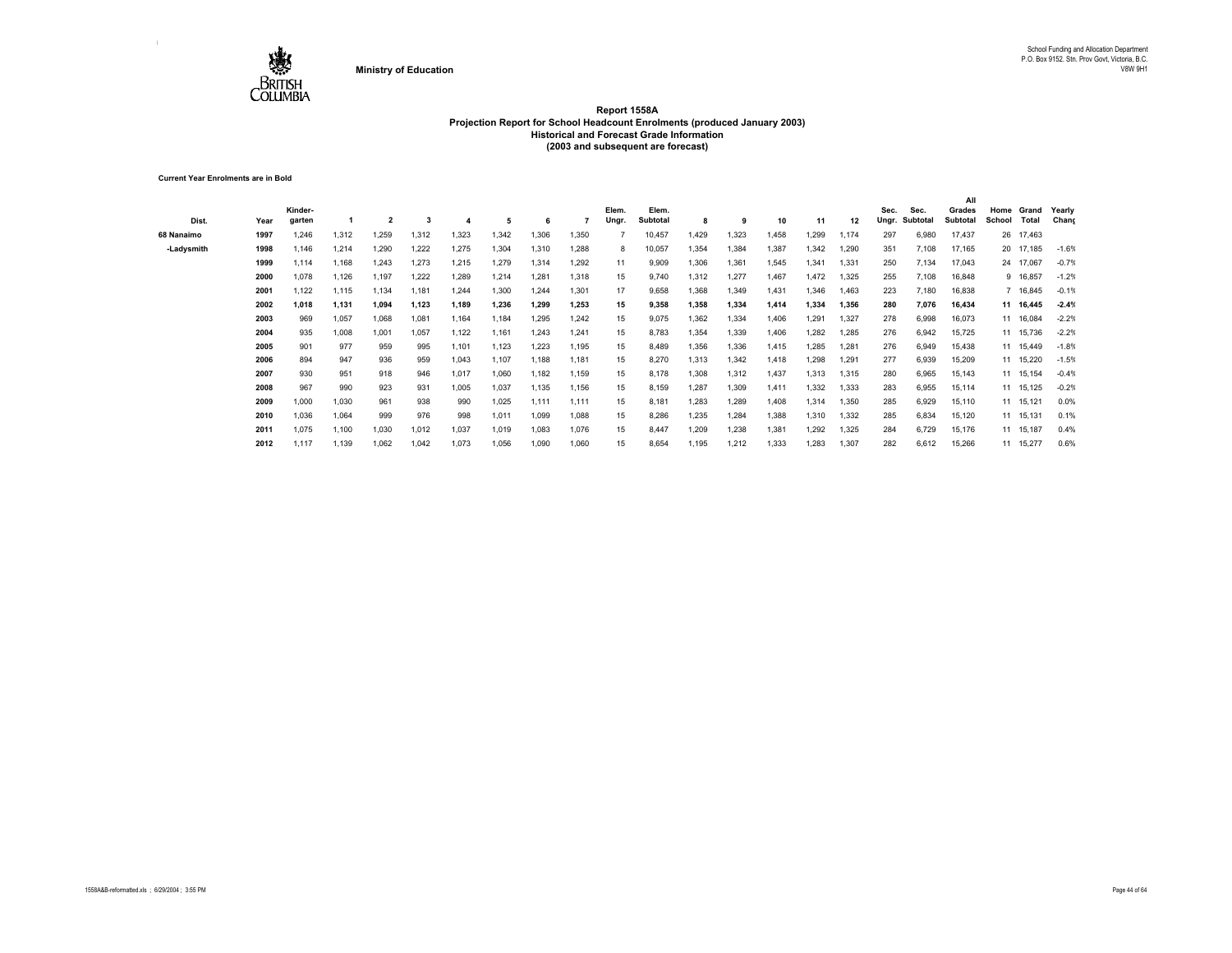

**Current Year Enrolments are in Bold**

| Dist.      | Year | Kinder-<br>garten |       | 2     | 3     |       | 5     | -6    |       | Elem.<br>Ungr. | Elem.<br><b>Subtotal</b> | 8     | 9     | 10    | 11    | 12    | Sec.<br>Ungr. | Sec.<br>Subtotal | All<br>Grades<br>Subtotal | Home<br>School | Grand<br>Total | Yearly<br>Chang |
|------------|------|-------------------|-------|-------|-------|-------|-------|-------|-------|----------------|--------------------------|-------|-------|-------|-------|-------|---------------|------------------|---------------------------|----------------|----------------|-----------------|
| 68 Nanaimo | 1997 | 1.246             | 1,312 | 1,259 | 1,312 | 1,323 | 1,342 | 1,306 | 1,350 |                | 10,457                   | 1,429 | 1,323 | 1,458 | 1,299 | 1,174 | 297           | 6,980            | 17,437                    |                | 26 17,463      |                 |
| -Ladysmith | 1998 | 1,146             | 1,214 | 1,290 | 1,222 | 1,275 | 1,304 | 1,310 | 1,288 | 8              | 10,057                   | 1,354 | 1,384 | 1,387 | 1,342 | 1,290 | 351           | 7,108            | 17,165                    |                | 20 17,185      | $-1.6%$         |
|            | 1999 | 1.114             | 1.168 | 1,243 | 1,273 | 1,215 | 1,279 | 1.314 | 1,292 | 11             | 9,909                    | 1,306 | 1,361 | 1,545 | 1,341 | 1,331 | 250           | 7,134            | 17,043                    |                | 24 17,067      | $-0.7%$         |
|            | 2000 | 1,078             | 1,126 | 1,197 | 1,222 | 1,289 | 1,214 | 1.281 | 1,318 | 15             | 9,740                    | 1,312 | 1,277 | 1.467 | 1,472 | 1,325 | 255           | 7,108            | 16,848                    |                | 9 16,857       | $-1.2%$         |
|            | 2001 | 1,122             | 1,115 | 1,134 | 1,181 | 1.244 | 1,300 | 1.244 | 1,301 | 17             | 9,658                    | 1,368 | 1,349 | 1,431 | 1,346 | 1,463 | 223           | 7,180            | 16,838                    |                | 7 16,845       | $-0.1%$         |
|            | 2002 | 1.018             | 1.131 | 1.094 | 1,123 | 1,189 | 1,236 | 1.299 | 1,253 | 15             | 9,358                    | 1.358 | 1.334 | 1,414 | 1,334 | 1,356 | 280           | 7.076            | 16,434                    |                | 11 16.445      | $-2.4%$         |
|            | 2003 | 969               | 1,057 | 1,068 | 1,081 | 1,164 | 1,184 | 1.295 | 1,242 | 15             | 9,075                    | 1,362 | 1,334 | 1,406 | 1,291 | 1,327 | 278           | 6,998            | 16,073                    |                | 11 16,084      | $-2.2%$         |
|            | 2004 | 935               | 1,008 | 1,001 | 1,057 | 1,122 | 1,161 | 1,243 | 1,241 | 15             | 8,783                    | 1,354 | 1,339 | 1,406 | 1,282 | 1,285 | 276           | 6,942            | 15,725                    |                | 11 15,736      | $-2.2%$         |
|            | 2005 | 901               | 977   | 959   | 995   | 1,101 | 1,123 | 1.223 | 1.195 | 15             | 8,489                    | 1.356 | 1.336 | 1.415 | 1,285 | 1.281 | 276           | 6,949            | 15,438                    |                | 11 15.449      | $-1.8%$         |
|            | 2006 | 894               | 947   | 936   | 959   | 1,043 | 1,107 | 1.188 | 1,181 | 15             | 8,270                    | 1,313 | 1.342 | 1.418 | 1,298 | 1.291 | 277           | 6,939            | 15,209                    |                | 11 15.220      | $-1.5%$         |
|            | 2007 | 930               | 951   | 918   | 946   | 1,017 | 1,060 | 1,182 | 1,159 | 15             | 8,178                    | 1,308 | 1,312 | 1,437 | 1,313 | 1,315 | 280           | 6,965            | 15,143                    |                | 11 15,154      | $-0.4%$         |
|            | 2008 | 967               | 990   | 923   | 931   | 1,005 | 1,037 | 1.135 | 1,156 | 15             | 8,159                    | 1,287 | 1,309 | 1.411 | 1,332 | 1,333 | 283           | 6,955            | 15,114                    |                | 11 15,125      | $-0.2%$         |
|            | 2009 | 1,000             | 1,030 | 961   | 938   | 990   | 1,025 | 1.111 | 1,111 | 15             | 8,181                    | 1,283 | 1,289 | 1,408 | 1,314 | 1,350 | 285           | 6,929            | 15,110                    |                | 11 15,121      | 0.0%            |
|            | 2010 | 1.036             | 1,064 | 999   | 976   | 998   | 1,011 | 1,099 | 1,088 | 15             | 8,286                    | 1,235 | 1,284 | 1,388 | 1,310 | 1,332 | 285           | 6,834            | 15,120                    |                | 11 15,131      | 0.1%            |
|            | 2011 | 1,075             | 1,100 | 1,030 | 1,012 | 1,037 | 1,019 | 1,083 | 1,076 | 15             | 8,447                    | 1,209 | 1,238 | 1,381 | 1,292 | 1,325 | 284           | 6,729            | 15,176                    |                | 11 15,187      | 0.4%            |
|            | 2012 | 1.117             | 1.139 | 1,062 | 1,042 | 1,073 | 1,056 | 1.090 | 1,060 | 15             | 8,654                    | 1.195 | 1,212 | 1,333 | 1.283 | 1,307 | 282           | 6,612            | 15,266                    |                | 11 15,277      | 0.6%            |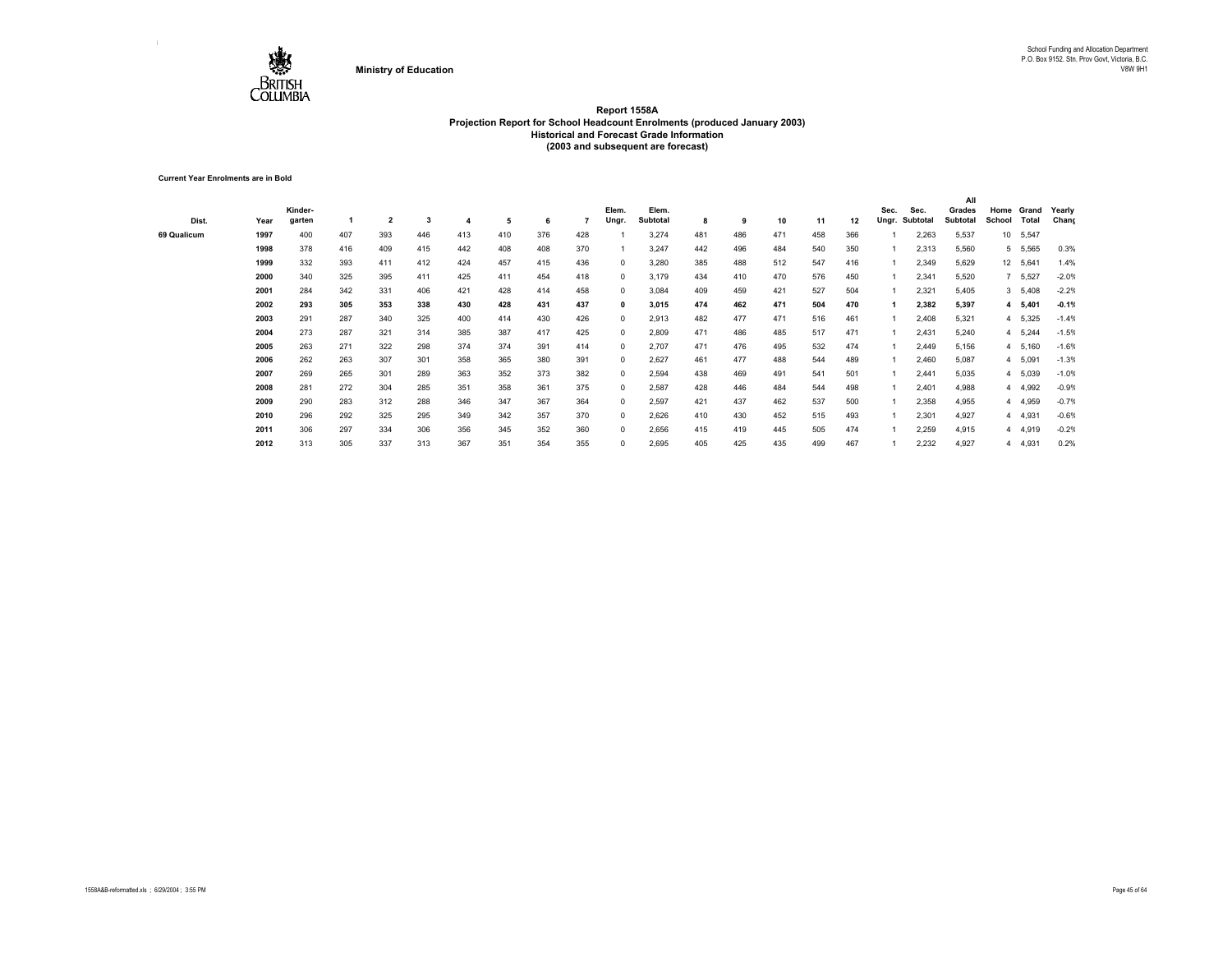

**Current Year Enrolments are in Bold**

| Dist.       | Year | Kinder-<br>garten |     | $\overline{\mathbf{2}}$ | 3   |     | 5   | 6   |     | Elem.<br>Ungr. | Elem.<br>Subtotal | 8   | 9   | 10  | 11  | 12  | Sec.<br>Ungr. | Sec.<br>Subtotal | All<br>Grades<br>Subtotal | Home<br>School | Grand<br>Total | Yearly<br>Chang |
|-------------|------|-------------------|-----|-------------------------|-----|-----|-----|-----|-----|----------------|-------------------|-----|-----|-----|-----|-----|---------------|------------------|---------------------------|----------------|----------------|-----------------|
| 69 Qualicum | 1997 | 400               | 407 | 393                     | 446 | 413 | 410 | 376 | 428 |                | 3,274             | 481 | 486 | 471 | 458 | 366 |               | 2,263            | 5,537                     | 10             | 5,547          |                 |
|             | 1998 | 378               | 416 | 409                     | 415 | 442 | 408 | 408 | 370 |                | 3,247             | 442 | 496 | 484 | 540 | 350 |               | 2,313            | 5,560                     | 5              | 5,565          | 0.3%            |
|             | 1999 | 332               | 393 | 411                     | 412 | 424 | 457 | 415 | 436 | $^{\circ}$     | 3,280             | 385 | 488 | 512 | 547 | 416 |               | 2,349            | 5,629                     |                | 12 5,641       | 1.4%            |
|             | 2000 | 340               | 325 | 395                     | 411 | 425 | 411 | 454 | 418 | $^{\circ}$     | 3,179             | 434 | 410 | 470 | 576 | 450 |               | 2,341            | 5,520                     | $\overline{7}$ | 5,527          | $-2.0%$         |
|             | 2001 | 284               | 342 | 331                     | 406 | 421 | 428 | 414 | 458 | $^{\circ}$     | 3,084             | 409 | 459 | 421 | 527 | 504 |               | 2,321            | 5,405                     |                | 3, 5,408       | $-2.2%$         |
|             | 2002 | 293               | 305 | 353                     | 338 | 430 | 428 | 431 | 437 | $\mathbf{0}$   | 3,015             | 474 | 462 | 471 | 504 | 470 |               | 2,382            | 5,397                     |                | 4 5,401        | $-0.1%$         |
|             | 2003 | 291               | 287 | 340                     | 325 | 400 | 414 | 430 | 426 | $\Omega$       | 2,913             | 482 | 477 | 471 | 516 | 461 |               | 2,408            | 5,321                     | 4              | 5,325          | $-1.4%$         |
|             | 2004 | 273               | 287 | 321                     | 314 | 385 | 387 | 417 | 425 | $^{\circ}$     | 2,809             | 471 | 486 | 485 | 517 | 471 |               | 2,431            | 5,240                     | 4              | 5,244          | $-1.5%$         |
|             | 2005 | 263               | 271 | 322                     | 298 | 374 | 374 | 391 | 414 | $^{\circ}$     | 2,707             | 471 | 476 | 495 | 532 | 474 |               | 2,449            | 5,156                     | 4              | 5,160          | $-1.6%$         |
|             | 2006 | 262               | 263 | 307                     | 301 | 358 | 365 | 380 | 391 | $^{\circ}$     | 2,627             | 461 | 477 | 488 | 544 | 489 |               | 2,460            | 5,087                     | 4              | 5,091          | $-1.3%$         |
|             | 2007 | 269               | 265 | 301                     | 289 | 363 | 352 | 373 | 382 | $^{\circ}$     | 2,594             | 438 | 469 | 491 | 541 | 501 |               | 2,441            | 5,035                     |                | 4 5,039        | $-1.0%$         |
|             | 2008 | 281               | 272 | 304                     | 285 | 351 | 358 | 361 | 375 | $^{\circ}$     | 2,587             | 428 | 446 | 484 | 544 | 498 |               | 2,401            | 4,988                     | 4              | 4,992          | $-0.9%$         |
|             | 2009 | 290               | 283 | 312                     | 288 | 346 | 347 | 367 | 364 | $^{\circ}$     | 2,597             | 421 | 437 | 462 | 537 | 500 |               | 2,358            | 4,955                     | 4              | 4,959          | $-0.7%$         |
|             | 2010 | 296               | 292 | 325                     | 295 | 349 | 342 | 357 | 370 | $^{\circ}$     | 2,626             | 410 | 430 | 452 | 515 | 493 |               | 2,301            | 4,927                     |                | 4 4,931        | $-0.6%$         |
|             | 2011 | 306               | 297 | 334                     | 306 | 356 | 345 | 352 | 360 | $^{\circ}$     | 2,656             | 415 | 419 | 445 | 505 | 474 |               | 2,259            | 4,915                     |                | 4 4,919        | $-0.2%$         |
|             | 2012 | 313               | 305 | 337                     | 313 | 367 | 351 | 354 | 355 | $^{\circ}$     | 2,695             | 405 | 425 | 435 | 499 | 467 |               | 2,232            | 4,927                     | 4              | 4,931          | 0.2%            |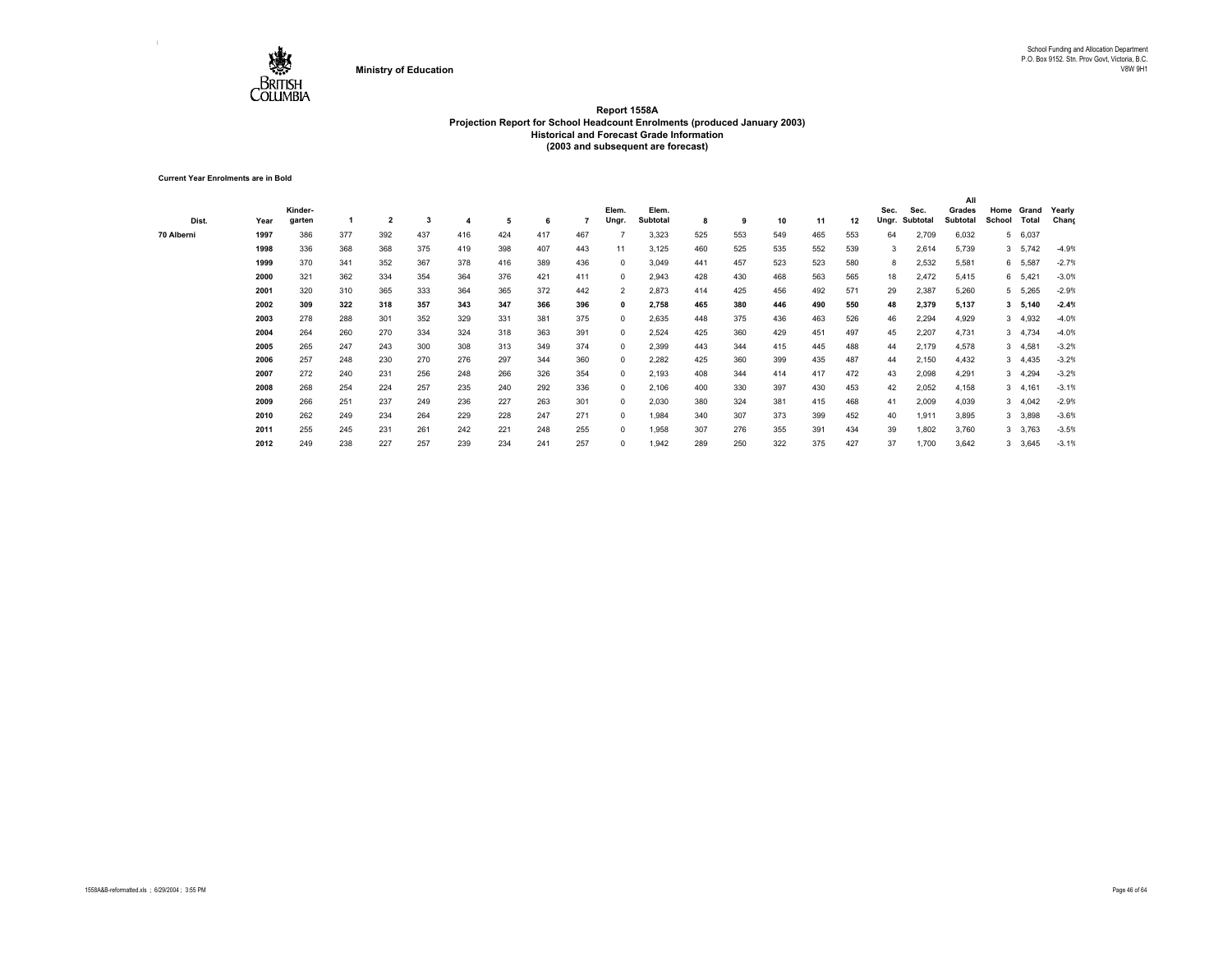

**Current Year Enrolments are in Bold**

|            |      |         |     |                         |     |     |     |     |     |                |          |     |     |     |     |     |       |          | All      |        |           |         |
|------------|------|---------|-----|-------------------------|-----|-----|-----|-----|-----|----------------|----------|-----|-----|-----|-----|-----|-------|----------|----------|--------|-----------|---------|
|            |      | Kinder- |     |                         |     |     |     |     |     | Elem.          | Elem.    |     |     |     |     |     | Sec.  | Sec.     | Grades   | Home   | Grand     | Yearly  |
| Dist.      | Year | garten  |     | $\overline{\mathbf{2}}$ | 3   |     | 5   | 6   |     | Ungr.          | Subtotal | 8   | 9   | 10  | 11  | 12  | Ungr. | Subtotal | Subtotal | School | Total     | Chang   |
| 70 Alberni | 1997 | 386     | 377 | 392                     | 437 | 416 | 424 | 417 | 467 |                | 3,323    | 525 | 553 | 549 | 465 | 553 | 64    | 2,709    | 6,032    |        | 5 6,037   |         |
|            | 1998 | 336     | 368 | 368                     | 375 | 419 | 398 | 407 | 443 | 11             | 3,125    | 460 | 525 | 535 | 552 | 539 | 3     | 2,614    | 5,739    |        | 3, 5, 742 | $-4.9%$ |
|            | 1999 | 370     | 341 | 352                     | 367 | 378 | 416 | 389 | 436 | 0              | 3,049    | 441 | 457 | 523 | 523 | 580 | 8     | 2,532    | 5,581    |        | 6 5,587   | $-2.7%$ |
|            | 2000 | 321     | 362 | 334                     | 354 | 364 | 376 | 421 | 411 | $\Omega$       | 2,943    | 428 | 430 | 468 | 563 | 565 | 18    | 2,472    | 5,415    |        | 6 5,421   | $-3.0%$ |
|            | 2001 | 320     | 310 | 365                     | 333 | 364 | 365 | 372 | 442 | $\overline{2}$ | 2,873    | 414 | 425 | 456 | 492 | 571 | 29    | 2,387    | 5,260    |        | 5 5,265   | $-2.9%$ |
|            | 2002 | 309     | 322 | 318                     | 357 | 343 | 347 | 366 | 396 | 0              | 2,758    | 465 | 380 | 446 | 490 | 550 | 48    | 2,379    | 5,137    |        | 3, 5, 140 | $-2.4%$ |
|            | 2003 | 278     | 288 | 301                     | 352 | 329 | 331 | 381 | 375 | $^{\circ}$     | 2,635    | 448 | 375 | 436 | 463 | 526 | 46    | 2,294    | 4,929    |        | 3 4,932   | $-4.0%$ |
|            | 2004 | 264     | 260 | 270                     | 334 | 324 | 318 | 363 | 391 | $\mathbf{0}$   | 2,524    | 425 | 360 | 429 | 451 | 497 | 45    | 2,207    | 4,731    |        | 3 4,734   | $-4.0%$ |
|            | 2005 | 265     | 247 | 243                     | 300 | 308 | 313 | 349 | 374 | $\mathbf{0}$   | 2,399    | 443 | 344 | 415 | 445 | 488 | 44    | 2,179    | 4,578    |        | 3, 4,581  | $-3.2%$ |
|            | 2006 | 257     | 248 | 230                     | 270 | 276 | 297 | 344 | 360 | $^{\circ}$     | 2,282    | 425 | 360 | 399 | 435 | 487 | 44    | 2,150    | 4,432    |        | 3, 4,435  | $-3.2%$ |
|            | 2007 | 272     | 240 | 231                     | 256 | 248 | 266 | 326 | 354 | 0              | 2,193    | 408 | 344 | 414 | 417 | 472 | 43    | 2,098    | 4,291    |        | 3 4,294   | $-3.2%$ |
|            | 2008 | 268     | 254 | 224                     | 257 | 235 | 240 | 292 | 336 | 0              | 2,106    | 400 | 330 | 397 | 430 | 453 | 42    | 2,052    | 4,158    |        | 3, 4, 161 | $-3.1%$ |
|            | 2009 | 266     | 251 | 237                     | 249 | 236 | 227 | 263 | 301 | 0              | 2,030    | 380 | 324 | 381 | 415 | 468 | 41    | 2,009    | 4,039    |        | 3, 4,042  | $-2.9%$ |
|            | 2010 | 262     | 249 | 234                     | 264 | 229 | 228 | 247 | 271 | 0              | 1,984    | 340 | 307 | 373 | 399 | 452 | 40    | 1,911    | 3,895    |        | 3 3,898   | $-3.6%$ |
|            | 2011 | 255     | 245 | 231                     | 261 | 242 | 221 | 248 | 255 | $^{\circ}$     | 1,958    | 307 | 276 | 355 | 391 | 434 | 39    | 1,802    | 3,760    |        | 3 3,763   | $-3.5%$ |
|            | 2012 | 249     | 238 | 227                     | 257 | 239 | 234 | 241 | 257 | 0              | 1.942    | 289 | 250 | 322 | 375 | 427 | 37    | 1,700    | 3,642    |        | 3,645     | $-3.1%$ |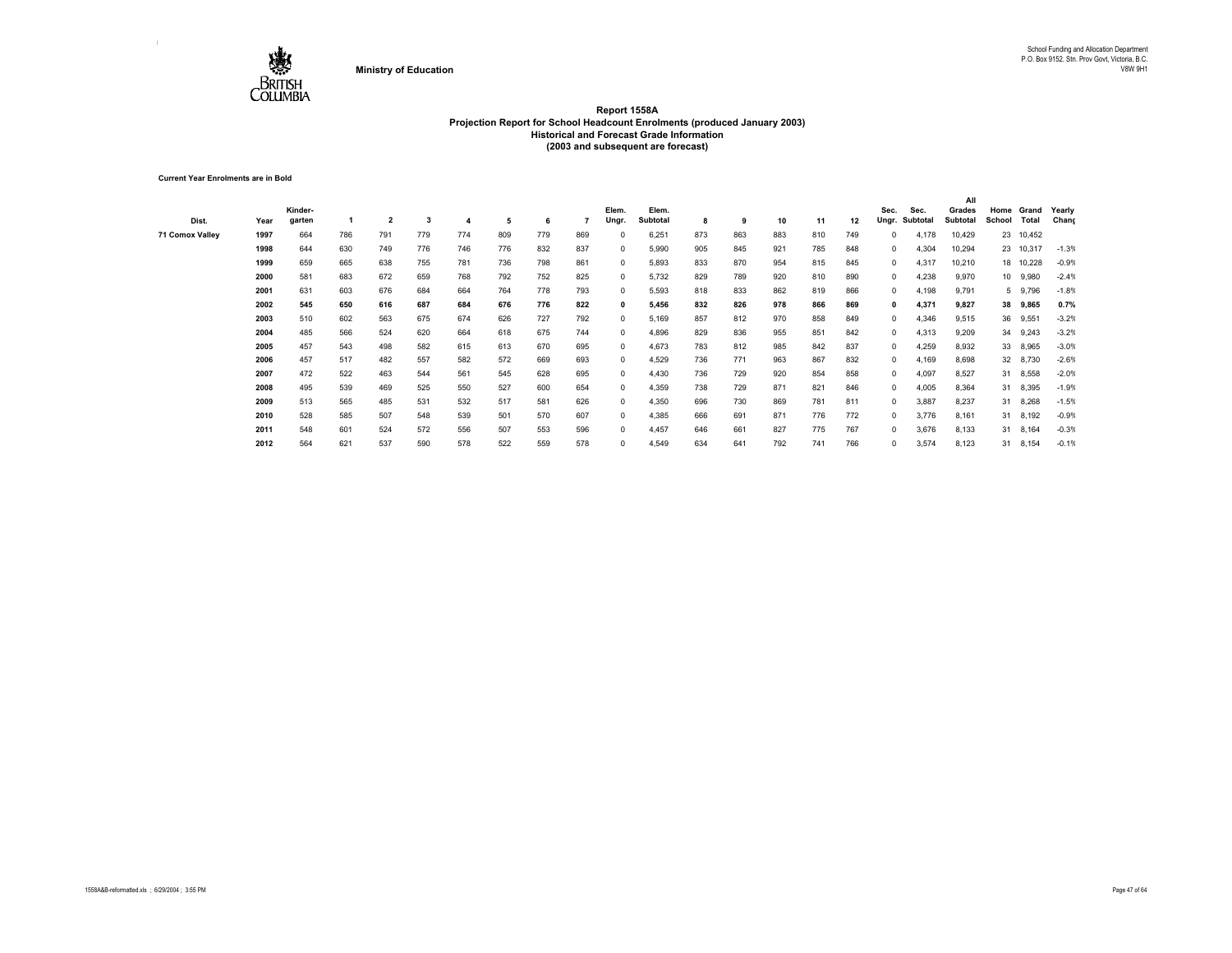

**Current Year Enrolments are in Bold**

| Dist.           | Year | Kinder-<br>garten |     | $\overline{\mathbf{2}}$ | 3   |     | 5   | 6   |     | Elem.<br>Ungr. | Elem.<br>Subtotal | 8   | 9   | 10  | 11  | 12  | Sec.<br>Ungr. | Sec.<br>Subtotal | All<br>Grades<br><b>Subtotal</b> | School | Home Grand<br>Total | Yearly<br>Chang |
|-----------------|------|-------------------|-----|-------------------------|-----|-----|-----|-----|-----|----------------|-------------------|-----|-----|-----|-----|-----|---------------|------------------|----------------------------------|--------|---------------------|-----------------|
| 71 Comox Valley | 1997 | 664               | 786 | 791                     | 779 | 774 | 809 | 779 | 869 | $\Omega$       | 6,251             | 873 | 863 | 883 | 810 | 749 | $\Omega$      | 4,178            | 10,429                           |        | 23 10,452           |                 |
|                 | 1998 | 644               | 630 | 749                     | 776 | 746 | 776 | 832 | 837 | $\Omega$       | 5,990             | 905 | 845 | 921 | 785 | 848 | $\mathbf{0}$  | 4,304            | 10,294                           |        | 23 10,317           | $-1.3%$         |
|                 | 1999 | 659               | 665 | 638                     | 755 | 781 | 736 | 798 | 861 | $^{\circ}$     | 5,893             | 833 | 870 | 954 | 815 | 845 | $^{\circ}$    | 4,317            | 10,210                           |        | 18 10,228           | $-0.9%$         |
|                 | 2000 | 581               | 683 | 672                     | 659 | 768 | 792 | 752 | 825 | $\Omega$       | 5,732             | 829 | 789 | 920 | 810 | 890 | $^{\circ}$    | 4,238            | 9,970                            | 10     | 9,980               | $-2.4%$         |
|                 | 2001 | 631               | 603 | 676                     | 684 | 664 | 764 | 778 | 793 | $^{\circ}$     | 5,593             | 818 | 833 | 862 | 819 | 866 | $\Omega$      | 4,198            | 9,791                            | 5      | 9,796               | $-1.8%$         |
|                 | 2002 | 545               | 650 | 616                     | 687 | 684 | 676 | 776 | 822 | 0              | 5,456             | 832 | 826 | 978 | 866 | 869 | $\mathbf{0}$  | 4,371            | 9,827                            | 38     | 9,865               | 0.7%            |
|                 | 2003 | 510               | 602 | 563                     | 675 | 674 | 626 | 727 | 792 | $\Omega$       | 5,169             | 857 | 812 | 970 | 858 | 849 | $\Omega$      | 4,346            | 9,515                            | 36     | 9,551               | $-3.2%$         |
|                 | 2004 | 485               | 566 | 524                     | 620 | 664 | 618 | 675 | 744 | 0              | 4,896             | 829 | 836 | 955 | 851 | 842 | $\Omega$      | 4,313            | 9,209                            | 34     | 9,243               | $-3.2%$         |
|                 | 2005 | 457               | 543 | 498                     | 582 | 615 | 613 | 670 | 695 | $\Omega$       | 4,673             | 783 | 812 | 985 | 842 | 837 | $\Omega$      | 4,259            | 8,932                            | 33     | 8,965               | $-3.0%$         |
|                 | 2006 | 457               | 517 | 482                     | 557 | 582 | 572 | 669 | 693 | $^{\circ}$     | 4,529             | 736 | 771 | 963 | 867 | 832 | 0             | 4,169            | 8,698                            |        | 32 8,730            | $-2.6%$         |
|                 | 2007 | 472               | 522 | 463                     | 544 | 561 | 545 | 628 | 695 | $^{\circ}$     | 4,430             | 736 | 729 | 920 | 854 | 858 | $\Omega$      | 4,097            | 8,527                            |        | 31 8,558            | $-2.0%$         |
|                 | 2008 | 495               | 539 | 469                     | 525 | 550 | 527 | 600 | 654 | $^{\circ}$     | 4,359             | 738 | 729 | 871 | 821 | 846 | $\Omega$      | 4,005            | 8,364                            |        | 31 8,395            | $-1.9%$         |
|                 | 2009 | 513               | 565 | 485                     | 531 | 532 | 517 | 581 | 626 | $^{\circ}$     | 4,350             | 696 | 730 | 869 | 781 | 811 | $\Omega$      | 3,887            | 8,237                            |        | 31 8,268            | $-1.5%$         |
|                 | 2010 | 528               | 585 | 507                     | 548 | 539 | 501 | 570 | 607 | $^{\circ}$     | 4,385             | 666 | 691 | 871 | 776 | 772 | $\Omega$      | 3,776            | 8,161                            | 31     | 8,192               | $-0.9%$         |
|                 | 2011 | 548               | 601 | 524                     | 572 | 556 | 507 | 553 | 596 | 0              | 4,457             | 646 | 661 | 827 | 775 | 767 | $\Omega$      | 3,676            | 8,133                            | 31     | 8,164               | $-0.3%$         |
|                 | 2012 | 564               | 621 | 537                     | 590 | 578 | 522 | 559 | 578 | 0              | 4,549             | 634 | 641 | 792 | 741 | 766 | $\Omega$      | 3,574            | 8,123                            | 31     | 8,154               | $-0.1%$         |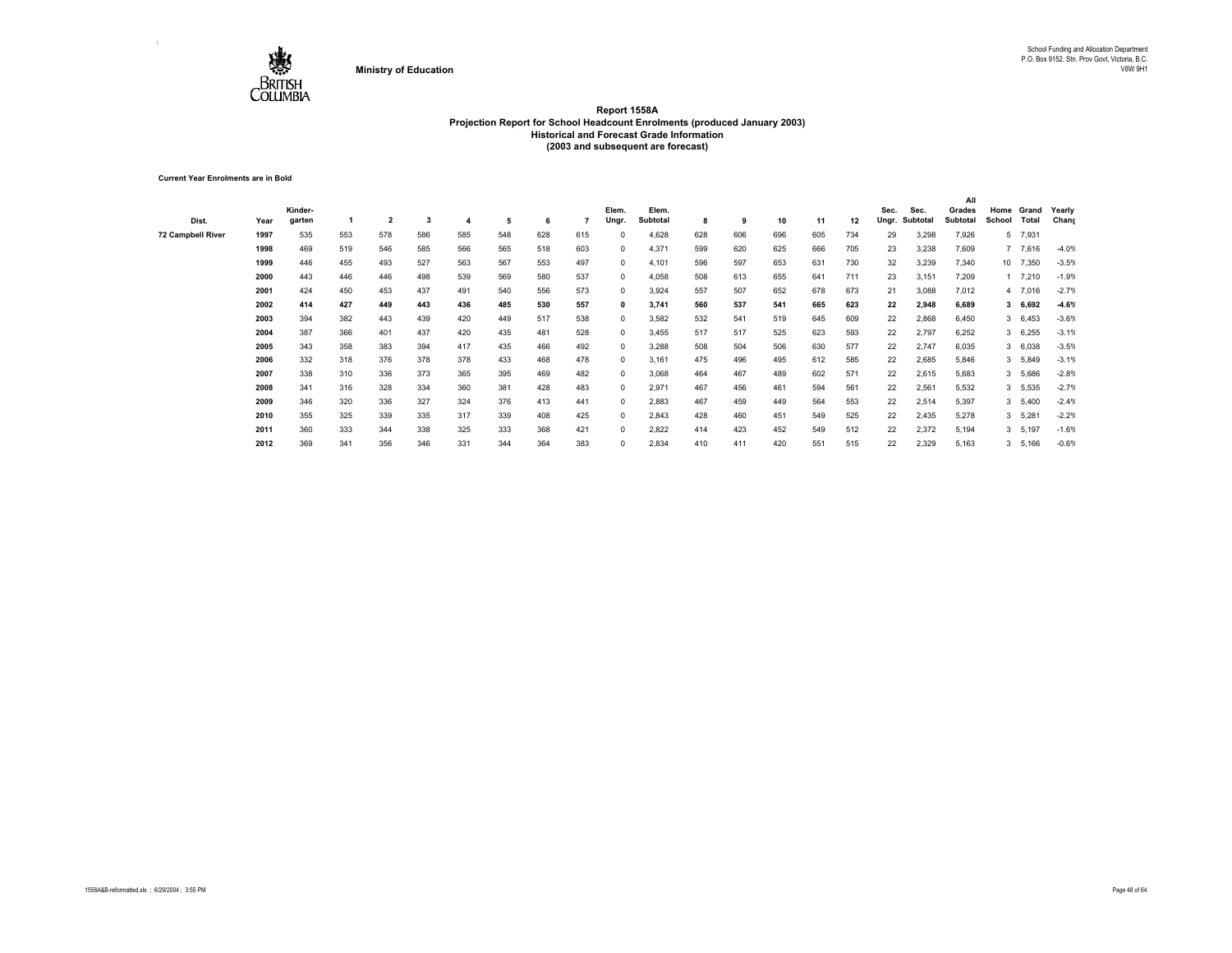

**Current Year Enrolments are in Bold**

|                   |      |         |     |                |     |     |     |     |     |            |          |     |     |     |     |     |       |          | All      |        |          |         |
|-------------------|------|---------|-----|----------------|-----|-----|-----|-----|-----|------------|----------|-----|-----|-----|-----|-----|-------|----------|----------|--------|----------|---------|
|                   |      | Kinder- |     |                |     |     |     |     |     | Elem.      | Elem.    |     |     |     |     |     | Sec.  | Sec.     | Grades   | Home   | Grand    | Yearly  |
| Dist.             | Year | garten  |     | $\overline{2}$ | 3   |     | 5   | 6   |     | Ungr.      | Subtotal | 8   | 9   | 10  | 11  | 12  | Ungr. | Subtotal | Subtotal | School | Total    | Chang   |
| 72 Campbell River | 1997 | 535     | 553 | 578            | 586 | 585 | 548 | 628 | 615 |            | 4,628    | 628 | 606 | 696 | 605 | 734 | 29    | 3,298    | 7,926    |        | 5 7,931  |         |
|                   | 1998 | 469     | 519 | 546            | 585 | 566 | 565 | 518 | 603 | $\Omega$   | 4,371    | 599 | 620 | 625 | 666 | 705 | 23    | 3,238    | 7,609    |        | 7 7,616  | $-4.0%$ |
|                   | 1999 | 446     | 455 | 493            | 527 | 563 | 567 | 553 | 497 | $\Omega$   | 4,101    | 596 | 597 | 653 | 631 | 730 | 32    | 3,239    | 7,340    |        | 10 7,350 | $-3.5%$ |
|                   | 2000 | 443     | 446 | 446            | 498 | 539 | 569 | 580 | 537 |            | 4,058    | 508 | 613 | 655 | 641 | 711 | 23    | 3,151    | 7,209    |        | 1 7,210  | $-1.9%$ |
|                   | 2001 | 424     | 450 | 453            | 437 | 491 | 540 | 556 | 573 | $\Omega$   | 3,924    | 557 | 507 | 652 | 678 | 673 | 21    | 3,088    | 7,012    |        | 4 7,016  | $-2.7%$ |
|                   | 2002 | 414     | 427 | 449            | 443 | 436 | 485 | 530 | 557 | 0          | 3,741    | 560 | 537 | 541 | 665 | 623 | 22    | 2,948    | 6,689    |        | 36,692   | $-4.6%$ |
|                   | 2003 | 394     | 382 | 443            | 439 | 420 | 449 | 517 | 538 | 0          | 3,582    | 532 | 541 | 519 | 645 | 609 | 22    | 2,868    | 6,450    |        | 36,453   | $-3.6%$ |
|                   | 2004 | 387     | 366 | 401            | 437 | 420 | 435 | 481 | 528 | 0          | 3,455    | 517 | 517 | 525 | 623 | 593 | 22    | 2,797    | 6,252    |        | 36,255   | $-3.1%$ |
|                   | 2005 | 343     | 358 | 383            | 394 | 417 | 435 | 466 | 492 | $^{\circ}$ | 3,288    | 508 | 504 | 506 | 630 | 577 | 22    | 2,747    | 6,035    |        | 3 6,038  | $-3.5%$ |
|                   | 2006 | 332     | 318 | 376            | 378 | 378 | 433 | 468 | 478 | $^{\circ}$ | 3,161    | 475 | 496 | 495 | 612 | 585 | 22    | 2,685    | 5,846    |        | 3 5,849  | $-3.1%$ |
|                   | 2007 | 338     | 310 | 336            | 373 | 365 | 395 | 469 | 482 | $\Omega$   | 3,068    | 464 | 467 | 489 | 602 | 571 | 22    | 2,615    | 5,683    |        | 3 5,686  | $-2.8%$ |
|                   | 2008 | 341     | 316 | 328            | 334 | 360 | 381 | 428 | 483 | $\Omega$   | 2,971    | 467 | 456 | 461 | 594 | 561 | 22    | 2.561    | 5,532    |        | 3 5,535  | $-2.7%$ |
|                   | 2009 | 346     | 320 | 336            | 327 | 324 | 376 | 413 | 441 | $\Omega$   | 2,883    | 467 | 459 | 449 | 564 | 553 | 22    | 2,514    | 5,397    |        | 3, 5,400 | $-2.4%$ |
|                   | 2010 | 355     | 325 | 339            | 335 | 317 | 339 | 408 | 425 |            | 2,843    | 428 | 460 | 451 | 549 | 525 | 22    | 2,435    | 5,278    |        | 3 5,281  | $-2.2%$ |
|                   | 2011 | 360     | 333 | 344            | 338 | 325 | 333 | 368 | 421 | $\Omega$   | 2,822    | 414 | 423 | 452 | 549 | 512 | 22    | 2,372    | 5,194    |        | 3 5,197  | $-1.6%$ |
|                   | 2012 | 369     | 341 | 356            | 346 | 331 | 344 | 364 | 383 | 0          | 2,834    | 410 | 411 | 420 | 551 | 515 | 22    | 2,329    | 5,163    |        | 3 5,166  | $-0.6%$ |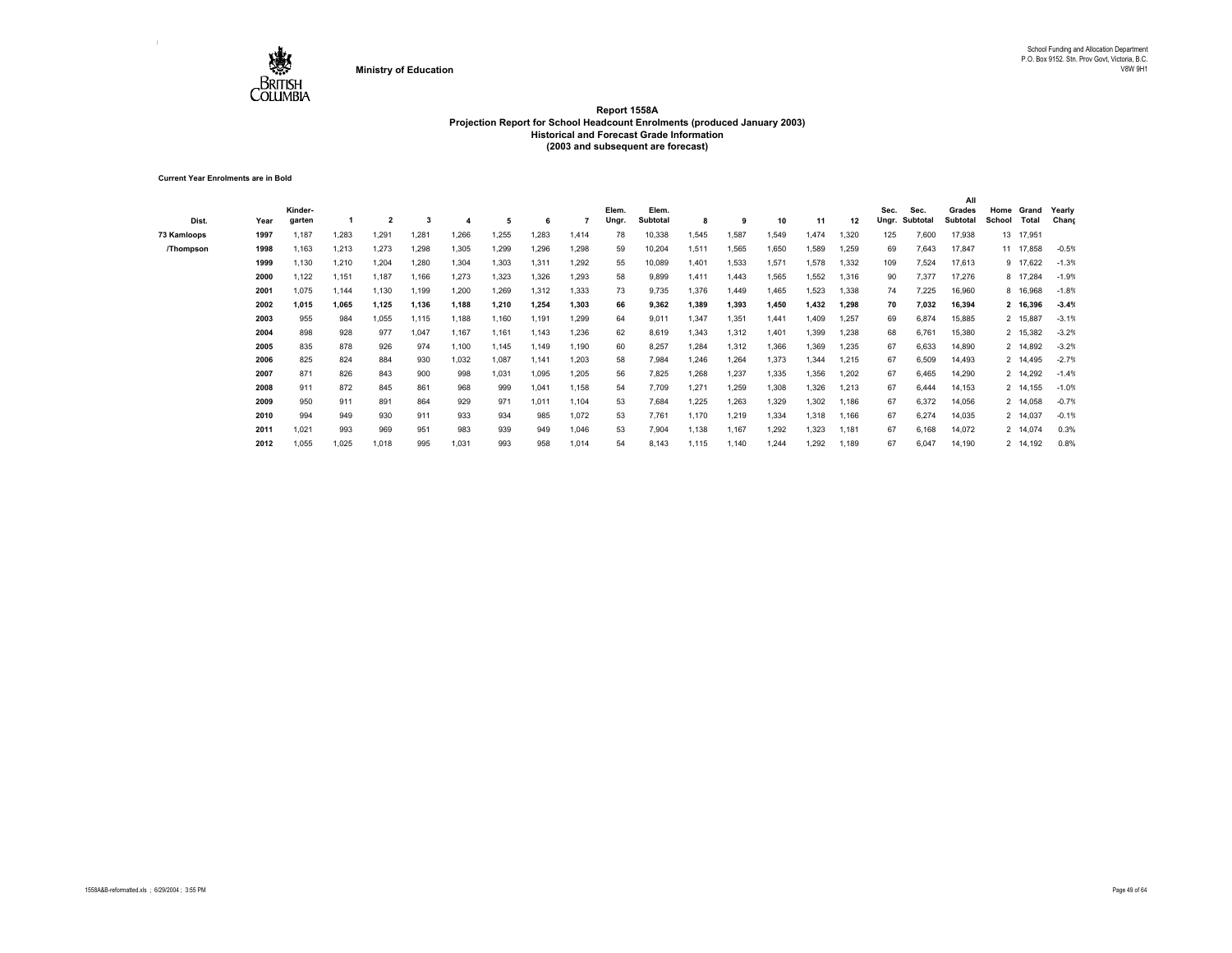

**Current Year Enrolments are in Bold**

| Dist.       | Year | Kinder-<br>garten |       | $\overline{2}$ |       |       | 5     | 6     |       | Elem.<br>Ungr. | Elem.<br>Subtotal | 8     | -9    | 10    | 11    | 12    | Sec.<br>Ungr. | Sec.<br>Subtotal | All<br>Grades<br>Subtotal | Home<br>School | Grand<br>Total | Yearly<br>Chang |
|-------------|------|-------------------|-------|----------------|-------|-------|-------|-------|-------|----------------|-------------------|-------|-------|-------|-------|-------|---------------|------------------|---------------------------|----------------|----------------|-----------------|
| 73 Kamloops | 1997 | 1,187             | 1.283 | 1,291          | 1.281 | 1,266 | 1,255 | 1.283 | 1.414 | 78             | 10,338            | 1,545 | 1,587 | 1,549 | 1,474 | 1,320 | 125           | 7,600            | 17,938                    |                | 13 17,951      |                 |
| /Thompson   | 1998 | 1,163             | 1,213 | 1,273          | 1,298 | 1,305 | 1,299 | 1,296 | 1,298 | 59             | 10,204            | 1,511 | 1,565 | 1,650 | 1,589 | 1,259 | 69            | 7,643            | 17,847                    |                | 11 17,858      | $-0.5%$         |
|             | 1999 | 1,130             | 1,210 | 1,204          | 1,280 | 1,304 | 1,303 | 1,311 | 1,292 | 55             | 10,089            | 1,401 | 1,533 | 1,571 | 1,578 | 1,332 | 109           | 7,524            | 17,613                    |                | 9 17,622       | $-1.3%$         |
|             | 2000 | 1.122             | 1,151 | 1,187          | 1,166 | 1,273 | 1,323 | 1,326 | 1,293 | 58             | 9,899             | 1,411 | 1.443 | 1,565 | 1,552 | 1,316 | 90            | 7,377            | 17,276                    |                | 8 17,284       | $-1.9%$         |
|             | 2001 | 1,075             | 1,144 | 1,130          | 1,199 | 1,200 | 1,269 | 1,312 | 1,333 | 73             | 9,735             | 1,376 | 1,449 | 1,465 | 1,523 | 1,338 | 74            | 7,225            | 16,960                    |                | 8 16,968       | $-1.8%$         |
|             | 2002 | 1,015             | 1.065 | 1.125          | 1,136 | 1,188 | 1.210 | 1.254 | 1,303 | 66             | 9,362             | 1,389 | 1.393 | 1.450 | 1,432 | 1,298 | 70            | 7,032            | 16,394                    |                | 2 16,396       | $-3.4%$         |
|             | 2003 | 955               | 984   | 1,055          | 1,115 | 1,188 | 1,160 | 1,191 | 1,299 | 64             | 9,011             | 1,347 | 1,351 | 1,441 | 1,409 | 1,257 | 69            | 6,874            | 15,885                    |                | 2 15,887       | $-3.1%$         |
|             | 2004 | 898               | 928   | 977            | 1,047 | 1,167 | 1,161 | 1.143 | 1,236 | 62             | 8,619             | 1,343 | 1,312 | 1,401 | 1,399 | 1,238 | 68            | 6.761            | 15,380                    |                | 2 15,382       | $-3.2%$         |
|             | 2005 | 835               | 878   | 926            | 974   | 1,100 | 1,145 | 1.149 | 1,190 | 60             | 8,257             | 1,284 | 1,312 | 1,366 | 1,369 | 1,235 | 67            | 6,633            | 14,890                    |                | 2 14,892       | $-3.2%$         |
|             | 2006 | 825               | 824   | 884            | 930   | 1,032 | 1,087 | 1.141 | 1,203 | 58             | 7,984             | 1.246 | 1.264 | 1,373 | 1.344 | 1,215 | 67            | 6,509            | 14,493                    |                | 2 14.495       | $-2.7%$         |
|             | 2007 | 871               | 826   | 843            | 900   | 998   | 1,031 | 1.095 | 1,205 | 56             | 7,825             | 1,268 | 1,237 | 1,335 | 1,356 | 1,202 | 67            | 6,465            | 14,290                    |                | 2 14,292       | $-1.4%$         |
|             | 2008 | 911               | 872   | 845            | 861   | 968   | 999   | 1.041 | 1.158 | 54             | 7,709             | 1.271 | 1,259 | 1,308 | 1,326 | 1.213 | 67            | 6,444            | 14,153                    |                | 2 14,155       | $-1.0%$         |
|             | 2009 | 950               | 911   | 891            | 864   | 929   | 971   | 1,011 | 1,104 | 53             | 7,684             | 1,225 | 1,263 | 1,329 | 1,302 | 1,186 | 67            | 6,372            | 14,056                    |                | 2 14,058       | $-0.7%$         |
|             | 2010 | 994               | 949   | 930            | 911   | 933   | 934   | 985   | 1,072 | 53             | 7,761             | 1.170 | 1,219 | 1,334 | 1,318 | 1,166 | 67            | 6,274            | 14,035                    |                | 2 14,037       | $-0.1%$         |
|             | 2011 | 1,021             | 993   | 969            | 951   | 983   | 939   | 949   | 1,046 | 53             | 7,904             | 1,138 | 1,167 | 1,292 | 1,323 | 1,181 | 67            | 6,168            | 14,072                    |                | 2 14,074       | 0.3%            |
|             | 2012 | 1,055             | 1,025 | 1,018          | 995   | 1,031 | 993   | 958   | 1,014 | 54             | 8,143             | 1,115 | 1,140 | 1,244 | 1,292 | 1,189 | 67            | 6,047            | 14,190                    |                | 2 14,192       | 0.8%            |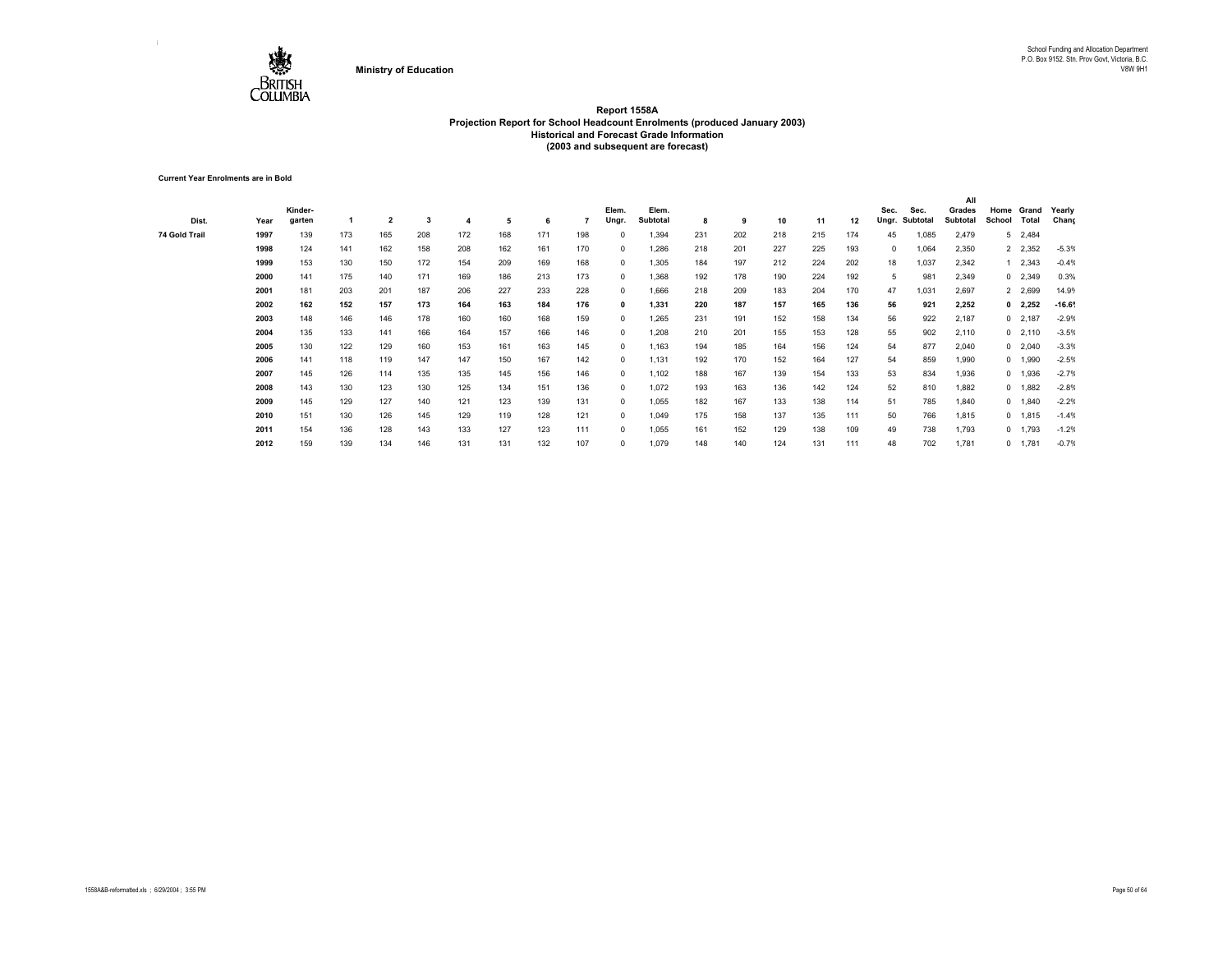

**Current Year Enrolments are in Bold**

|               |      |         |     |                         |     |     |     |     |     |              |          |     |     |     |     |     |            |          | All      |                |                 |         |
|---------------|------|---------|-----|-------------------------|-----|-----|-----|-----|-----|--------------|----------|-----|-----|-----|-----|-----|------------|----------|----------|----------------|-----------------|---------|
|               |      | Kinder- |     |                         |     |     |     |     |     | Elem.        | Elem.    |     |     |     |     |     | Sec.       | Sec.     | Grades   | Home           | Grand           | Yearly  |
| Dist.         | Year | garten  |     | $\overline{\mathbf{2}}$ | 3   |     | 5   | 6   |     | Ungr.        | Subtotal | 8   | 9   | 10  | 11  | 12  | Ungr.      | Subtotal | Subtotal | School         | Total           | Chang   |
| 74 Gold Trail | 1997 | 139     | 173 | 165                     | 208 | 172 | 168 | 171 | 198 | $^{\circ}$   | 1,394    | 231 | 202 | 218 | 215 | 174 | 45         | 1,085    | 2,479    | 5 <sup>5</sup> | 2,484           |         |
|               | 1998 | 124     | 141 | 162                     | 158 | 208 | 162 | 161 | 170 | $^{\circ}$   | 1,286    | 218 | 201 | 227 | 225 | 193 | $^{\circ}$ | 1,064    | 2,350    |                | 2 2,352         | $-5.3%$ |
|               | 1999 | 153     | 130 | 150                     | 172 | 154 | 209 | 169 | 168 | $^{\circ}$   | 1,305    | 184 | 197 | 212 | 224 | 202 | 18         | 1,037    | 2,342    |                | $1 \quad 2,343$ | $-0.4%$ |
|               | 2000 | 141     | 175 | 140                     | 171 | 169 | 186 | 213 | 173 | $^{\circ}$   | 1,368    | 192 | 178 | 190 | 224 | 192 | 5          | 981      | 2,349    |                | $0$ 2,349       | 0.3%    |
|               | 2001 | 181     | 203 | 201                     | 187 | 206 | 227 | 233 | 228 | $^{\circ}$   | 1,666    | 218 | 209 | 183 | 204 | 170 | 47         | 1,031    | 2,697    |                | 2 2,699         | 14.9%   |
|               | 2002 | 162     | 152 | 157                     | 173 | 164 | 163 | 184 | 176 | $\mathbf 0$  | 1,331    | 220 | 187 | 157 | 165 | 136 | 56         | 921      | 2,252    |                | $0$ 2,252       | $-16.6$ |
|               | 2003 | 148     | 146 | 146                     | 178 | 160 | 160 | 168 | 159 | $^{\circ}$   | 1,265    | 231 | 191 | 152 | 158 | 134 | 56         | 922      | 2,187    |                | $0$ 2,187       | $-2.9%$ |
|               | 2004 | 135     | 133 | 141                     | 166 | 164 | 157 | 166 | 146 | $^{\circ}$   | 1,208    | 210 | 201 | 155 | 153 | 128 | 55         | 902      | 2,110    |                | $0$ 2,110       | $-3.5%$ |
|               | 2005 | 130     | 122 | 129                     | 160 | 153 | 161 | 163 | 145 | $^{\circ}$   | 1,163    | 194 | 185 | 164 | 156 | 124 | 54         | 877      | 2,040    |                | $0$ 2,040       | $-3.3%$ |
|               | 2006 | 141     | 118 | 119                     | 147 | 147 | 150 | 167 | 142 | $\mathbf{0}$ | 1,131    | 192 | 170 | 152 | 164 | 127 | 54         | 859      | 1,990    |                | 0 1,990         | $-2.5%$ |
|               | 2007 | 145     | 126 | 114                     | 135 | 135 | 145 | 156 | 146 | $^{\circ}$   | 1,102    | 188 | 167 | 139 | 154 | 133 | 53         | 834      | 1,936    |                | 0 1,936         | $-2.7%$ |
|               | 2008 | 143     | 130 | 123                     | 130 | 125 | 134 | 151 | 136 | $^{\circ}$   | 1,072    | 193 | 163 | 136 | 142 | 124 | 52         | 810      | 1,882    |                | 0 1,882         | $-2.8%$ |
|               | 2009 | 145     | 129 | 127                     | 140 | 121 | 123 | 139 | 131 | $^{\circ}$   | 1,055    | 182 | 167 | 133 | 138 | 114 | 51         | 785      | 1,840    |                | 0 1,840         | $-2.2%$ |
|               | 2010 | 151     | 130 | 126                     | 145 | 129 | 119 | 128 | 121 | $^{\circ}$   | 1,049    | 175 | 158 | 137 | 135 | 111 | 50         | 766      | 1,815    |                | 0 1,815         | $-1.4%$ |
|               | 2011 | 154     | 136 | 128                     | 143 | 133 | 127 | 123 | 111 | $^{\circ}$   | 1,055    | 161 | 152 | 129 | 138 | 109 | 49         | 738      | 1,793    |                | 0 1,793         | $-1.2%$ |
|               | 2012 | 159     | 139 | 134                     | 146 | 131 | 131 | 132 | 107 | $^{\circ}$   | 1,079    | 148 | 140 | 124 | 131 | 111 | 48         | 702      | 1,781    |                | 0 1,781         | $-0.7%$ |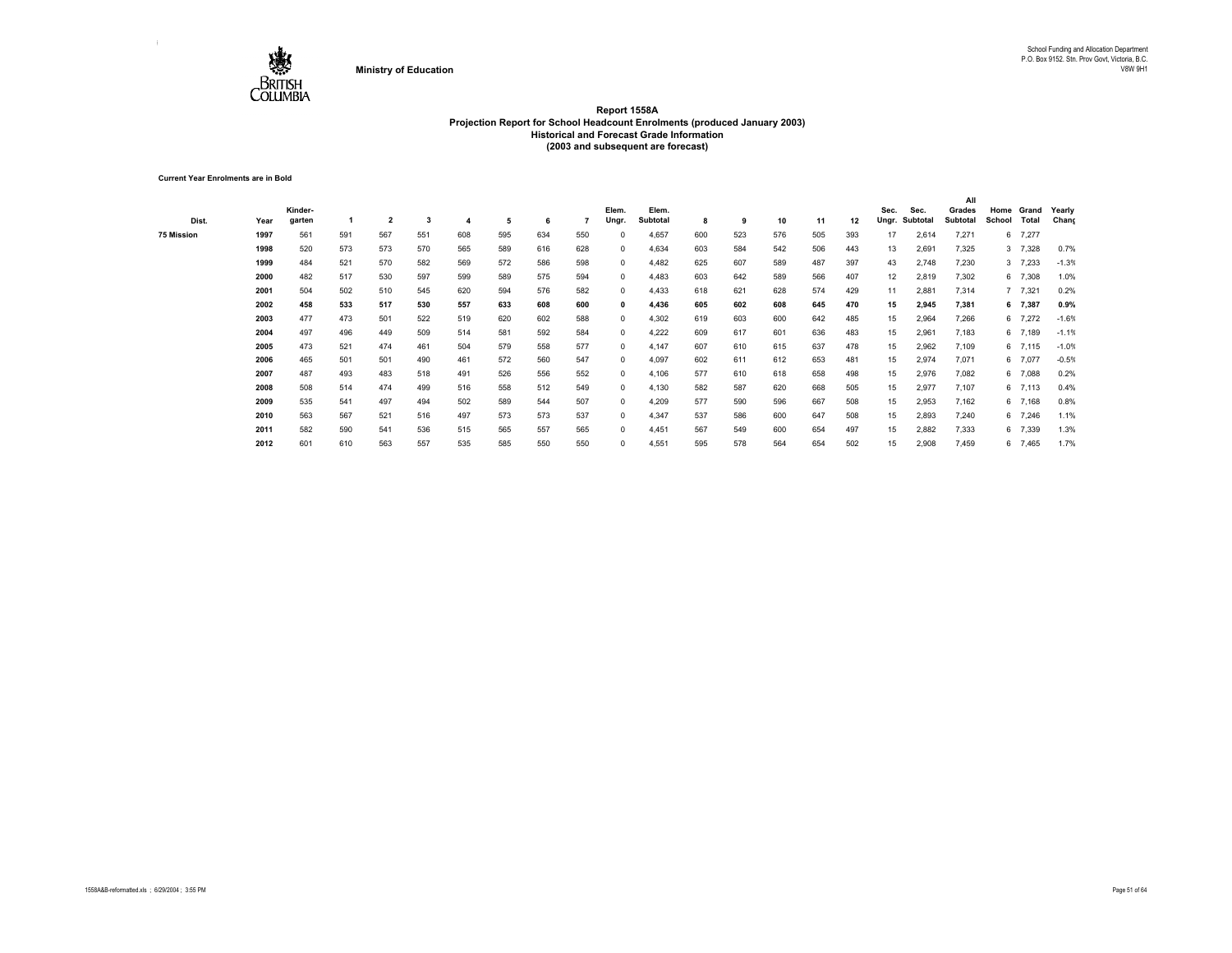

**Current Year Enrolments are in Bold**

|            |      |         |     |                         |     |     |     |     |     |              |          |     |     |     |     |     |       |          | All      |        |           |         |
|------------|------|---------|-----|-------------------------|-----|-----|-----|-----|-----|--------------|----------|-----|-----|-----|-----|-----|-------|----------|----------|--------|-----------|---------|
|            |      | Kinder- |     |                         |     |     |     |     |     | Elem.        | Elem.    |     |     |     |     |     | Sec.  | Sec.     | Grades   | Home   | Grand     | Yearly  |
| Dist.      | Year | garten  |     | $\overline{\mathbf{2}}$ | 3   |     | 5   | 6   |     | Ungr.        | Subtotal | 8   | 9   | 10  | 11  | 12  | Ungr. | Subtotal | Subtotal | School | Total     | Chang   |
| 75 Mission | 1997 | 561     | 591 | 567                     | 551 | 608 | 595 | 634 | 550 | $^{\circ}$   | 4,657    | 600 | 523 | 576 | 505 | 393 | 17    | 2,614    | 7,271    |        | 6 7,277   |         |
|            | 1998 | 520     | 573 | 573                     | 570 | 565 | 589 | 616 | 628 | $^{\circ}$   | 4,634    | 603 | 584 | 542 | 506 | 443 | 13    | 2,691    | 7,325    |        | 3 7,328   | 0.7%    |
|            | 1999 | 484     | 521 | 570                     | 582 | 569 | 572 | 586 | 598 | $^{\circ}$   | 4,482    | 625 | 607 | 589 | 487 | 397 | 43    | 2,748    | 7,230    |        | 3 7,233   | $-1.3%$ |
|            | 2000 | 482     | 517 | 530                     | 597 | 599 | 589 | 575 | 594 | $^{\circ}$   | 4,483    | 603 | 642 | 589 | 566 | 407 | 12    | 2,819    | 7,302    |        | 6 7,308   | 1.0%    |
|            | 2001 | 504     | 502 | 510                     | 545 | 620 | 594 | 576 | 582 | $^{\circ}$   | 4,433    | 618 | 621 | 628 | 574 | 429 | 11    | 2,881    | 7,314    |        | 7 7,321   | 0.2%    |
|            | 2002 | 458     | 533 | 517                     | 530 | 557 | 633 | 608 | 600 | $\mathbf{0}$ | 4,436    | 605 | 602 | 608 | 645 | 470 | 15    | 2,945    | 7,381    |        | 6 7,387   | 0.9%    |
|            | 2003 | 477     | 473 | 501                     | 522 | 519 | 620 | 602 | 588 | $^{\circ}$   | 4,302    | 619 | 603 | 600 | 642 | 485 | 15    | 2,964    | 7,266    |        | 6 7,272   | $-1.6%$ |
|            | 2004 | 497     | 496 | 449                     | 509 | 514 | 581 | 592 | 584 | $^{\circ}$   | 4,222    | 609 | 617 | 601 | 636 | 483 | 15    | 2,961    | 7,183    |        | 6 7,189   | $-1.1%$ |
|            | 2005 | 473     | 521 | 474                     | 461 | 504 | 579 | 558 | 577 | $^{\circ}$   | 4,147    | 607 | 610 | 615 | 637 | 478 | 15    | 2,962    | 7,109    |        | $6$ 7,115 | $-1.0%$ |
|            | 2006 | 465     | 501 | 501                     | 490 | 461 | 572 | 560 | 547 | $\mathbf{0}$ | 4,097    | 602 | 611 | 612 | 653 | 481 | 15    | 2,974    | 7,071    |        | 6 7,077   | $-0.5%$ |
|            | 2007 | 487     | 493 | 483                     | 518 | 491 | 526 | 556 | 552 | $^{\circ}$   | 4,106    | 577 | 610 | 618 | 658 | 498 | 15    | 2,976    | 7,082    |        | 6 7,088   | 0.2%    |
|            | 2008 | 508     | 514 | 474                     | 499 | 516 | 558 | 512 | 549 | $^{\circ}$   | 4,130    | 582 | 587 | 620 | 668 | 505 | 15    | 2,977    | 7,107    |        | 6 7,113   | 0.4%    |
|            | 2009 | 535     | 541 | 497                     | 494 | 502 | 589 | 544 | 507 | $^{\circ}$   | 4,209    | 577 | 590 | 596 | 667 | 508 | 15    | 2,953    | 7,162    |        | 6 7,168   | 0.8%    |
|            | 2010 | 563     | 567 | 521                     | 516 | 497 | 573 | 573 | 537 | $^{\circ}$   | 4,347    | 537 | 586 | 600 | 647 | 508 | 15    | 2,893    | 7,240    |        | 6 7,246   | 1.1%    |
|            | 2011 | 582     | 590 | 541                     | 536 | 515 | 565 | 557 | 565 | $^{\circ}$   | 4,451    | 567 | 549 | 600 | 654 | 497 | 15    | 2,882    | 7,333    |        | 6 7,339   | 1.3%    |
|            | 2012 | 601     | 610 | 563                     | 557 | 535 | 585 | 550 | 550 | $\Omega$     | 4,551    | 595 | 578 | 564 | 654 | 502 | 15    | 2,908    | 7,459    |        | 6 7,465   | 1.7%    |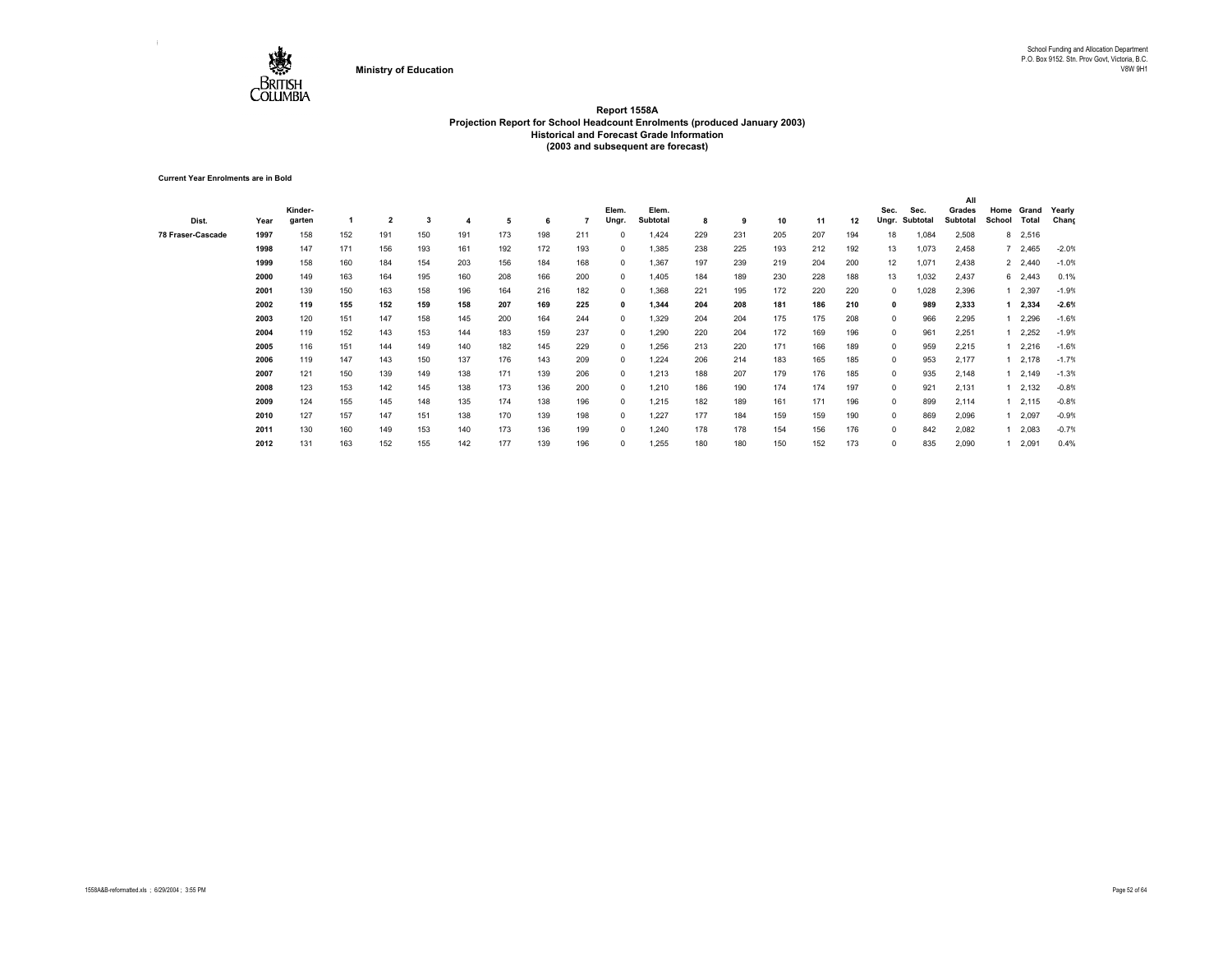

**Current Year Enrolments are in Bold**

| Dist.             | Year | Kinder-<br>garten |     | $\overline{\mathbf{2}}$ | 3   |     | 5   | 6   |     | Elem.<br>Ungr. | Elem.<br>Subtotal | 8   | 9   | 10  | 11  | 12  | Sec.<br>Ungr. | Sec.<br>Subtotal | All<br>Grades<br><b>Subtotal</b> | Home<br>School | Grand<br>Total  | Yearly<br>Chang |
|-------------------|------|-------------------|-----|-------------------------|-----|-----|-----|-----|-----|----------------|-------------------|-----|-----|-----|-----|-----|---------------|------------------|----------------------------------|----------------|-----------------|-----------------|
| 78 Fraser-Cascade | 1997 | 158               | 152 | 191                     | 150 | 191 | 173 | 198 | 211 | 0              | 1,424             | 229 | 231 | 205 | 207 | 194 | 18            | 1,084            | 2,508                            | 8              | 2,516           |                 |
|                   | 1998 | 147               | 171 | 156                     | 193 | 161 | 192 | 172 | 193 | $^{\circ}$     | 1,385             | 238 | 225 | 193 | 212 | 192 | 13            | 1,073            | 2,458                            |                | 2,465           | $-2.0%$         |
|                   | 1999 | 158               | 160 | 184                     | 154 | 203 | 156 | 184 | 168 | $^{\circ}$     | 1,367             | 197 | 239 | 219 | 204 | 200 | 12            | 1,071            | 2,438                            |                | 2 2,440         | $-1.0%$         |
|                   | 2000 | 149               | 163 | 164                     | 195 | 160 | 208 | 166 | 200 | $^{\circ}$     | 1,405             | 184 | 189 | 230 | 228 | 188 | 13            | 1,032            | 2,437                            |                | 6 2,443         | 0.1%            |
|                   | 2001 | 139               | 150 | 163                     | 158 | 196 | 164 | 216 | 182 | $^{\circ}$     | 1,368             | 221 | 195 | 172 | 220 | 220 | $\Omega$      | 1,028            | 2,396                            |                | 1 2,397         | $-1.9%$         |
|                   | 2002 | 119               | 155 | 152                     | 159 | 158 | 207 | 169 | 225 | 0              | 1,344             | 204 | 208 | 181 | 186 | 210 | 0             | 989              | 2,333                            |                | 2,334           | $-2.6%$         |
|                   | 2003 | 120               | 151 | 147                     | 158 | 145 | 200 | 164 | 244 | $^{\circ}$     | 1,329             | 204 | 204 | 175 | 175 | 208 | 0             | 966              | 2,295                            |                | 2,296           | $-1.6%$         |
|                   | 2004 | 119               | 152 | 143                     | 153 | 144 | 183 | 159 | 237 | $^{\circ}$     | 1,290             | 220 | 204 | 172 | 169 | 196 | 0             | 961              | 2,251                            |                | 12,252          | $-1.9%$         |
|                   | 2005 | 116               | 151 | 144                     | 149 | 140 | 182 | 145 | 229 | $^{\circ}$     | 1,256             | 213 | 220 | 171 | 166 | 189 | 0             | 959              | 2,215                            |                | $1 \quad 2,216$ | $-1.6%$         |
|                   | 2006 | 119               | 147 | 143                     | 150 | 137 | 176 | 143 | 209 | $^{\circ}$     | 1,224             | 206 | 214 | 183 | 165 | 185 | 0             | 953              | 2,177                            |                | 12,178          | $-1.7%$         |
|                   | 2007 | 121               | 150 | 139                     | 149 | 138 | 171 | 139 | 206 | $^{\circ}$     | 1,213             | 188 | 207 | 179 | 176 | 185 | 0             | 935              | 2,148                            |                | 12,149          | $-1.3%$         |
|                   | 2008 | 123               | 153 | 142                     | 145 | 138 | 173 | 136 | 200 | $^{\circ}$     | 1,210             | 186 | 190 | 174 | 174 | 197 | 0             | 921              | 2,131                            |                | 12,132          | $-0.8%$         |
|                   | 2009 | 124               | 155 | 145                     | 148 | 135 | 174 | 138 | 196 | $^{\circ}$     | 1,215             | 182 | 189 | 161 | 171 | 196 | 0             | 899              | 2,114                            |                | $1 \quad 2,115$ | $-0.8%$         |
|                   | 2010 | 127               | 157 | 147                     | 151 | 138 | 170 | 139 | 198 | $^{\circ}$     | 1,227             | 177 | 184 | 159 | 159 | 190 | 0             | 869              | 2,096                            |                | 1 2,097         | $-0.9%$         |
|                   | 2011 | 130               | 160 | 149                     | 153 | 140 | 173 | 136 | 199 | $^{\circ}$     | 1,240             | 178 | 178 | 154 | 156 | 176 | 0             | 842              | 2,082                            |                | 1 2,083         | $-0.7%$         |
|                   | 2012 | 131               | 163 | 152                     | 155 | 142 | 177 | 139 | 196 | $\Omega$       | 1,255             | 180 | 180 | 150 | 152 | 173 | $\Omega$      | 835              | 2,090                            |                | 2,091           | 0.4%            |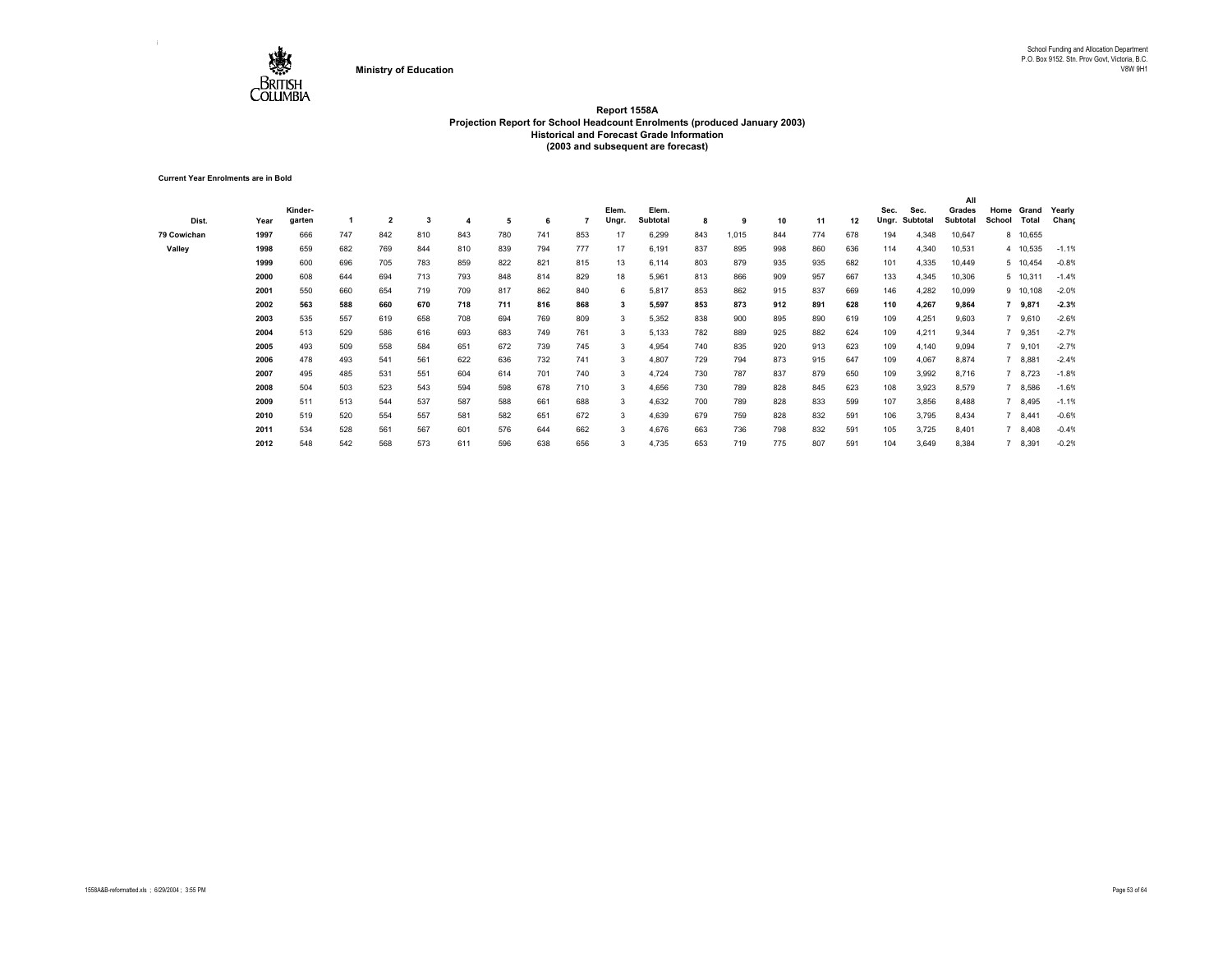

**Current Year Enrolments are in Bold**

|             |      |         |     |                |     |     |     |     |     |       |          |     |       |     |     |     |       |          | All      |                |          |         |
|-------------|------|---------|-----|----------------|-----|-----|-----|-----|-----|-------|----------|-----|-------|-----|-----|-----|-------|----------|----------|----------------|----------|---------|
|             |      | Kinder- |     |                |     |     |     |     |     | Elem. | Elem.    |     |       |     |     |     | Sec.  | Sec.     | Grades   | Home           | Grand    | Yearly  |
| Dist.       | Year | garten  |     | $\overline{2}$ | 3   |     | 5   | 6   |     | Ungr. | Subtotal | 8   | 9     | 10  | 11  | 12  | Ungr. | Subtotal | Subtotal | School         | Total    | Chang   |
| 79 Cowichan | 1997 | 666     | 747 | 842            | 810 | 843 | 780 | 741 | 853 | 17    | 6,299    | 843 | 1,015 | 844 | 774 | 678 | 194   | 4,348    | 10,647   |                | 8 10,655 |         |
| Valley      | 1998 | 659     | 682 | 769            | 844 | 810 | 839 | 794 | 777 | 17    | 6,191    | 837 | 895   | 998 | 860 | 636 | 114   | 4,340    | 10,531   |                | 4 10,535 | $-1.1%$ |
|             | 1999 | 600     | 696 | 705            | 783 | 859 | 822 | 821 | 815 | 13    | 6,114    | 803 | 879   | 935 | 935 | 682 | 101   | 4,335    | 10,449   |                | 5 10,454 | $-0.8%$ |
|             | 2000 | 608     | 644 | 694            | 713 | 793 | 848 | 814 | 829 | 18    | 5,961    | 813 | 866   | 909 | 957 | 667 | 133   | 4,345    | 10,306   |                | 5 10,311 | $-1.4%$ |
|             | 2001 | 550     | 660 | 654            | 719 | 709 | 817 | 862 | 840 | 6     | 5,817    | 853 | 862   | 915 | 837 | 669 | 146   | 4,282    | 10,099   |                | 9 10,108 | $-2.0%$ |
|             | 2002 | 563     | 588 | 660            | 670 | 718 | 711 | 816 | 868 |       | 5,597    | 853 | 873   | 912 | 891 | 628 | 110   | 4,267    | 9,864    |                | 7 9,871  | $-2.3%$ |
|             | 2003 | 535     | 557 | 619            | 658 | 708 | 694 | 769 | 809 | 3     | 5,352    | 838 | 900   | 895 | 890 | 619 | 109   | 4,251    | 9,603    | $7^{\circ}$    | 9,610    | $-2.6%$ |
|             | 2004 | 513     | 529 | 586            | 616 | 693 | 683 | 749 | 761 | 3     | 5,133    | 782 | 889   | 925 | 882 | 624 | 109   | 4,211    | 9,344    |                | 9,351    | $-2.7%$ |
|             | 2005 | 493     | 509 | 558            | 584 | 651 | 672 | 739 | 745 | 3     | 4,954    | 740 | 835   | 920 | 913 | 623 | 109   | 4,140    | 9,094    |                | 9,101    | $-2.7%$ |
|             | 2006 | 478     | 493 | 541            | 561 | 622 | 636 | 732 | 741 | 3     | 4,807    | 729 | 794   | 873 | 915 | 647 | 109   | 4,067    | 8,874    |                | 8,881    | $-2.4%$ |
|             | 2007 | 495     | 485 | 531            | 551 | 604 | 614 | 701 | 740 | 3     | 4,724    | 730 | 787   | 837 | 879 | 650 | 109   | 3,992    | 8,716    |                | 7 8,723  | $-1.8%$ |
|             | 2008 | 504     | 503 | 523            | 543 | 594 | 598 | 678 | 710 | 3     | 4,656    | 730 | 789   | 828 | 845 | 623 | 108   | 3,923    | 8,579    |                | 7 8,586  | $-1.6%$ |
|             | 2009 | 511     | 513 | 544            | 537 | 587 | 588 | 661 | 688 | 3     | 4,632    | 700 | 789   | 828 | 833 | 599 | 107   | 3,856    | 8,488    | $7^{\circ}$    | 8,495    | $-1.1%$ |
|             | 2010 | 519     | 520 | 554            | 557 | 581 | 582 | 651 | 672 | 3     | 4,639    | 679 | 759   | 828 | 832 | 591 | 106   | 3,795    | 8,434    | $\overline{7}$ | 8,441    | $-0.6%$ |
|             | 2011 | 534     | 528 | 561            | 567 | 601 | 576 | 644 | 662 | 3     | 4,676    | 663 | 736   | 798 | 832 | 591 | 105   | 3,725    | 8,401    |                | 8,408    | $-0.4%$ |
|             | 2012 | 548     | 542 | 568            | 573 | 611 | 596 | 638 | 656 |       | 4,735    | 653 | 719   | 775 | 807 | 591 | 104   | 3,649    | 8,384    |                | 8,391    | $-0.2%$ |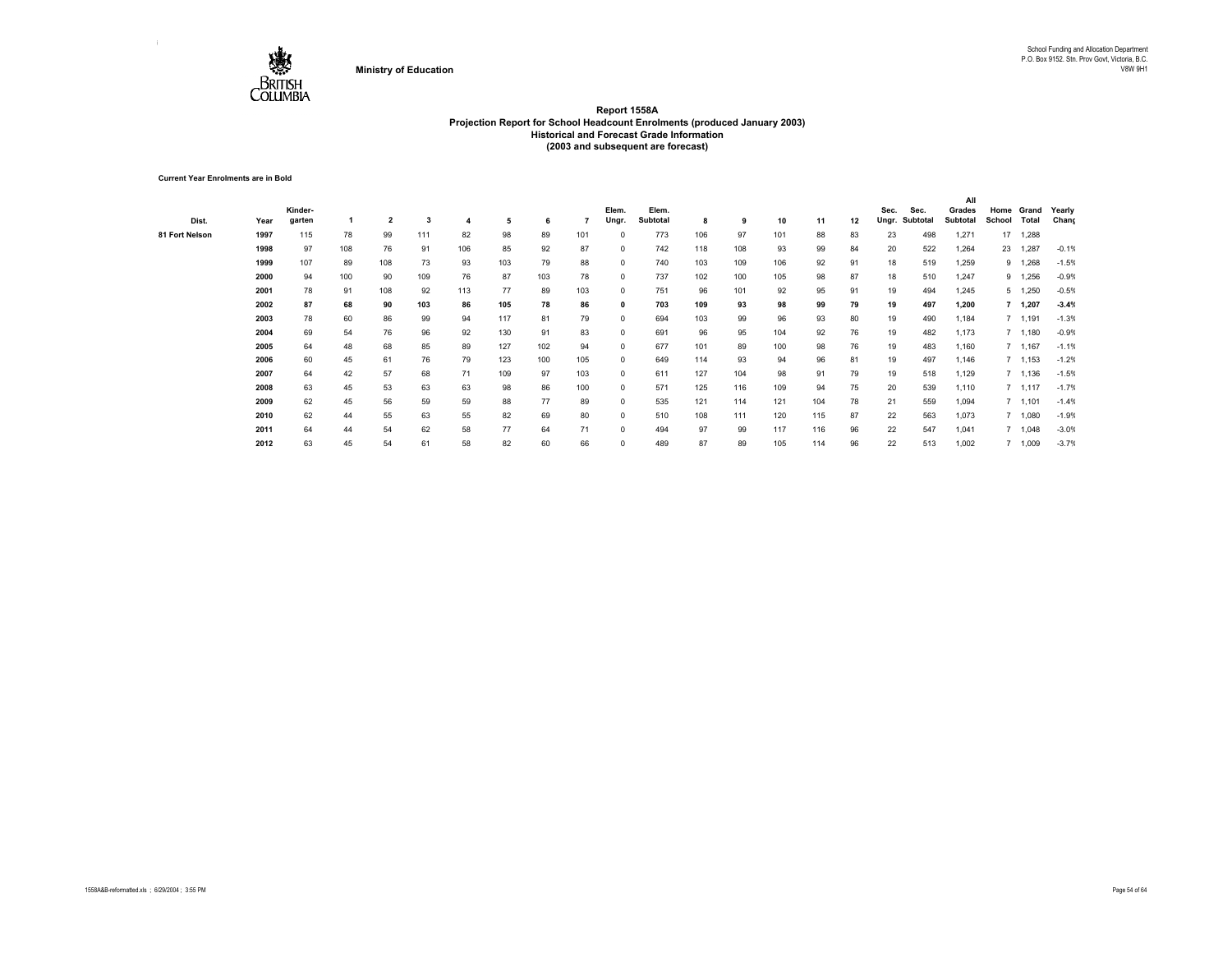

**Current Year Enrolments are in Bold**

|                |      |         |     |     |     |     |     |     |     |            |          |     |     |     |     |    |       |          | All      |        |           |         |
|----------------|------|---------|-----|-----|-----|-----|-----|-----|-----|------------|----------|-----|-----|-----|-----|----|-------|----------|----------|--------|-----------|---------|
|                |      | Kinder- |     |     |     |     |     |     |     | Elem.      | Elem.    |     |     |     |     |    | Sec.  | Sec.     | Grades   | Home   | Grand     | Yearly  |
| Dist.          | Year | garten  |     | 2   | 3   |     | 5   | 6   |     | Ungr.      | Subtotal | 8   | 9   | 10  | 11  | 12 | Ungr. | Subtotal | Subtotal | School | Total     | Chang   |
| 81 Fort Nelson | 1997 | 115     | 78  | 99  | 111 | 82  | 98  | 89  | 101 | 0          | 773      | 106 | 97  | 101 | 88  | 83 | 23    | 498      | 1,271    | 17     | 1,288     |         |
|                | 1998 | 97      | 108 | 76  | 91  | 106 | 85  | 92  | 87  | $^{\circ}$ | 742      | 118 | 108 | 93  | 99  | 84 | 20    | 522      | 1,264    | 23     | 1,287     | $-0.1%$ |
|                | 1999 | 107     | 89  | 108 | 73  | 93  | 103 | 79  | 88  | 0          | 740      | 103 | 109 | 106 | 92  | 91 | 18    | 519      | 1.259    | 9      | 1.268     | $-1.5%$ |
|                | 2000 | 94      | 100 | 90  | 109 | 76  | 87  | 103 | 78  | 0          | 737      | 102 | 100 | 105 | 98  | 87 | 18    | 510      | 1,247    | 9      | 1,256     | $-0.9%$ |
|                | 2001 | 78      | 91  | 108 | 92  | 113 | 77  | 89  | 103 | 0          | 751      | 96  | 101 | 92  | 95  | 91 | 19    | 494      | 1,245    |        | 5, 1,250  | $-0.5%$ |
|                | 2002 | 87      | 68  | 90  | 103 | 86  | 105 | 78  | 86  | 0          | 703      | 109 | 93  | 98  | 99  | 79 | 19    | 497      | 1,200    |        | 7, 1, 207 | $-3.4%$ |
|                | 2003 | 78      | 60  | 86  | 99  | 94  | 117 | 81  | 79  | $^{\circ}$ | 694      | 103 | 99  | 96  | 93  | 80 | 19    | 490      | 1,184    |        | 7 1,191   | $-1.3%$ |
|                | 2004 | 69      | 54  | 76  | 96  | 92  | 130 | 91  | 83  | $^{\circ}$ | 691      | 96  | 95  | 104 | 92  | 76 | 19    | 482      | 1,173    |        | 7 1,180   | $-0.9%$ |
|                | 2005 | 64      | 48  | 68  | 85  | 89  | 127 | 102 | 94  | $^{\circ}$ | 677      | 101 | 89  | 100 | 98  | 76 | 19    | 483      | 1,160    |        | 7 1,167   | $-1.1%$ |
|                | 2006 | 60      | 45  | 61  | 76  | 79  | 123 | 100 | 105 | $^{\circ}$ | 649      | 114 | 93  | 94  | 96  | 81 | 19    | 497      | 1,146    |        | 7, 1,153  | $-1.2%$ |
|                | 2007 | 64      | 42  | 57  | 68  | 71  | 109 | 97  | 103 | $^{\circ}$ | 611      | 127 | 104 | 98  | 91  | 79 | 19    | 518      | 1,129    |        | 7 1,136   | $-1.5%$ |
|                | 2008 | 63      | 45  | 53  | 63  | 63  | 98  | 86  | 100 | 0          | 571      | 125 | 116 | 109 | 94  | 75 | 20    | 539      | 1,110    |        | 7, 1,117  | $-1.7%$ |
|                | 2009 | 62      | 45  | 56  | 59  | 59  | 88  | 77  | 89  | 0          | 535      | 121 | 114 | 121 | 104 | 78 | 21    | 559      | 1,094    |        | 7, 1,101  | $-1.4%$ |
|                | 2010 | 62      | 44  | 55  | 63  | 55  | 82  | 69  | 80  | $\Omega$   | 510      | 108 | 111 | 120 | 115 | 87 | 22    | 563      | 1,073    |        | 1,080     | $-1.9%$ |
|                | 2011 | 64      | 44  | 54  | 62  | 58  | 77  | 64  | 71  | $\Omega$   | 494      | 97  | 99  | 117 | 116 | 96 | 22    | 547      | 1,041    |        | 7 1,048   | $-3.0%$ |
|                | 2012 | 63      | 45  | 54  | 61  | 58  | 82  | 60  | 66  | $\Omega$   | 489      | 87  | 89  | 105 | 114 | 96 | 22    | 513      | 1,002    |        | 7 1,009   | $-3.7%$ |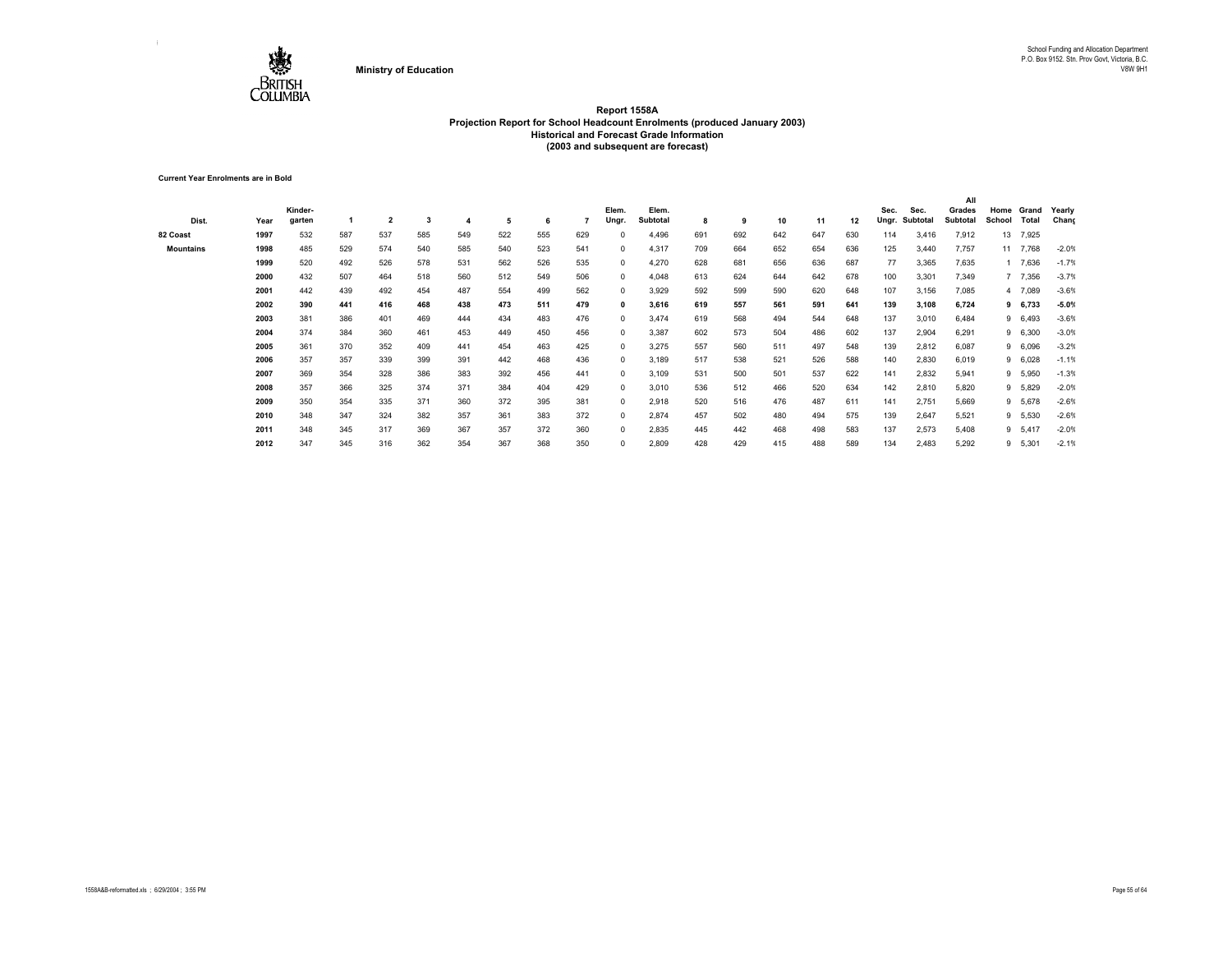

**Current Year Enrolments are in Bold**

|                  |      |         |     |                         |     |     |     |     |     |            |          |     |     |     |     |     |       |          | All      |        |          |         |
|------------------|------|---------|-----|-------------------------|-----|-----|-----|-----|-----|------------|----------|-----|-----|-----|-----|-----|-------|----------|----------|--------|----------|---------|
|                  |      | Kinder- |     |                         |     |     |     |     |     | Elem.      | Elem.    |     |     |     |     |     | Sec.  | Sec.     | Grades   | Home   | Grand    | Yearly  |
| Dist.            | Year | garten  |     | $\overline{\mathbf{2}}$ | 3   |     | 5   | 6   |     | Ungr.      | Subtotal | 8   | 9   | 10  | 11  | 12  | Ungr. | Subtotal | Subtotal | School | Total    | Chang   |
| 82 Coast         | 1997 | 532     | 587 | 537                     | 585 | 549 | 522 | 555 | 629 | $^{\circ}$ | 4,496    | 691 | 692 | 642 | 647 | 630 | 114   | 3,416    | 7,912    | 13     | 7,925    |         |
| <b>Mountains</b> | 1998 | 485     | 529 | 574                     | 540 | 585 | 540 | 523 | 541 | $^{\circ}$ | 4,317    | 709 | 664 | 652 | 654 | 636 | 125   | 3,440    | 7,757    |        | 11 7,768 | $-2.0%$ |
|                  | 1999 | 520     | 492 | 526                     | 578 | 531 | 562 | 526 | 535 | $^{\circ}$ | 4,270    | 628 | 681 | 656 | 636 | 687 | 77    | 3,365    | 7,635    |        | 1 7,636  | $-1.7%$ |
|                  | 2000 | 432     | 507 | 464                     | 518 | 560 | 512 | 549 | 506 | $^{\circ}$ | 4,048    | 613 | 624 | 644 | 642 | 678 | 100   | 3,301    | 7,349    |        | 7 7,356  | $-3.7%$ |
|                  | 2001 | 442     | 439 | 492                     | 454 | 487 | 554 | 499 | 562 | $^{\circ}$ | 3,929    | 592 | 599 | 590 | 620 | 648 | 107   | 3,156    | 7,085    |        | 4 7,089  | $-3.6%$ |
|                  | 2002 | 390     | 441 | 416                     | 468 | 438 | 473 | 511 | 479 | 0          | 3,616    | 619 | 557 | 561 | 591 | 641 | 139   | 3,108    | 6,724    |        | 9 6,733  | $-5.0%$ |
|                  | 2003 | 381     | 386 | 401                     | 469 | 444 | 434 | 483 | 476 | $^{\circ}$ | 3,474    | 619 | 568 | 494 | 544 | 648 | 137   | 3,010    | 6,484    |        | 9 6,493  | $-3.6%$ |
|                  | 2004 | 374     | 384 | 360                     | 461 | 453 | 449 | 450 | 456 | $^{\circ}$ | 3,387    | 602 | 573 | 504 | 486 | 602 | 137   | 2,904    | 6.291    |        | 9 6,300  | $-3.0%$ |
|                  | 2005 | 361     | 370 | 352                     | 409 | 441 | 454 | 463 | 425 | $^{\circ}$ | 3,275    | 557 | 560 | 511 | 497 | 548 | 139   | 2,812    | 6,087    |        | 9 6,096  | $-3.2%$ |
|                  | 2006 | 357     | 357 | 339                     | 399 | 391 | 442 | 468 | 436 | $^{\circ}$ | 3,189    | 517 | 538 | 521 | 526 | 588 | 140   | 2,830    | 6,019    |        | 9 6,028  | $-1.1%$ |
|                  | 2007 | 369     | 354 | 328                     | 386 | 383 | 392 | 456 | 441 | $^{\circ}$ | 3,109    | 531 | 500 | 501 | 537 | 622 | 141   | 2,832    | 5,941    | 9      | 5,950    | $-1.3%$ |
|                  | 2008 | 357     | 366 | 325                     | 374 | 371 | 384 | 404 | 429 | $^{\circ}$ | 3,010    | 536 | 512 | 466 | 520 | 634 | 142   | 2,810    | 5,820    | 9      | 5,829    | $-2.0%$ |
|                  | 2009 | 350     | 354 | 335                     | 371 | 360 | 372 | 395 | 381 | $^{\circ}$ | 2,918    | 520 | 516 | 476 | 487 | 611 | 141   | 2,751    | 5,669    |        | 9 5,678  | $-2.6%$ |
|                  | 2010 | 348     | 347 | 324                     | 382 | 357 | 361 | 383 | 372 | $^{\circ}$ | 2,874    | 457 | 502 | 480 | 494 | 575 | 139   | 2,647    | 5,521    | 9      | 5,530    | $-2.6%$ |
|                  | 2011 | 348     | 345 | 317                     | 369 | 367 | 357 | 372 | 360 | $^{\circ}$ | 2,835    | 445 | 442 | 468 | 498 | 583 | 137   | 2,573    | 5,408    |        | 9 5,417  | $-2.0%$ |
|                  | 2012 | 347     | 345 | 316                     | 362 | 354 | 367 | 368 | 350 | $^{\circ}$ | 2,809    | 428 | 429 | 415 | 488 | 589 | 134   | 2,483    | 5,292    |        | 9 5,301  | $-2.1%$ |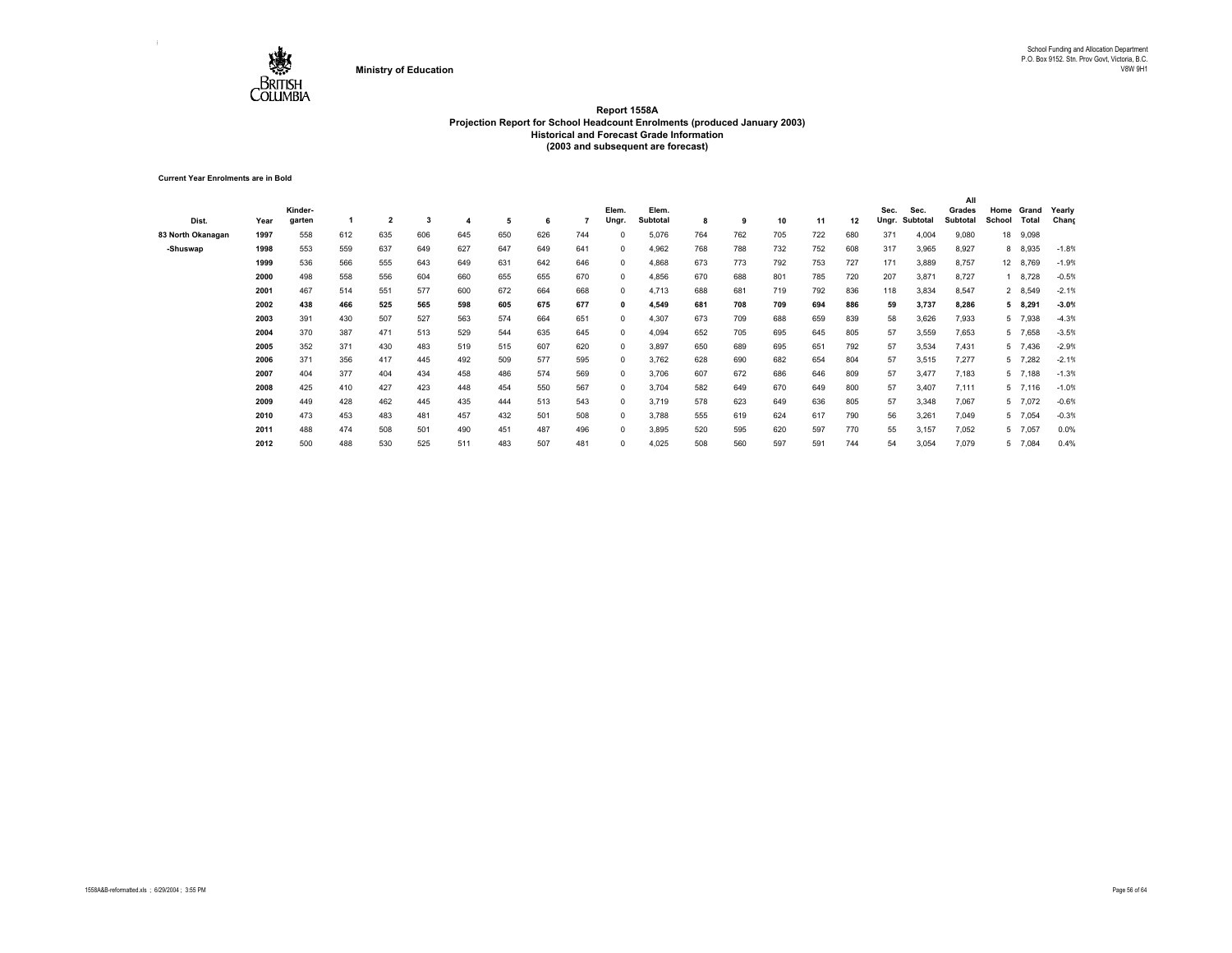

**Current Year Enrolments are in Bold**

|                   |      |         |     |                         |     |     |     |     |     |            |                 |     |     |     |     |     |       |          | All             |        |           |         |
|-------------------|------|---------|-----|-------------------------|-----|-----|-----|-----|-----|------------|-----------------|-----|-----|-----|-----|-----|-------|----------|-----------------|--------|-----------|---------|
|                   |      | Kinder- |     |                         |     |     |     |     |     | Elem.      | Elem.           |     |     |     |     |     | Sec.  | Sec.     | Grades          | Home   | Grand     | Yearly  |
| Dist.             | Year | garten  |     | $\overline{\mathbf{2}}$ | 3   |     | 5   | 6   |     | Ungr.      | <b>Subtotal</b> | 8   | 9   | 10  | 11  | 12  | Ungr. | Subtotal | <b>Subtotal</b> | School | Total     | Chang   |
| 83 North Okanagan | 1997 | 558     | 612 | 635                     | 606 | 645 | 650 | 626 | 744 | $\Omega$   | 5,076           | 764 | 762 | 705 | 722 | 680 | 371   | 4,004    | 9,080           | 18     | 9,098     |         |
| -Shuswap          | 1998 | 553     | 559 | 637                     | 649 | 627 | 647 | 649 | 641 | $\Omega$   | 4,962           | 768 | 788 | 732 | 752 | 608 | 317   | 3,965    | 8,927           |        | 8 8,935   | $-1.8%$ |
|                   | 1999 | 536     | 566 | 555                     | 643 | 649 | 631 | 642 | 646 | $^{\circ}$ | 4,868           | 673 | 773 | 792 | 753 | 727 | 171   | 3,889    | 8,757           |        | 12 8,769  | $-1.9%$ |
|                   | 2000 | 498     | 558 | 556                     | 604 | 660 | 655 | 655 | 670 | 0          | 4,856           | 670 | 688 | 801 | 785 | 720 | 207   | 3,871    | 8,727           |        | 8,728     | $-0.5%$ |
|                   | 2001 | 467     | 514 | 551                     | 577 | 600 | 672 | 664 | 668 | 0          | 4,713           | 688 | 681 | 719 | 792 | 836 | 118   | 3,834    | 8,547           |        | 2 8,549   | $-2.1%$ |
|                   | 2002 | 438     | 466 | 525                     | 565 | 598 | 605 | 675 | 677 | 0          | 4,549           | 681 | 708 | 709 | 694 | 886 | 59    | 3,737    | 8,286           |        | 5 8,291   | $-3.0%$ |
|                   | 2003 | 391     | 430 | 507                     | 527 | 563 | 574 | 664 | 651 | $^{\circ}$ | 4,307           | 673 | 709 | 688 | 659 | 839 | 58    | 3,626    | 7,933           |        | 5 7,938   | $-4.3%$ |
|                   | 2004 | 370     | 387 | 471                     | 513 | 529 | 544 | 635 | 645 | $^{\circ}$ | 4,094           | 652 | 705 | 695 | 645 | 805 | 57    | 3,559    | 7,653           |        | 5 7,658   | $-3.5%$ |
|                   | 2005 | 352     | 371 | 430                     | 483 | 519 | 515 | 607 | 620 | $^{\circ}$ | 3,897           | 650 | 689 | 695 | 651 | 792 | 57    | 3,534    | 7,431           |        | 5 7,436   | $-2.9%$ |
|                   | 2006 | 371     | 356 | 417                     | 445 | 492 | 509 | 577 | 595 | $^{\circ}$ | 3,762           | 628 | 690 | 682 | 654 | 804 | 57    | 3,515    | 7,277           |        | 5 7,282   | $-2.1%$ |
|                   | 2007 | 404     | 377 | 404                     | 434 | 458 | 486 | 574 | 569 | $^{\circ}$ | 3,706           | 607 | 672 | 686 | 646 | 809 | 57    | 3.477    | 7,183           |        | 5 7,188   | $-1.3%$ |
|                   | 2008 | 425     | 410 | 427                     | 423 | 448 | 454 | 550 | 567 | $^{\circ}$ | 3,704           | 582 | 649 | 670 | 649 | 800 | 57    | 3.407    | 7,111           |        | $5$ 7,116 | $-1.0%$ |
|                   | 2009 | 449     | 428 | 462                     | 445 | 435 | 444 | 513 | 543 | $\Omega$   | 3,719           | 578 | 623 | 649 | 636 | 805 | 57    | 3,348    | 7,067           |        | 5 7,072   | $-0.6%$ |
|                   | 2010 | 473     | 453 | 483                     | 481 | 457 | 432 | 501 | 508 | $\Omega$   | 3,788           | 555 | 619 | 624 | 617 | 790 | 56    | 3,261    | 7,049           |        | 5 7,054   | $-0.3%$ |
|                   | 2011 | 488     | 474 | 508                     | 501 | 490 | 451 | 487 | 496 | $\Omega$   | 3,895           | 520 | 595 | 620 | 597 | 770 | 55    | 3,157    | 7,052           |        | 5 7,057   | 0.0%    |
|                   | 2012 | 500     | 488 | 530                     | 525 | 511 | 483 | 507 | 481 | $\Omega$   | 4,025           | 508 | 560 | 597 | 591 | 744 | 54    | 3,054    | 7,079           |        | 5 7,084   | 0.4%    |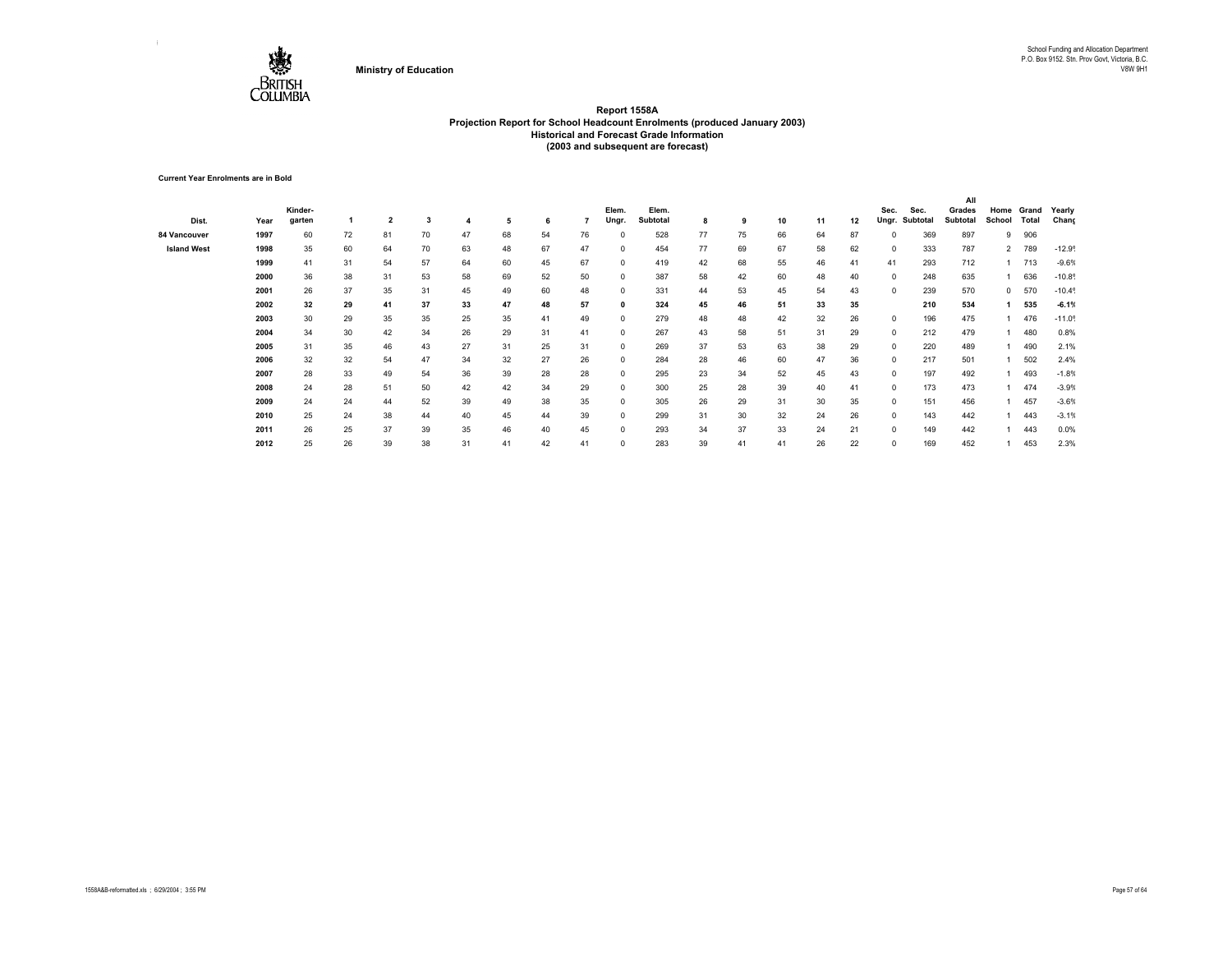

**Current Year Enrolments are in Bold**

|                    |      |         |    |                         |    |    |    |    |    |              |          |    |    |    |    |    |            |          | All      |                |       |                      |
|--------------------|------|---------|----|-------------------------|----|----|----|----|----|--------------|----------|----|----|----|----|----|------------|----------|----------|----------------|-------|----------------------|
|                    |      | Kinder- |    |                         |    |    |    |    |    | Elem.        | Elem.    |    |    |    |    |    | Sec.       | Sec.     | Grades   | Home           | Grand | Yearly               |
| Dist.              | Year | garten  |    | $\overline{\mathbf{2}}$ | 3  |    | 5  | 6  |    | Ungr.        | Subtotal | 8  | 9  | 10 | 11 | 12 | Ungr.      | Subtotal | Subtotal | School         | Total | Chang                |
| 84 Vancouver       | 1997 | 60      | 72 | 81                      | 70 | 47 | 68 | 54 | 76 | $\Omega$     | 528      | 77 | 75 | 66 | 64 | 87 | $^{\circ}$ | 369      | 897      | 9              | 906   |                      |
| <b>Island West</b> | 1998 | 35      | 60 | 64                      | 70 | 63 | 48 | 67 | 47 | $\Omega$     | 454      | 77 | 69 | 67 | 58 | 62 | $^{\circ}$ | 333      | 787      | $\overline{2}$ | 789   | $-12.9°$             |
|                    | 1999 | 41      | 31 | 54                      | 57 | 64 | 60 | 45 | 67 | $\Omega$     | 419      | 42 | 68 | 55 | 46 | 41 | 41         | 293      | 712      |                | 713   | $-9.6%$              |
|                    | 2000 | 36      | 38 | 31                      | 53 | 58 | 69 | 52 | 50 | $^{\circ}$   | 387      | 58 | 42 | 60 | 48 | 40 | $^{\circ}$ | 248      | 635      |                | 636   | $-10.8$              |
|                    | 2001 | 26      | 37 | 35                      | 31 | 45 | 49 | 60 | 48 | $\Omega$     | 331      | 44 | 53 | 45 | 54 | 43 | $^{\circ}$ | 239      | 570      | $^{\circ}$     | 570   | $-10.4$ <sup>°</sup> |
|                    | 2002 | 32      | 29 | 41                      | 37 | 33 | 47 | 48 | 57 | $\mathbf{0}$ | 324      | 45 | 46 | 51 | 33 | 35 |            | 210      | 534      |                | 535   | $-6.1%$              |
|                    | 2003 | 30      | 29 | 35                      | 35 | 25 | 35 | 41 | 49 | $^{\circ}$   | 279      | 48 | 48 | 42 | 32 | 26 | $^{\circ}$ | 196      | 475      |                | 476   | $-11.0$              |
|                    | 2004 | 34      | 30 | 42                      | 34 | 26 | 29 | 31 | 41 | $\Omega$     | 267      | 43 | 58 | 51 | 31 | 29 | $^{\circ}$ | 212      | 479      |                | 480   | 0.8%                 |
|                    | 2005 | 31      | 35 | 46                      | 43 | 27 | 31 | 25 | 31 | $^{\circ}$   | 269      | 37 | 53 | 63 | 38 | 29 | $^{\circ}$ | 220      | 489      |                | 490   | 2.1%                 |
|                    | 2006 | 32      | 32 | 54                      | 47 | 34 | 32 | 27 | 26 | $^{\circ}$   | 284      | 28 | 46 | 60 | 47 | 36 | $^{\circ}$ | 217      | 501      |                | 502   | 2.4%                 |
|                    | 2007 | 28      | 33 | 49                      | 54 | 36 | 39 | 28 | 28 | $^{\circ}$   | 295      | 23 | 34 | 52 | 45 | 43 | $^{\circ}$ | 197      | 492      |                | 493   | $-1.8%$              |
|                    | 2008 | 24      | 28 | 51                      | 50 | 42 | 42 | 34 | 29 | $^{\circ}$   | 300      | 25 | 28 | 39 | 40 | 41 | $^{\circ}$ | 173      | 473      |                | 474   | $-3.9%$              |
|                    | 2009 | 24      | 24 | 44                      | 52 | 39 | 49 | 38 | 35 | $\Omega$     | 305      | 26 | 29 | 31 | 30 | 35 | $^{\circ}$ | 151      | 456      |                | 457   | $-3.6%$              |
|                    | 2010 | 25      | 24 | 38                      | 44 | 40 | 45 | 44 | 39 | $\Omega$     | 299      | 31 | 30 | 32 | 24 | 26 | $\Omega$   | 143      | 442      |                | 443   | $-3.1%$              |
|                    | 2011 | 26      | 25 | 37                      | 39 | 35 | 46 | 40 | 45 |              | 293      | 34 | 37 | 33 | 24 | 21 | 0          | 149      | 442      |                | 443   | 0.0%                 |
|                    | 2012 | 25      | 26 | 39                      | 38 | 31 | 41 | 42 | 41 | $\Omega$     | 283      | 39 | 41 | 41 | 26 | 22 | $\Omega$   | 169      | 452      |                | 453   | 2.3%                 |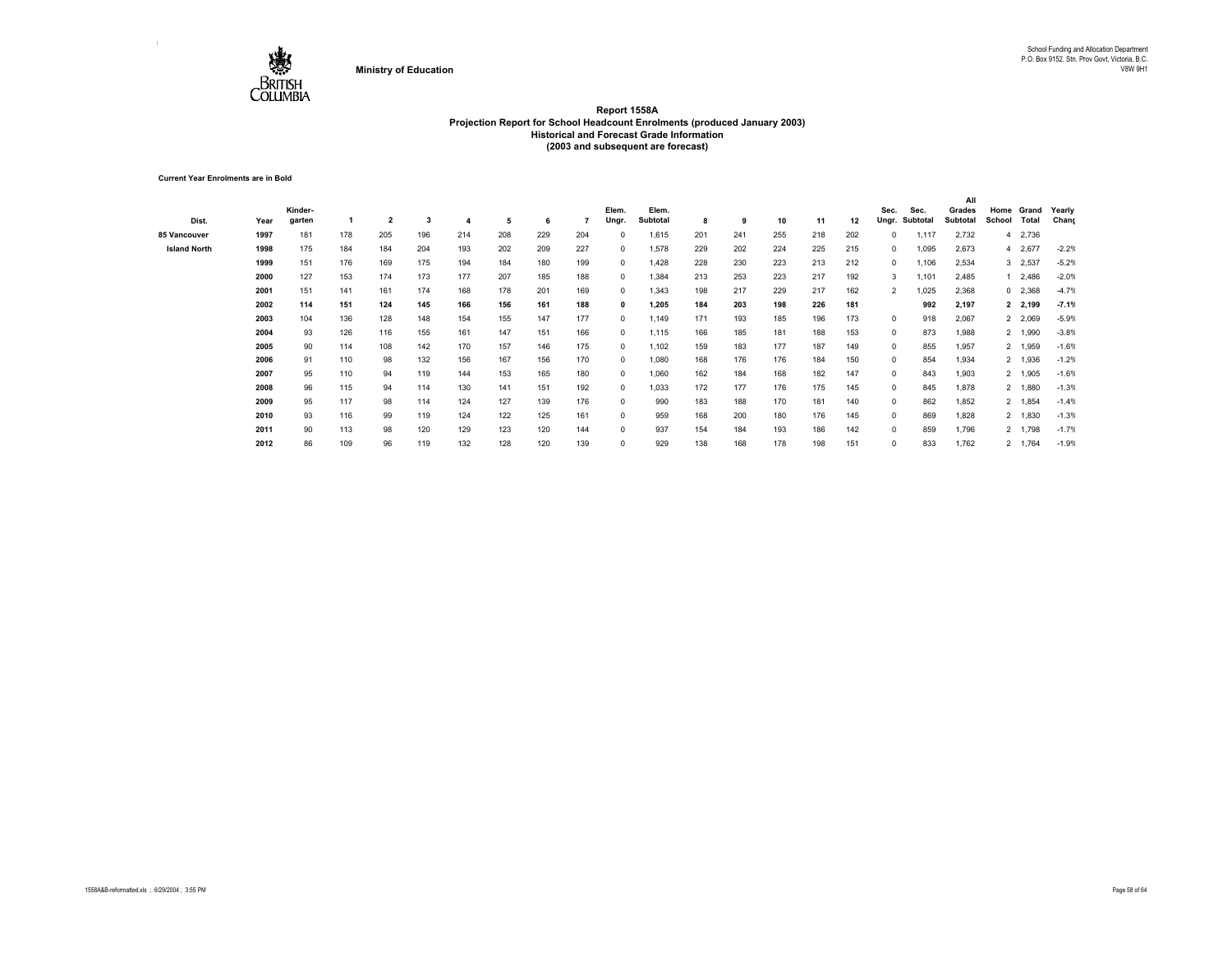

**Current Year Enrolments are in Bold**

|                     |      |         |     |                |     |     |     |     |     |              |          |     |     |     |     |     |                |          | All      |        |           |         |
|---------------------|------|---------|-----|----------------|-----|-----|-----|-----|-----|--------------|----------|-----|-----|-----|-----|-----|----------------|----------|----------|--------|-----------|---------|
|                     |      | Kinder- |     |                |     |     |     |     |     | Elem.        | Elem.    |     |     |     |     |     | Sec.           | Sec.     | Grades   | Home   | Grand     | Yearly  |
| Dist.               | Year | garten  |     | $\overline{2}$ | 3   | 4   | 5   | 6   |     | Ungr.        | Subtotal | 8   | 9   | 10  | 11  | 12  | Ungr.          | Subtotal | Subtotal | School | Total     | Chang   |
| 85 Vancouver        | 1997 | 181     | 178 | 205            | 196 | 214 | 208 | 229 | 204 |              | 1,615    | 201 | 241 | 255 | 218 | 202 | 0              | 1,117    | 2,732    |        | 4 2,736   |         |
| <b>Island North</b> | 1998 | 175     | 184 | 184            | 204 | 193 | 202 | 209 | 227 | $\Omega$     | 1,578    | 229 | 202 | 224 | 225 | 215 | 0              | 1,095    | 2,673    |        | 4 2,677   | $-2.2%$ |
|                     | 1999 | 151     | 176 | 169            | 175 | 194 | 184 | 180 | 199 | $^{\circ}$   | 1,428    | 228 | 230 | 223 | 213 | 212 | 0              | 1,106    | 2,534    |        | 3 2,537   | $-5.2%$ |
|                     | 2000 | 127     | 153 | 174            | 173 | 177 | 207 | 185 | 188 | $^{\circ}$   | 1,384    | 213 | 253 | 223 | 217 | 192 | 3              | 1,101    | 2,485    |        | 1 2,486   | $-2.0%$ |
|                     | 2001 | 151     | 141 | 161            | 174 | 168 | 178 | 201 | 169 | $^{\circ}$   | 1,343    | 198 | 217 | 229 | 217 | 162 | $\overline{2}$ | 1,025    | 2,368    |        | $0$ 2,368 | $-4.7%$ |
|                     | 2002 | 114     | 151 | 124            | 145 | 166 | 156 | 161 | 188 | $\mathbf{0}$ | 1,205    | 184 | 203 | 198 | 226 | 181 |                | 992      | 2,197    |        | 2 2,199   | $-7.1%$ |
|                     | 2003 | 104     | 136 | 128            | 148 | 154 | 155 | 147 | 177 | $^{\circ}$   | 1,149    | 171 | 193 | 185 | 196 | 173 | $^{\circ}$     | 918      | 2,067    |        | 2 2,069   | $-5.9%$ |
|                     | 2004 | 93      | 126 | 116            | 155 | 161 | 147 | 151 | 166 | $^{\circ}$   | 1,115    | 166 | 185 | 181 | 188 | 153 | $^{\circ}$     | 873      | 1,988    |        | 2 1,990   | $-3.8%$ |
|                     | 2005 | 90      | 114 | 108            | 142 | 170 | 157 | 146 | 175 | $^{\circ}$   | 1,102    | 159 | 183 | 177 | 187 | 149 | $^{\circ}$     | 855      | 1,957    |        | 2 1,959   | $-1.6%$ |
|                     | 2006 | 91      | 110 | 98             | 132 | 156 | 167 | 156 | 170 | $\mathbf{0}$ | 1,080    | 168 | 176 | 176 | 184 | 150 | $^{\circ}$     | 854      | 1,934    |        | 2 1,936   | $-1.2%$ |
|                     | 2007 | 95      | 110 | 94             | 119 | 144 | 153 | 165 | 180 | $^{\circ}$   | 1,060    | 162 | 184 | 168 | 182 | 147 | $^{\circ}$     | 843      | 1,903    |        | 2 1,905   | $-1.6%$ |
|                     | 2008 | 96      | 115 | 94             | 114 | 130 | 141 | 151 | 192 | $^{\circ}$   | 1.033    | 172 | 177 | 176 | 175 | 145 | $^{\circ}$     | 845      | 1,878    |        | 2 1,880   | $-1.3%$ |
|                     | 2009 | 95      | 117 | 98             | 114 | 124 | 127 | 139 | 176 | $^{\circ}$   | 990      | 183 | 188 | 170 | 181 | 140 | $^{\circ}$     | 862      | 1,852    |        | 2 1,854   | $-1.4%$ |
|                     | 2010 | 93      | 116 | 99             | 119 | 124 | 122 | 125 | 161 | $\Omega$     | 959      | 168 | 200 | 180 | 176 | 145 | $^{\circ}$     | 869      | 1,828    |        | 2 1,830   | $-1.3%$ |
|                     | 2011 | 90      | 113 | 98             | 120 | 129 | 123 | 120 | 144 | $^{\circ}$   | 937      | 154 | 184 | 193 | 186 | 142 | $^{\circ}$     | 859      | 1,796    |        | 2 1,798   | $-1.7%$ |
|                     | 2012 | 86      | 109 | 96             | 119 | 132 | 128 | 120 | 139 | $\Omega$     | 929      | 138 | 168 | 178 | 198 | 151 | $\Omega$       | 833      | 1,762    |        | 2 1,764   | $-1.9%$ |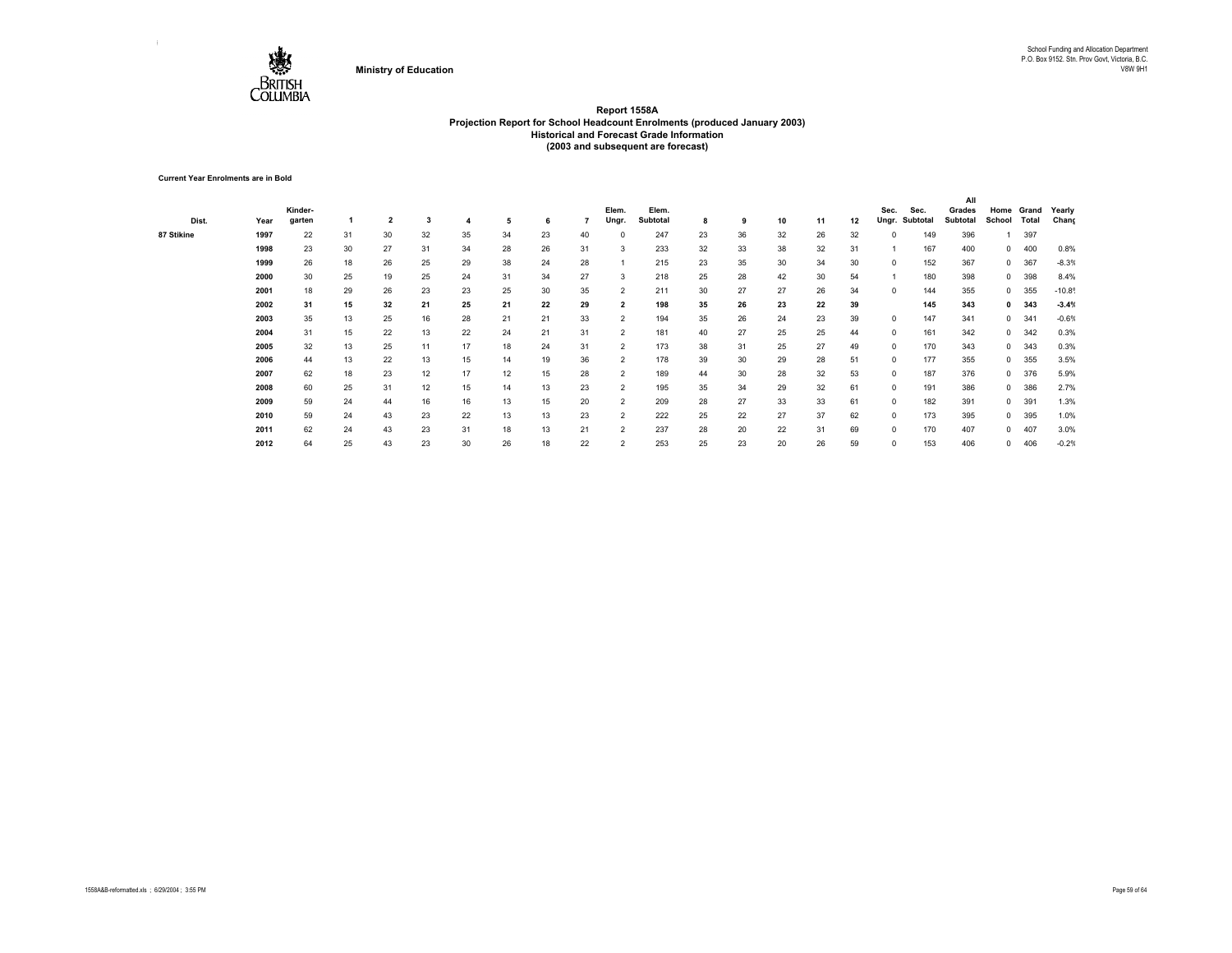

**Current Year Enrolments are in Bold**

|            |      |         |    |                         |    |    |    |    |    |                         |          |    |    |    |    |    |            |          | All             |              |       |         |
|------------|------|---------|----|-------------------------|----|----|----|----|----|-------------------------|----------|----|----|----|----|----|------------|----------|-----------------|--------------|-------|---------|
|            |      | Kinder- |    |                         |    |    |    |    |    | Elem.                   | Elem.    |    |    |    |    |    | Sec.       | Sec.     | Grades          | Home         | Grand | Yearly  |
| Dist.      | Year | garten  |    | $\overline{\mathbf{2}}$ | 3  | 4  | 5  | 6  |    | Ungr.                   | Subtotal | 8  | 9  | 10 | 11 | 12 | Ungr.      | Subtotal | <b>Subtotal</b> | School       | Total | Chang   |
| 87 Stikine | 1997 | 22      | 31 | 30                      | 32 | 35 | 34 | 23 | 40 |                         | 247      | 23 | 36 | 32 | 26 | 32 | 0          | 149      | 396             |              | 397   |         |
|            | 1998 | 23      | 30 | 27                      | 31 | 34 | 28 | 26 | 31 | 3                       | 233      | 32 | 33 | 38 | 32 | 31 |            | 167      | 400             | $^{\circ}$   | 400   | 0.8%    |
|            | 1999 | 26      | 18 | 26                      | 25 | 29 | 38 | 24 | 28 |                         | 215      | 23 | 35 | 30 | 34 | 30 | $^{\circ}$ | 152      | 367             | $^{\circ}$   | 367   | $-8.3%$ |
|            | 2000 | 30      | 25 | 19                      | 25 | 24 | 31 | 34 | 27 | 3                       | 218      | 25 | 28 | 42 | 30 | 54 |            | 180      | 398             | $\mathbf{0}$ | 398   | 8.4%    |
|            | 2001 | 18      | 29 | 26                      | 23 | 23 | 25 | 30 | 35 | $\overline{2}$          | 211      | 30 | 27 | 27 | 26 | 34 | $^{\circ}$ | 144      | 355             | $^{\circ}$   | 355   | $-10.8$ |
|            | 2002 | 31      | 15 | 32                      | 21 | 25 | 21 | 22 | 29 | $\overline{\mathbf{2}}$ | 198      | 35 | 26 | 23 | 22 | 39 |            | 145      | 343             | $\mathbf{0}$ | 343   | $-3.4%$ |
|            | 2003 | 35      | 13 | 25                      | 16 | 28 | 21 | 21 | 33 | 2                       | 194      | 35 | 26 | 24 | 23 | 39 | $^{\circ}$ | 147      | 341             | $^{\circ}$   | 341   | $-0.6%$ |
|            | 2004 | 31      | 15 | 22                      | 13 | 22 | 24 | 21 | 31 | $\overline{2}$          | 181      | 40 | 27 | 25 | 25 | 44 | $^{\circ}$ | 161      | 342             | $^{\circ}$   | 342   | 0.3%    |
|            | 2005 | 32      | 13 | 25                      | 11 | 17 | 18 | 24 | 31 | $\overline{2}$          | 173      | 38 | 31 | 25 | 27 | 49 | $^{\circ}$ | 170      | 343             | $\mathbf{0}$ | 343   | 0.3%    |
|            | 2006 | 44      | 13 | 22                      | 13 | 15 | 14 | 19 | 36 | $\overline{2}$          | 178      | 39 | 30 | 29 | 28 | 51 | $^{\circ}$ | 177      | 355             | $\mathbf{0}$ | 355   | 3.5%    |
|            | 2007 | 62      | 18 | 23                      | 12 | 17 | 12 | 15 | 28 | $\overline{2}$          | 189      | 44 | 30 | 28 | 32 | 53 | $^{\circ}$ | 187      | 376             | $\mathbf{0}$ | 376   | 5.9%    |
|            | 2008 | 60      | 25 | 31                      | 12 | 15 | 14 | 13 | 23 | $\overline{2}$          | 195      | 35 | 34 | 29 | 32 | 61 | $^{\circ}$ | 191      | 386             | $\mathbf{0}$ | 386   | 2.7%    |
|            | 2009 | 59      | 24 | 44                      | 16 | 16 | 13 | 15 | 20 | $\overline{2}$          | 209      | 28 | 27 | 33 | 33 | 61 | $^{\circ}$ | 182      | 391             | $\mathbf{0}$ | 391   | 1.3%    |
|            | 2010 | 59      | 24 | 43                      | 23 | 22 | 13 | 13 | 23 | $\overline{2}$          | 222      | 25 | 22 | 27 | 37 | 62 | $^{\circ}$ | 173      | 395             | $\mathbf{0}$ | 395   | 1.0%    |
|            | 2011 | 62      | 24 | 43                      | 23 | 31 | 18 | 13 | 21 | $\overline{2}$          | 237      | 28 | 20 | 22 | 31 | 69 | 0          | 170      | 407             | $\mathbf{0}$ | 407   | 3.0%    |
|            | 2012 | 64      | 25 | 43                      | 23 | 30 | 26 | 18 | 22 | $\overline{2}$          | 253      | 25 | 23 | 20 | 26 | 59 | $\Omega$   | 153      | 406             | 0            | 406   | $-0.2%$ |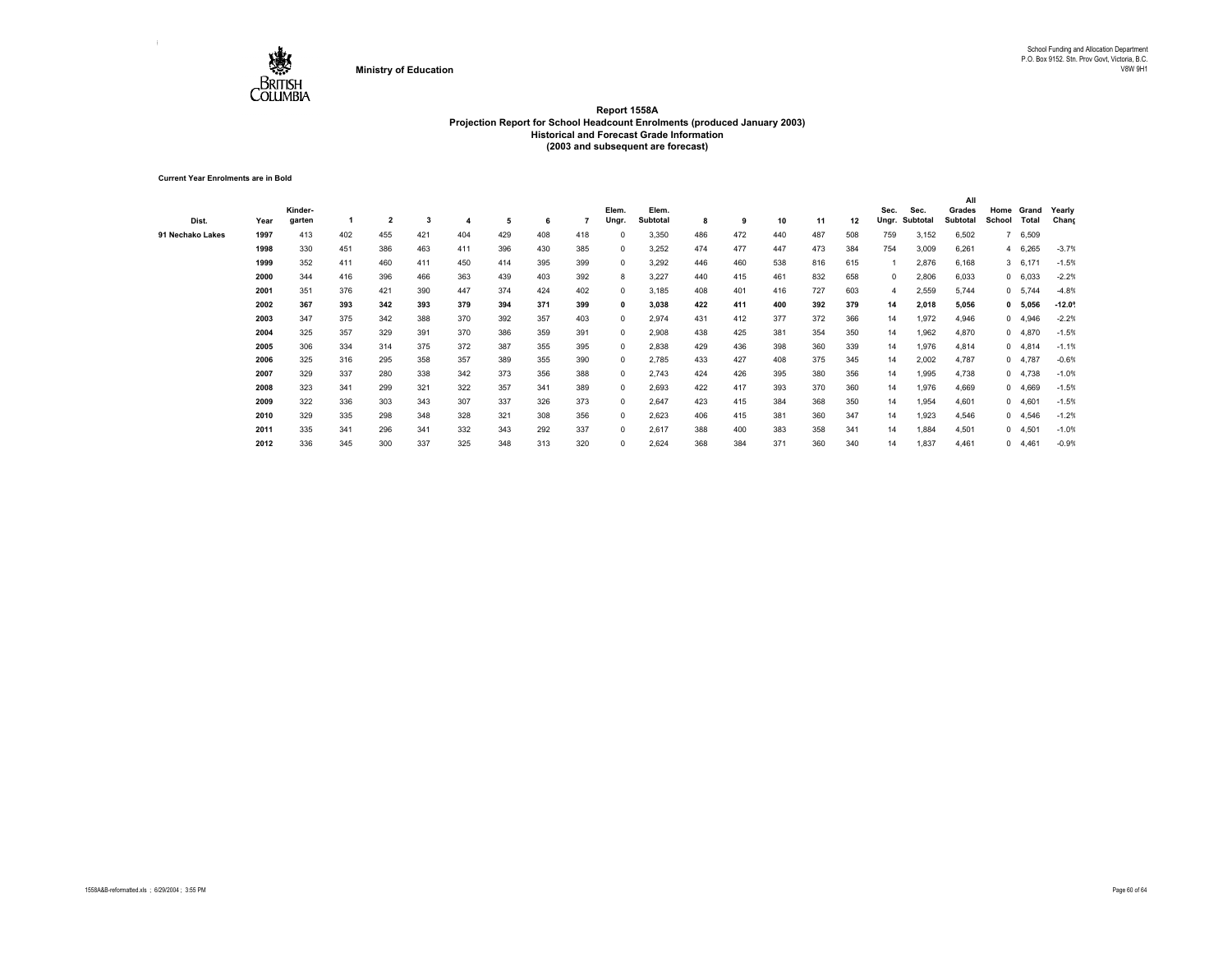

**Current Year Enrolments are in Bold**

|                  |      |         |     |                |     |     |     |     |     |              |          |     |     |     |     |     |            |          | All      |        |           |         |
|------------------|------|---------|-----|----------------|-----|-----|-----|-----|-----|--------------|----------|-----|-----|-----|-----|-----|------------|----------|----------|--------|-----------|---------|
|                  |      | Kinder- |     |                |     |     |     |     |     | Elem.        | Elem.    |     |     |     |     |     | Sec.       | Sec.     | Grades   | Home   | Grand     | Yearly  |
| Dist.            | Year | garten  |     | $\overline{2}$ | 3   |     | 5   | 6   |     | Ungr.        | Subtotal | 8   | 9   | 10  | 11  | 12  | Ungr.      | Subtotal | Subtotal | School | Total     | Chang   |
| 91 Nechako Lakes | 1997 | 413     | 402 | 455            | 421 | 404 | 429 | 408 | 418 |              | 3,350    | 486 | 472 | 440 | 487 | 508 | 759        | 3,152    | 6,502    |        | 6,509     |         |
|                  | 1998 | 330     | 451 | 386            | 463 | 411 | 396 | 430 | 385 | $\Omega$     | 3,252    | 474 | 477 | 447 | 473 | 384 | 754        | 3,009    | 6,261    |        | 4 6,265   | $-3.7%$ |
|                  | 1999 | 352     | 411 | 460            | 411 | 450 | 414 | 395 | 399 | $\Omega$     | 3,292    | 446 | 460 | 538 | 816 | 615 |            | 2,876    | 6,168    |        | 3 6,171   | $-1.5%$ |
|                  | 2000 | 344     | 416 | 396            | 466 | 363 | 439 | 403 | 392 | 8            | 3,227    | 440 | 415 | 461 | 832 | 658 | $^{\circ}$ | 2,806    | 6,033    |        | 0 6,033   | $-2.2%$ |
|                  | 2001 | 351     | 376 | 421            | 390 | 447 | 374 | 424 | 402 | $\Omega$     | 3,185    | 408 | 401 | 416 | 727 | 603 | 4          | 2,559    | 5,744    |        | 0 5,744   | $-4.8%$ |
|                  | 2002 | 367     | 393 | 342            | 393 | 379 | 394 | 371 | 399 | 0            | 3,038    | 422 | 411 | 400 | 392 | 379 | 14         | 2,018    | 5,056    |        | 0 5,056   | $-12.0$ |
|                  | 2003 | 347     | 375 | 342            | 388 | 370 | 392 | 357 | 403 | 0            | 2,974    | 431 | 412 | 377 | 372 | 366 | 14         | 1,972    | 4,946    |        | 04,946    | $-2.2%$ |
|                  | 2004 | 325     | 357 | 329            | 391 | 370 | 386 | 359 | 391 | 0            | 2,908    | 438 | 425 | 381 | 354 | 350 | 14         | 1,962    | 4,870    |        | 04,870    | $-1.5%$ |
|                  | 2005 | 306     | 334 | 314            | 375 | 372 | 387 | 355 | 395 | 0            | 2,838    | 429 | 436 | 398 | 360 | 339 | 14         | 1,976    | 4,814    |        | $0$ 4,814 | $-1.1%$ |
|                  | 2006 | 325     | 316 | 295            | 358 | 357 | 389 | 355 | 390 | $\mathbf{0}$ | 2,785    | 433 | 427 | 408 | 375 | 345 | 14         | 2,002    | 4,787    |        | 04,787    | $-0.6%$ |
|                  | 2007 | 329     | 337 | 280            | 338 | 342 | 373 | 356 | 388 | $^{\circ}$   | 2,743    | 424 | 426 | 395 | 380 | 356 | 14         | 1,995    | 4,738    |        | $0$ 4,738 | $-1.0%$ |
|                  | 2008 | 323     | 341 | 299            | 321 | 322 | 357 | 341 | 389 | $\Omega$     | 2,693    | 422 | 417 | 393 | 370 | 360 | 14         | 1,976    | 4,669    |        | 04,669    | $-1.5%$ |
|                  | 2009 | 322     | 336 | 303            | 343 | 307 | 337 | 326 | 373 | $\Omega$     | 2,647    | 423 | 415 | 384 | 368 | 350 | 14         | 1,954    | 4,601    |        | 0, 4,601  | $-1.5%$ |
|                  | 2010 | 329     | 335 | 298            | 348 | 328 | 321 | 308 | 356 | $\Omega$     | 2,623    | 406 | 415 | 381 | 360 | 347 | 14         | 1,923    | 4,546    |        | 0, 4,546  | $-1.2%$ |
|                  | 2011 | 335     | 341 | 296            | 341 | 332 | 343 | 292 | 337 |              | 2,617    | 388 | 400 | 383 | 358 | 341 | 14         | 1,884    | 4,501    |        | 04,501    | $-1.0%$ |
|                  | 2012 | 336     | 345 | 300            | 337 | 325 | 348 | 313 | 320 | $\Omega$     | 2,624    | 368 | 384 | 371 | 360 | 340 | 14         | 1,837    | 4,461    |        | 0, 4,461  | $-0.9%$ |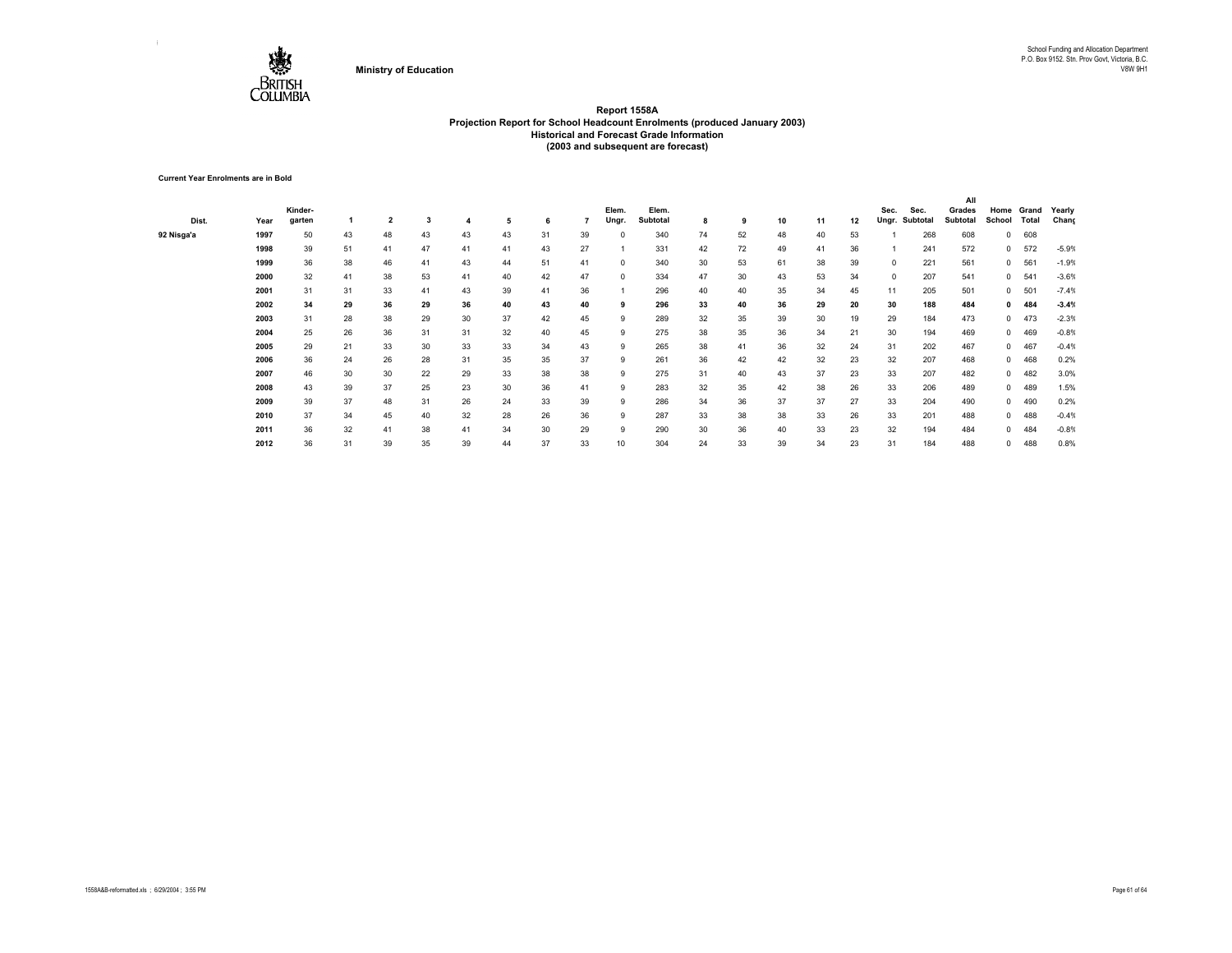

**Current Year Enrolments are in Bold**

|            |      |         |    |                |    |    |    |    |    |          |          |    |    |    |    |    |            |          | All      |              |            |         |
|------------|------|---------|----|----------------|----|----|----|----|----|----------|----------|----|----|----|----|----|------------|----------|----------|--------------|------------|---------|
|            |      | Kinder- |    |                |    |    |    |    |    | Elem.    | Elem.    |    |    |    |    |    | Sec.       | Sec.     | Grades   |              | Home Grand | Yearly  |
| Dist.      | Year | garten  |    | $\overline{2}$ | 3  |    | 5  | 6  |    | Ungr.    | Subtotal | 8  | 9  | 10 | 11 | 12 | Ungr.      | Subtotal | Subtotal | School       | Total      | Chang   |
| 92 Nisga'a | 1997 | 50      | 43 | 48             | 43 | 43 | 43 | 31 | 39 | 0        | 340      | 74 | 52 | 48 | 40 | 53 |            | 268      | 608      | $\mathbf{0}$ | 608        |         |
|            | 1998 | 39      | 51 | 41             | 47 | 41 | 41 | 43 | 27 |          | 331      | 42 | 72 | 49 | 41 | 36 |            | 241      | 572      | $^{\circ}$   | 572        | $-5.9%$ |
|            | 1999 | 36      | 38 | 46             | 41 | 43 | 44 | 51 | 41 | $\Omega$ | 340      | 30 | 53 | 61 | 38 | 39 | $\Omega$   | 221      | 561      | $^{\circ}$   | 561        | $-1.9%$ |
|            | 2000 | 32      | 41 | 38             | 53 | 41 | 40 | 42 | 47 | 0        | 334      | 47 | 30 | 43 | 53 | 34 | $^{\circ}$ | 207      | 541      | $^{\circ}$   | 541        | $-3.6%$ |
|            | 2001 | 31      | 31 | 33             | 41 | 43 | 39 | 41 | 36 |          | 296      | 40 | 40 | 35 | 34 | 45 | 11         | 205      | 501      | $^{\circ}$   | 501        | $-7.4%$ |
|            | 2002 | 34      | 29 | 36             | 29 | 36 | 40 | 43 | 40 | 9        | 296      | 33 | 40 | 36 | 29 | 20 | 30         | 188      | 484      | $\mathbf{0}$ | 484        | $-3.4%$ |
|            | 2003 | 31      | 28 | 38             | 29 | 30 | 37 | 42 | 45 | 9        | 289      | 32 | 35 | 39 | 30 | 19 | 29         | 184      | 473      | $^{\circ}$   | 473        | $-2.3%$ |
|            | 2004 | 25      | 26 | 36             | 31 | 31 | 32 | 40 | 45 | 9        | 275      | 38 | 35 | 36 | 34 | 21 | 30         | 194      | 469      | $\mathbf{0}$ | 469        | $-0.8%$ |
|            | 2005 | 29      | 21 | 33             | 30 | 33 | 33 | 34 | 43 | 9        | 265      | 38 | 41 | 36 | 32 | 24 | 31         | 202      | 467      | $\mathbf{0}$ | 467        | $-0.4%$ |
|            | 2006 | 36      | 24 | 26             | 28 | 31 | 35 | 35 | 37 | 9        | 261      | 36 | 42 | 42 | 32 | 23 | 32         | 207      | 468      | $\mathbf{0}$ | 468        | 0.2%    |
|            | 2007 | 46      | 30 | 30             | 22 | 29 | 33 | 38 | 38 | 9        | 275      | 31 | 40 | 43 | 37 | 23 | 33         | 207      | 482      | $\mathbf{0}$ | 482        | 3.0%    |
|            | 2008 | 43      | 39 | 37             | 25 | 23 | 30 | 36 | 41 | 9        | 283      | 32 | 35 | 42 | 38 | 26 | 33         | 206      | 489      | $\mathbf{0}$ | 489        | 1.5%    |
|            | 2009 | 39      | 37 | 48             | 31 | 26 | 24 | 33 | 39 | 9        | 286      | 34 | 36 | 37 | 37 | 27 | 33         | 204      | 490      | $\mathbf{0}$ | 490        | 0.2%    |
|            | 2010 | 37      | 34 | 45             | 40 | 32 | 28 | 26 | 36 | 9        | 287      | 33 | 38 | 38 | 33 | 26 | 33         | 201      | 488      | $\mathbf{0}$ | 488        | $-0.4%$ |
|            | 2011 | 36      | 32 | 41             | 38 | 41 | 34 | 30 | 29 | 9        | 290      | 30 | 36 | 40 | 33 | 23 | 32         | 194      | 484      | $\mathbf{0}$ | 484        | $-0.8%$ |
|            | 2012 | 36      | 31 | 39             | 35 | 39 | 44 | 37 | 33 | 10       | 304      | 24 | 33 | 39 | 34 | 23 | 31         | 184      | 488      | 0            | 488        | 0.8%    |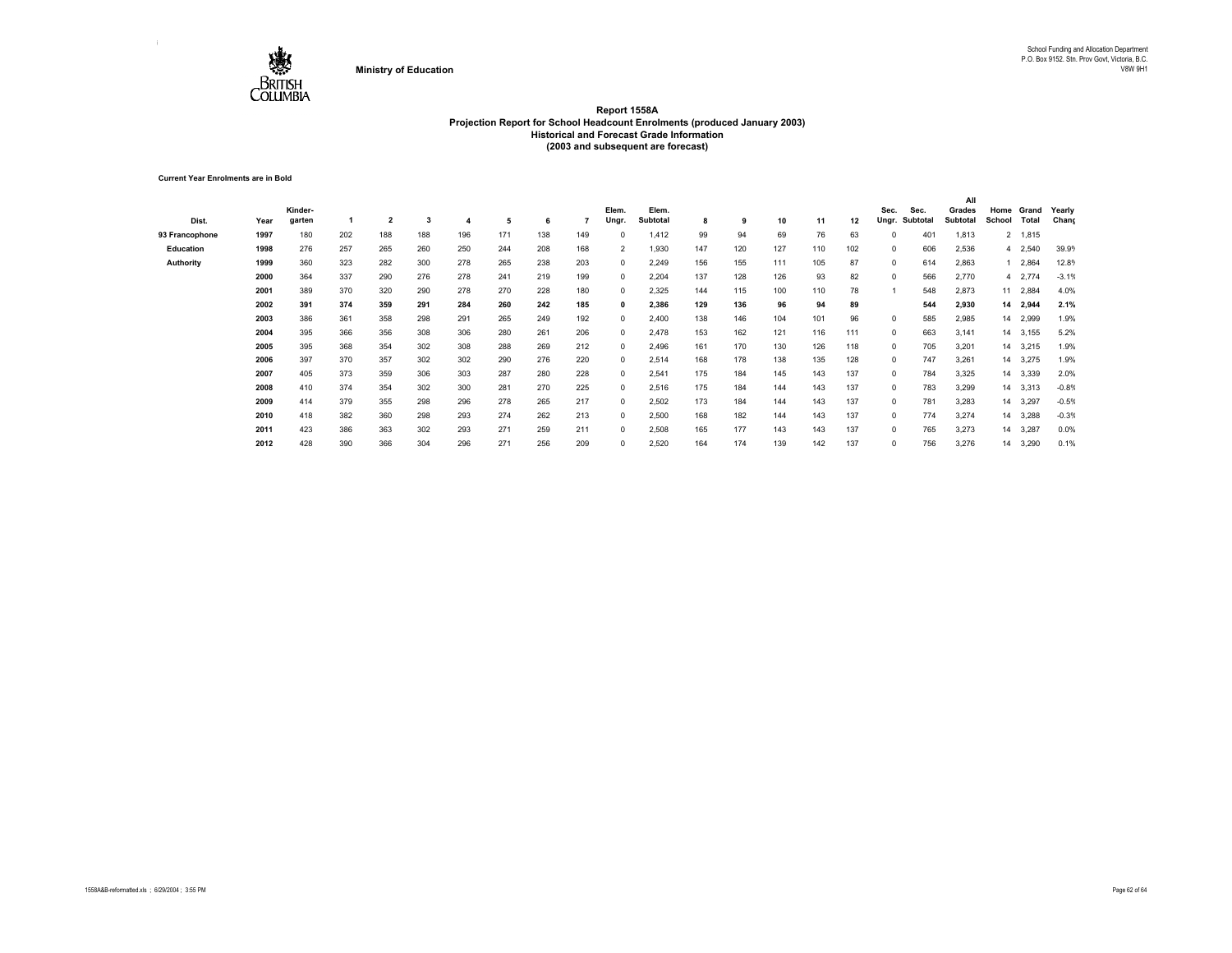

**Current Year Enrolments are in Bold**

|                |      |         |     |     |     |     |     |     |     |                |                 |     |     |     |     |     |              |          | All      |        |          |         |
|----------------|------|---------|-----|-----|-----|-----|-----|-----|-----|----------------|-----------------|-----|-----|-----|-----|-----|--------------|----------|----------|--------|----------|---------|
|                |      | Kinder- |     |     |     |     |     |     |     | Elem.          | Elem.           |     |     |     |     |     | Sec.         | Sec.     | Grades   | Home   | Grand    | Yearly  |
| Dist.          | Year | garten  |     | 2   | 3   |     | 5   | 6   |     | Ungr.          | <b>Subtotal</b> | 8   | 9   | 10  | 11  | 12  | Ungr.        | Subtotal | Subtotal | School | Total    | Chang   |
| 93 Francophone | 1997 | 180     | 202 | 188 | 188 | 196 | 171 | 138 | 149 | 0              | 1,412           | 99  | 94  | 69  | 76  | 63  |              | 401      | 1,813    |        | 2 1,815  |         |
| Education      | 1998 | 276     | 257 | 265 | 260 | 250 | 244 | 208 | 168 | $\overline{2}$ | 1,930           | 147 | 120 | 127 | 110 | 102 | 0            | 606      | 2,536    |        | 4 2,540  | 39.9%   |
| Authority      | 1999 | 360     | 323 | 282 | 300 | 278 | 265 | 238 | 203 | $\mathbf{0}$   | 2,249           | 156 | 155 | 111 | 105 | 87  | $\mathbf{0}$ | 614      | 2,863    |        | 2,864    | 12.8%   |
|                | 2000 | 364     | 337 | 290 | 276 | 278 | 241 | 219 | 199 | 0              | 2,204           | 137 | 128 | 126 | 93  | 82  | 0            | 566      | 2,770    |        | 4 2,774  | $-3.1%$ |
|                | 2001 | 389     | 370 | 320 | 290 | 278 | 270 | 228 | 180 | 0              | 2,325           | 144 | 115 | 100 | 110 | 78  |              | 548      | 2,873    | 11     | 2,884    | 4.0%    |
|                | 2002 | 391     | 374 | 359 | 291 | 284 | 260 | 242 | 185 | $\mathbf{0}$   | 2,386           | 129 | 136 | 96  | 94  | 89  |              | 544      | 2,930    |        | 14 2,944 | 2.1%    |
|                | 2003 | 386     | 361 | 358 | 298 | 291 | 265 | 249 | 192 | $\mathbf{0}$   | 2,400           | 138 | 146 | 104 | 101 | 96  | 0            | 585      | 2,985    | 14     | 2,999    | 1.9%    |
|                | 2004 | 395     | 366 | 356 | 308 | 306 | 280 | 261 | 206 | $\mathbf{0}$   | 2,478           | 153 | 162 | 121 | 116 | 111 | 0            | 663      | 3,141    | 14     | 3,155    | 5.2%    |
|                | 2005 | 395     | 368 | 354 | 302 | 308 | 288 | 269 | 212 | $\mathbf{0}$   | 2,496           | 161 | 170 | 130 | 126 | 118 | 0            | 705      | 3,201    |        | 14 3,215 | 1.9%    |
|                | 2006 | 397     | 370 | 357 | 302 | 302 | 290 | 276 | 220 | $\mathbf 0$    | 2,514           | 168 | 178 | 138 | 135 | 128 | 0            | 747      | 3,261    |        | 14 3,275 | 1.9%    |
|                | 2007 | 405     | 373 | 359 | 306 | 303 | 287 | 280 | 228 | 0              | 2,541           | 175 | 184 | 145 | 143 | 137 | 0            | 784      | 3,325    |        | 14 3,339 | 2.0%    |
|                | 2008 | 410     | 374 | 354 | 302 | 300 | 281 | 270 | 225 | 0              | 2,516           | 175 | 184 | 144 | 143 | 137 | 0            | 783      | 3,299    | 14     | 3,313    | $-0.8%$ |
|                | 2009 | 414     | 379 | 355 | 298 | 296 | 278 | 265 | 217 | $\Omega$       | 2,502           | 173 | 184 | 144 | 143 | 137 | 0            | 781      | 3,283    | 14     | 3,297    | $-0.5%$ |
|                | 2010 | 418     | 382 | 360 | 298 | 293 | 274 | 262 | 213 | 0              | 2,500           | 168 | 182 | 144 | 143 | 137 | 0            | 774      | 3,274    | 14     | 3,288    | $-0.3%$ |
|                | 2011 | 423     | 386 | 363 | 302 | 293 | 271 | 259 | 211 | $\Omega$       | 2,508           | 165 | 177 | 143 | 143 | 137 | $\Omega$     | 765      | 3,273    | 14     | 3,287    | 0.0%    |
|                | 2012 | 428     | 390 | 366 | 304 | 296 | 271 | 256 | 209 | $\Omega$       | 2,520           | 164 | 174 | 139 | 142 | 137 | 0            | 756      | 3,276    | 14     | 3,290    | 0.1%    |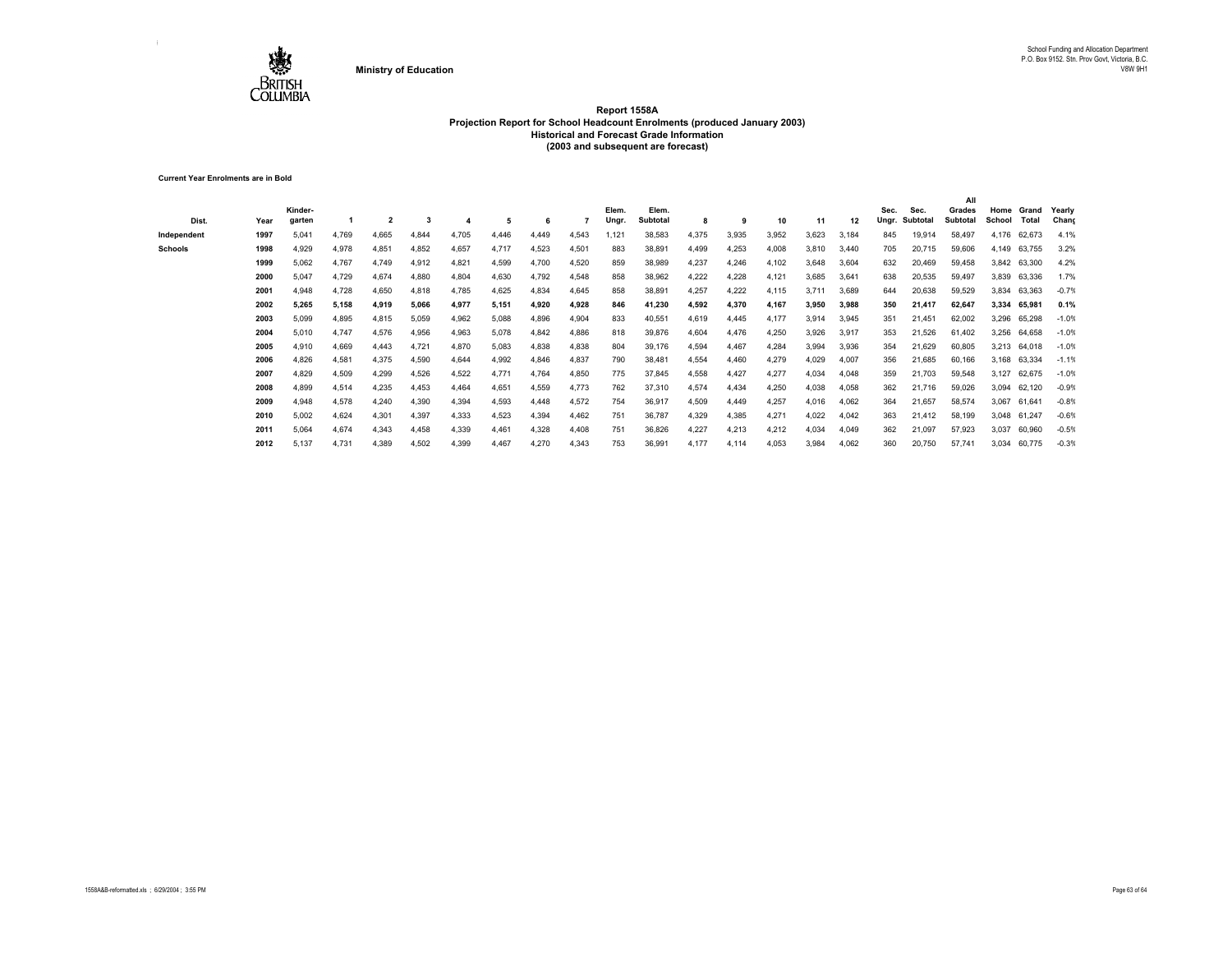

**Current Year Enrolments are in Bold**

| Dist.          | Year | Kinder-<br>garten |       | $\overline{2}$ |       |       | 5     |       |       | Elem.<br>Ungr. | Elem.<br><b>Subtotal</b> | 8     | 9     | 10    | 11    | 12    | Sec.<br>Ungr. | Sec.<br>Subtota | All<br>Grades<br>Subtotal | School | Home Grand<br>Total | Yearly<br>Chang |
|----------------|------|-------------------|-------|----------------|-------|-------|-------|-------|-------|----------------|--------------------------|-------|-------|-------|-------|-------|---------------|-----------------|---------------------------|--------|---------------------|-----------------|
| Independent    | 1997 | 5,041             | 4,769 | 4,665          | 4,844 | 4,705 | 4,446 | 4.449 | 4,543 | .121           | 38,583                   | 4,375 | 3,935 | 3,952 | 3,623 | 3,184 | 845           | 19,914          | 58,497                    | 4,176  | 62,673              | 4.1%            |
| <b>Schools</b> | 1998 | 4,929             | 4,978 | 4,851          | 4,852 | 4,657 | 4.717 | 4,523 | 4.501 | 883            | 38,891                   | 4,499 | 4,253 | 4,008 | 3,810 | 3.440 | 705           | 20,715          | 59,606                    | 4,149  | 63,755              | 3.2%            |
|                | 1999 | 5,062             | 4.767 | 4,749          | 4,912 | 4,821 | 4,599 | 4,700 | 4,520 | 859            | 38,989                   | 4,237 | 4,246 | 4,102 | 3,648 | 3.604 | 632           | 20,469          | 59,458                    |        | 3,842 63,300        | 4.2%            |
|                | 2000 | 5,047             | 4,729 | 4,674          | 4,880 | 4,804 | 4,630 | 4,792 | 4,548 | 858            | 38,962                   | 4,222 | 4.228 | 4,121 | 3,685 | 3,641 | 638           | 20,535          | 59,497                    | 3,839  | 63,336              | 1.7%            |
|                | 2001 | 4,948             | 4,728 | 4,650          | 4,818 | 4,785 | 4,625 | 4,834 | 4,645 | 858            | 38,891                   | 4,257 | 4,222 | 4,115 | 3.711 | 3,689 | 644           | 20,638          | 59,529                    | 3,834  | 63,363              | $-0.7%$         |
|                | 2002 | 5,265             | 5,158 | 4,919          | 5,066 | 4,977 | 5,151 | 4,920 | 4,928 | 846            | 41,230                   | 4,592 | 4,370 | 4,167 | 3,950 | 3,988 | 350           | 21,417          | 62,647                    | 3,334  | 65,981              | 0.1%            |
|                | 2003 | 5,099             | 4,895 | 4,815          | 5,059 | 4,962 | 5,088 | 4,896 | 4,904 | 833            | 40,551                   | 4,619 | 4,445 | 4,177 | 3,914 | 3,945 | 351           | 21,451          | 62,002                    | 3,296  | 65,298              | $-1.0%$         |
|                | 2004 | 5,010             | 4.747 | 4,576          | 4,956 | 4,963 | 5,078 | 4,842 | 4,886 | 818            | 39,876                   | 4,604 | 4,476 | 4,250 | 3,926 | 3,917 | 353           | 21,526          | 61,402                    | 3,256  | 64,658              | $-1.0%$         |
|                | 2005 | 4,910             | 4,669 | 4.443          | 4,721 | 4,870 | 5,083 | 4,838 | 4,838 | 804            | 39,176                   | 4,594 | 4,467 | 4,284 | 3,994 | 3,936 | 354           | 21,629          | 60,805                    | 3,213  | 64,018              | $-1.0%$         |
|                | 2006 | 4,826             | 4,581 | 4,375          | 4,590 | 4,644 | 4,992 | 4,846 | 4,837 | 790            | 38,481                   | 4,554 | 4.460 | 4,279 | 4,029 | 4,007 | 356           | 21,685          | 60,166                    | 3,168  | 63,334              | $-1.1%$         |
|                | 2007 | 4,829             | 4,509 | 4,299          | 4,526 | 4,522 | 4.771 | 4.764 | 4,850 | 775            | 37,845                   | 4,558 | 4,427 | 4,277 | 4,034 | 4,048 | 359           | 21,703          | 59,548                    | 3,127  | 62,675              | $-1.0%$         |
|                | 2008 | 4,899             | 4,514 | 4,235          | 4,453 | 4,464 | 4,651 | 4,559 | 4,773 | 762            | 37,310                   | 4,574 | 4,434 | 4,250 | 4,038 | 4,058 | 362           | 21,716          | 59,026                    | 3,094  | 62,120              | $-0.9%$         |
|                | 2009 | 4,948             | 4,578 | 4.240          | 4,390 | 4,394 | 4,593 | 4.448 | 4,572 | 754            | 36,917                   | 4,509 | 4.449 | 4,257 | 4,016 | 4,062 | 364           | 21,657          | 58,574                    | 3,067  | 61.641              | $-0.8%$         |
|                | 2010 | 5,002             | 4.624 | 4,301          | 4,397 | 4,333 | 4,523 | 4.394 | 4,462 | 751            | 36,787                   | 4,329 | 4,385 | 4,271 | 4,022 | 4,042 | 363           | 21,412          | 58,199                    | 3,048  | 61,247              | $-0.6%$         |
|                | 2011 | 5,064             | 4.674 | 4,343          | 4,458 | 4,339 | 4,461 | 4,328 | 4,408 | 751            | 36,826                   | 4,227 | 4,213 | 4,212 | 4,034 | 4,049 | 362           | 21,097          | 57,923                    | 3,037  | 60,960              | $-0.5%$         |
|                | 2012 | 5,137             | 4.731 | 4,389          | 4,502 | 4,399 | 4,467 | 4,270 | 4,343 | 753            | 36,991                   | 4,177 | 4,114 | 4,053 | 3,984 | 4,062 | 360           | 20,750          | 57,741                    | 3,034  | 60,775              | $-0.3%$         |